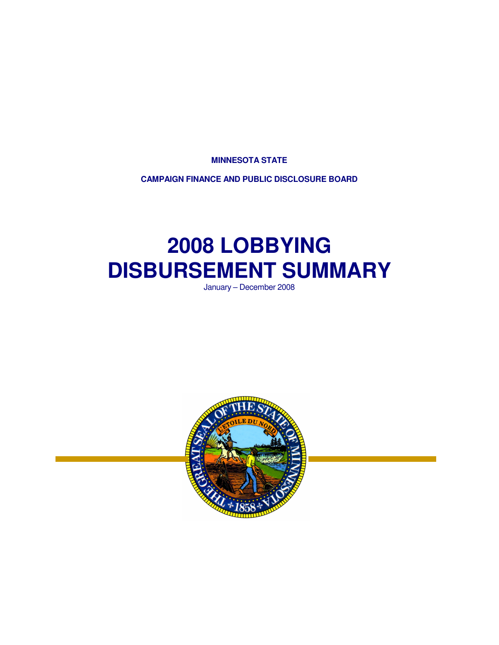**MINNESOTA STATE** 

**CAMPAIGN FINANCE AND PUBLIC DISCLOSURE BOARD** 

# **2008 LOBBYING DISBURSEMENT SUMMARY**

January – December 2008

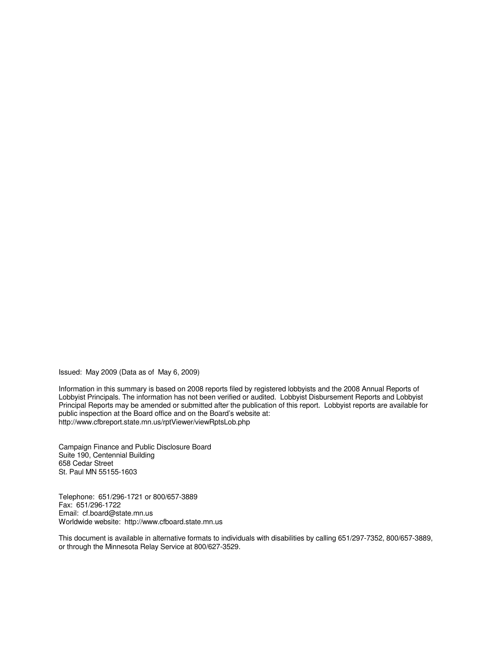Issued: May 2009 (Data as of May 6, 2009)

Information in this summary is based on 2008 reports filed by registered lobbyists and the 2008 Annual Reports of Lobbyist Principals. The information has not been verified or audited. Lobbyist Disbursement Reports and Lobbyist Principal Reports may be amended or submitted after the publication of this report. Lobbyist reports are available for public inspection at the Board office and on the Board's website at: http://www.cfbreport.state.mn.us/rptViewer/viewRptsLob.php

Campaign Finance and Public Disclosure Board Suite 190, Centennial Building 658 Cedar Street St. Paul MN 55155-1603

Telephone: 651/296-1721 or 800/657-3889 Fax: 651/296-1722 Email: cf.board@state.mn.us Worldwide website: http://www.cfboard.state.mn.us

This document is available in alternative formats to individuals with disabilities by calling 651/297-7352, 800/657-3889, or through the Minnesota Relay Service at 800/627-3529.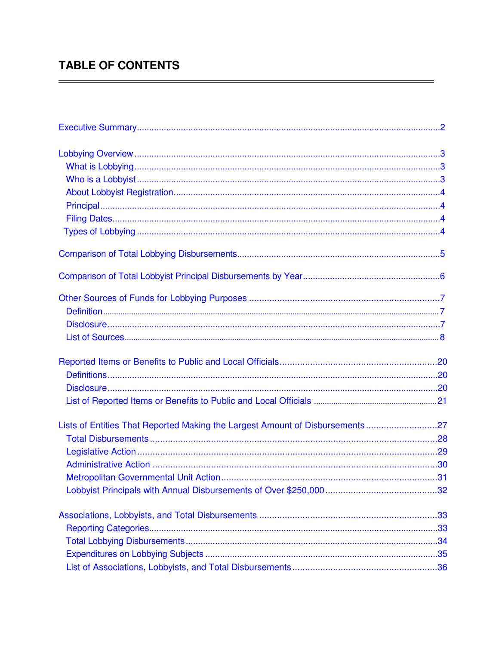# **TABLE OF CONTENTS**

| Lists of Entities That Reported Making the Largest Amount of Disbursements27 |  |
|------------------------------------------------------------------------------|--|
|                                                                              |  |
|                                                                              |  |
|                                                                              |  |
|                                                                              |  |
|                                                                              |  |
|                                                                              |  |
|                                                                              |  |
|                                                                              |  |
|                                                                              |  |
|                                                                              |  |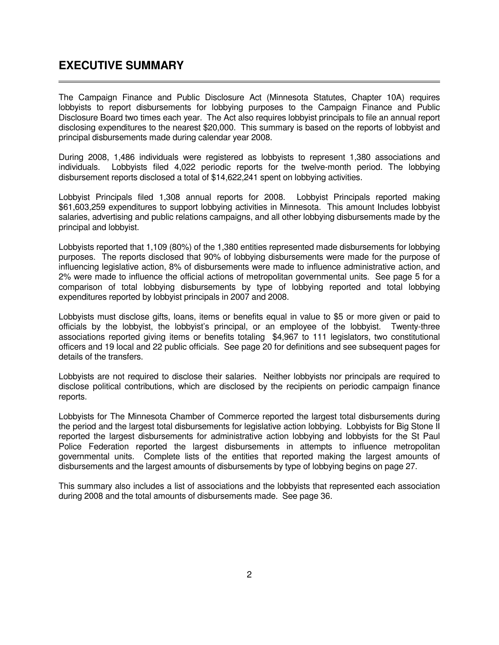### <span id="page-3-0"></span>**EXECUTIVE SUMMARY**

 $\overline{a}$ 

The Campaign Finance and Public Disclosure Act (Minnesota Statutes, Chapter 10A) requires lobbyists to report disbursements for lobbying purposes to the Campaign Finance and Public Disclosure Board two times each year. The Act also requires lobbyist principals to file an annual report disclosing expenditures to the nearest \$20,000. This summary is based on the reports of lobbyist and principal disbursements made during calendar year 2008.

During 2008, 1,486 individuals were registered as lobbyists to represent 1,380 associations and individuals. Lobbyists filed 4,022 periodic reports for the twelve-month period. The lobbying disbursement reports disclosed a total of \$14,622,241 spent on lobbying activities.

Lobbyist Principals filed 1,308 annual reports for 2008. Lobbyist Principals reported making \$61,603,259 expenditures to support lobbying activities in Minnesota. This amount Includes lobbyist salaries, advertising and public relations campaigns, and all other lobbying disbursements made by the principal and lobbyist.

Lobbyists reported that 1,109 (80%) of the 1,380 entities represented made disbursements for lobbying purposes. The reports disclosed that 90% of lobbying disbursements were made for the purpose of influencing legislative action, 8% of disbursements were made to influence administrative action, and 2% were made to influence the official actions of metropolitan governmental units. See page 5 for a comparison of total lobbying disbursements by type of lobbying reported and total lobbying expenditures reported by lobbyist principals in 2007 and 2008.

Lobbyists must disclose gifts, loans, items or benefits equal in value to \$5 or more given or paid to officials by the lobbyist, the lobbyist's principal, or an employee of the lobbyist. Twenty-three associations reported giving items or benefits totaling \$4,967 to 111 legislators, two constitutional officers and 19 local and 22 public officials. See page 20 for definitions and see subsequent pages for details of the transfers.

Lobbyists are not required to disclose their salaries. Neither lobbyists nor principals are required to disclose political contributions, which are disclosed by the recipients on periodic campaign finance reports.

Lobbyists for The Minnesota Chamber of Commerce reported the largest total disbursements during the period and the largest total disbursements for legislative action lobbying. Lobbyists for Big Stone II reported the largest disbursements for administrative action lobbying and lobbyists for the St Paul Police Federation reported the largest disbursements in attempts to influence metropolitan governmental units. Complete lists of the entities that reported making the largest amounts of disbursements and the largest amounts of disbursements by type of lobbying begins on page 27.

This summary also includes a list of associations and the lobbyists that represented each association during 2008 and the total amounts of disbursements made. See page 36.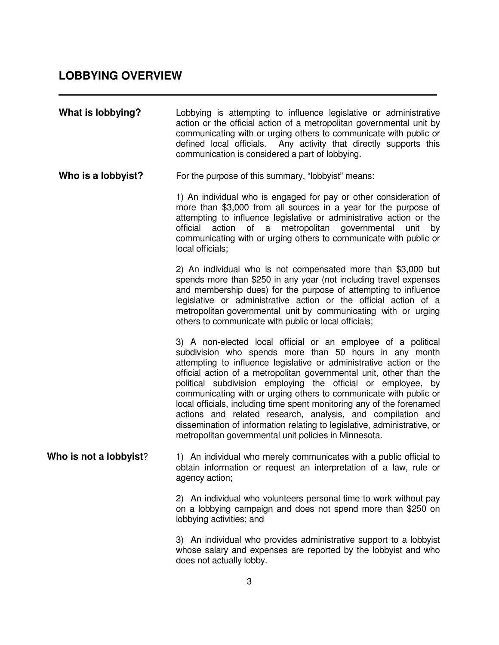### <span id="page-4-0"></span>**LOBBYING OVERVIEW**

| What is lobbying?      | Lobbying is attempting to influence legislative or administrative<br>action or the official action of a metropolitan governmental unit by<br>communicating with or urging others to communicate with public or<br>defined local officials. Any activity that directly supports this<br>communication is considered a part of lobbying.                                                                                                                                                                                                                                                                                                                                                  |
|------------------------|-----------------------------------------------------------------------------------------------------------------------------------------------------------------------------------------------------------------------------------------------------------------------------------------------------------------------------------------------------------------------------------------------------------------------------------------------------------------------------------------------------------------------------------------------------------------------------------------------------------------------------------------------------------------------------------------|
| Who is a lobbyist?     | For the purpose of this summary, "lobbyist" means:                                                                                                                                                                                                                                                                                                                                                                                                                                                                                                                                                                                                                                      |
|                        | 1) An individual who is engaged for pay or other consideration of<br>more than \$3,000 from all sources in a year for the purpose of<br>attempting to influence legislative or administrative action or the<br>official action of a metropolitan governmental<br>unit<br>by<br>communicating with or urging others to communicate with public or<br>local officials;                                                                                                                                                                                                                                                                                                                    |
|                        | 2) An individual who is not compensated more than \$3,000 but<br>spends more than \$250 in any year (not including travel expenses<br>and membership dues) for the purpose of attempting to influence<br>legislative or administrative action or the official action of a<br>metropolitan governmental unit by communicating with or urging<br>others to communicate with public or local officials;                                                                                                                                                                                                                                                                                    |
|                        | 3) A non-elected local official or an employee of a political<br>subdivision who spends more than 50 hours in any month<br>attempting to influence legislative or administrative action or the<br>official action of a metropolitan governmental unit, other than the<br>political subdivision employing the official or employee, by<br>communicating with or urging others to communicate with public or<br>local officials, including time spent monitoring any of the forenamed<br>actions and related research, analysis, and compilation and<br>dissemination of information relating to legislative, administrative, or<br>metropolitan governmental unit policies in Minnesota. |
| Who is not a lobbyist? | 1) An individual who merely communicates with a public official to<br>obtain information or request an interpretation of a law, rule or<br>agency action;                                                                                                                                                                                                                                                                                                                                                                                                                                                                                                                               |
|                        | 2) An individual who volunteers personal time to work without pay<br>on a lobbying campaign and does not spend more than \$250 on<br>lobbying activities; and                                                                                                                                                                                                                                                                                                                                                                                                                                                                                                                           |
|                        | 3) An individual who provides administrative support to a lobbyist<br>whose salary and expenses are reported by the lobbyist and who<br>does not actually lobby.                                                                                                                                                                                                                                                                                                                                                                                                                                                                                                                        |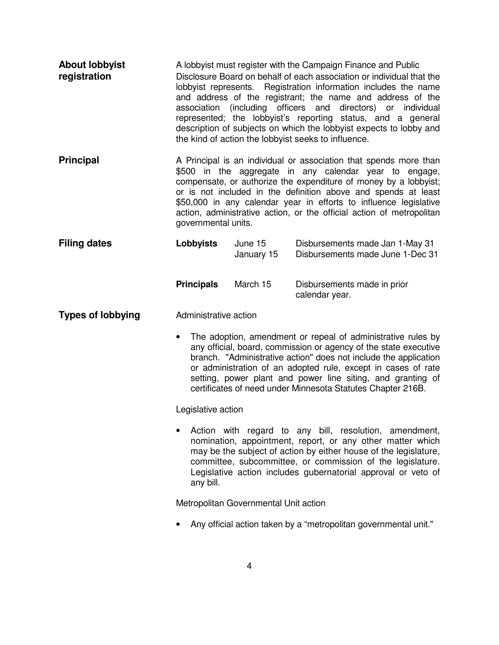<span id="page-5-0"></span>

| <b>About lobbyist</b><br>registration | A lobbyist must register with the Campaign Finance and Public<br>Disclosure Board on behalf of each association or individual that the<br>lobbyist represents. Registration information includes the name<br>and address of the registrant; the name and address of the<br>association (including officers and directors) or individual<br>represented; the lobbyist's reporting status, and a general<br>description of subjects on which the lobbyist expects to lobby and<br>the kind of action the lobbyist seeks to influence. |                                       |                                                                                                                                                                                                                                                                                                                                                                                                                 |
|---------------------------------------|-------------------------------------------------------------------------------------------------------------------------------------------------------------------------------------------------------------------------------------------------------------------------------------------------------------------------------------------------------------------------------------------------------------------------------------------------------------------------------------------------------------------------------------|---------------------------------------|-----------------------------------------------------------------------------------------------------------------------------------------------------------------------------------------------------------------------------------------------------------------------------------------------------------------------------------------------------------------------------------------------------------------|
| <b>Principal</b>                      | governmental units.                                                                                                                                                                                                                                                                                                                                                                                                                                                                                                                 |                                       | A Principal is an individual or association that spends more than<br>\$500 in the aggregate in any calendar year to engage,<br>compensate, or authorize the expenditure of money by a lobbyist;<br>or is not included in the definition above and spends at least<br>\$50,000 in any calendar year in efforts to influence legislative<br>action, administrative action, or the official action of metropolitan |
| <b>Filing dates</b>                   | <b>Lobbyists</b>                                                                                                                                                                                                                                                                                                                                                                                                                                                                                                                    | June 15<br>January 15                 | Disbursements made Jan 1-May 31<br>Disbursements made June 1-Dec 31                                                                                                                                                                                                                                                                                                                                             |
|                                       | <b>Principals</b>                                                                                                                                                                                                                                                                                                                                                                                                                                                                                                                   | March 15                              | Disbursements made in prior<br>calendar year.                                                                                                                                                                                                                                                                                                                                                                   |
| <b>Types of lobbying</b>              | Administrative action                                                                                                                                                                                                                                                                                                                                                                                                                                                                                                               |                                       |                                                                                                                                                                                                                                                                                                                                                                                                                 |
|                                       | $\bullet$                                                                                                                                                                                                                                                                                                                                                                                                                                                                                                                           |                                       | The adoption, amendment or repeal of administrative rules by<br>any official, board, commission or agency of the state executive<br>branch. "Administrative action" does not include the application<br>or administration of an adopted rule, except in cases of rate<br>setting, power plant and power line siting, and granting of<br>certificates of need under Minnesota Statutes Chapter 216B.             |
|                                       | Legislative action                                                                                                                                                                                                                                                                                                                                                                                                                                                                                                                  |                                       |                                                                                                                                                                                                                                                                                                                                                                                                                 |
|                                       | any bill.                                                                                                                                                                                                                                                                                                                                                                                                                                                                                                                           |                                       | Action with regard to any bill, resolution, amendment,<br>nomination, appointment, report, or any other matter which<br>may be the subject of action by either house of the legislature,<br>committee, subcommittee, or commission of the legislature.<br>Legislative action includes gubernatorial approval or veto of                                                                                         |
|                                       |                                                                                                                                                                                                                                                                                                                                                                                                                                                                                                                                     | Metropolitan Governmental Unit action |                                                                                                                                                                                                                                                                                                                                                                                                                 |
|                                       |                                                                                                                                                                                                                                                                                                                                                                                                                                                                                                                                     |                                       | Any official action taken by a "metropolitan governmental unit."                                                                                                                                                                                                                                                                                                                                                |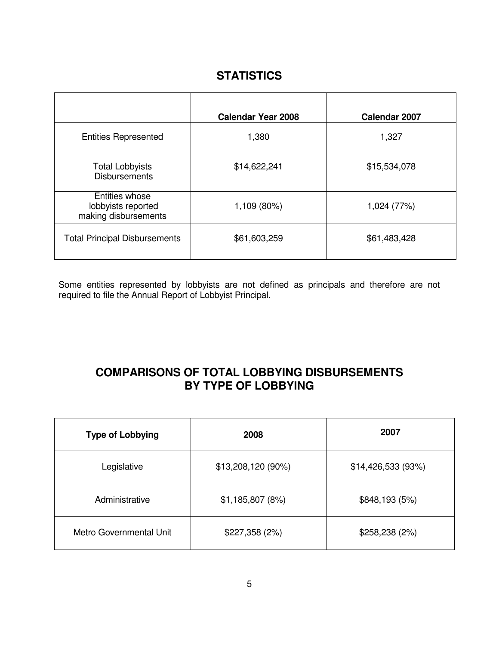### **STATISTICS**

<span id="page-6-0"></span>

|                                                              | <b>Calendar Year 2008</b> | Calendar 2007 |
|--------------------------------------------------------------|---------------------------|---------------|
| <b>Entities Represented</b>                                  | 1,380                     | 1,327         |
| <b>Total Lobbyists</b><br><b>Disbursements</b>               | \$14,622,241              | \$15,534,078  |
| Entities whose<br>lobbyists reported<br>making disbursements | 1,109 (80%)               | 1,024 (77%)   |
| <b>Total Principal Disbursements</b>                         | \$61,603,259              | \$61,483,428  |

Some entities represented by lobbyists are not defined as principals and therefore are not required to file the Annual Report of Lobbyist Principal.

### **COMPARISONS OF TOTAL LOBBYING DISBURSEMENTS BY TYPE OF LOBBYING**

| <b>Type of Lobbying</b> | 2008               | 2007               |
|-------------------------|--------------------|--------------------|
| Legislative             | \$13,208,120 (90%) | \$14,426,533 (93%) |
| Administrative          | \$1,185,807(8%)    | \$848,193 (5%)     |
| Metro Governmental Unit | \$227,358(2%)      | \$258,238(2%)      |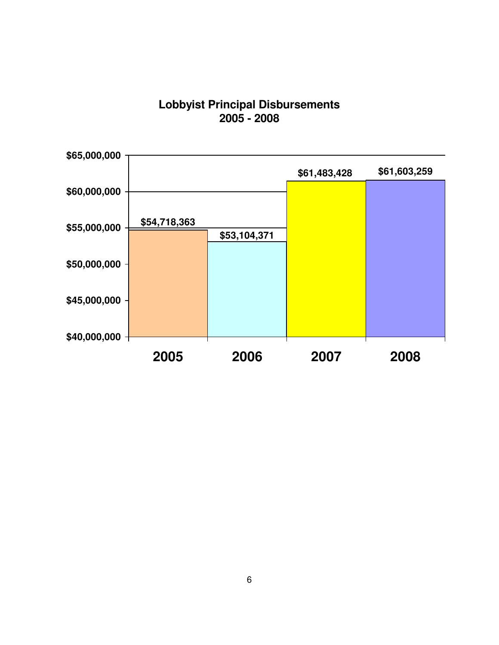### **Lobbyist Principal Disbursements 2005 - 2008**

<span id="page-7-0"></span>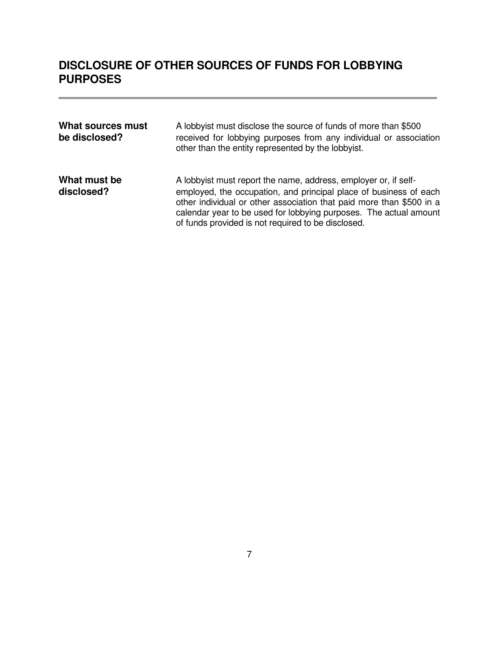## <span id="page-8-0"></span>**DISCLOSURE OF OTHER SOURCES OF FUNDS FOR LOBBYING PURPOSES**

| What sources must<br>be disclosed? | A lobbyist must disclose the source of funds of more than \$500<br>received for lobbying purposes from any individual or association<br>other than the entity represented by the lobbyist.                                                                                                                                              |
|------------------------------------|-----------------------------------------------------------------------------------------------------------------------------------------------------------------------------------------------------------------------------------------------------------------------------------------------------------------------------------------|
| What must be<br>disclosed?         | A lobbyist must report the name, address, employer or, if self-<br>employed, the occupation, and principal place of business of each<br>other individual or other association that paid more than \$500 in a<br>calendar year to be used for lobbying purposes. The actual amount<br>of funds provided is not required to be disclosed. |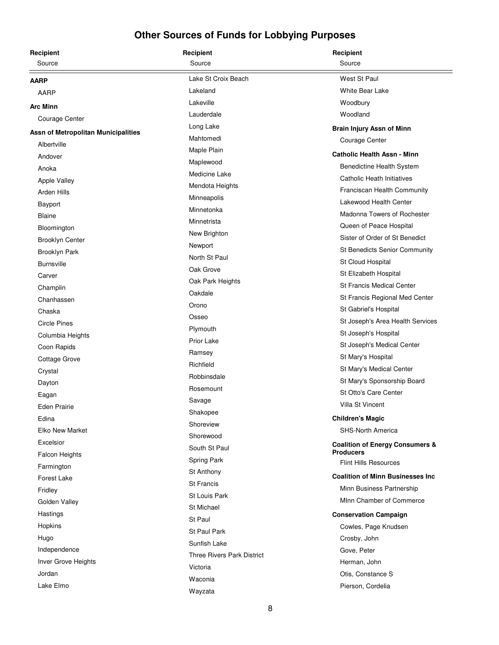<span id="page-9-0"></span>

| Recipient                           | Recipient                         | Recipient                                                      |
|-------------------------------------|-----------------------------------|----------------------------------------------------------------|
| Source                              | Source                            | Source                                                         |
| <b>AARP</b>                         | Lake St Croix Beach               | West St Paul                                                   |
| AARP                                | Lakeland                          | White Bear Lake                                                |
| <b>Arc Minn</b>                     | Lakeville                         | Woodbury                                                       |
| Courage Center                      | Lauderdale                        | Woodland                                                       |
| Assn of Metropolitan Municipalities | Long Lake                         | Brain Injury Assn of Minn                                      |
| Albertville                         | Mahtomedi                         | Courage Center                                                 |
| Andover                             | Maple Plain                       | <b>Catholic Health Assn - Minn</b>                             |
| Anoka                               | Maplewood                         | Benedictine Health System                                      |
| <b>Apple Valley</b>                 | Medicine Lake                     | Catholic Heath Initiatives                                     |
| Arden Hills                         | Mendota Heights                   | <b>Franciscan Health Community</b>                             |
| <b>Bayport</b>                      | Minneapolis                       | Lakewood Health Center                                         |
| Blaine                              | Minnetonka                        | Madonna Towers of Rochester                                    |
| Bloomington                         | Minnetrista                       | Queen of Peace Hospital                                        |
| <b>Brooklyn Center</b>              | New Brighton                      | Sister of Order of St Benedict                                 |
| <b>Brooklyn Park</b>                | Newport                           | <b>St Benedicts Senior Community</b>                           |
| <b>Burnsville</b>                   | North St Paul                     | St Cloud Hospital                                              |
| Carver                              | Oak Grove                         | St Elizabeth Hospital                                          |
| Champlin                            | Oak Park Heights                  | <b>St Francis Medical Center</b>                               |
| Chanhassen                          | Oakdale                           | St Francis Regional Med Center                                 |
| Chaska                              | Orono                             | St Gabriel's Hospital                                          |
| <b>Circle Pines</b>                 | Osseo                             | St Joseph's Area Health Services                               |
| Columbia Heights                    | Plymouth                          | St Joseph's Hospital                                           |
| Coon Rapids                         | <b>Prior Lake</b>                 | St Joseph's Medical Center                                     |
| Cottage Grove                       | Ramsey                            | St Mary's Hospital                                             |
| Crystal                             | Richfield                         | St Mary's Medical Center                                       |
| Dayton                              | Robbinsdale                       | St Mary's Sponsorship Board                                    |
| Eagan                               | Rosemount                         | St Otto's Care Center                                          |
| <b>Eden Prairie</b>                 | Savage                            | Villa St Vincent                                               |
| Edina                               | Shakopee                          | <b>Children's Magic</b>                                        |
| <b>Elko New Market</b>              | Shoreview                         | <b>SHS-North America</b>                                       |
| Excelsior                           | Shorewood                         |                                                                |
| <b>Falcon Heights</b>               | South St Paul                     | <b>Coalition of Energy Consumers &amp;</b><br><b>Producers</b> |
| Farmington                          | Spring Park                       | <b>Flint Hills Resources</b>                                   |
| <b>Forest Lake</b>                  | St Anthony                        | <b>Coalition of Minn Businesses Inc.</b>                       |
| Fridley                             | St Francis                        | Minn Business Partnership                                      |
| Golden Valley                       | <b>St Louis Park</b>              | MInn Chamber of Commerce                                       |
| Hastings                            | <b>St Michael</b>                 | <b>Conservation Campaign</b>                                   |
| Hopkins                             | St Paul                           | Cowles, Page Knudsen                                           |
| Hugo                                | St Paul Park                      | Crosby, John                                                   |
| Independence                        | Sunfish Lake                      | Gove, Peter                                                    |
| Inver Grove Heights                 | <b>Three Rivers Park District</b> | Herman, John                                                   |
| Jordan                              | Victoria                          | Otis, Constance S                                              |
| Lake Elmo                           | Waconia                           | Pierson, Cordelia                                              |
|                                     | Wayzata                           |                                                                |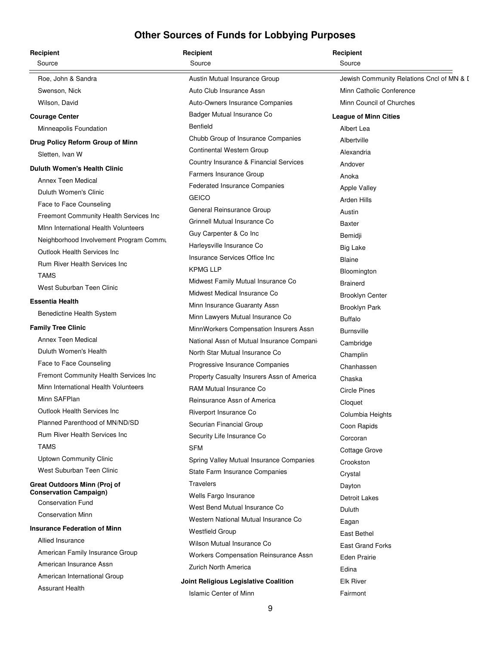| Source<br>Source<br>Source<br>Jewish Community Relations Cncl of MN & I<br>Roe, John & Sandra<br>Austin Mutual Insurance Group<br>Minn Catholic Conference<br>Swenson, Nick<br>Auto Club Insurance Assn<br>Wilson, David<br>Auto-Owners Insurance Companies<br>Minn Council of Churches<br>Badger Mutual Insurance Co<br><b>Courage Center</b><br><b>League of Minn Cities</b><br><b>Benfield</b><br>Minneapolis Foundation<br>Albert Lea<br>Chubb Group of Insurance Companies<br>Albertville<br>Drug Policy Reform Group of Minn<br>Continental Western Group<br>Alexandria<br>Sletten, Ivan W<br>Country Insurance & Financial Services<br>Andover<br><b>Duluth Women's Health Clinic</b><br>Farmers Insurance Group<br>Anoka<br>Annex Teen Medical<br>Federated Insurance Companies<br><b>Apple Valley</b><br>Duluth Women's Clinic<br><b>GEICO</b><br>Arden Hills<br>Face to Face Counseling<br>General Reinsurance Group<br>Austin<br>Freemont Community Health Services Inc<br>Grinnell Mutual Insurance Co<br><b>Baxter</b><br>Minn International Health Volunteers<br>Guy Carpenter & Co Inc<br>Bemidji<br>Neighborhood Involvement Program Commu<br>Harleysville Insurance Co<br><b>Big Lake</b><br>Outlook Health Services Inc<br>Insurance Services Office Inc<br><b>Blaine</b><br>Rum River Health Services Inc<br><b>KPMG LLP</b><br>Bloomington<br><b>TAMS</b><br>Midwest Family Mutual Insurance Co<br><b>Brainerd</b><br>West Suburban Teen Clinic<br>Midwest Medical Insurance Co<br><b>Brooklyn Center</b><br><b>Essentia Health</b><br>Minn Insurance Guaranty Assn<br><b>Brooklyn Park</b><br>Benedictine Health System<br>Minn Lawyers Mutual Insurance Co<br><b>Buffalo</b><br><b>Family Tree Clinic</b><br>MinnWorkers Compensation Insurers Assn<br><b>Burnsville</b><br>Annex Teen Medical<br>National Assn of Mutual Insurance Companio<br>Cambridge<br>Duluth Women's Health<br>North Star Mutual Insurance Co<br>Champlin<br>Face to Face Counseling<br>Progressive Insurance Companies<br>Chanhassen<br>Fremont Community Health Services Inc<br>Property Casualty Insurers Assn of America<br>Chaska<br>Minn International Health Volunteers<br><b>RAM Mutual Insurance Co</b><br><b>Circle Pines</b><br>Minn SAFPlan<br>Reinsurance Assn of America<br>Cloquet<br>Outlook Health Services Inc<br>Riverport Insurance Co<br>Columbia Heights<br>Planned Parenthood of MN/ND/SD<br>Securian Financial Group<br>Coon Rapids<br><b>Rum River Health Services Inc.</b><br>Security Life Insurance Co<br>Corcoran<br><b>TAMS</b><br><b>SFM</b><br>Cottage Grove<br><b>Uptown Community Clinic</b><br>Spring Valley Mutual Insurance Companies<br>Crookston<br>West Suburban Teen Clinic<br>State Farm Insurance Companies<br>Crystal<br><b>Travelers</b><br>Great Outdoors Minn (Proj of<br>Dayton<br><b>Conservation Campaign)</b><br>Wells Fargo Insurance<br><b>Detroit Lakes</b><br><b>Conservation Fund</b><br>West Bend Mutual Insurance Co<br>Duluth<br><b>Conservation Minn</b><br>Western National Mutual Insurance Co<br>Eagan<br><b>Insurance Federation of Minn</b><br><b>Westfield Group</b><br>East Bethel<br>Allied Insurance<br>Wilson Mutual Insurance Co<br><b>East Grand Forks</b><br>American Family Insurance Group<br>Workers Compensation Reinsurance Assn<br><b>Eden Prairie</b><br>American Insurance Assn<br>Zurich North America<br>Edina<br>American International Group<br><b>Elk River</b><br>Joint Religious Legislative Coalition<br><b>Assurant Health</b><br><b>Islamic Center of Minn</b><br>Fairmont | Recipient | Recipient | Recipient |
|--------------------------------------------------------------------------------------------------------------------------------------------------------------------------------------------------------------------------------------------------------------------------------------------------------------------------------------------------------------------------------------------------------------------------------------------------------------------------------------------------------------------------------------------------------------------------------------------------------------------------------------------------------------------------------------------------------------------------------------------------------------------------------------------------------------------------------------------------------------------------------------------------------------------------------------------------------------------------------------------------------------------------------------------------------------------------------------------------------------------------------------------------------------------------------------------------------------------------------------------------------------------------------------------------------------------------------------------------------------------------------------------------------------------------------------------------------------------------------------------------------------------------------------------------------------------------------------------------------------------------------------------------------------------------------------------------------------------------------------------------------------------------------------------------------------------------------------------------------------------------------------------------------------------------------------------------------------------------------------------------------------------------------------------------------------------------------------------------------------------------------------------------------------------------------------------------------------------------------------------------------------------------------------------------------------------------------------------------------------------------------------------------------------------------------------------------------------------------------------------------------------------------------------------------------------------------------------------------------------------------------------------------------------------------------------------------------------------------------------------------------------------------------------------------------------------------------------------------------------------------------------------------------------------------------------------------------------------------------------------------------------------------------------------------------------------------------------------------------------------------------------------------------------------------------------------------------------------------------------------------------------------------------------------------------------------------------------------------------------------------------------------------------------------------------------------------------------------------------------------------------------------------------------------------------------------|-----------|-----------|-----------|
|                                                                                                                                                                                                                                                                                                                                                                                                                                                                                                                                                                                                                                                                                                                                                                                                                                                                                                                                                                                                                                                                                                                                                                                                                                                                                                                                                                                                                                                                                                                                                                                                                                                                                                                                                                                                                                                                                                                                                                                                                                                                                                                                                                                                                                                                                                                                                                                                                                                                                                                                                                                                                                                                                                                                                                                                                                                                                                                                                                                                                                                                                                                                                                                                                                                                                                                                                                                                                                                                                                                                                                    |           |           |           |
|                                                                                                                                                                                                                                                                                                                                                                                                                                                                                                                                                                                                                                                                                                                                                                                                                                                                                                                                                                                                                                                                                                                                                                                                                                                                                                                                                                                                                                                                                                                                                                                                                                                                                                                                                                                                                                                                                                                                                                                                                                                                                                                                                                                                                                                                                                                                                                                                                                                                                                                                                                                                                                                                                                                                                                                                                                                                                                                                                                                                                                                                                                                                                                                                                                                                                                                                                                                                                                                                                                                                                                    |           |           |           |
|                                                                                                                                                                                                                                                                                                                                                                                                                                                                                                                                                                                                                                                                                                                                                                                                                                                                                                                                                                                                                                                                                                                                                                                                                                                                                                                                                                                                                                                                                                                                                                                                                                                                                                                                                                                                                                                                                                                                                                                                                                                                                                                                                                                                                                                                                                                                                                                                                                                                                                                                                                                                                                                                                                                                                                                                                                                                                                                                                                                                                                                                                                                                                                                                                                                                                                                                                                                                                                                                                                                                                                    |           |           |           |
|                                                                                                                                                                                                                                                                                                                                                                                                                                                                                                                                                                                                                                                                                                                                                                                                                                                                                                                                                                                                                                                                                                                                                                                                                                                                                                                                                                                                                                                                                                                                                                                                                                                                                                                                                                                                                                                                                                                                                                                                                                                                                                                                                                                                                                                                                                                                                                                                                                                                                                                                                                                                                                                                                                                                                                                                                                                                                                                                                                                                                                                                                                                                                                                                                                                                                                                                                                                                                                                                                                                                                                    |           |           |           |
|                                                                                                                                                                                                                                                                                                                                                                                                                                                                                                                                                                                                                                                                                                                                                                                                                                                                                                                                                                                                                                                                                                                                                                                                                                                                                                                                                                                                                                                                                                                                                                                                                                                                                                                                                                                                                                                                                                                                                                                                                                                                                                                                                                                                                                                                                                                                                                                                                                                                                                                                                                                                                                                                                                                                                                                                                                                                                                                                                                                                                                                                                                                                                                                                                                                                                                                                                                                                                                                                                                                                                                    |           |           |           |
|                                                                                                                                                                                                                                                                                                                                                                                                                                                                                                                                                                                                                                                                                                                                                                                                                                                                                                                                                                                                                                                                                                                                                                                                                                                                                                                                                                                                                                                                                                                                                                                                                                                                                                                                                                                                                                                                                                                                                                                                                                                                                                                                                                                                                                                                                                                                                                                                                                                                                                                                                                                                                                                                                                                                                                                                                                                                                                                                                                                                                                                                                                                                                                                                                                                                                                                                                                                                                                                                                                                                                                    |           |           |           |
|                                                                                                                                                                                                                                                                                                                                                                                                                                                                                                                                                                                                                                                                                                                                                                                                                                                                                                                                                                                                                                                                                                                                                                                                                                                                                                                                                                                                                                                                                                                                                                                                                                                                                                                                                                                                                                                                                                                                                                                                                                                                                                                                                                                                                                                                                                                                                                                                                                                                                                                                                                                                                                                                                                                                                                                                                                                                                                                                                                                                                                                                                                                                                                                                                                                                                                                                                                                                                                                                                                                                                                    |           |           |           |
|                                                                                                                                                                                                                                                                                                                                                                                                                                                                                                                                                                                                                                                                                                                                                                                                                                                                                                                                                                                                                                                                                                                                                                                                                                                                                                                                                                                                                                                                                                                                                                                                                                                                                                                                                                                                                                                                                                                                                                                                                                                                                                                                                                                                                                                                                                                                                                                                                                                                                                                                                                                                                                                                                                                                                                                                                                                                                                                                                                                                                                                                                                                                                                                                                                                                                                                                                                                                                                                                                                                                                                    |           |           |           |
|                                                                                                                                                                                                                                                                                                                                                                                                                                                                                                                                                                                                                                                                                                                                                                                                                                                                                                                                                                                                                                                                                                                                                                                                                                                                                                                                                                                                                                                                                                                                                                                                                                                                                                                                                                                                                                                                                                                                                                                                                                                                                                                                                                                                                                                                                                                                                                                                                                                                                                                                                                                                                                                                                                                                                                                                                                                                                                                                                                                                                                                                                                                                                                                                                                                                                                                                                                                                                                                                                                                                                                    |           |           |           |
|                                                                                                                                                                                                                                                                                                                                                                                                                                                                                                                                                                                                                                                                                                                                                                                                                                                                                                                                                                                                                                                                                                                                                                                                                                                                                                                                                                                                                                                                                                                                                                                                                                                                                                                                                                                                                                                                                                                                                                                                                                                                                                                                                                                                                                                                                                                                                                                                                                                                                                                                                                                                                                                                                                                                                                                                                                                                                                                                                                                                                                                                                                                                                                                                                                                                                                                                                                                                                                                                                                                                                                    |           |           |           |
|                                                                                                                                                                                                                                                                                                                                                                                                                                                                                                                                                                                                                                                                                                                                                                                                                                                                                                                                                                                                                                                                                                                                                                                                                                                                                                                                                                                                                                                                                                                                                                                                                                                                                                                                                                                                                                                                                                                                                                                                                                                                                                                                                                                                                                                                                                                                                                                                                                                                                                                                                                                                                                                                                                                                                                                                                                                                                                                                                                                                                                                                                                                                                                                                                                                                                                                                                                                                                                                                                                                                                                    |           |           |           |
|                                                                                                                                                                                                                                                                                                                                                                                                                                                                                                                                                                                                                                                                                                                                                                                                                                                                                                                                                                                                                                                                                                                                                                                                                                                                                                                                                                                                                                                                                                                                                                                                                                                                                                                                                                                                                                                                                                                                                                                                                                                                                                                                                                                                                                                                                                                                                                                                                                                                                                                                                                                                                                                                                                                                                                                                                                                                                                                                                                                                                                                                                                                                                                                                                                                                                                                                                                                                                                                                                                                                                                    |           |           |           |
|                                                                                                                                                                                                                                                                                                                                                                                                                                                                                                                                                                                                                                                                                                                                                                                                                                                                                                                                                                                                                                                                                                                                                                                                                                                                                                                                                                                                                                                                                                                                                                                                                                                                                                                                                                                                                                                                                                                                                                                                                                                                                                                                                                                                                                                                                                                                                                                                                                                                                                                                                                                                                                                                                                                                                                                                                                                                                                                                                                                                                                                                                                                                                                                                                                                                                                                                                                                                                                                                                                                                                                    |           |           |           |
|                                                                                                                                                                                                                                                                                                                                                                                                                                                                                                                                                                                                                                                                                                                                                                                                                                                                                                                                                                                                                                                                                                                                                                                                                                                                                                                                                                                                                                                                                                                                                                                                                                                                                                                                                                                                                                                                                                                                                                                                                                                                                                                                                                                                                                                                                                                                                                                                                                                                                                                                                                                                                                                                                                                                                                                                                                                                                                                                                                                                                                                                                                                                                                                                                                                                                                                                                                                                                                                                                                                                                                    |           |           |           |
|                                                                                                                                                                                                                                                                                                                                                                                                                                                                                                                                                                                                                                                                                                                                                                                                                                                                                                                                                                                                                                                                                                                                                                                                                                                                                                                                                                                                                                                                                                                                                                                                                                                                                                                                                                                                                                                                                                                                                                                                                                                                                                                                                                                                                                                                                                                                                                                                                                                                                                                                                                                                                                                                                                                                                                                                                                                                                                                                                                                                                                                                                                                                                                                                                                                                                                                                                                                                                                                                                                                                                                    |           |           |           |
|                                                                                                                                                                                                                                                                                                                                                                                                                                                                                                                                                                                                                                                                                                                                                                                                                                                                                                                                                                                                                                                                                                                                                                                                                                                                                                                                                                                                                                                                                                                                                                                                                                                                                                                                                                                                                                                                                                                                                                                                                                                                                                                                                                                                                                                                                                                                                                                                                                                                                                                                                                                                                                                                                                                                                                                                                                                                                                                                                                                                                                                                                                                                                                                                                                                                                                                                                                                                                                                                                                                                                                    |           |           |           |
|                                                                                                                                                                                                                                                                                                                                                                                                                                                                                                                                                                                                                                                                                                                                                                                                                                                                                                                                                                                                                                                                                                                                                                                                                                                                                                                                                                                                                                                                                                                                                                                                                                                                                                                                                                                                                                                                                                                                                                                                                                                                                                                                                                                                                                                                                                                                                                                                                                                                                                                                                                                                                                                                                                                                                                                                                                                                                                                                                                                                                                                                                                                                                                                                                                                                                                                                                                                                                                                                                                                                                                    |           |           |           |
|                                                                                                                                                                                                                                                                                                                                                                                                                                                                                                                                                                                                                                                                                                                                                                                                                                                                                                                                                                                                                                                                                                                                                                                                                                                                                                                                                                                                                                                                                                                                                                                                                                                                                                                                                                                                                                                                                                                                                                                                                                                                                                                                                                                                                                                                                                                                                                                                                                                                                                                                                                                                                                                                                                                                                                                                                                                                                                                                                                                                                                                                                                                                                                                                                                                                                                                                                                                                                                                                                                                                                                    |           |           |           |
|                                                                                                                                                                                                                                                                                                                                                                                                                                                                                                                                                                                                                                                                                                                                                                                                                                                                                                                                                                                                                                                                                                                                                                                                                                                                                                                                                                                                                                                                                                                                                                                                                                                                                                                                                                                                                                                                                                                                                                                                                                                                                                                                                                                                                                                                                                                                                                                                                                                                                                                                                                                                                                                                                                                                                                                                                                                                                                                                                                                                                                                                                                                                                                                                                                                                                                                                                                                                                                                                                                                                                                    |           |           |           |
|                                                                                                                                                                                                                                                                                                                                                                                                                                                                                                                                                                                                                                                                                                                                                                                                                                                                                                                                                                                                                                                                                                                                                                                                                                                                                                                                                                                                                                                                                                                                                                                                                                                                                                                                                                                                                                                                                                                                                                                                                                                                                                                                                                                                                                                                                                                                                                                                                                                                                                                                                                                                                                                                                                                                                                                                                                                                                                                                                                                                                                                                                                                                                                                                                                                                                                                                                                                                                                                                                                                                                                    |           |           |           |
|                                                                                                                                                                                                                                                                                                                                                                                                                                                                                                                                                                                                                                                                                                                                                                                                                                                                                                                                                                                                                                                                                                                                                                                                                                                                                                                                                                                                                                                                                                                                                                                                                                                                                                                                                                                                                                                                                                                                                                                                                                                                                                                                                                                                                                                                                                                                                                                                                                                                                                                                                                                                                                                                                                                                                                                                                                                                                                                                                                                                                                                                                                                                                                                                                                                                                                                                                                                                                                                                                                                                                                    |           |           |           |
|                                                                                                                                                                                                                                                                                                                                                                                                                                                                                                                                                                                                                                                                                                                                                                                                                                                                                                                                                                                                                                                                                                                                                                                                                                                                                                                                                                                                                                                                                                                                                                                                                                                                                                                                                                                                                                                                                                                                                                                                                                                                                                                                                                                                                                                                                                                                                                                                                                                                                                                                                                                                                                                                                                                                                                                                                                                                                                                                                                                                                                                                                                                                                                                                                                                                                                                                                                                                                                                                                                                                                                    |           |           |           |
|                                                                                                                                                                                                                                                                                                                                                                                                                                                                                                                                                                                                                                                                                                                                                                                                                                                                                                                                                                                                                                                                                                                                                                                                                                                                                                                                                                                                                                                                                                                                                                                                                                                                                                                                                                                                                                                                                                                                                                                                                                                                                                                                                                                                                                                                                                                                                                                                                                                                                                                                                                                                                                                                                                                                                                                                                                                                                                                                                                                                                                                                                                                                                                                                                                                                                                                                                                                                                                                                                                                                                                    |           |           |           |
|                                                                                                                                                                                                                                                                                                                                                                                                                                                                                                                                                                                                                                                                                                                                                                                                                                                                                                                                                                                                                                                                                                                                                                                                                                                                                                                                                                                                                                                                                                                                                                                                                                                                                                                                                                                                                                                                                                                                                                                                                                                                                                                                                                                                                                                                                                                                                                                                                                                                                                                                                                                                                                                                                                                                                                                                                                                                                                                                                                                                                                                                                                                                                                                                                                                                                                                                                                                                                                                                                                                                                                    |           |           |           |
|                                                                                                                                                                                                                                                                                                                                                                                                                                                                                                                                                                                                                                                                                                                                                                                                                                                                                                                                                                                                                                                                                                                                                                                                                                                                                                                                                                                                                                                                                                                                                                                                                                                                                                                                                                                                                                                                                                                                                                                                                                                                                                                                                                                                                                                                                                                                                                                                                                                                                                                                                                                                                                                                                                                                                                                                                                                                                                                                                                                                                                                                                                                                                                                                                                                                                                                                                                                                                                                                                                                                                                    |           |           |           |
|                                                                                                                                                                                                                                                                                                                                                                                                                                                                                                                                                                                                                                                                                                                                                                                                                                                                                                                                                                                                                                                                                                                                                                                                                                                                                                                                                                                                                                                                                                                                                                                                                                                                                                                                                                                                                                                                                                                                                                                                                                                                                                                                                                                                                                                                                                                                                                                                                                                                                                                                                                                                                                                                                                                                                                                                                                                                                                                                                                                                                                                                                                                                                                                                                                                                                                                                                                                                                                                                                                                                                                    |           |           |           |
|                                                                                                                                                                                                                                                                                                                                                                                                                                                                                                                                                                                                                                                                                                                                                                                                                                                                                                                                                                                                                                                                                                                                                                                                                                                                                                                                                                                                                                                                                                                                                                                                                                                                                                                                                                                                                                                                                                                                                                                                                                                                                                                                                                                                                                                                                                                                                                                                                                                                                                                                                                                                                                                                                                                                                                                                                                                                                                                                                                                                                                                                                                                                                                                                                                                                                                                                                                                                                                                                                                                                                                    |           |           |           |
|                                                                                                                                                                                                                                                                                                                                                                                                                                                                                                                                                                                                                                                                                                                                                                                                                                                                                                                                                                                                                                                                                                                                                                                                                                                                                                                                                                                                                                                                                                                                                                                                                                                                                                                                                                                                                                                                                                                                                                                                                                                                                                                                                                                                                                                                                                                                                                                                                                                                                                                                                                                                                                                                                                                                                                                                                                                                                                                                                                                                                                                                                                                                                                                                                                                                                                                                                                                                                                                                                                                                                                    |           |           |           |
|                                                                                                                                                                                                                                                                                                                                                                                                                                                                                                                                                                                                                                                                                                                                                                                                                                                                                                                                                                                                                                                                                                                                                                                                                                                                                                                                                                                                                                                                                                                                                                                                                                                                                                                                                                                                                                                                                                                                                                                                                                                                                                                                                                                                                                                                                                                                                                                                                                                                                                                                                                                                                                                                                                                                                                                                                                                                                                                                                                                                                                                                                                                                                                                                                                                                                                                                                                                                                                                                                                                                                                    |           |           |           |
|                                                                                                                                                                                                                                                                                                                                                                                                                                                                                                                                                                                                                                                                                                                                                                                                                                                                                                                                                                                                                                                                                                                                                                                                                                                                                                                                                                                                                                                                                                                                                                                                                                                                                                                                                                                                                                                                                                                                                                                                                                                                                                                                                                                                                                                                                                                                                                                                                                                                                                                                                                                                                                                                                                                                                                                                                                                                                                                                                                                                                                                                                                                                                                                                                                                                                                                                                                                                                                                                                                                                                                    |           |           |           |
|                                                                                                                                                                                                                                                                                                                                                                                                                                                                                                                                                                                                                                                                                                                                                                                                                                                                                                                                                                                                                                                                                                                                                                                                                                                                                                                                                                                                                                                                                                                                                                                                                                                                                                                                                                                                                                                                                                                                                                                                                                                                                                                                                                                                                                                                                                                                                                                                                                                                                                                                                                                                                                                                                                                                                                                                                                                                                                                                                                                                                                                                                                                                                                                                                                                                                                                                                                                                                                                                                                                                                                    |           |           |           |
|                                                                                                                                                                                                                                                                                                                                                                                                                                                                                                                                                                                                                                                                                                                                                                                                                                                                                                                                                                                                                                                                                                                                                                                                                                                                                                                                                                                                                                                                                                                                                                                                                                                                                                                                                                                                                                                                                                                                                                                                                                                                                                                                                                                                                                                                                                                                                                                                                                                                                                                                                                                                                                                                                                                                                                                                                                                                                                                                                                                                                                                                                                                                                                                                                                                                                                                                                                                                                                                                                                                                                                    |           |           |           |
|                                                                                                                                                                                                                                                                                                                                                                                                                                                                                                                                                                                                                                                                                                                                                                                                                                                                                                                                                                                                                                                                                                                                                                                                                                                                                                                                                                                                                                                                                                                                                                                                                                                                                                                                                                                                                                                                                                                                                                                                                                                                                                                                                                                                                                                                                                                                                                                                                                                                                                                                                                                                                                                                                                                                                                                                                                                                                                                                                                                                                                                                                                                                                                                                                                                                                                                                                                                                                                                                                                                                                                    |           |           |           |
|                                                                                                                                                                                                                                                                                                                                                                                                                                                                                                                                                                                                                                                                                                                                                                                                                                                                                                                                                                                                                                                                                                                                                                                                                                                                                                                                                                                                                                                                                                                                                                                                                                                                                                                                                                                                                                                                                                                                                                                                                                                                                                                                                                                                                                                                                                                                                                                                                                                                                                                                                                                                                                                                                                                                                                                                                                                                                                                                                                                                                                                                                                                                                                                                                                                                                                                                                                                                                                                                                                                                                                    |           |           |           |
|                                                                                                                                                                                                                                                                                                                                                                                                                                                                                                                                                                                                                                                                                                                                                                                                                                                                                                                                                                                                                                                                                                                                                                                                                                                                                                                                                                                                                                                                                                                                                                                                                                                                                                                                                                                                                                                                                                                                                                                                                                                                                                                                                                                                                                                                                                                                                                                                                                                                                                                                                                                                                                                                                                                                                                                                                                                                                                                                                                                                                                                                                                                                                                                                                                                                                                                                                                                                                                                                                                                                                                    |           |           |           |
|                                                                                                                                                                                                                                                                                                                                                                                                                                                                                                                                                                                                                                                                                                                                                                                                                                                                                                                                                                                                                                                                                                                                                                                                                                                                                                                                                                                                                                                                                                                                                                                                                                                                                                                                                                                                                                                                                                                                                                                                                                                                                                                                                                                                                                                                                                                                                                                                                                                                                                                                                                                                                                                                                                                                                                                                                                                                                                                                                                                                                                                                                                                                                                                                                                                                                                                                                                                                                                                                                                                                                                    |           |           |           |
|                                                                                                                                                                                                                                                                                                                                                                                                                                                                                                                                                                                                                                                                                                                                                                                                                                                                                                                                                                                                                                                                                                                                                                                                                                                                                                                                                                                                                                                                                                                                                                                                                                                                                                                                                                                                                                                                                                                                                                                                                                                                                                                                                                                                                                                                                                                                                                                                                                                                                                                                                                                                                                                                                                                                                                                                                                                                                                                                                                                                                                                                                                                                                                                                                                                                                                                                                                                                                                                                                                                                                                    |           |           |           |
|                                                                                                                                                                                                                                                                                                                                                                                                                                                                                                                                                                                                                                                                                                                                                                                                                                                                                                                                                                                                                                                                                                                                                                                                                                                                                                                                                                                                                                                                                                                                                                                                                                                                                                                                                                                                                                                                                                                                                                                                                                                                                                                                                                                                                                                                                                                                                                                                                                                                                                                                                                                                                                                                                                                                                                                                                                                                                                                                                                                                                                                                                                                                                                                                                                                                                                                                                                                                                                                                                                                                                                    |           |           |           |
|                                                                                                                                                                                                                                                                                                                                                                                                                                                                                                                                                                                                                                                                                                                                                                                                                                                                                                                                                                                                                                                                                                                                                                                                                                                                                                                                                                                                                                                                                                                                                                                                                                                                                                                                                                                                                                                                                                                                                                                                                                                                                                                                                                                                                                                                                                                                                                                                                                                                                                                                                                                                                                                                                                                                                                                                                                                                                                                                                                                                                                                                                                                                                                                                                                                                                                                                                                                                                                                                                                                                                                    |           |           |           |
|                                                                                                                                                                                                                                                                                                                                                                                                                                                                                                                                                                                                                                                                                                                                                                                                                                                                                                                                                                                                                                                                                                                                                                                                                                                                                                                                                                                                                                                                                                                                                                                                                                                                                                                                                                                                                                                                                                                                                                                                                                                                                                                                                                                                                                                                                                                                                                                                                                                                                                                                                                                                                                                                                                                                                                                                                                                                                                                                                                                                                                                                                                                                                                                                                                                                                                                                                                                                                                                                                                                                                                    |           |           |           |
|                                                                                                                                                                                                                                                                                                                                                                                                                                                                                                                                                                                                                                                                                                                                                                                                                                                                                                                                                                                                                                                                                                                                                                                                                                                                                                                                                                                                                                                                                                                                                                                                                                                                                                                                                                                                                                                                                                                                                                                                                                                                                                                                                                                                                                                                                                                                                                                                                                                                                                                                                                                                                                                                                                                                                                                                                                                                                                                                                                                                                                                                                                                                                                                                                                                                                                                                                                                                                                                                                                                                                                    |           |           |           |
|                                                                                                                                                                                                                                                                                                                                                                                                                                                                                                                                                                                                                                                                                                                                                                                                                                                                                                                                                                                                                                                                                                                                                                                                                                                                                                                                                                                                                                                                                                                                                                                                                                                                                                                                                                                                                                                                                                                                                                                                                                                                                                                                                                                                                                                                                                                                                                                                                                                                                                                                                                                                                                                                                                                                                                                                                                                                                                                                                                                                                                                                                                                                                                                                                                                                                                                                                                                                                                                                                                                                                                    |           |           |           |
|                                                                                                                                                                                                                                                                                                                                                                                                                                                                                                                                                                                                                                                                                                                                                                                                                                                                                                                                                                                                                                                                                                                                                                                                                                                                                                                                                                                                                                                                                                                                                                                                                                                                                                                                                                                                                                                                                                                                                                                                                                                                                                                                                                                                                                                                                                                                                                                                                                                                                                                                                                                                                                                                                                                                                                                                                                                                                                                                                                                                                                                                                                                                                                                                                                                                                                                                                                                                                                                                                                                                                                    |           |           |           |
|                                                                                                                                                                                                                                                                                                                                                                                                                                                                                                                                                                                                                                                                                                                                                                                                                                                                                                                                                                                                                                                                                                                                                                                                                                                                                                                                                                                                                                                                                                                                                                                                                                                                                                                                                                                                                                                                                                                                                                                                                                                                                                                                                                                                                                                                                                                                                                                                                                                                                                                                                                                                                                                                                                                                                                                                                                                                                                                                                                                                                                                                                                                                                                                                                                                                                                                                                                                                                                                                                                                                                                    |           |           |           |
|                                                                                                                                                                                                                                                                                                                                                                                                                                                                                                                                                                                                                                                                                                                                                                                                                                                                                                                                                                                                                                                                                                                                                                                                                                                                                                                                                                                                                                                                                                                                                                                                                                                                                                                                                                                                                                                                                                                                                                                                                                                                                                                                                                                                                                                                                                                                                                                                                                                                                                                                                                                                                                                                                                                                                                                                                                                                                                                                                                                                                                                                                                                                                                                                                                                                                                                                                                                                                                                                                                                                                                    |           |           |           |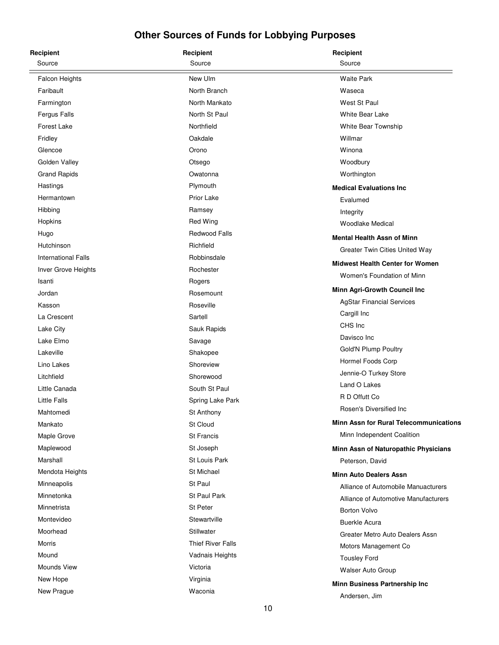| Recipient                  | Recipient           | Recipient                                     |
|----------------------------|---------------------|-----------------------------------------------|
| Source                     | Source              | Source                                        |
| <b>Falcon Heights</b>      | New Ulm             | <b>Waite Park</b>                             |
| Faribault                  | North Branch        | Waseca                                        |
| Farmington                 | North Mankato       | West St Paul                                  |
| Fergus Falls               | North St Paul       | <b>White Bear Lake</b>                        |
| Forest Lake                | Northfield          | White Bear Township                           |
| Fridley                    | Oakdale             | Willmar                                       |
| Glencoe                    | Orono               | Winona                                        |
| Golden Valley              | Otsego              | Woodbury                                      |
| <b>Grand Rapids</b>        | Owatonna            | Worthington                                   |
| Hastings                   | Plymouth            | <b>Medical Evaluations Inc.</b>               |
| Hermantown                 | <b>Prior Lake</b>   | Evalumed                                      |
| Hibbing                    | Ramsey              | Integrity                                     |
| Hopkins                    | <b>Red Wing</b>     | <b>Woodlake Medical</b>                       |
| Hugo                       | Redwood Falls       | <b>Mental Health Assn of Minn</b>             |
| Hutchinson                 | Richfield           | Greater Twin Cities United Way                |
| <b>International Falls</b> | Robbinsdale         | <b>Midwest Health Center for Women</b>        |
| Inver Grove Heights        | Rochester           |                                               |
| Isanti                     | Rogers              | Women's Foundation of Minn                    |
| Jordan                     | Rosemount           | Minn Agri-Growth Council Inc                  |
| Kasson                     | Roseville           | <b>AgStar Financial Services</b>              |
| La Crescent                | Sartell             | Cargill Inc                                   |
| Lake City                  | Sauk Rapids         | CHS Inc                                       |
| Lake Elmo                  | Savage              | Davisco Inc                                   |
| Lakeville                  | Shakopee            | Gold'N Plump Poultry                          |
| Lino Lakes                 | Shoreview           | Hormel Foods Corp                             |
| Litchfield                 | Shorewood           | Jennie-O Turkey Store                         |
| Little Canada              | South St Paul       | Land O Lakes                                  |
| <b>Little Falls</b>        | Spring Lake Park    | R D Offutt Co                                 |
| Mahtomedi                  | St Anthony          | Rosen's Diversified Inc                       |
| Mankato                    | St Cloud            | <b>Minn Assn for Rural Telecommunications</b> |
| Maple Grove                | <b>St Francis</b>   | Minn Independent Coalition                    |
| Maplewood                  | St Joseph           | Minn Assn of Naturopathic Physicians          |
| Marshall                   | St Louis Park       | Peterson, David                               |
| Mendota Heights            | <b>St Michael</b>   | <b>Minn Auto Dealers Assn</b>                 |
| Minneapolis                | St Paul             | Alliance of Automobile Manuacturers           |
| Minnetonka                 | <b>St Paul Park</b> | Alliance of Automotive Manufacturers          |
| Minnetrista                | St Peter            | <b>Borton Volvo</b>                           |
| Montevideo                 | Stewartville        | <b>Buerkle Acura</b>                          |
| Moorhead                   | Stillwater          | Greater Metro Auto Dealers Assn               |
| Morris                     | Thief River Falls   | Motors Management Co                          |
| Mound                      | Vadnais Heights     | <b>Tousley Ford</b>                           |
| <b>Mounds View</b>         | Victoria            | Walser Auto Group                             |
| New Hope                   | Virginia            | Minn Business Partnership Inc                 |
| New Prague                 | Waconia             | Andersen, Jim                                 |
|                            |                     |                                               |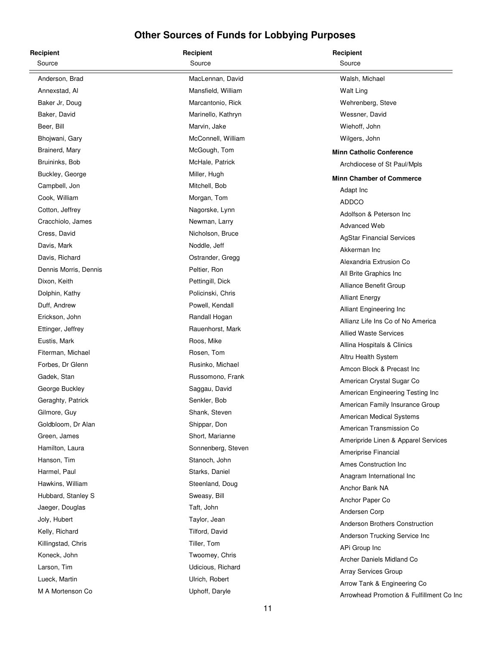| Recipient             | Recipient          | Recipient                                |
|-----------------------|--------------------|------------------------------------------|
| Source                | Source             | Source                                   |
| Anderson, Brad        | MacLennan, David   | Walsh, Michael                           |
| Annexstad, Al         | Mansfield, William | Walt Ling                                |
| Baker Jr, Doug        | Marcantonio, Rick  | Wehrenberg, Steve                        |
| Baker, David          | Marinello, Kathryn | Wessner, David                           |
| Beer, Bill            | Marvin, Jake       | Wiehoff, John                            |
| Bhojwani, Gary        | McConnell, William | Wilgers, John                            |
| Brainerd, Mary        | McGough, Tom       | <b>Minn Catholic Conference</b>          |
| Bruininks, Bob        | McHale, Patrick    | Archdiocese of St Paul/Mpls              |
| Buckley, George       | Miller, Hugh       | <b>Minn Chamber of Commerce</b>          |
| Campbell, Jon         | Mitchell, Bob      | Adapt Inc                                |
| Cook, William         | Morgan, Tom        | ADDCO                                    |
| Cotton, Jeffrey       | Nagorske, Lynn     | Adolfson & Peterson Inc                  |
| Cracchiolo, James     | Newman, Larry      | Advanced Web                             |
| Cress, David          | Nicholson, Bruce   | <b>AgStar Financial Services</b>         |
| Davis, Mark           | Noddle, Jeff       | Akkerman Inc                             |
| Davis, Richard        | Ostrander, Gregg   | Alexandria Extrusion Co                  |
| Dennis Morris, Dennis | Peltier, Ron       | All Brite Graphics Inc                   |
| Dixon, Keith          | Pettingill, Dick   | Alliance Benefit Group                   |
| Dolphin, Kathy        | Policinski, Chris  | <b>Alliant Energy</b>                    |
| Duff, Andrew          | Powell, Kendall    | Alliant Engineering Inc                  |
| Erickson, John        | Randall Hogan      | Allianz Life Ins Co of No America        |
| Ettinger, Jeffrey     | Rauenhorst, Mark   | <b>Allied Waste Services</b>             |
| Eustis, Mark          | Roos, Mike         | Allina Hospitals & Clinics               |
| Fiterman, Michael     | Rosen, Tom         | Altru Health System                      |
| Forbes, Dr Glenn      | Rusinko, Michael   | Amcon Block & Precast Inc                |
| Gadek, Stan           | Russomono, Frank   | American Crystal Sugar Co                |
| George Buckley        | Saggau, David      | American Engineering Testing Inc         |
| Geraghty, Patrick     | Senkler, Bob       | American Family Insurance Group          |
| Gilmore, Guy          | Shank, Steven      | American Medical Systems                 |
| Goldbloom, Dr Alan    | Shippar, Don       | American Transmission Co                 |
| Green, James          | Short, Marianne    | Ameripride Linen & Apparel Services      |
| Hamilton, Laura       | Sonnenberg, Steven | Ameriprise Financial                     |
| Hanson, Tim           | Stanoch, John      | Ames Construction Inc                    |
| Harmel, Paul          | Starks, Daniel     | Anagram International Inc                |
| Hawkins, William      | Steenland, Doug    | Anchor Bank NA                           |
| Hubbard, Stanley S    | Sweasy, Bill       | Anchor Paper Co                          |
| Jaeger, Douglas       | Taft, John         | Andersen Corp                            |
| Joly, Hubert          | Taylor, Jean       | Anderson Brothers Construction           |
| Kelly, Richard        | Tilford, David     | Anderson Trucking Service Inc            |
| Killingstad, Chris    | Tiller, Tom        | APi Group Inc                            |
| Koneck, John          | Twoomey, Chris     | Archer Daniels Midland Co                |
| Larson, Tim           | Udicious, Richard  | Array Services Group                     |
| Lueck, Martin         | Ulrich, Robert     | Arrow Tank & Engineering Co              |
| M A Mortenson Co      | Uphoff, Daryle     | Arrowhead Promotion & Fulfillment Co Inc |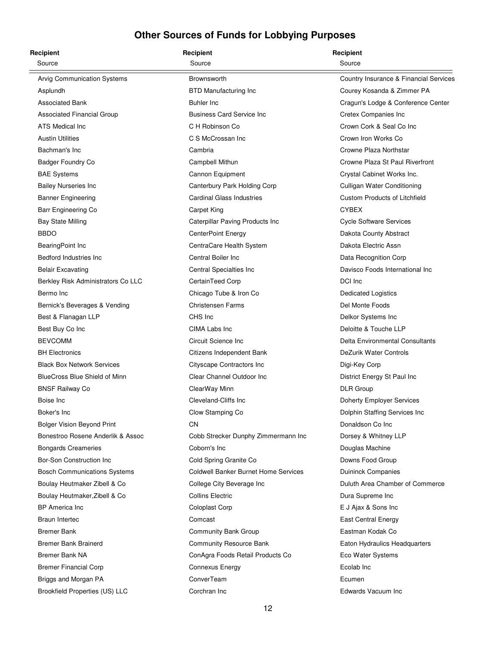| Recipient                           | Recipient                                   | Recipient                              |
|-------------------------------------|---------------------------------------------|----------------------------------------|
| Source                              | Source                                      | Source                                 |
| Arvig Communication Systems         | <b>Brownsworth</b>                          | Country Insurance & Financial Services |
| Asplundh                            | <b>BTD Manufacturing Inc</b>                | Courey Kosanda & Zimmer PA             |
| <b>Associated Bank</b>              | Buhler Inc                                  | Cragun's Lodge & Conference Center     |
| Associated Financial Group          | <b>Business Card Service Inc</b>            | Cretex Companies Inc                   |
| ATS Medical Inc                     | C H Robinson Co                             | Crown Cork & Seal Co Inc               |
| <b>Austin Utilities</b>             | C S McCrossan Inc                           | Crown Iron Works Co                    |
| Bachman's Inc                       | Cambria                                     | Crowne Plaza Northstar                 |
| Badger Foundry Co                   | Campbell Mithun                             | Crowne Plaza St Paul Riverfront        |
| <b>BAE Systems</b>                  | Cannon Equipment                            | Crystal Cabinet Works Inc.             |
| <b>Bailey Nurseries Inc</b>         | Canterbury Park Holding Corp                | Culligan Water Conditioning            |
| <b>Banner Engineering</b>           | <b>Cardinal Glass Industries</b>            | <b>Custom Products of Litchfield</b>   |
| Barr Engineering Co                 | Carpet King                                 | <b>CYBEX</b>                           |
| <b>Bay State Milling</b>            | Caterpillar Paving Products Inc             | <b>Cycle Software Services</b>         |
| <b>BBDO</b>                         | <b>CenterPoint Energy</b>                   | Dakota County Abstract                 |
| BearingPoint Inc                    | CentraCare Health System                    | Dakota Electric Assn                   |
| Bedford Industries Inc.             | Central Boiler Inc.                         | Data Recognition Corp                  |
| <b>Belair Excavating</b>            | Central Specialties Inc                     | Davisco Foods International Inc        |
| Berkley Risk Administrators Co LLC  | CertainTeed Corp                            | DCI Inc                                |
| Bermo Inc                           | Chicago Tube & Iron Co                      | Dedicated Logistics                    |
| Bernick's Beverages & Vending       | <b>Christensen Farms</b>                    | Del Monte Foods                        |
| Best & Flanagan LLP                 | CHS Inc                                     | Delkor Systems Inc                     |
| Best Buy Co Inc                     | CIMA Labs Inc                               | Deloitte & Touche LLP                  |
| <b>BEVCOMM</b>                      | Circuit Science Inc                         | Delta Environmental Consultants        |
| <b>BH Electronics</b>               | Citizens Independent Bank                   | DeZurik Water Controls                 |
| <b>Black Box Network Services</b>   | Cityscape Contractors Inc                   | Digi-Key Corp                          |
| BlueCross Blue Shield of Minn       | Clear Channel Outdoor Inc                   | District Energy St Paul Inc            |
| <b>BNSF Railway Co</b>              | ClearWay Minn                               | <b>DLR</b> Group                       |
| Boise Inc                           | Cleveland-Cliffs Inc                        | Doherty Employer Services              |
| Boker's Inc                         | Clow Stamping Co                            | Dolphin Staffing Services Inc          |
| <b>Bolger Vision Beyond Print</b>   | CN                                          | Donaldson Co Inc                       |
| Bonestroo Rosene Anderlik & Assoc   | Cobb Strecker Dunphy Zimmermann Inc         | Dorsey & Whitney LLP                   |
| <b>Bongards Creameries</b>          | Coborn's Inc                                | Douglas Machine                        |
| Bor-Son Construction Inc            | Cold Spring Granite Co                      | Downs Food Group                       |
| <b>Bosch Communications Systems</b> | <b>Coldwell Banker Burnet Home Services</b> | <b>Duininck Companies</b>              |
| Boulay Heutmaker Zibell & Co        | College City Beverage Inc                   | Duluth Area Chamber of Commerce        |
| Boulay Heutmaker, Zibell & Co       | <b>Collins Electric</b>                     | Dura Supreme Inc                       |
| <b>BP</b> America Inc               | Coloplast Corp                              | E J Ajax & Sons Inc                    |
| Braun Intertec                      | Comcast                                     | <b>East Central Energy</b>             |
| <b>Bremer Bank</b>                  | Community Bank Group                        | Eastman Kodak Co                       |
| <b>Bremer Bank Brainerd</b>         | <b>Community Resource Bank</b>              | Eaton Hydraulics Headquarters          |
| Bremer Bank NA                      | ConAgra Foods Retail Products Co            | Eco Water Systems                      |
| <b>Bremer Financial Corp</b>        | Connexus Energy                             | Ecolab Inc                             |
| Briggs and Morgan PA                | ConverTeam                                  | Ecumen                                 |
| Brookfield Properties (US) LLC      | Corchran Inc                                | Edwards Vacuum Inc                     |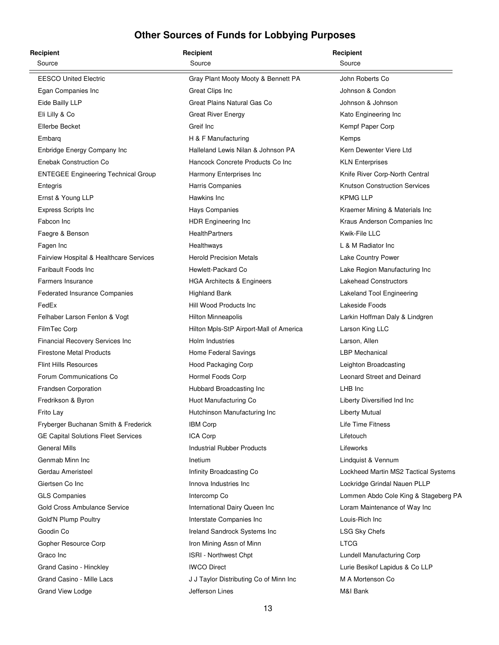| Recipient                                  | Recipient                               | Recipient                            |
|--------------------------------------------|-----------------------------------------|--------------------------------------|
| Source                                     | Source                                  | Source                               |
| <b>EESCO United Electric</b>               | Gray Plant Mooty Mooty & Bennett PA     | John Roberts Co                      |
| Egan Companies Inc                         | Great Clips Inc                         | Johnson & Condon                     |
| Eide Bailly LLP                            | Great Plains Natural Gas Co             | Johnson & Johnson                    |
| Eli Lilly & Co                             | <b>Great River Energy</b>               | Kato Engineering Inc                 |
| Ellerbe Becket                             | Greif Inc                               | Kempf Paper Corp                     |
| Embarg                                     | H & F Manufacturing                     | Kemps                                |
| Enbridge Energy Company Inc                | Halleland Lewis Nilan & Johnson PA      | Kern Dewenter Viere Ltd              |
| Enebak Construction Co                     | Hancock Concrete Products Co Inc        | <b>KLN Enterprises</b>               |
| <b>ENTEGEE Engineering Technical Group</b> | Harmony Enterprises Inc                 | Knife River Corp-North Central       |
| Entegris                                   | Harris Companies                        | <b>Knutson Construction Services</b> |
| Ernst & Young LLP                          | Hawkins Inc                             | <b>KPMG LLP</b>                      |
| <b>Express Scripts Inc</b>                 | Hays Companies                          | Kraemer Mining & Materials Inc       |
| Fabcon Inc                                 | HDR Engineering Inc                     | Kraus Anderson Companies Inc         |
| Faegre & Benson                            | HealthPartners                          | Kwik-File LLC                        |
| Fagen Inc                                  | Healthways                              | L & M Radiator Inc                   |
| Fairview Hospital & Healthcare Services    | <b>Herold Precision Metals</b>          | Lake Country Power                   |
| Faribault Foods Inc.                       | Hewlett-Packard Co                      | Lake Region Manufacturing Inc        |
| Farmers Insurance                          | <b>HGA Architects &amp; Engineers</b>   | <b>Lakehead Constructors</b>         |
| Federated Insurance Companies              | <b>Highland Bank</b>                    | Lakeland Tool Engineering            |
| FedEx                                      | Hill Wood Products Inc                  | Lakeside Foods                       |
| Felhaber Larson Fenlon & Vogt              | Hilton Minneapolis                      | Larkin Hoffman Daly & Lindgren       |
| FilmTec Corp                               | Hilton Mpls-StP Airport-Mall of America | Larson King LLC                      |
| <b>Financial Recovery Services Inc</b>     | Holm Industries                         | Larson, Allen                        |
| <b>Firestone Metal Products</b>            | Home Federal Savings                    | <b>LBP</b> Mechanical                |
| <b>Flint Hills Resources</b>               | Hood Packaging Corp                     | Leighton Broadcasting                |
| Forum Communications Co                    | Hormel Foods Corp                       | Leonard Street and Deinard           |
| Frandsen Corporation                       | Hubbard Broadcasting Inc                | LHB Inc                              |
| Fredrikson & Byron                         | Huot Manufacturing Co                   | Liberty Diversified Ind Inc          |
| Frito Lay                                  | Hutchinson Manufacturing Inc            | Liberty Mutual                       |
| Fryberger Buchanan Smith & Frederick       | <b>IBM Corp</b>                         | Life Time Fitness                    |
| <b>GE Capital Solutions Fleet Services</b> | ICA Corp                                | Lifetouch                            |
| <b>General Mills</b>                       | <b>Industrial Rubber Products</b>       | Lifeworks                            |
| Genmab Minn Inc                            | Inetium                                 | Lindquist & Vennum                   |
| Gerdau Ameristeel                          | Infinity Broadcasting Co                | Lockheed Martin MS2 Tactical Systems |
| Giertsen Co Inc                            | Innova Industries Inc                   | Lockridge Grindal Nauen PLLP         |
| <b>GLS Companies</b>                       | Intercomp Co                            | Lommen Abdo Cole King & Stageberg PA |
| Gold Cross Ambulance Service               | International Dairy Queen Inc           | Loram Maintenance of Way Inc         |
| Gold'N Plump Poultry                       | Interstate Companies Inc                | Louis-Rich Inc                       |
| Goodin Co                                  | Ireland Sandrock Systems Inc            | <b>LSG Sky Chefs</b>                 |
| Gopher Resource Corp                       | Iron Mining Assn of Minn                | <b>LTCG</b>                          |
| Graco Inc                                  | ISRI - Northwest Chpt                   | Lundell Manufacturing Corp           |
| Grand Casino - Hinckley                    | <b>IWCO Direct</b>                      | Lurie Besikof Lapidus & Co LLP       |
| Grand Casino - Mille Lacs                  | J J Taylor Distributing Co of Minn Inc  | M A Mortenson Co                     |
| Grand View Lodge                           | Jefferson Lines                         | M&I Bank                             |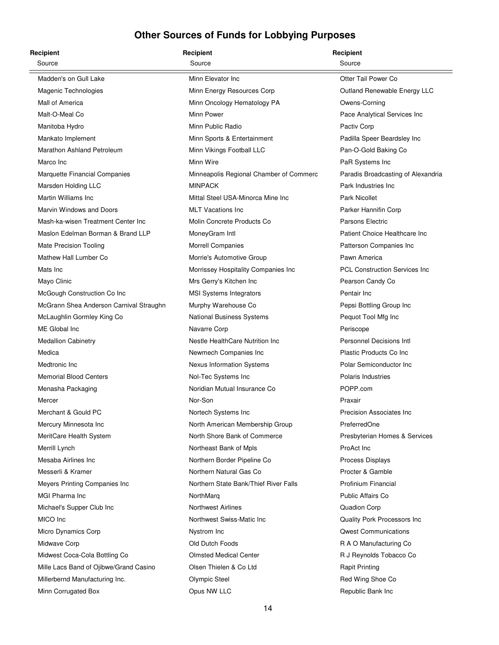| Recipient                               | Recipient                               | Recipient                             |
|-----------------------------------------|-----------------------------------------|---------------------------------------|
| Source                                  | Source                                  | Source                                |
| Madden's on Gull Lake                   | Minn Elevator Inc                       | Otter Tail Power Co                   |
| Magenic Technologies                    | Minn Energy Resources Corp              | Outland Renewable Energy LLC          |
| Mall of America                         | Minn Oncology Hematology PA             | Owens-Corning                         |
| Malt-O-Meal Co                          | Minn Power                              | Pace Analytical Services Inc          |
| Manitoba Hydro                          | Minn Public Radio                       | Pactiv Corp                           |
| Mankato Implement                       | Minn Sports & Entertainment             | Padilla Speer Beardsley Inc           |
| Marathon Ashland Petroleum              | Minn Vikings Football LLC               | Pan-O-Gold Baking Co                  |
| Marco Inc                               | Minn Wire                               | PaR Systems Inc                       |
| Marquette Financial Companies           | Minneapolis Regional Chamber of Commerc | Paradis Broadcasting of Alexandria    |
| Marsden Holding LLC                     | <b>MINPACK</b>                          | Park Industries Inc                   |
| Martin Williams Inc                     | Mittal Steel USA-Minorca Mine Inc       | <b>Park Nicollet</b>                  |
| Marvin Windows and Doors                | <b>MLT Vacations Inc</b>                | Parker Hannifin Corp                  |
| Mash-ka-wisen Treatment Center Inc      | Molin Concrete Products Co              | Parsons Electric                      |
| Maslon Edelman Borman & Brand LLP       | MoneyGram Intl                          | Patient Choice Healthcare Inc         |
| <b>Mate Precision Tooling</b>           | <b>Morrell Companies</b>                | Patterson Companies Inc               |
| Mathew Hall Lumber Co                   | Morrie's Automotive Group               | Pawn America                          |
| Mats Inc                                | Morrissey Hospitality Companies Inc     | <b>PCL Construction Services Inc.</b> |
| Mayo Clinic                             | Mrs Gerry's Kitchen Inc                 | Pearson Candy Co                      |
| McGough Construction Co Inc             | <b>MSI Systems Integrators</b>          | Pentair Inc                           |
| McGrann Shea Anderson Carnival Straughn | Murphy Warehouse Co                     | Pepsi Bottling Group Inc              |
| McLaughlin Gormley King Co              | National Business Systems               | Pequot Tool Mfg Inc                   |
| ME Global Inc                           | Navarre Corp                            | Periscope                             |
| <b>Medallion Cabinetry</b>              | Nestle HealthCare Nutrition Inc         | Personnel Decisions Intl              |
| Medica                                  | Newmech Companies Inc                   | Plastic Products Co Inc               |
| Medtronic Inc                           | Nexus Information Systems               | Polar Semiconductor Inc               |
| <b>Memorial Blood Centers</b>           | Nol-Tec Systems Inc                     | <b>Polaris Industries</b>             |
| Menasha Packaging                       | Noridian Mutual Insurance Co            | POPP.com                              |
| Mercer                                  | Nor-Son                                 | Praxair                               |
| Merchant & Gould PC                     | Nortech Systems Inc                     | Precision Associates Inc              |
| Mercury Minnesota Inc                   | North American Membership Group         | PreferredOne                          |
| MeritCare Health System                 | North Shore Bank of Commerce            | Presbyterian Homes & Services         |
| Merrill Lynch                           | Northeast Bank of Mpls                  | ProAct Inc                            |
| Mesaba Airlines Inc                     | Northern Border Pipeline Co             | Process Displays                      |
| Messerli & Kramer                       | Northern Natural Gas Co                 | Procter & Gamble                      |
| Meyers Printing Companies Inc           | Northern State Bank/Thief River Falls   | Profinium Financial                   |
| MGI Pharma Inc                          | NorthMarg                               | Public Affairs Co                     |
| Michael's Supper Club Inc               | <b>Northwest Airlines</b>               | Quadion Corp                          |
| MICO Inc                                | Northwest Swiss-Matic Inc               | Quality Pork Processors Inc           |
| Micro Dynamics Corp                     | Nystrom Inc                             | <b>Qwest Communications</b>           |
| Midwave Corp                            | Old Dutch Foods                         | R A O Manufacturing Co                |
| Midwest Coca-Cola Bottling Co           | <b>Olmsted Medical Center</b>           | R J Reynolds Tobacco Co               |
| Mille Lacs Band of Ojibwe/Grand Casino  | Olsen Thielen & Co Ltd                  | <b>Rapit Printing</b>                 |
| Millerbernd Manufacturing Inc.          | <b>Olympic Steel</b>                    | Red Wing Shoe Co                      |
| Minn Corrugated Box                     | Opus NW LLC                             | Republic Bank Inc                     |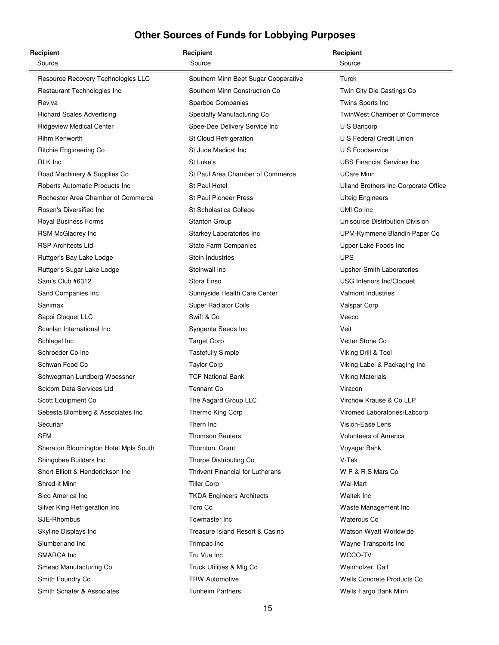| Recipient                             | Recipient                            | Recipient                            |
|---------------------------------------|--------------------------------------|--------------------------------------|
| Source                                | Source                               | Source                               |
| Resource Recovery Technologies LLC    | Southern Minn Beet Sugar Cooperative | Turck                                |
| Restaurant Technologies Inc           | Southern Minn Construction Co        | Twin City Die Castings Co            |
| Reviva                                | <b>Sparboe Companies</b>             | Twins Sports Inc                     |
| <b>Richard Scales Advertising</b>     | Specialty Manufacturing Co           | <b>TwinWest Chamber of Commerce</b>  |
| <b>Ridgeview Medical Center</b>       | Spee-Dee Delivery Service Inc        | U S Bancorp                          |
| Rihm Kenworth                         | St Cloud Refrigeration               | U S Federal Credit Union             |
| Ritchie Engineering Co                | St Jude Medical Inc                  | U S Foodservice                      |
| <b>RLK Inc.</b>                       | St Luke's                            | <b>UBS Financial Services Inc.</b>   |
| Road Machinery & Supplies Co          | St Paul Area Chamber of Commerce     | <b>UCare Minn</b>                    |
| Roberts Automatic Products Inc        | St Paul Hotel                        | Ulland Brothers Inc-Corporate Office |
| Rochester Area Chamber of Commerce    | <b>St Paul Pioneer Press</b>         | <b>Ulteig Engineers</b>              |
| Rosen's Diversified Inc               | St Scholastica College               | UMI Co Inc                           |
| Royal Business Forms                  | <b>Stanton Group</b>                 | Unisource Distribution Division      |
| RSM McGladrey Inc                     | Starkey Laboratories Inc             | UPM-Kymmene Blandin Paper Co         |
| <b>RSP Architects Ltd</b>             | State Farm Companies                 | Upper Lake Foods Inc                 |
| Ruttger's Bay Lake Lodge              | Stein Industries                     | <b>UPS</b>                           |
| Ruttger's Sugar Lake Lodge            | Steinwall Inc                        | Upsher-Smith Laboratories            |
| Sam's Club #6312                      | Stora Enso                           | <b>USG Interiors Inc/Cloquet</b>     |
| Sand Companies Inc                    | Sunnyside Health Care Center         | <b>Valmont Industries</b>            |
| Sanimax                               | <b>Super Radiator Coils</b>          | Valspar Corp                         |
| Sappi Cloquet LLC                     | Swift & Co                           | Veeco                                |
| Scanlan International Inc             | Syngenta Seeds Inc                   | Veit                                 |
| Schlagel Inc                          | <b>Target Corp</b>                   | Vetter Stone Co                      |
| Schroeder Co Inc                      | <b>Tastefully Simple</b>             | Viking Drill & Tool                  |
| Schwan Food Co                        | <b>Taylor Corp</b>                   | Viking Label & Packaging Inc         |
| Schwegman Lundberg Woessner           | <b>TCF National Bank</b>             | <b>Viking Materials</b>              |
| Scicom Data Services Ltd              | <b>Tennant Co</b>                    | Viracon                              |
| Scott Equipment Co                    | The Aagard Group LLC                 | Virchow Krause & Co LLP              |
| Sebesta Blomberg & Associates Inc     | Thermo King Corp                     | Viromed Laboratories/Labcorp         |
| Securian                              | Thern Inc                            | Vision-Ease Lens                     |
| <b>SFM</b>                            | <b>Thomson Reuters</b>               | <b>Volunteers of America</b>         |
| Sheraton Bloomington Hotel Mpls South | Thornton, Grant                      | Voyager Bank                         |
| Shingobee Builders Inc                | Thorpe Distributing Co               | V-Tek                                |
| Short Elliott & Henderickson Inc.     | Thrivent Financial for Lutherans     | W P & R S Mars Co                    |
| Shred-it Minn                         | <b>Tiller Corp</b>                   | Wal-Mart                             |
| Sico America Inc                      | <b>TKDA Engineers Architects</b>     | <b>Waltek Inc</b>                    |
| Silver King Refrigeration Inc         | Toro Co                              | Waste Management Inc                 |
| SJE-Rhombus                           | Towmaster Inc                        | Waterous Co                          |
| Skyline Displays Inc                  | Treasure Island Resort & Casino      | Watson Wyatt Worldwide               |
| Slumberland Inc                       | Trimpac Inc                          | Wayne Transports Inc                 |
| SMARCA Inc                            | Tru Vue Inc                          | WCCO-TV                              |
| Smead Manufacturing Co                | Truck Utilities & Mfg Co             | Weinholzer, Gail                     |
| Smith Foundry Co                      | <b>TRW Automotive</b>                | <b>Wells Concrete Products Co</b>    |
| Smith Schafer & Associates            | <b>Tunheim Partners</b>              | Wells Fargo Bank Minn                |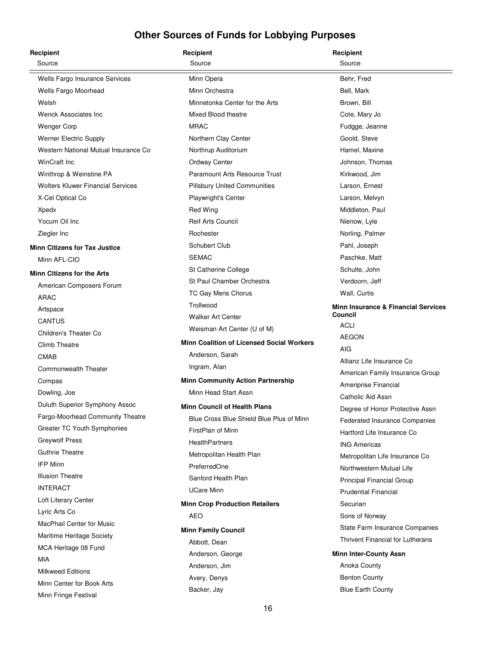| Recipient                                            | Recipient                                        | Recipient                                      |
|------------------------------------------------------|--------------------------------------------------|------------------------------------------------|
| Source                                               | Source                                           | Source                                         |
| Wells Fargo Insurance Services                       | Minn Opera                                       | Behr, Fred                                     |
| Wells Fargo Moorhead                                 | Minn Orchestra                                   | Bell, Mark                                     |
| Welsh                                                | Minnetonka Center for the Arts                   | Brown, Bill                                    |
| <b>Wenck Associates Inc.</b>                         | Mixed Blood theatre                              | Cote, Mary Jo                                  |
| <b>Wenger Corp</b>                                   | <b>MRAC</b>                                      | Fudgge, Jeanne                                 |
| <b>Werner Electric Supply</b>                        | Northern Clay Center                             | Goold, Steve                                   |
| Western National Mutual Insurance Co                 | Northrup Auditorium                              | Hamel, Maxine                                  |
| <b>WinCraft Inc</b>                                  | Ordway Center                                    | Johnson, Thomas                                |
| Winthrop & Weinstine PA                              | Paramount Arts Resource Trust                    | Kirkwood, Jim                                  |
| <b>Wolters Kluwer Financial Services</b>             | <b>Pillsbury United Communities</b>              | Larson, Ernest                                 |
| X-Cel Optical Co                                     | Playwright's Center                              | Larson, Melvyn                                 |
| Xpedx                                                | <b>Red Wing</b>                                  | Middleton, Paul                                |
| Yocum Oil Inc                                        | <b>Reif Arts Council</b>                         | Nienow, Lyle                                   |
| Ziegler Inc                                          | Rochester                                        | Norling, Palmer                                |
| <b>Minn Citizens for Tax Justice</b>                 | Schubert Club                                    | Pahl, Joseph                                   |
| Minn AFL-CIO                                         | <b>SEMAC</b>                                     | Paschke, Matt                                  |
| <b>Minn Citizens for the Arts</b>                    | St Catherine College                             | Schulte, John                                  |
| American Composers Forum                             | St Paul Chamber Orchestra                        | Verdoorn, Jeff                                 |
| ARAC                                                 | TC Gay Mens Chorus                               | Wall, Curtis                                   |
|                                                      | Trollwood                                        | <b>Minn Insurance &amp; Financial Services</b> |
| Artspace<br><b>CANTUS</b>                            | <b>Walker Art Center</b>                         | Council                                        |
| Children's Theater Co                                | Weisman Art Center (U of M)                      | <b>ACLI</b>                                    |
| Climb Theatre                                        | <b>Minn Coalition of Licensed Social Workers</b> | <b>AEGON</b>                                   |
| <b>CMAB</b>                                          | Anderson, Sarah                                  | AIG                                            |
| Commonwealth Theater                                 | Ingram, Alan                                     | Allianz Life Insurance Co                      |
| Compas                                               | <b>Minn Community Action Partnership</b>         | American Family Insurance Group                |
| Dowling, Joe                                         | Minn Head Start Assn                             | Ameriprise Financial                           |
| Duluth Superior Symphony Assoc                       |                                                  | Catholic Aid Assn                              |
|                                                      | <b>Minn Council of Health Plans</b>              | Degree of Honor Protective Assn                |
| Fargo-Moorhead Community Theatre                     | Blue Cross Blue Shield Blue Plus of Minn         | <b>Federated Insurance Companies</b>           |
| Greater TC Youth Symphonies<br><b>Greywolf Press</b> | FirstPlan of Minn                                | Hartford Life Insurance Co                     |
| <b>Guthrie Theatre</b>                               | <b>HealthPartners</b>                            | <b>ING Americas</b>                            |
| <b>IFP Minn</b>                                      | Metropolitan Health Plan                         | Metropolitan Life Insurance Co                 |
| <b>Illusion Theatre</b>                              | PreferredOne                                     | Northwestern Mutual Life                       |
| <b>INTERACT</b>                                      | Sanford Health Plan                              | Principal Financial Group                      |
|                                                      | <b>UCare Minn</b>                                | <b>Prudential Financial</b>                    |
| Loft Literary Center<br>Lyric Arts Co                | <b>Minn Crop Production Retailers</b>            | Securian                                       |
|                                                      | AEO                                              | Sons of Norway                                 |
| MacPhail Center for Music                            | <b>Minn Family Council</b>                       | State Farm Insurance Companies                 |
| Maritime Heritage Society                            | Abbott, Dean                                     | <b>Thrivent Financial for Lutherans</b>        |
| MCA Heritage 08 Fund                                 | Anderson, George                                 | <b>Minn Inter-County Assn</b>                  |
| MIA<br><b>Milkweed Editions</b>                      | Anderson, Jim                                    | Anoka County                                   |
| Minn Center for Book Arts                            | Avery, Denys                                     | <b>Benton County</b>                           |
| Minn Fringe Festival                                 | Backer, Jay                                      | <b>Blue Earth County</b>                       |
|                                                      |                                                  |                                                |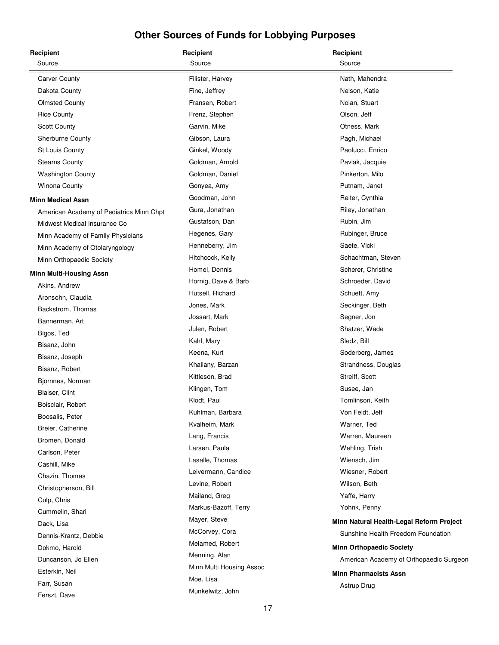| Recipient                                | Recipient                | Recipient                                |
|------------------------------------------|--------------------------|------------------------------------------|
| Source                                   | Source                   | Source                                   |
| <b>Carver County</b>                     | Filister, Harvey         | Nath, Mahendra                           |
| Dakota County                            | Fine, Jeffrey            | Nelson, Katie                            |
| <b>Olmsted County</b>                    | Fransen, Robert          | Nolan, Stuart                            |
| <b>Rice County</b>                       | Frenz, Stephen           | Olson, Jeff                              |
| <b>Scott County</b>                      | Garvin, Mike             | Otness, Mark                             |
| Sherburne County                         | Gibson, Laura            | Pagh, Michael                            |
| St Louis County                          | Ginkel, Woody            | Paolucci, Enrico                         |
| <b>Stearns County</b>                    | Goldman, Arnold          | Pavlak, Jacquie                          |
| <b>Washington County</b>                 | Goldman, Daniel          | Pinkerton, Milo                          |
| <b>Winona County</b>                     | Gonyea, Amy              | Putnam, Janet                            |
| <b>Minn Medical Assn</b>                 | Goodman, John            | Reiter, Cynthia                          |
| American Academy of Pediatrics Minn Chpt | Gura, Jonathan           | Riley, Jonathan                          |
| Midwest Medical Insurance Co             | Gustafson, Dan           | Rubin, Jim                               |
| Minn Academy of Family Physicians        | Hegenes, Gary            | Rubinger, Bruce                          |
| Minn Academy of Otolaryngology           | Henneberry, Jim          | Saete, Vicki                             |
| Minn Orthopaedic Society                 | Hitchcock, Kelly         | Schachtman, Steven                       |
| <b>Minn Multi-Housing Assn</b>           | Homel, Dennis            | Scherer, Christine                       |
| Akins, Andrew                            | Hornig, Dave & Barb      | Schroeder, David                         |
| Aronsohn, Claudia                        | Hutsell, Richard         | Schuett, Amy                             |
| Backstrom, Thomas                        | Jones, Mark              | Seckinger, Beth                          |
| Bannerman, Art                           | Jossart, Mark            | Segner, Jon                              |
| Bigos, Ted                               | Julen, Robert            | Shatzer, Wade                            |
| Bisanz, John                             | Kahl, Mary               | Sledz, Bill                              |
| Bisanz, Joseph                           | Keena, Kurt              | Soderberg, James                         |
| Bisanz, Robert                           | Khailany, Barzan         | Strandness, Douglas                      |
| Bjornnes, Norman                         | Kittleson, Brad          | Streiff, Scott                           |
| Blaiser, Clint                           | Klingen, Tom             | Susee, Jan                               |
| Boisclair, Robert                        | Klodt, Paul              | Tomlinson, Keith                         |
| Boosalis, Peter                          | Kuhlman, Barbara         | Von Feldt, Jeff                          |
| Breier, Catherine                        | Kvalheim, Mark           | Warner, Ted                              |
| Bromen, Donald                           | Lang, Francis            | Warren, Maureen                          |
| Carlson, Peter                           | Larsen, Paula            | Wehling, Trish                           |
| Cashill, Mike                            | Lasalle, Thomas          | Wiensch, Jim                             |
| Chazin, Thomas                           | Leivermann, Candice      | Wiesner, Robert                          |
| Christopherson, Bill                     | Levine, Robert           | Wilson, Beth                             |
| Culp, Chris                              | Mailand, Greg            | Yaffe, Harry                             |
| Cummelin, Shari                          | Markus-Bazoff, Terry     | Yohnk, Penny                             |
| Dack, Lisa                               | Mayer, Steve             | Minn Natural Health-Legal Reform Project |
| Dennis-Krantz, Debbie                    | McCorvey, Cora           | Sunshine Health Freedom Foundation       |
| Dokmo, Harold                            | Melamed, Robert          | <b>Minn Orthopaedic Society</b>          |
| Duncanson, Jo Ellen                      | Menning, Alan            | American Academy of Orthopaedic Surgeon  |
| Esterkin, Neil                           | Minn Multi Housing Assoc | <b>Minn Pharmacists Assn</b>             |
| Farr, Susan                              | Moe, Lisa                | Astrup Drug                              |
| Ferszt, Dave                             | Munkelwitz, John         |                                          |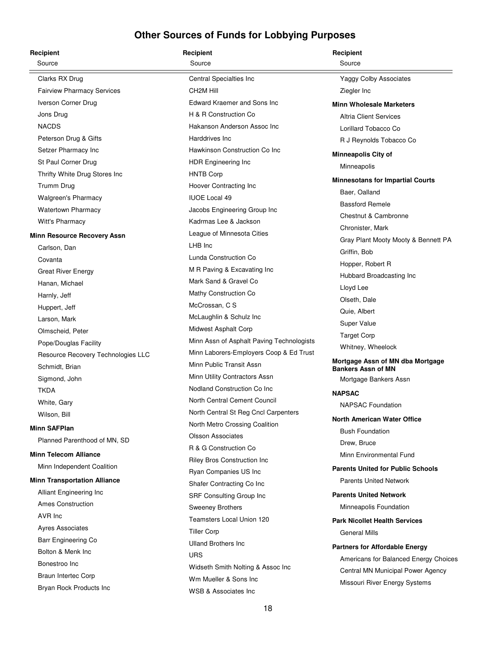| Recipient                           | Recipient                                 | Recipient                                                     |
|-------------------------------------|-------------------------------------------|---------------------------------------------------------------|
| Source                              | Source                                    | Source                                                        |
| Clarks RX Drug                      | Central Specialties Inc                   | <b>Yaggy Colby Associates</b>                                 |
| <b>Fairview Pharmacy Services</b>   | CH <sub>2</sub> M Hill                    | Ziegler Inc                                                   |
| Iverson Corner Drug                 | <b>Edward Kraemer and Sons Inc</b>        | <b>Minn Wholesale Marketers</b>                               |
| Jons Drug                           | H & R Construction Co                     | <b>Altria Client Services</b>                                 |
| <b>NACDS</b>                        | Hakanson Anderson Assoc Inc               | Lorillard Tobacco Co                                          |
| Peterson Drug & Gifts               | Harddrives Inc.                           | R J Reynolds Tobacco Co                                       |
| Setzer Pharmacy Inc                 | Hawkinson Construction Co Inc             | <b>Minneapolis City of</b>                                    |
| St Paul Corner Drug                 | HDR Engineering Inc                       | Minneapolis                                                   |
| Thrifty White Drug Stores Inc       | <b>HNTB Corp</b>                          |                                                               |
| Trumm Drug                          | Hoover Contracting Inc                    | <b>Minnesotans for Impartial Courts</b>                       |
| <b>Walgreen's Pharmacy</b>          | <b>IUOE Local 49</b>                      | Baer, Oalland<br><b>Bassford Remele</b>                       |
| <b>Watertown Pharmacy</b>           | Jacobs Engineering Group Inc              |                                                               |
| Witt's Pharmacy                     | Kadrmas Lee & Jackson                     | Chestnut & Cambronne                                          |
| <b>Minn Resource Recovery Assn</b>  | League of Minnesota Cities                | Chronister, Mark                                              |
| Carlson, Dan                        | LHB Inc                                   | Gray Plant Mooty Mooty & Bennett PA                           |
| Covanta                             | Lunda Construction Co                     | Griffin, Bob                                                  |
| <b>Great River Energy</b>           | M R Paving & Excavating Inc               | Hopper, Robert R                                              |
| Hanan, Michael                      | Mark Sand & Gravel Co                     | Hubbard Broadcasting Inc                                      |
| Harnly, Jeff                        | Mathy Construction Co                     | Lloyd Lee                                                     |
| Huppert, Jeff                       | McCrossan, C S                            | Olseth, Dale                                                  |
| Larson, Mark                        | McLaughlin & Schulz Inc                   | Quie, Albert                                                  |
| Olmscheid, Peter                    | Midwest Asphalt Corp                      | Super Value                                                   |
| Pope/Douglas Facility               | Minn Assn of Asphalt Paving Technologists | <b>Target Corp</b>                                            |
| Resource Recovery Technologies LLC  | Minn Laborers-Employers Coop & Ed Trust   | Whitney, Wheelock                                             |
| Schmidt, Brian                      | Minn Public Transit Assn                  | Mortgage Assn of MN dba Mortgage<br><b>Bankers Assn of MN</b> |
| Sigmond, John                       | Minn Utility Contractors Assn             | Mortgage Bankers Assn                                         |
| TKDA                                | Nodland Construction Co Inc               | <b>NAPSAC</b>                                                 |
| White, Gary                         | North Central Cement Council              | <b>NAPSAC Foundation</b>                                      |
| Wilson, Bill                        | North Central St Reg Cncl Carpenters      |                                                               |
| <b>Minn SAFPlan</b>                 | North Metro Crossing Coalition            | <b>North American Water Office</b>                            |
| Planned Parenthood of MN, SD        | <b>Olsson Associates</b>                  | <b>Bush Foundation</b><br>Drew, Bruce                         |
| <b>Minn Telecom Alliance</b>        | R & G Construction Co                     | Minn Environmental Fund                                       |
| Minn Independent Coalition          | Riley Bros Construction Inc               |                                                               |
|                                     | Ryan Companies US Inc                     | <b>Parents United for Public Schools</b>                      |
| <b>Minn Transportation Alliance</b> | Shafer Contracting Co Inc                 | <b>Parents United Network</b>                                 |
| Alliant Engineering Inc             | SRF Consulting Group Inc                  | <b>Parents United Network</b>                                 |
| <b>Ames Construction</b>            | Sweeney Brothers                          | Minneapolis Foundation                                        |
| AVR Inc                             | Teamsters Local Union 120                 | <b>Park Nicollet Health Services</b>                          |
| <b>Ayres Associates</b>             | <b>Tiller Corp</b>                        | <b>General Mills</b>                                          |
| Barr Engineering Co                 | <b>Ulland Brothers Inc</b>                | <b>Partners for Affordable Energy</b>                         |
| Bolton & Menk Inc                   | <b>URS</b>                                | Americans for Balanced Energy Choices                         |
| Bonestroo Inc                       | Widseth Smith Nolting & Assoc Inc         | Central MN Municipal Power Agency                             |
| Braun Intertec Corp                 | Wm Mueller & Sons Inc                     | Missouri River Energy Systems                                 |
| Bryan Rock Products Inc             | <b>WSB &amp; Associates Inc</b>           |                                                               |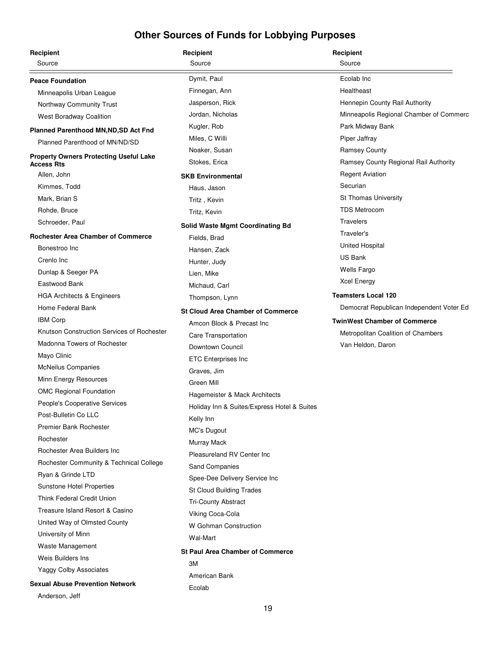| Recipient                                                          | Recipient                                   | Recipient                                |
|--------------------------------------------------------------------|---------------------------------------------|------------------------------------------|
| Source                                                             | Source                                      | Source                                   |
| <b>Peace Foundation</b>                                            | Dymit, Paul                                 | Ecolab Inc                               |
| Minneapolis Urban League                                           | Finnegan, Ann                               | Healtheast                               |
| Northway Community Trust                                           | Jasperson, Rick                             | Hennepin County Rail Authority           |
| <b>West Boradway Coalition</b>                                     | Jordan, Nicholas                            | Minneapolis Regional Chamber of Commerc  |
| Planned Parenthood MN, ND, SD Act Fnd                              | Kugler, Rob                                 | Park Midway Bank                         |
| Planned Parenthood of MN/ND/SD                                     | Miles, C Willi                              | Piper Jaffray                            |
|                                                                    | Noaker, Susan                               | <b>Ramsey County</b>                     |
| <b>Property Owners Protecting Useful Lake</b><br><b>Access Rts</b> | Stokes, Erica                               | Ramsey County Regional Rail Authority    |
| Allen, John                                                        | <b>SKB Environmental</b>                    | <b>Regent Aviation</b>                   |
| Kimmes, Todd                                                       | Haus, Jason                                 | Securian                                 |
| Mark, Brian S                                                      | Tritz, Kevin                                | <b>St Thomas University</b>              |
| Rohde, Bruce                                                       | Tritz, Kevin                                | <b>TDS Metrocom</b>                      |
| Schroeder, Paul                                                    | <b>Solid Waste Mgmt Coordinating Bd</b>     | <b>Travelers</b>                         |
| <b>Rochester Area Chamber of Commerce</b>                          | Fields, Brad                                | Traveler's                               |
| Bonestroo Inc                                                      | Hansen, Zack                                | <b>United Hospital</b>                   |
| Crenlo Inc                                                         | Hunter, Judy                                | <b>US Bank</b>                           |
| Dunlap & Seeger PA                                                 | Lien, Mike                                  | <b>Wells Fargo</b>                       |
| Eastwood Bank                                                      | Michaud, Carl                               | <b>Xcel Energy</b>                       |
| <b>HGA Architects &amp; Engineers</b>                              | Thompson, Lynn                              | <b>Teamsters Local 120</b>               |
| Home Federal Bank                                                  | <b>St Cloud Area Chamber of Commerce</b>    | Democrat Republican Independent Voter Ed |
| <b>IBM Corp</b>                                                    | Amcon Block & Precast Inc                   | <b>TwinWest Chamber of Commerce</b>      |
| Knutson Construction Services of Rochester                         |                                             | Metropolitan Coalition of Chambers       |
| Madonna Towers of Rochester                                        | Care Transportation<br>Downtown Council     | Van Heldon, Daron                        |
| Mayo Clinic                                                        | <b>ETC Enterprises Inc</b>                  |                                          |
| <b>McNeilus Companies</b>                                          | Graves, Jim                                 |                                          |
| Minn Energy Resources                                              | Green Mill                                  |                                          |
| <b>OMC Regional Foundation</b>                                     |                                             |                                          |
| People's Cooperative Services                                      | Hagemeister & Mack Architects               |                                          |
| Post-Bulletin Co LLC                                               | Holiday Inn & Suites/Express Hotel & Suites |                                          |
| <b>Premier Bank Rochester</b>                                      | Kelly Inn                                   |                                          |
| Rochester                                                          | MC's Dugout                                 |                                          |
| Rochester Area Builders Inc                                        | Murray Mack<br>Pleasureland RV Center Inc   |                                          |
| Rochester Community & Technical College                            |                                             |                                          |
| Ryan & Grinde LTD                                                  | Sand Companies                              |                                          |
| Sunstone Hotel Properties                                          | Spee-Dee Delivery Service Inc               |                                          |
| Think Federal Credit Union                                         | St Cloud Building Trades                    |                                          |
| Treasure Island Resort & Casino                                    | <b>Tri-County Abstract</b>                  |                                          |
| United Way of Olmsted County                                       | Viking Coca-Cola                            |                                          |
| University of Minn                                                 | W Gohman Construction                       |                                          |
| Waste Management                                                   | Wal-Mart                                    |                                          |
| Weis Builders Ins                                                  | <b>St Paul Area Chamber of Commerce</b>     |                                          |
| Yaggy Colby Associates                                             | ЗM                                          |                                          |
| <b>Sexual Abuse Prevention Network</b>                             | American Bank                               |                                          |
| Anderson, Jeff                                                     | Ecolab                                      |                                          |
|                                                                    |                                             |                                          |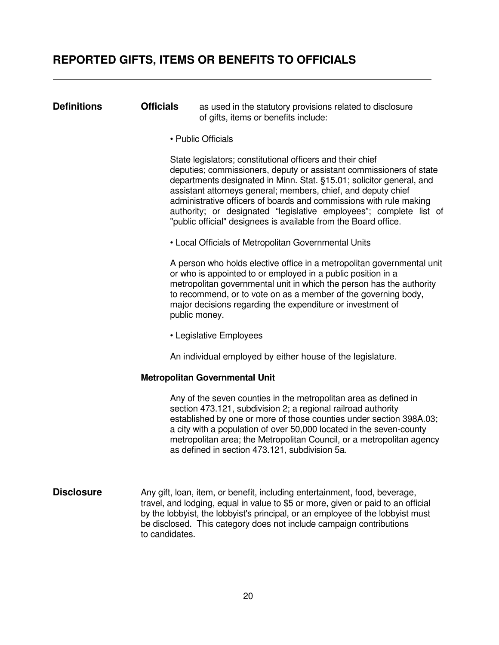### <span id="page-21-0"></span>**REPORTED GIFTS, ITEMS OR BENEFITS TO OFFICIALS**

#### **Definitions Cfficials** as used in the statutory provisions related to disclosure of gifts, items or benefits include:

• Public Officials

 State legislators; constitutional officers and their chief deputies; commissioners, deputy or assistant commissioners of state departments designated in Minn. Stat. §15.01; solicitor general, and assistant attorneys general; members, chief, and deputy chief administrative officers of boards and commissions with rule making authority; or designated "legislative employees"; complete list of "public official" designees is available from the Board office.

• Local Officials of Metropolitan Governmental Units

 A person who holds elective office in a metropolitan governmental unit or who is appointed to or employed in a public position in a metropolitan governmental unit in which the person has the authority to recommend, or to vote on as a member of the governing body, major decisions regarding the expenditure or investment of public money.

• Legislative Employees

An individual employed by either house of the legislature.

#### **Metropolitan Governmental Unit**

 Any of the seven counties in the metropolitan area as defined in section 473.121, subdivision 2; a regional railroad authority established by one or more of those counties under section 398A.03; a city with a population of over 50,000 located in the seven-county metropolitan area; the Metropolitan Council, or a metropolitan agency as defined in section 473.121, subdivision 5a.

**Disclosure** Any gift, loan, item, or benefit, including entertainment, food, beverage, travel, and lodging, equal in value to \$5 or more, given or paid to an official by the lobbyist, the lobbyist's principal, or an employee of the lobbyist must be disclosed. This category does not include campaign contributions to candidates.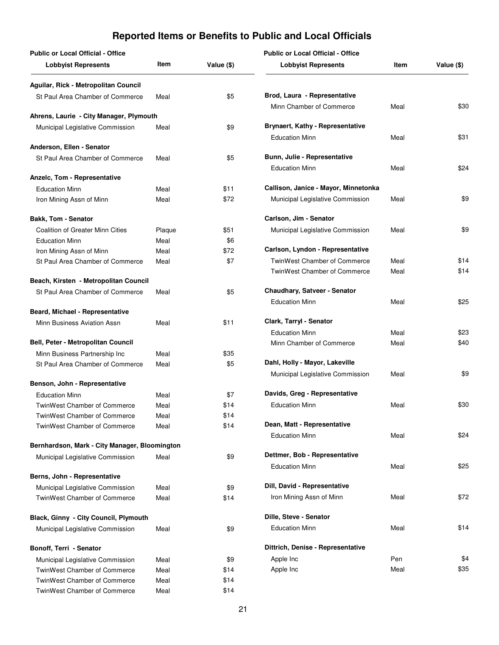<span id="page-22-0"></span>

| <b>Public or Local Official - Office</b>                     |              |            | <b>Public or Local Official - Office</b>              |      |            |
|--------------------------------------------------------------|--------------|------------|-------------------------------------------------------|------|------------|
| <b>Lobbyist Represents</b>                                   | Item         | Value (\$) | <b>Lobbyist Represents</b>                            | Item | Value (\$) |
| Aguilar, Rick - Metropolitan Council                         |              |            |                                                       |      |            |
| St Paul Area Chamber of Commerce                             | Meal         | \$5        | Brod, Laura - Representative                          |      |            |
|                                                              |              |            | Minn Chamber of Commerce                              | Meal | \$30       |
| Ahrens, Laurie - City Manager, Plymouth                      |              | \$9        | Brynaert, Kathy - Representative                      |      |            |
| Municipal Legislative Commission                             | Meal         |            | <b>Education Minn</b>                                 | Meal | \$31       |
| Anderson, Ellen - Senator                                    |              |            |                                                       |      |            |
| St Paul Area Chamber of Commerce                             | Meal         | \$5        | Bunn, Julie - Representative                          |      |            |
|                                                              |              |            | <b>Education Minn</b>                                 | Meal | \$24       |
| Anzelc, Tom - Representative                                 |              |            |                                                       |      |            |
| <b>Education Minn</b>                                        | Meal         | \$11       | Callison, Janice - Mayor, Minnetonka                  |      |            |
| Iron Mining Assn of Minn                                     | Meal         | \$72       | Municipal Legislative Commission                      | Meal | \$9        |
| <b>Bakk, Tom - Senator</b>                                   |              |            | Carlson, Jim - Senator                                |      |            |
| <b>Coalition of Greater Minn Cities</b>                      | Plaque       | \$51       | Municipal Legislative Commission                      | Meal | \$9        |
| <b>Education Minn</b>                                        | Meal         | \$6        |                                                       |      |            |
| Iron Mining Assn of Minn                                     | Meal         | \$72       | Carlson, Lyndon - Representative                      |      |            |
| St Paul Area Chamber of Commerce                             | Meal         | \$7        | TwinWest Chamber of Commerce                          | Meal | \$14       |
|                                                              |              |            | <b>TwinWest Chamber of Commerce</b>                   | Meal | \$14       |
| Beach, Kirsten - Metropolitan Council                        |              |            |                                                       |      |            |
| St Paul Area Chamber of Commerce                             | Meal         | \$5        | Chaudhary, Satveer - Senator<br><b>Education Minn</b> | Meal | \$25       |
| Beard, Michael - Representative                              |              |            |                                                       |      |            |
| Minn Business Aviation Assn                                  | Meal         | \$11       | Clark, Tarryl - Senator                               |      |            |
|                                                              |              |            | <b>Education Minn</b>                                 | Meal | \$23       |
| Bell, Peter - Metropolitan Council                           |              |            | Minn Chamber of Commerce                              | Meal | \$40       |
| Minn Business Partnership Inc                                | Meal         | \$35       |                                                       |      |            |
| St Paul Area Chamber of Commerce                             | Meal         | \$5        | Dahl, Holly - Mayor, Lakeville                        |      |            |
| Benson, John - Representative                                |              |            | Municipal Legislative Commission                      | Meal | \$9        |
|                                                              |              | \$7        | Davids, Greg - Representative                         |      |            |
| <b>Education Minn</b><br><b>TwinWest Chamber of Commerce</b> | Meal<br>Meal | \$14       | <b>Education Minn</b>                                 | Meal | \$30       |
| TwinWest Chamber of Commerce                                 | Meal         | \$14       |                                                       |      |            |
| <b>TwinWest Chamber of Commerce</b>                          | Meal         | \$14       | Dean, Matt - Representative                           |      |            |
|                                                              |              |            | <b>Education Minn</b>                                 | Meal | \$24       |
| Bernhardson, Mark - City Manager, Bloomington                |              |            |                                                       |      |            |
| Municipal Legislative Commission                             | Meal         | \$9        | Dettmer, Bob - Representative                         |      |            |
|                                                              |              |            | <b>Education Minn</b>                                 | Meal | \$25       |
| Berns, John - Representative                                 |              |            |                                                       |      |            |
| Municipal Legislative Commission                             | Meal         | \$9        | Dill, David - Representative                          |      |            |
| TwinWest Chamber of Commerce                                 | Meal         | \$14       | Iron Mining Assn of Minn                              | Meal | \$72       |
| Black, Ginny - City Council, Plymouth                        |              |            | Dille, Steve - Senator                                |      |            |
| Municipal Legislative Commission                             | Meal         | \$9        | <b>Education Minn</b>                                 | Meal | \$14       |
| Bonoff, Terri - Senator                                      |              |            | Dittrich, Denise - Representative                     |      |            |
| Municipal Legislative Commission                             | Meal         | \$9        | Apple Inc                                             | Pen  | \$4        |
| TwinWest Chamber of Commerce                                 | Meal         | \$14       | Apple Inc                                             | Meal | \$35       |
| <b>TwinWest Chamber of Commerce</b>                          | Meal         | \$14       |                                                       |      |            |
| <b>TwinWest Chamber of Commerce</b>                          | Meal         | \$14       |                                                       |      |            |
|                                                              |              |            |                                                       |      |            |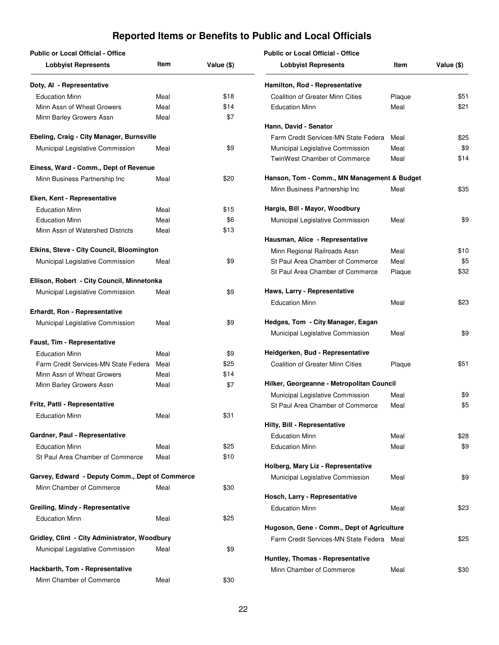| <b>Public or Local Official - Office</b>        |      |            | <b>Public or Local Official - Office</b>    |        |            |
|-------------------------------------------------|------|------------|---------------------------------------------|--------|------------|
| <b>Lobbyist Represents</b>                      | Item | Value (\$) | <b>Lobbyist Represents</b>                  | Item   | Value (\$) |
| Doty, AI - Representative                       |      |            | Hamilton, Rod - Representative              |        |            |
| <b>Education Minn</b>                           | Meal | \$18       | <b>Coalition of Greater Minn Cities</b>     | Plaque | \$51       |
| Minn Assn of Wheat Growers                      | Meal | \$14       | <b>Education Minn</b>                       | Meal   | \$21       |
| Minn Barley Growers Assn                        | Meal | \$7        |                                             |        |            |
|                                                 |      |            | Hann, David - Senator                       |        |            |
| Ebeling, Craig - City Manager, Burnsville       |      |            | Farm Credit Services-MN State Federa        | Meal   | \$25       |
| Municipal Legislative Commission                | Meal | \$9        | Municipal Legislative Commission            | Meal   | \$9        |
|                                                 |      |            | TwinWest Chamber of Commerce                | Meal   | \$14       |
| Einess, Ward - Comm., Dept of Revenue           |      |            |                                             |        |            |
| Minn Business Partnership Inc                   | Meal | \$20       | Hanson, Tom - Comm., MN Management & Budget |        |            |
|                                                 |      |            | Minn Business Partnership Inc               | Meal   | \$35       |
| Eken, Kent - Representative                     |      |            |                                             |        |            |
| <b>Education Minn</b>                           | Meal | \$15       | Hargis, Bill - Mayor, Woodbury              |        |            |
| <b>Education Minn</b>                           | Meal | \$6        | Municipal Legislative Commission            | Meal   | \$9        |
| Minn Assn of Watershed Districts                | Meal | \$13       |                                             |        |            |
|                                                 |      |            | Hausman, Alice - Representative             |        |            |
| Elkins, Steve - City Council, Bloomington       |      |            | Minn Regional Railroads Assn                | Meal   | \$10       |
| Municipal Legislative Commission                | Meal | \$9        | St Paul Area Chamber of Commerce            | Meal   | \$5        |
| Ellison, Robert - City Council, Minnetonka      |      |            | St Paul Area Chamber of Commerce            | Plaque | \$32       |
| Municipal Legislative Commission                | Meal | \$9        | Haws, Larry - Representative                |        |            |
|                                                 |      |            | <b>Education Minn</b>                       | Meal   | \$23       |
| Erhardt, Ron - Representative                   |      |            |                                             |        |            |
| Municipal Legislative Commission                | Meal | \$9        | Hedges, Tom - City Manager, Eagan           |        |            |
|                                                 |      |            | Municipal Legislative Commission            | Meal   | \$9        |
| Faust, Tim - Representative                     |      |            |                                             |        |            |
| <b>Education Minn</b>                           | Meal | \$9        | Heidgerken, Bud - Representative            |        |            |
| Farm Credit Services-MN State Federa            | Meal | \$25       | <b>Coalition of Greater Minn Cities</b>     | Plaque | \$51       |
| Minn Assn of Wheat Growers                      | Meal | \$14       |                                             |        |            |
| Minn Barley Growers Assn                        | Meal | \$7        | Hilker, Georgeanne - Metropolitan Council   |        |            |
|                                                 |      |            | Municipal Legislative Commission            | Meal   | \$9        |
| Fritz, Patti - Representative                   |      |            | St Paul Area Chamber of Commerce            | Meal   | \$5        |
| <b>Education Minn</b>                           | Meal | \$31       |                                             |        |            |
|                                                 |      |            | Hilty, Bill - Representative                |        |            |
| Gardner, Paul - Representative                  |      |            | <b>Education Minn</b>                       | Meal   | \$28       |
| <b>Education Minn</b>                           | Meal | \$25       | <b>Education Minn</b>                       | Meal   | \$9        |
| St Paul Area Chamber of Commerce                | Meal | \$10       |                                             |        |            |
|                                                 |      |            | Holberg, Mary Liz - Representative          |        |            |
| Garvey, Edward - Deputy Comm., Dept of Commerce |      |            | Municipal Legislative Commission            | Meal   | \$9        |
| Minn Chamber of Commerce                        | Meal | \$30       |                                             |        |            |
| Greiling, Mindy - Representative                |      |            | Hosch, Larry - Representative               |        |            |
|                                                 |      | \$25       | <b>Education Minn</b>                       | Meal   | \$23       |
| <b>Education Minn</b>                           | Meal |            | Hugoson, Gene - Comm., Dept of Agriculture  |        |            |
| Gridley, Clint - City Administrator, Woodbury   |      |            | Farm Credit Services-MN State Federa Meal   |        | \$25       |
| Municipal Legislative Commission                | Meal | \$9        |                                             |        |            |
|                                                 |      |            | Huntley, Thomas - Representative            |        |            |
| Hackbarth, Tom - Representative                 |      |            | Minn Chamber of Commerce                    | Meal   | \$30       |
| Minn Chamber of Commerce                        | Meal | \$30       |                                             |        |            |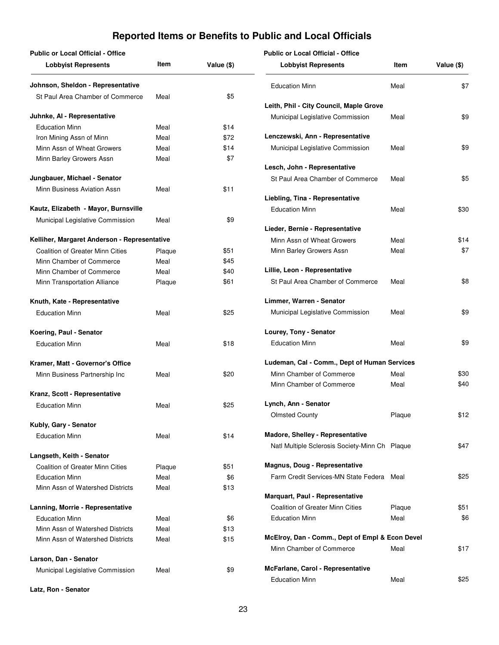| <b>Public or Local Official - Office</b>     |        |            |
|----------------------------------------------|--------|------------|
| <b>Lobbyist Represents</b>                   | ltem   | Value (\$) |
| Johnson, Sheldon - Representative            |        |            |
| St Paul Area Chamber of Commerce             | Meal   | \$5        |
| Juhnke, AI - Representative                  |        |            |
| <b>Education Minn</b>                        | Meal   | \$14       |
| Iron Mining Assn of Minn                     | Meal   | \$72       |
| Minn Assn of Wheat Growers                   | Meal   | \$14       |
| Minn Barley Growers Assn                     | Meal   | \$7        |
| Jungbauer, Michael - Senator                 |        |            |
| Minn Business Aviation Assn                  | Meal   | \$11       |
| Kautz, Elizabeth - Mayor, Burnsville         |        |            |
| Municipal Legislative Commission             | Meal   | \$9        |
| Kelliher, Margaret Anderson - Representative |        |            |
| Coalition of Greater Minn Cities             | Plaque | \$51       |
| Minn Chamber of Commerce                     | Meal   | \$45       |
| Minn Chamber of Commerce                     | Meal   | \$40       |
| Minn Transportation Alliance                 | Plaque | \$61       |
| Knuth, Kate - Representative                 |        |            |
| <b>Education Minn</b>                        | Meal   | \$25       |
| Koering, Paul - Senator                      |        |            |
| <b>Education Minn</b>                        | Meal   | \$18       |
| Kramer, Matt - Governor's Office             |        |            |
| Minn Business Partnership Inc                | Meal   | \$20       |
| Kranz, Scott - Representative                |        |            |
| <b>Education Minn</b>                        | Meal   | \$25       |
| Kubly, Gary - Senator                        |        |            |
| <b>Education Minn</b>                        | Meal   | \$14       |
| Langseth, Keith - Senator                    |        |            |
| <b>Coalition of Greater Minn Cities</b>      | Plaque | \$51       |
| <b>Education Minn</b>                        | Meal   | \$6        |
| Minn Assn of Watershed Districts             | Meal   | \$13       |
| Lanning, Morrie - Representative             |        |            |
| <b>Education Minn</b>                        | Meal   | \$6        |
| Minn Assn of Watershed Districts             | Meal   | \$13       |
| Minn Assn of Watershed Districts             | Meal   | \$15       |
| Larson, Dan - Senator                        |        |            |
| Municipal Legislative Commission             | Meal   | \$9        |
|                                              |        |            |

**Public or Local Official - Office**

| Item   | Value (\$) | <b>Lobbyist Represents</b>                      | Item   | Value (\$) |
|--------|------------|-------------------------------------------------|--------|------------|
|        |            | <b>Education Minn</b>                           | Meal   | \$7        |
| Vleal  | \$5        |                                                 |        |            |
|        |            | Leith, Phil - City Council, Maple Grove         |        |            |
|        |            | Municipal Legislative Commission                | Meal   | \$9        |
| Vleal  | \$14       |                                                 |        |            |
| Vleal  | \$72       | Lenczewski, Ann - Representative                |        |            |
| Meal   | \$14       | Municipal Legislative Commission                | Meal   | \$9        |
| Vleal  | \$7        | Lesch, John - Representative                    |        |            |
|        |            | St Paul Area Chamber of Commerce                | Meal   | \$5        |
|        | \$11       |                                                 |        |            |
| Vleal  |            | Liebling, Tina - Representative                 |        |            |
|        |            | <b>Education Minn</b>                           | Meal   | \$30       |
| Vleal  | \$9        |                                                 |        |            |
|        |            | Lieder, Bernie - Representative                 |        |            |
| ıtive  |            | Minn Assn of Wheat Growers                      | Meal   | \$14       |
| Plaque | \$51       | Minn Barley Growers Assn                        | Meal   | \$7        |
| Vleal  | \$45       |                                                 |        |            |
| Vleal  | \$40       | Lillie, Leon - Representative                   |        |            |
| Plaque | \$61       | St Paul Area Chamber of Commerce                | Meal   | \$8        |
|        |            |                                                 |        |            |
|        |            | Limmer, Warren - Senator                        |        |            |
| Vleal  | \$25       | Municipal Legislative Commission                | Meal   | \$9        |
|        |            | Lourey, Tony - Senator                          |        |            |
| Vleal  | \$18       | <b>Education Minn</b>                           | Meal   | \$9        |
|        |            |                                                 |        |            |
|        |            | Ludeman, Cal - Comm., Dept of Human Services    |        |            |
| Vleal  | \$20       | Minn Chamber of Commerce                        | Meal   | \$30       |
|        |            | Minn Chamber of Commerce                        | Meal   | \$40       |
| Vleal  | \$25       | Lynch, Ann - Senator                            |        |            |
|        |            | <b>Olmsted County</b>                           | Plaque | \$12       |
|        |            |                                                 |        |            |
| Vleal  | \$14       | Madore, Shelley - Representative                |        |            |
|        |            | Natl Multiple Sclerosis Society-Minn Ch Plaque  |        | \$47       |
| Plaque | \$51       | <b>Magnus, Doug - Representative</b>            |        |            |
| Vleal  | \$6        | Farm Credit Services-MN State Federa Meal       |        | \$25       |
| Vleal  | \$13       |                                                 |        |            |
|        |            | Marquart, Paul - Representative                 |        |            |
|        |            | <b>Coalition of Greater Minn Cities</b>         | Plaque | \$51       |
| Vleal  | \$6        | <b>Education Minn</b>                           | Meal   | \$6        |
| Vleal  | \$13       |                                                 |        |            |
| Vleal  | \$15       | McElroy, Dan - Comm., Dept of Empl & Econ Devel |        |            |
|        |            | Minn Chamber of Commerce                        | Meal   | \$17       |
| Meal   | \$9        | McFarlane, Carol - Representative               |        |            |
|        |            | <b>Education Minn</b>                           | Meal   | \$25       |

**Latz, Ron - Senator**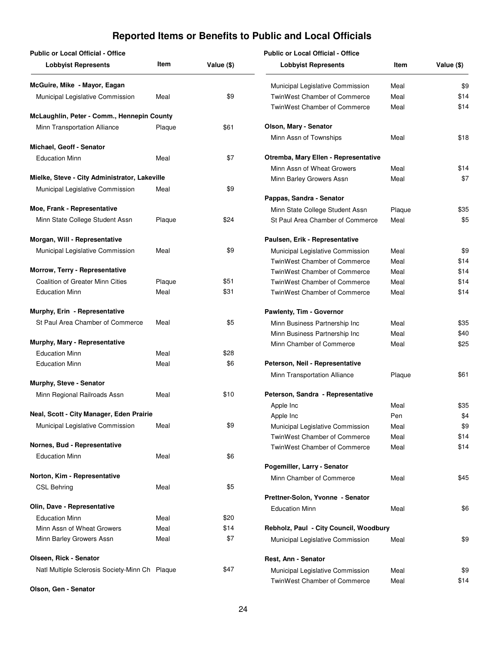| <b>Public or Local Official - Office</b>       |        |            | <b>Public or Local Official - Office</b> |        |            |
|------------------------------------------------|--------|------------|------------------------------------------|--------|------------|
| <b>Lobbyist Represents</b>                     | Item   | Value (\$) | <b>Lobbyist Represents</b>               | Item   | Value (\$) |
| McGuire, Mike - Mayor, Eagan                   |        |            | Municipal Legislative Commission         | Meal   | \$9        |
| Municipal Legislative Commission               | Meal   | \$9        | TwinWest Chamber of Commerce             | Meal   | \$14       |
| McLaughlin, Peter - Comm., Hennepin County     |        |            | <b>TwinWest Chamber of Commerce</b>      | Meal   | \$14       |
| Minn Transportation Alliance                   | Plaque | \$61       | Olson, Mary - Senator                    |        |            |
|                                                |        |            | Minn Assn of Townships                   | Meal   | \$18       |
| Michael, Geoff - Senator                       |        |            |                                          |        |            |
| <b>Education Minn</b>                          | Meal   | \$7        | Otremba, Mary Ellen - Representative     |        |            |
| Mielke, Steve - City Administrator, Lakeville  |        |            | Minn Assn of Wheat Growers               | Meal   | \$14       |
| Municipal Legislative Commission               | Meal   | \$9        | Minn Barley Growers Assn                 | Meal   | \$7        |
|                                                |        |            | Pappas, Sandra - Senator                 |        |            |
| Moe, Frank - Representative                    |        |            | Minn State College Student Assn          | Plaque | \$35       |
| Minn State College Student Assn                | Plaque | \$24       | St Paul Area Chamber of Commerce         | Meal   | \$5        |
| Morgan, Will - Representative                  |        |            | Paulsen, Erik - Representative           |        |            |
| Municipal Legislative Commission               | Meal   | \$9        | Municipal Legislative Commission         | Meal   | \$9        |
|                                                |        |            | TwinWest Chamber of Commerce             | Meal   | \$14       |
| Morrow, Terry - Representative                 |        |            | TwinWest Chamber of Commerce             | Meal   | \$14       |
| <b>Coalition of Greater Minn Cities</b>        | Plaque | \$51       | TwinWest Chamber of Commerce             | Meal   | \$14       |
| <b>Education Minn</b>                          | Meal   | \$31       | TwinWest Chamber of Commerce             | Meal   | \$14       |
| Murphy, Erin - Representative                  |        |            | Pawlenty, Tim - Governor                 |        |            |
| St Paul Area Chamber of Commerce               | Meal   | \$5        | Minn Business Partnership Inc            | Meal   | \$35       |
|                                                |        |            | Minn Business Partnership Inc            | Meal   | \$40       |
| Murphy, Mary - Representative                  |        |            | Minn Chamber of Commerce                 | Meal   | \$25       |
| <b>Education Minn</b>                          | Meal   | \$28       |                                          |        |            |
| <b>Education Minn</b>                          | Meal   | \$6        | Peterson, Neil - Representative          |        | \$61       |
| Murphy, Steve - Senator                        |        |            | Minn Transportation Alliance             | Plaque |            |
| Minn Regional Railroads Assn                   | Meal   | \$10       | Peterson, Sandra - Representative        |        |            |
|                                                |        |            | Apple Inc                                | Meal   | \$35       |
| Neal, Scott - City Manager, Eden Prairie       |        |            | Apple Inc                                | Pen    | \$4        |
| Municipal Legislative Commission               | Meal   | \$9        | Municipal Legislative Commission         | Meal   | \$9        |
|                                                |        |            | TwinWest Chamber of Commerce             | Meal   | \$14       |
| Nornes, Bud - Representative                   |        |            | TwinWest Chamber of Commerce             | Meal   | \$14       |
| <b>Education Minn</b>                          | Meal   | \$6        | Pogemiller, Larry - Senator              |        |            |
| Norton, Kim - Representative                   |        |            | Minn Chamber of Commerce                 | Meal   | \$45       |
| <b>CSL Behring</b>                             | Meal   | \$5        |                                          |        |            |
|                                                |        |            | Prettner-Solon, Yvonne - Senator         |        |            |
| Olin, Dave - Representative                    |        |            | <b>Education Minn</b>                    | Meal   | \$6        |
| <b>Education Minn</b>                          | Meal   | \$20       |                                          |        |            |
| Minn Assn of Wheat Growers                     | Meal   | \$14       | Rebholz, Paul - City Council, Woodbury   |        |            |
| Minn Barley Growers Assn                       | Meal   | \$7        | Municipal Legislative Commission         | Meal   | \$9        |
| Olseen, Rick - Senator                         |        |            | Rest, Ann - Senator                      |        |            |
| Natl Multiple Sclerosis Society-Minn Ch Plaque |        | \$47       | Municipal Legislative Commission         | Meal   | \$9        |
| Olson, Gen - Senator                           |        |            | TwinWest Chamber of Commerce             | Meal   | \$14       |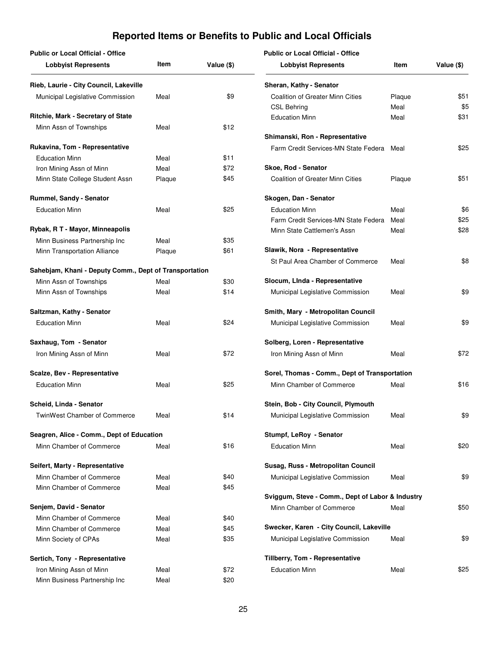| <b>Public or Local Official - Office</b>               |        |            | <b>Public or Local Official - Office</b>         |        |            |
|--------------------------------------------------------|--------|------------|--------------------------------------------------|--------|------------|
| <b>Lobbyist Represents</b>                             | Item   | Value (\$) | <b>Lobbyist Represents</b>                       | Item   | Value (\$) |
| Rieb, Laurie - City Council, Lakeville                 |        |            | Sheran, Kathy - Senator                          |        |            |
| Municipal Legislative Commission                       | Meal   | \$9        | <b>Coalition of Greater Minn Cities</b>          | Plaque | \$51       |
|                                                        |        |            | <b>CSL Behring</b>                               | Meal   | \$5        |
| Ritchie, Mark - Secretary of State                     |        |            | <b>Education Minn</b>                            | Meal   | \$31       |
| Minn Assn of Townships                                 | Meal   | \$12       |                                                  |        |            |
| Rukavina, Tom - Representative                         |        |            | Shimanski, Ron - Representative                  |        |            |
|                                                        |        |            | Farm Credit Services-MN State Federa             | Meal   | \$25       |
| <b>Education Minn</b>                                  | Meal   | \$11       | Skoe, Rod - Senator                              |        |            |
| Iron Mining Assn of Minn                               | Meal   | \$72       |                                                  |        |            |
| Minn State College Student Assn                        | Plaque | \$45       | <b>Coalition of Greater Minn Cities</b>          | Plaque | \$51       |
| Rummel, Sandy - Senator                                |        |            | Skogen, Dan - Senator                            |        |            |
| <b>Education Minn</b>                                  | Meal   | \$25       | <b>Education Minn</b>                            | Meal   | \$6        |
|                                                        |        |            | Farm Credit Services-MN State Federa             | Meal   | \$25       |
| Rybak, R T - Mayor, Minneapolis                        |        |            | Minn State Cattlemen's Assn                      | Meal   | \$28       |
| Minn Business Partnership Inc                          | Meal   | \$35       |                                                  |        |            |
| Minn Transportation Alliance                           | Plaque | \$61       | Slawik, Nora - Representative                    |        |            |
|                                                        |        |            | St Paul Area Chamber of Commerce                 | Meal   | \$8        |
| Sahebjam, Khani - Deputy Comm., Dept of Transportation |        |            |                                                  |        |            |
| Minn Assn of Townships                                 | Meal   | \$30       | Slocum, Linda - Representative                   |        |            |
| Minn Assn of Townships                                 | Meal   | \$14       | Municipal Legislative Commission                 | Meal   | \$9        |
| Saltzman, Kathy - Senator                              |        |            | Smith, Mary - Metropolitan Council               |        |            |
| <b>Education Minn</b>                                  | Meal   | \$24       | Municipal Legislative Commission                 | Meal   | \$9        |
| Saxhaug, Tom - Senator                                 |        |            | Solberg, Loren - Representative                  |        |            |
|                                                        |        |            |                                                  |        |            |
| Iron Mining Assn of Minn                               | Meal   | \$72       | Iron Mining Assn of Minn                         | Meal   | \$72       |
| Scalze, Bev - Representative                           |        |            | Sorel, Thomas - Comm., Dept of Transportation    |        |            |
| <b>Education Minn</b>                                  | Meal   | \$25       | Minn Chamber of Commerce                         | Meal   | \$16       |
| Scheid, Linda - Senator                                |        |            | Stein, Bob - City Council, Plymouth              |        |            |
| TwinWest Chamber of Commerce                           | Meal   | \$14       | Municipal Legislative Commission                 | Meal   | \$9        |
| Seagren, Alice - Comm., Dept of Education              |        |            |                                                  |        |            |
|                                                        |        |            | Stumpf, LeRoy - Senator                          |        |            |
| Minn Chamber of Commerce                               | Meal   | \$16       | <b>Education Minn</b>                            | Meal   | \$20       |
| Seifert, Marty - Representative                        |        |            | Susag, Russ - Metropolitan Council               |        |            |
| Minn Chamber of Commerce                               | Meal   | \$40       | Municipal Legislative Commission                 | Meal   | \$9        |
| Minn Chamber of Commerce                               | Meal   | \$45       |                                                  |        |            |
|                                                        |        |            | Sviggum, Steve - Comm., Dept of Labor & Industry |        |            |
| Senjem, David - Senator                                |        |            | Minn Chamber of Commerce                         | Meal   | \$50       |
| Minn Chamber of Commerce                               | Meal   | \$40       |                                                  |        |            |
| Minn Chamber of Commerce                               | Meal   | \$45       | Swecker, Karen - City Council, Lakeville         |        |            |
| Minn Society of CPAs                                   | Meal   | \$35       | Municipal Legislative Commission                 | Meal   | \$9        |
| Sertich, Tony - Representative                         |        |            | Tillberry, Tom - Representative                  |        |            |
|                                                        |        |            |                                                  |        |            |
| Iron Mining Assn of Minn                               | Meal   | \$72       | <b>Education Minn</b>                            | Meal   | \$25       |
| Minn Business Partnership Inc                          | Meal   | \$20       |                                                  |        |            |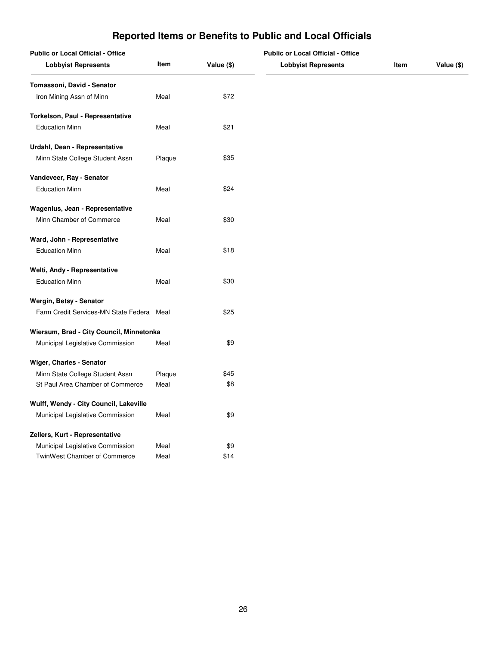| Reported Items or Benefits to Public and Local Officials |  |  |  |
|----------------------------------------------------------|--|--|--|
|----------------------------------------------------------|--|--|--|

| <b>Public or Local Official - Office</b> |        | <b>Public or Local Official - Office</b> |                            |      |            |
|------------------------------------------|--------|------------------------------------------|----------------------------|------|------------|
| <b>Lobbyist Represents</b>               | Item   | Value (\$)                               | <b>Lobbyist Represents</b> | Item | Value (\$) |
| Tomassoni, David - Senator               |        |                                          |                            |      |            |
| Iron Mining Assn of Minn                 | Meal   | \$72                                     |                            |      |            |
| Torkelson, Paul - Representative         |        |                                          |                            |      |            |
| <b>Education Minn</b>                    | Meal   | \$21                                     |                            |      |            |
| Urdahl, Dean - Representative            |        |                                          |                            |      |            |
| Minn State College Student Assn          | Plaque | \$35                                     |                            |      |            |
| Vandeveer, Ray - Senator                 |        |                                          |                            |      |            |
| <b>Education Minn</b>                    | Meal   | \$24                                     |                            |      |            |
| Wagenius, Jean - Representative          |        |                                          |                            |      |            |
| Minn Chamber of Commerce                 | Meal   | \$30                                     |                            |      |            |
| Ward, John - Representative              |        |                                          |                            |      |            |
| <b>Education Minn</b>                    | Meal   | \$18                                     |                            |      |            |
| Welti, Andy - Representative             |        |                                          |                            |      |            |
| <b>Education Minn</b>                    | Meal   | \$30                                     |                            |      |            |
| Wergin, Betsy - Senator                  |        |                                          |                            |      |            |
| Farm Credit Services-MN State Federa     | Meal   | \$25                                     |                            |      |            |
| Wiersum, Brad - City Council, Minnetonka |        |                                          |                            |      |            |
| Municipal Legislative Commission         | Meal   | \$9                                      |                            |      |            |
| Wiger, Charles - Senator                 |        |                                          |                            |      |            |
| Minn State College Student Assn          | Plaque | \$45                                     |                            |      |            |
| St Paul Area Chamber of Commerce         | Meal   | \$8                                      |                            |      |            |
| Wulff, Wendy - City Council, Lakeville   |        |                                          |                            |      |            |
| Municipal Legislative Commission         | Meal   | \$9                                      |                            |      |            |
| Zellers, Kurt - Representative           |        |                                          |                            |      |            |
| Municipal Legislative Commission         | Meal   | \$9                                      |                            |      |            |
| TwinWest Chamber of Commerce             | Meal   | \$14                                     |                            |      |            |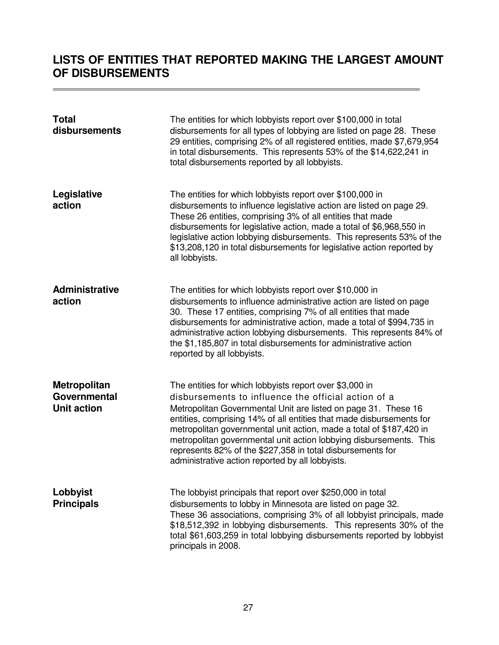### <span id="page-28-0"></span>**LISTS OF ENTITIES THAT REPORTED MAKING THE LARGEST AMOUNT OF DISBURSEMENTS**

| <b>Total</b><br>disbursements                             | The entities for which lobbyists report over \$100,000 in total<br>disbursements for all types of lobbying are listed on page 28. These<br>29 entities, comprising 2% of all registered entities, made \$7,679,954<br>in total disbursements. This represents 53% of the \$14,622,241 in<br>total disbursements reported by all lobbyists.                                                                                                                                                                              |
|-----------------------------------------------------------|-------------------------------------------------------------------------------------------------------------------------------------------------------------------------------------------------------------------------------------------------------------------------------------------------------------------------------------------------------------------------------------------------------------------------------------------------------------------------------------------------------------------------|
| Legislative<br>action                                     | The entities for which lobbyists report over \$100,000 in<br>disbursements to influence legislative action are listed on page 29.<br>These 26 entities, comprising 3% of all entities that made<br>disbursements for legislative action, made a total of \$6,968,550 in<br>legislative action lobbying disbursements. This represents 53% of the<br>\$13,208,120 in total disbursements for legislative action reported by<br>all lobbyists.                                                                            |
| <b>Administrative</b><br>action                           | The entities for which lobbyists report over \$10,000 in<br>disbursements to influence administrative action are listed on page<br>30. These 17 entities, comprising 7% of all entities that made<br>disbursements for administrative action, made a total of \$994,735 in<br>administrative action lobbying disbursements. This represents 84% of<br>the \$1,185,807 in total disbursements for administrative action<br>reported by all lobbyists.                                                                    |
| <b>Metropolitan</b><br>Governmental<br><b>Unit action</b> | The entities for which lobbyists report over \$3,000 in<br>disbursements to influence the official action of a<br>Metropolitan Governmental Unit are listed on page 31. These 16<br>entities, comprising 14% of all entities that made disbursements for<br>metropolitan governmental unit action, made a total of \$187,420 in<br>metropolitan governmental unit action lobbying disbursements. This<br>represents 82% of the \$227,358 in total disbursements for<br>administrative action reported by all lobbyists. |
| Lobbyist<br><b>Principals</b>                             | The lobbyist principals that report over \$250,000 in total<br>disbursements to lobby in Minnesota are listed on page 32.<br>These 36 associations, comprising 3% of all lobbyist principals, made<br>\$18,512,392 in lobbying disbursements. This represents 30% of the<br>total \$61,603,259 in total lobbying disbursements reported by lobbyist<br>principals in 2008.                                                                                                                                              |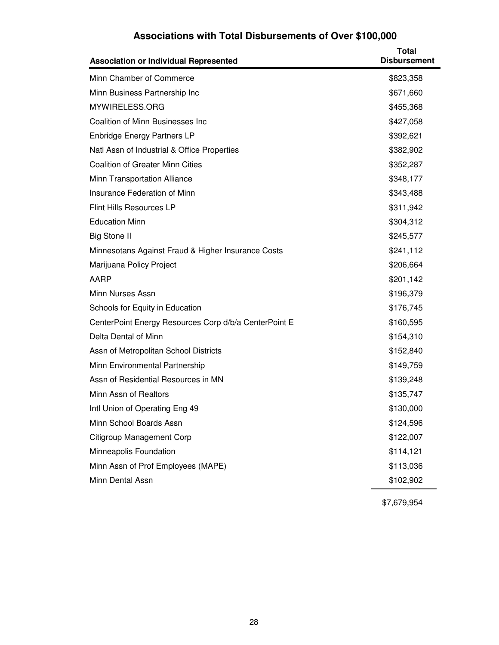# **Associations with Total Disbursements of Over \$100,000**

<span id="page-29-0"></span>

| <b>Association or Individual Represented</b>          | <b>Total</b><br><b>Disbursement</b> |
|-------------------------------------------------------|-------------------------------------|
| Minn Chamber of Commerce                              | \$823,358                           |
| Minn Business Partnership Inc                         | \$671,660                           |
| MYWIRELESS.ORG                                        | \$455,368                           |
| <b>Coalition of Minn Businesses Inc</b>               | \$427,058                           |
| <b>Enbridge Energy Partners LP</b>                    | \$392,621                           |
| Natl Assn of Industrial & Office Properties           | \$382,902                           |
| <b>Coalition of Greater Minn Cities</b>               | \$352,287                           |
| Minn Transportation Alliance                          | \$348,177                           |
| Insurance Federation of Minn                          | \$343,488                           |
| Flint Hills Resources LP                              | \$311,942                           |
| <b>Education Minn</b>                                 | \$304,312                           |
| <b>Big Stone II</b>                                   | \$245,577                           |
| Minnesotans Against Fraud & Higher Insurance Costs    | \$241,112                           |
| Marijuana Policy Project                              | \$206,664                           |
| AARP                                                  | \$201,142                           |
| Minn Nurses Assn                                      | \$196,379                           |
| Schools for Equity in Education                       | \$176,745                           |
| CenterPoint Energy Resources Corp d/b/a CenterPoint E | \$160,595                           |
| Delta Dental of Minn                                  | \$154,310                           |
| Assn of Metropolitan School Districts                 | \$152,840                           |
| Minn Environmental Partnership                        | \$149,759                           |
| Assn of Residential Resources in MN                   | \$139,248                           |
| Minn Assn of Realtors                                 | \$135,747                           |
| Intl Union of Operating Eng 49                        | \$130,000                           |
| Minn School Boards Assn                               | \$124,596                           |
| Citigroup Management Corp                             | \$122,007                           |
| Minneapolis Foundation                                | \$114,121                           |
| Minn Assn of Prof Employees (MAPE)                    | \$113,036                           |
| Minn Dental Assn                                      | \$102,902                           |

\$7,679,954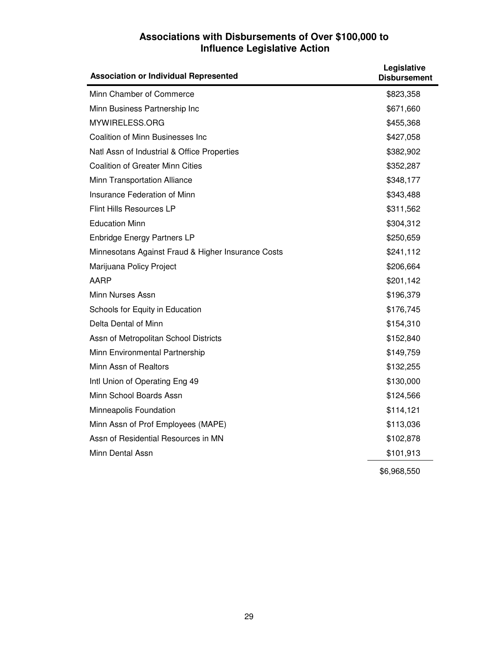### **Associations with Disbursements of Over \$100,000 to Influence Legislative Action**

<span id="page-30-0"></span>

| <b>Association or Individual Represented</b>       | Legislative<br><b>Disbursement</b> |
|----------------------------------------------------|------------------------------------|
| Minn Chamber of Commerce                           | \$823,358                          |
| Minn Business Partnership Inc                      | \$671,660                          |
| MYWIRELESS.ORG                                     | \$455,368                          |
| Coalition of Minn Businesses Inc                   | \$427,058                          |
| Natl Assn of Industrial & Office Properties        | \$382,902                          |
| <b>Coalition of Greater Minn Cities</b>            | \$352,287                          |
| Minn Transportation Alliance                       | \$348,177                          |
| Insurance Federation of Minn                       | \$343,488                          |
| Flint Hills Resources LP                           | \$311,562                          |
| <b>Education Minn</b>                              | \$304,312                          |
| <b>Enbridge Energy Partners LP</b>                 | \$250,659                          |
| Minnesotans Against Fraud & Higher Insurance Costs | \$241,112                          |
| Marijuana Policy Project                           | \$206,664                          |
| AARP                                               | \$201,142                          |
| Minn Nurses Assn                                   | \$196,379                          |
| Schools for Equity in Education                    | \$176,745                          |
| Delta Dental of Minn                               | \$154,310                          |
| Assn of Metropolitan School Districts              | \$152,840                          |
| Minn Environmental Partnership                     | \$149,759                          |
| Minn Assn of Realtors                              | \$132,255                          |
| Intl Union of Operating Eng 49                     | \$130,000                          |
| Minn School Boards Assn                            | \$124,566                          |
| Minneapolis Foundation                             | \$114,121                          |
| Minn Assn of Prof Employees (MAPE)                 | \$113,036                          |
| Assn of Residential Resources in MN                | \$102,878                          |
| Minn Dental Assn                                   | \$101,913                          |
|                                                    | \$6,968,550                        |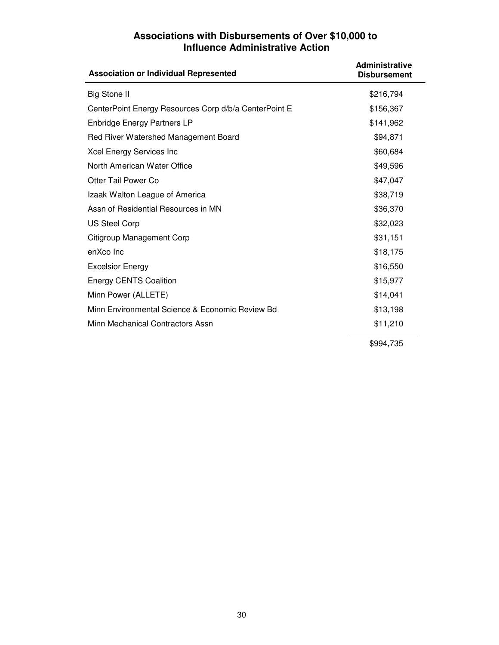### **Associations with Disbursements of Over \$10,000 to Influence Administrative Action**

<span id="page-31-0"></span>

| <b>Association or Individual Represented</b>          | <b>Administrative</b><br><b>Disbursement</b> |
|-------------------------------------------------------|----------------------------------------------|
| <b>Big Stone II</b>                                   | \$216,794                                    |
| CenterPoint Energy Resources Corp d/b/a CenterPoint E | \$156,367                                    |
| <b>Enbridge Energy Partners LP</b>                    | \$141,962                                    |
| Red River Watershed Management Board                  | \$94,871                                     |
| Xcel Energy Services Inc                              | \$60,684                                     |
| North American Water Office                           | \$49,596                                     |
| Otter Tail Power Co                                   | \$47,047                                     |
| Izaak Walton League of America                        | \$38,719                                     |
| Assn of Residential Resources in MN                   | \$36,370                                     |
| <b>US Steel Corp</b>                                  | \$32,023                                     |
| Citigroup Management Corp                             | \$31,151                                     |
| enXco Inc                                             | \$18,175                                     |
| <b>Excelsior Energy</b>                               | \$16,550                                     |
| <b>Energy CENTS Coalition</b>                         | \$15,977                                     |
| Minn Power (ALLETE)                                   | \$14,041                                     |
| Minn Environmental Science & Economic Review Bd       | \$13,198                                     |
| Minn Mechanical Contractors Assn                      | \$11,210                                     |
|                                                       | \$994,735                                    |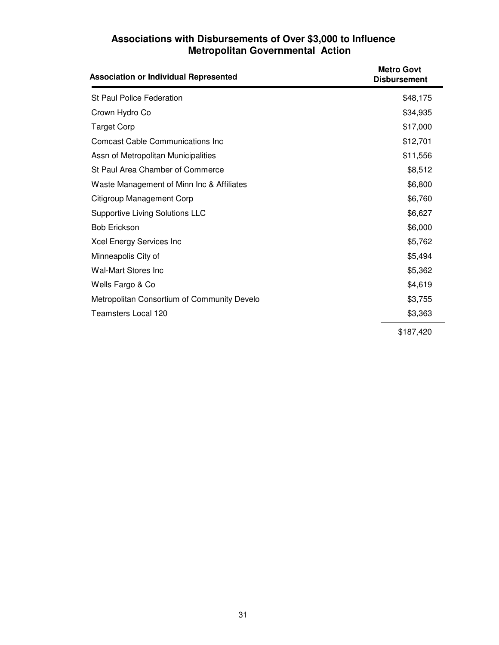### **Associations with Disbursements of Over \$3,000 to Influence Metropolitan Governmental Action**

<span id="page-32-0"></span>

| <b>Association or Individual Represented</b> | <b>Metro Govt</b><br><b>Disbursement</b> |
|----------------------------------------------|------------------------------------------|
| <b>St Paul Police Federation</b>             | \$48,175                                 |
| Crown Hydro Co                               | \$34,935                                 |
| <b>Target Corp</b>                           | \$17,000                                 |
| <b>Comcast Cable Communications Inc</b>      | \$12,701                                 |
| Assn of Metropolitan Municipalities          | \$11,556                                 |
| St Paul Area Chamber of Commerce             | \$8,512                                  |
| Waste Management of Minn Inc & Affiliates    | \$6,800                                  |
| Citigroup Management Corp                    | \$6,760                                  |
| <b>Supportive Living Solutions LLC</b>       | \$6,627                                  |
| <b>Bob Erickson</b>                          | \$6,000                                  |
| Xcel Energy Services Inc                     | \$5,762                                  |
| Minneapolis City of                          | \$5,494                                  |
| <b>Wal-Mart Stores Inc</b>                   | \$5,362                                  |
| Wells Fargo & Co                             | \$4,619                                  |
| Metropolitan Consortium of Community Develo  | \$3,755                                  |
| <b>Teamsters Local 120</b>                   | \$3,363                                  |
|                                              | \$187,420                                |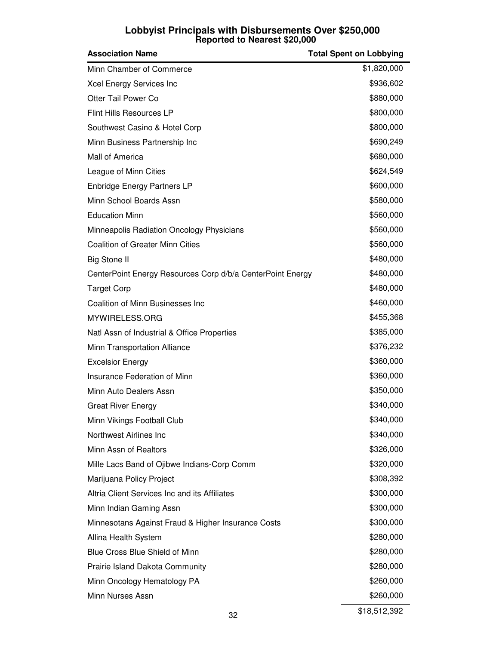### **Lobbyist Principals with Disbursements Over \$250,000 Reported to Nearest \$20,000**

<span id="page-33-0"></span>

| <b>Association Name</b>                                    | <b>Total Spent on Lobbying</b> |
|------------------------------------------------------------|--------------------------------|
| Minn Chamber of Commerce                                   | \$1,820,000                    |
| Xcel Energy Services Inc                                   | \$936,602                      |
| Otter Tail Power Co                                        | \$880,000                      |
| <b>Flint Hills Resources LP</b>                            | \$800,000                      |
| Southwest Casino & Hotel Corp                              | \$800,000                      |
| Minn Business Partnership Inc                              | \$690,249                      |
| Mall of America                                            | \$680,000                      |
| League of Minn Cities                                      | \$624,549                      |
| <b>Enbridge Energy Partners LP</b>                         | \$600,000                      |
| Minn School Boards Assn                                    | \$580,000                      |
| <b>Education Minn</b>                                      | \$560,000                      |
| Minneapolis Radiation Oncology Physicians                  | \$560,000                      |
| <b>Coalition of Greater Minn Cities</b>                    | \$560,000                      |
| <b>Big Stone II</b>                                        | \$480,000                      |
| CenterPoint Energy Resources Corp d/b/a CenterPoint Energy | \$480,000                      |
| <b>Target Corp</b>                                         | \$480,000                      |
| <b>Coalition of Minn Businesses Inc</b>                    | \$460,000                      |
| MYWIRELESS.ORG                                             | \$455,368                      |
| Natl Assn of Industrial & Office Properties                | \$385,000                      |
| Minn Transportation Alliance                               | \$376,232                      |
| <b>Excelsior Energy</b>                                    | \$360,000                      |
| Insurance Federation of Minn                               | \$360,000                      |
| Minn Auto Dealers Assn                                     | \$350,000                      |
| <b>Great River Energy</b>                                  | \$340,000                      |
| Minn Vikings Football Club                                 | \$340,000                      |
| Northwest Airlines Inc                                     | \$340,000                      |
| Minn Assn of Realtors                                      | \$326,000                      |
| Mille Lacs Band of Ojibwe Indians-Corp Comm                | \$320,000                      |
| Marijuana Policy Project                                   | \$308,392                      |
| Altria Client Services Inc and its Affiliates              | \$300,000                      |
| Minn Indian Gaming Assn                                    | \$300,000                      |
| Minnesotans Against Fraud & Higher Insurance Costs         | \$300,000                      |
| Allina Health System                                       | \$280,000                      |
| Blue Cross Blue Shield of Minn                             | \$280,000                      |
| <b>Prairie Island Dakota Community</b>                     | \$280,000                      |
| Minn Oncology Hematology PA                                | \$260,000                      |
| Minn Nurses Assn                                           | \$260,000                      |
| 32                                                         | \$18,512,392                   |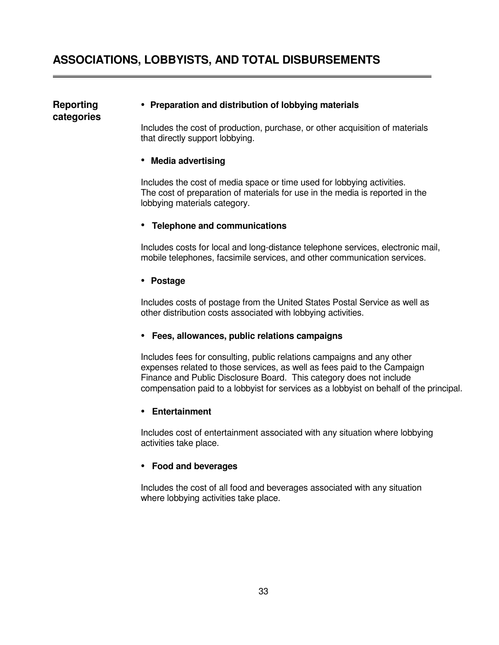#### <span id="page-34-0"></span>**Reporting • Preparation and distribution of lobbying materials**

 Includes the cost of production, purchase, or other acquisition of materials that directly support lobbying.

#### • **Media advertising**

**categories** 

 Includes the cost of media space or time used for lobbying activities. The cost of preparation of materials for use in the media is reported in the lobbying materials category.

#### • **Telephone and communications**

 Includes costs for local and long-distance telephone services, electronic mail, mobile telephones, facsimile services, and other communication services.

#### **• Postage**

 Includes costs of postage from the United States Postal Service as well as other distribution costs associated with lobbying activities.

#### **• Fees, allowances, public relations campaigns**

 Includes fees for consulting, public relations campaigns and any other expenses related to those services, as well as fees paid to the Campaign Finance and Public Disclosure Board. This category does not include compensation paid to a lobbyist for services as a lobbyist on behalf of the principal.

#### **• Entertainment**

 Includes cost of entertainment associated with any situation where lobbying activities take place.

#### **• Food and beverages**

 Includes the cost of all food and beverages associated with any situation where lobbying activities take place.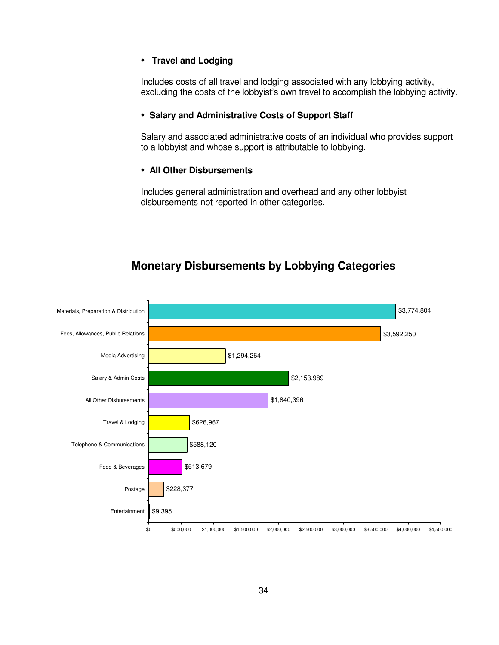#### <span id="page-35-0"></span>**• Travel and Lodging**

 Includes costs of all travel and lodging associated with any lobbying activity, excluding the costs of the lobbyist's own travel to accomplish the lobbying activity.

#### **• Salary and Administrative Costs of Support Staff**

 Salary and associated administrative costs of an individual who provides support to a lobbyist and whose support is attributable to lobbying.

#### **• All Other Disbursements**

 Includes general administration and overhead and any other lobbyist disbursements not reported in other categories.



### **Monetary Disbursements by Lobbying Categories**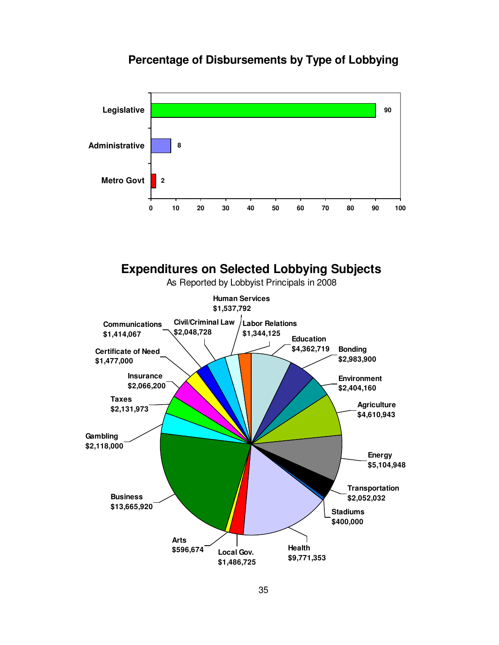# **Percentage of Disbursements by Type of Lobbying**





35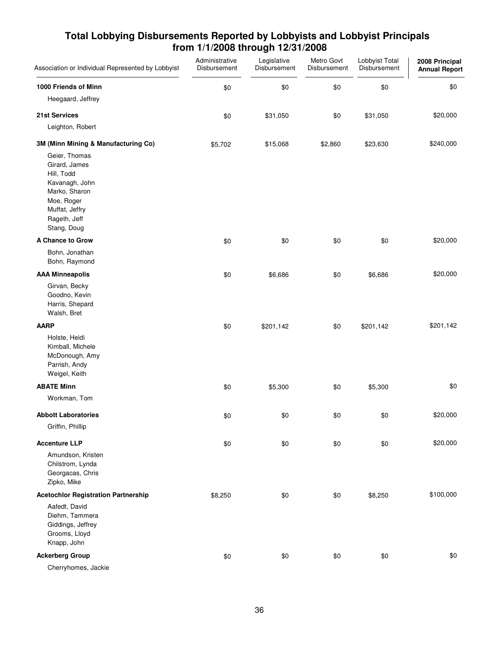| Association or Individual Represented by Lobbyist                                                                                              | Administrative<br>Disbursement | Legislative<br>Disbursement | Metro Govt<br>Disbursement | Lobbyist Total<br>Disbursement | 2008 Principal<br><b>Annual Report</b> |
|------------------------------------------------------------------------------------------------------------------------------------------------|--------------------------------|-----------------------------|----------------------------|--------------------------------|----------------------------------------|
| 1000 Friends of Minn                                                                                                                           | \$0                            | \$0                         | \$0                        | \$0                            | \$0                                    |
| Heegaard, Jeffrey                                                                                                                              |                                |                             |                            |                                |                                        |
| <b>21st Services</b>                                                                                                                           | \$0                            | \$31,050                    | \$0                        | \$31,050                       | \$20,000                               |
| Leighton, Robert                                                                                                                               |                                |                             |                            |                                |                                        |
| 3M (Minn Mining & Manufacturing Co)                                                                                                            | \$5,702                        | \$15,068                    | \$2,860                    | \$23,630                       | \$240,000                              |
| Geier, Thomas<br>Girard, James<br>Hill, Todd<br>Kavanagh, John<br>Marko, Sharon<br>Moe, Roger<br>Muffat, Jeffry<br>Rageth, Jeff<br>Stang, Doug |                                |                             |                            |                                |                                        |
| A Chance to Grow                                                                                                                               | \$0                            | \$0                         | \$0                        | \$0                            | \$20,000                               |
| Bohn, Jonathan<br>Bohn, Raymond                                                                                                                |                                |                             |                            |                                |                                        |
| <b>AAA Minneapolis</b>                                                                                                                         | \$0                            | \$6,686                     | \$0                        | \$6,686                        | \$20,000                               |
| Girvan, Becky<br>Goodno, Kevin<br>Harris, Shepard<br>Walsh, Bret                                                                               |                                |                             |                            |                                |                                        |
| <b>AARP</b>                                                                                                                                    | \$0                            | \$201,142                   | \$0                        | \$201,142                      | \$201,142                              |
| Holste, Heidi<br>Kimball, Michele<br>McDonough, Amy<br>Parrish, Andy<br>Weigel, Keith                                                          |                                |                             |                            |                                |                                        |
| <b>ABATE Minn</b>                                                                                                                              | \$0                            | \$5,300                     | \$0                        | \$5,300                        | \$0                                    |
| Workman, Tom                                                                                                                                   |                                |                             |                            |                                |                                        |
| <b>Abbott Laboratories</b>                                                                                                                     | \$0                            | \$0                         | \$0                        | \$0                            | \$20,000                               |
| Griffin, Phillip                                                                                                                               |                                |                             |                            |                                |                                        |
| <b>Accenture LLP</b>                                                                                                                           | \$0                            | \$0                         | \$0                        | \$0                            | \$20,000                               |
| Amundson, Kristen<br>Chilstrom, Lynda<br>Georgacas, Chris<br>Zipko, Mike                                                                       |                                |                             |                            |                                |                                        |
| <b>Acetochlor Registration Partnership</b>                                                                                                     | \$8,250                        | \$0                         | \$0                        | \$8,250                        | \$100,000                              |
| Aafedt, David<br>Diehm, Tammera<br>Giddings, Jeffrey<br>Grooms, Lloyd<br>Knapp, John                                                           |                                |                             |                            |                                |                                        |
| <b>Ackerberg Group</b>                                                                                                                         | \$0                            | \$0                         | \$0                        | \$0                            | \$0                                    |
| Cherryhomes, Jackie                                                                                                                            |                                |                             |                            |                                |                                        |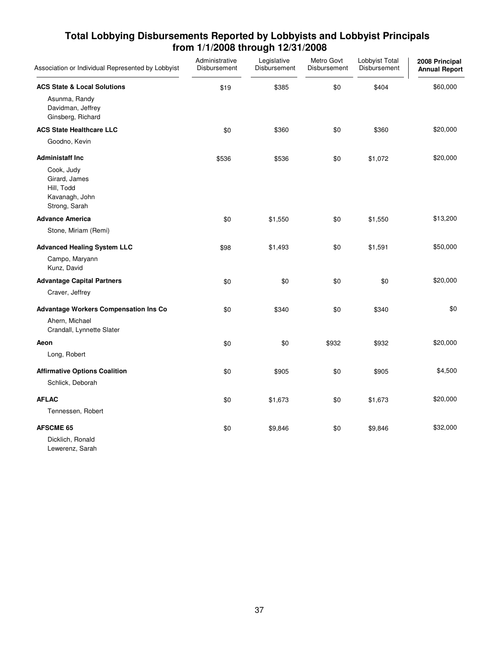| Association or Individual Represented by Lobbyist                                           | Administrative<br>Disbursement | Legislative<br>Disbursement | Metro Govt<br>Disbursement | Lobbyist Total<br>Disbursement | 2008 Principal<br><b>Annual Report</b> |
|---------------------------------------------------------------------------------------------|--------------------------------|-----------------------------|----------------------------|--------------------------------|----------------------------------------|
| <b>ACS State &amp; Local Solutions</b>                                                      | \$19                           | \$385                       | \$0                        | \$404                          | \$60,000                               |
| Asunma, Randy<br>Davidman, Jeffrey<br>Ginsberg, Richard                                     |                                |                             |                            |                                |                                        |
| <b>ACS State Healthcare LLC</b>                                                             | \$0                            | \$360                       | \$0                        | \$360                          | \$20,000                               |
| Goodno, Kevin                                                                               |                                |                             |                            |                                |                                        |
| <b>Administaff Inc.</b>                                                                     | \$536                          | \$536                       | \$0                        | \$1,072                        | \$20,000                               |
| Cook, Judy<br>Girard, James<br>Hill, Todd<br>Kavanagh, John<br>Strong, Sarah                |                                |                             |                            |                                |                                        |
| <b>Advance America</b>                                                                      | \$0                            | \$1,550                     | \$0                        | \$1,550                        | \$13,200                               |
| Stone, Miriam (Remi)                                                                        |                                |                             |                            |                                |                                        |
| <b>Advanced Healing System LLC</b>                                                          | \$98                           | \$1,493                     | \$0                        | \$1,591                        | \$50,000                               |
| Campo, Maryann<br>Kunz, David                                                               |                                |                             |                            |                                |                                        |
| <b>Advantage Capital Partners</b>                                                           | \$0                            | \$0                         | \$0                        | \$0                            | \$20,000                               |
| Craver, Jeffrey                                                                             |                                |                             |                            |                                |                                        |
| <b>Advantage Workers Compensation Ins Co</b><br>Ahern, Michael<br>Crandall, Lynnette Slater | \$0                            | \$340                       | \$0                        | \$340                          | \$0                                    |
| Aeon                                                                                        | \$0                            | \$0                         | \$932                      | \$932                          | \$20,000                               |
| Long, Robert                                                                                |                                |                             |                            |                                |                                        |
| <b>Affirmative Options Coalition</b><br>Schlick, Deborah                                    | \$0                            | \$905                       | \$0                        | \$905                          | \$4,500                                |
| <b>AFLAC</b>                                                                                | \$0                            | \$1,673                     | \$0                        | \$1,673                        | \$20,000                               |
| Tennessen, Robert                                                                           |                                |                             |                            |                                |                                        |
| <b>AFSCME 65</b>                                                                            | \$0                            | \$9,846                     | \$0                        | \$9,846                        | \$32,000                               |
| Dicklich, Ronald                                                                            |                                |                             |                            |                                |                                        |

Lewerenz, Sarah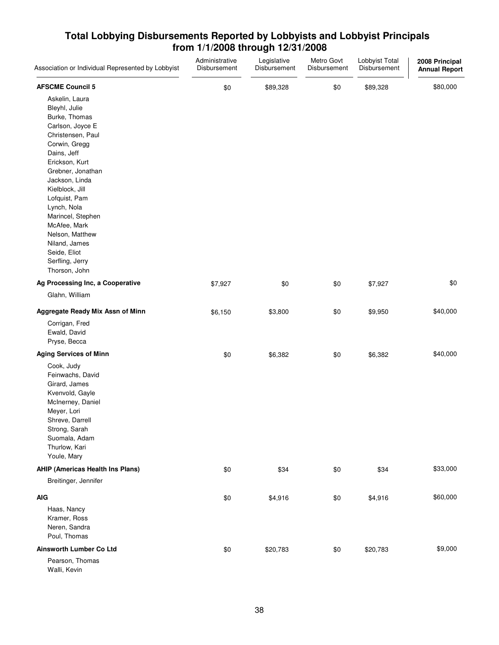| Association or Individual Represented by Lobbyist                                                                                                                                                                                                                                                                                                                  | Administrative<br>Disbursement | Legislative<br>Disbursement | Metro Govt<br>Disbursement | Lobbyist Total<br>Disbursement | 2008 Principal<br><b>Annual Report</b> |
|--------------------------------------------------------------------------------------------------------------------------------------------------------------------------------------------------------------------------------------------------------------------------------------------------------------------------------------------------------------------|--------------------------------|-----------------------------|----------------------------|--------------------------------|----------------------------------------|
| <b>AFSCME Council 5</b>                                                                                                                                                                                                                                                                                                                                            | \$0                            | \$89,328                    | \$0                        | \$89,328                       | \$80,000                               |
| Askelin, Laura<br>Bleyhl, Julie<br>Burke, Thomas<br>Carlson, Joyce E<br>Christensen, Paul<br>Corwin, Gregg<br>Dains, Jeff<br>Erickson, Kurt<br>Grebner, Jonathan<br>Jackson, Linda<br>Kielblock, Jill<br>Lofquist, Pam<br>Lynch, Nola<br>Marincel, Stephen<br>McAfee, Mark<br>Nelson, Matthew<br>Niland, James<br>Seide, Eliot<br>Serfling, Jerry<br>Thorson, John |                                |                             |                            |                                |                                        |
| Ag Processing Inc, a Cooperative<br>Glahn, William                                                                                                                                                                                                                                                                                                                 | \$7,927                        | \$0                         | \$0                        | \$7,927                        | \$0                                    |
| Aggregate Ready Mix Assn of Minn<br>Corrigan, Fred<br>Ewald, David<br>Pryse, Becca                                                                                                                                                                                                                                                                                 | \$6,150                        | \$3,800                     | \$0                        | \$9,950                        | \$40,000                               |
| <b>Aging Services of Minn</b><br>Cook, Judy<br>Feinwachs, David<br>Girard, James<br>Kvenvold, Gayle<br>McInerney, Daniel<br>Meyer, Lori<br>Shreve, Darrell<br>Strong, Sarah<br>Suomala, Adam<br>Thurlow, Kari<br>Youle, Mary                                                                                                                                       | \$0                            | \$6,382                     | \$0                        | \$6,382                        | \$40,000                               |
| <b>AHIP (Americas Health Ins Plans)</b>                                                                                                                                                                                                                                                                                                                            | \$0                            | \$34                        | \$0                        | \$34                           | \$33,000                               |
| Breitinger, Jennifer                                                                                                                                                                                                                                                                                                                                               |                                |                             |                            |                                |                                        |
| <b>AIG</b><br>Haas, Nancy<br>Kramer, Ross<br>Neren, Sandra<br>Poul, Thomas                                                                                                                                                                                                                                                                                         | \$0                            | \$4,916                     | \$0                        | \$4,916                        | \$60,000                               |
| Ainsworth Lumber Co Ltd<br>Pearson, Thomas<br>Walli, Kevin                                                                                                                                                                                                                                                                                                         | \$0                            | \$20,783                    | \$0                        | \$20,783                       | \$9,000                                |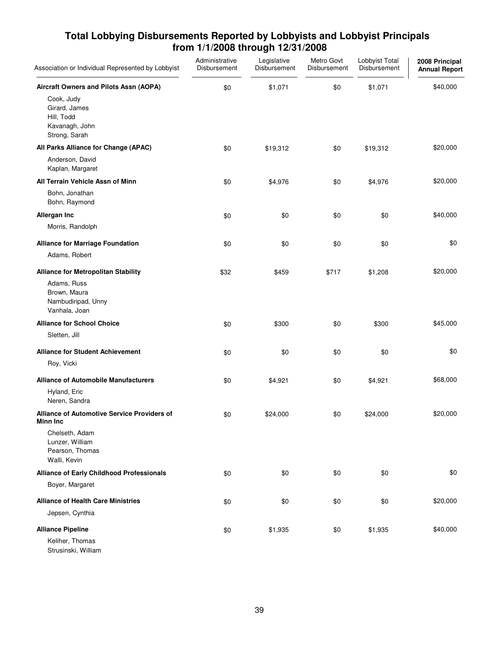| Association or Individual Represented by Lobbyist                            | Administrative<br>Disbursement | Legislative<br>Disbursement | Metro Govt<br>Disbursement | Lobbyist Total<br>Disbursement | 2008 Principal<br><b>Annual Report</b> |
|------------------------------------------------------------------------------|--------------------------------|-----------------------------|----------------------------|--------------------------------|----------------------------------------|
| Aircraft Owners and Pilots Assn (AOPA)                                       | \$0                            | \$1,071                     | \$0                        | \$1,071                        | \$40,000                               |
| Cook, Judy<br>Girard, James<br>Hill, Todd<br>Kavanagh, John<br>Strong, Sarah |                                |                             |                            |                                |                                        |
| All Parks Alliance for Change (APAC)                                         | \$0                            | \$19,312                    | \$0                        | \$19,312                       | \$20,000                               |
| Anderson, David<br>Kaplan, Margaret                                          |                                |                             |                            |                                |                                        |
| All Terrain Vehicle Assn of Minn                                             | \$0                            | \$4,976                     | \$0                        | \$4,976                        | \$20,000                               |
| Bohn, Jonathan<br>Bohn, Raymond                                              |                                |                             |                            |                                |                                        |
| Allergan Inc                                                                 | \$0                            | \$0                         | \$0                        | \$0                            | \$40,000                               |
| Morris, Randolph                                                             |                                |                             |                            |                                |                                        |
| <b>Alliance for Marriage Foundation</b>                                      | \$0                            | \$0                         | \$0                        | \$0                            | \$0                                    |
| Adams, Robert                                                                |                                |                             |                            |                                |                                        |
| <b>Alliance for Metropolitan Stability</b>                                   | \$32                           | \$459                       | \$717                      | \$1,208                        | \$20,000                               |
| Adams, Russ<br>Brown, Maura<br>Nambudiripad, Unny<br>Vanhala, Joan           |                                |                             |                            |                                |                                        |
| <b>Alliance for School Choice</b>                                            | \$0                            | \$300                       | \$0                        | \$300                          | \$45,000                               |
| Sletten, Jill                                                                |                                |                             |                            |                                |                                        |
| <b>Alliance for Student Achievement</b>                                      | \$0                            | \$0                         | \$0                        | \$0                            | \$0                                    |
| Roy, Vicki                                                                   |                                |                             |                            |                                |                                        |
| <b>Alliance of Automobile Manufacturers</b>                                  | \$0                            | \$4,921                     | \$0                        | \$4,921                        | \$68,000                               |
| Hyland, Eric<br>Neren, Sandra                                                |                                |                             |                            |                                |                                        |
| <b>Alliance of Automotive Service Providers of</b><br><b>Minn Inc</b>        | \$0                            | \$24,000                    | \$0                        | \$24,000                       | \$20,000                               |
| Chelseth, Adam<br>Lunzer, William<br>Pearson, Thomas<br>Walli, Kevin         |                                |                             |                            |                                |                                        |
| <b>Alliance of Early Childhood Professionals</b>                             | \$0                            | \$0                         | \$0                        | \$0                            | \$0                                    |
| Boyer, Margaret                                                              |                                |                             |                            |                                |                                        |
| <b>Alliance of Health Care Ministries</b>                                    | \$0                            | \$0                         | \$0                        | \$0                            | \$20,000                               |
| Jepsen, Cynthia                                                              |                                |                             |                            |                                |                                        |
| <b>Alliance Pipeline</b>                                                     | \$0                            | \$1,935                     | \$0                        | \$1,935                        | \$40,000                               |
| Keliher, Thomas<br>Strusinski, William                                       |                                |                             |                            |                                |                                        |

39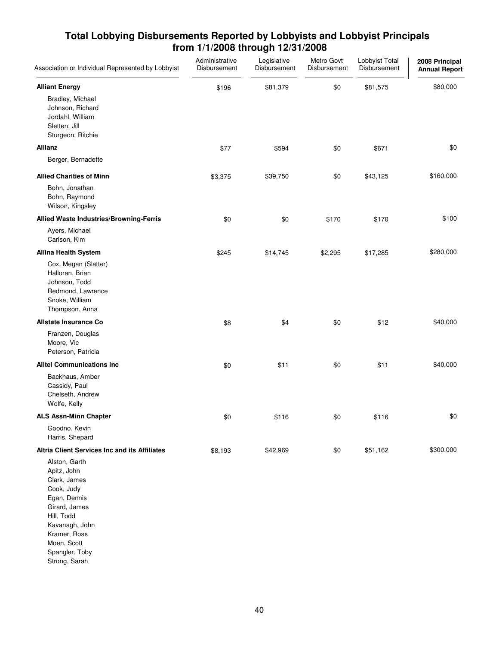| Association or Individual Represented by Lobbyist                                                                                                                            | Administrative<br>Disbursement | Legislative<br>Disbursement | Metro Govt<br>Disbursement | Lobbyist Total<br>Disbursement | 2008 Principal<br><b>Annual Report</b> |
|------------------------------------------------------------------------------------------------------------------------------------------------------------------------------|--------------------------------|-----------------------------|----------------------------|--------------------------------|----------------------------------------|
| <b>Alliant Energy</b><br>Bradley, Michael<br>Johnson, Richard<br>Jordahl, William<br>Sletten, Jill<br>Sturgeon, Ritchie                                                      | \$196                          | \$81,379                    | \$0                        | \$81,575                       | \$80,000                               |
| <b>Allianz</b>                                                                                                                                                               | \$77                           | \$594                       | \$0                        | \$671                          | \$0                                    |
| Berger, Bernadette                                                                                                                                                           |                                |                             |                            |                                |                                        |
| <b>Allied Charities of Minn</b><br>Bohn, Jonathan<br>Bohn, Raymond<br>Wilson, Kingsley                                                                                       | \$3,375                        | \$39,750                    | \$0                        | \$43,125                       | \$160,000                              |
| Allied Waste Industries/Browning-Ferris                                                                                                                                      | \$0                            | \$0                         | \$170                      | \$170                          | \$100                                  |
| Ayers, Michael<br>Carlson, Kim                                                                                                                                               |                                |                             |                            |                                |                                        |
| <b>Allina Health System</b><br>Cox, Megan (Slatter)<br>Halloran, Brian<br>Johnson, Todd<br>Redmond, Lawrence<br>Snoke, William<br>Thompson, Anna                             | \$245                          | \$14,745                    | \$2,295                    | \$17,285                       | \$280,000                              |
| <b>Allstate Insurance Co</b>                                                                                                                                                 | \$8                            | \$4                         | \$0                        | \$12                           | \$40,000                               |
| Franzen, Douglas<br>Moore, Vic<br>Peterson, Patricia                                                                                                                         |                                |                             |                            |                                |                                        |
| <b>Alltel Communications Inc.</b>                                                                                                                                            | \$0                            | \$11                        | \$0                        | \$11                           | \$40,000                               |
| Backhaus, Amber<br>Cassidy, Paul<br>Chelseth, Andrew<br>Wolfe, Kelly                                                                                                         |                                |                             |                            |                                |                                        |
| <b>ALS Assn-Minn Chapter</b>                                                                                                                                                 | \$0                            | \$116                       | \$0                        | \$116                          | \$0                                    |
| Goodno, Kevin<br>Harris, Shepard                                                                                                                                             |                                |                             |                            |                                |                                        |
| <b>Altria Client Services Inc and its Affiliates</b>                                                                                                                         | \$8,193                        | \$42,969                    | \$0                        | \$51,162                       | \$300,000                              |
| Alston, Garth<br>Apitz, John<br>Clark, James<br>Cook, Judy<br>Egan, Dennis<br>Girard, James<br>Hill, Todd<br>Kavanagh, John<br>Kramer, Ross<br>Moen, Scott<br>Spangler, Toby |                                |                             |                            |                                |                                        |

Strong, Sarah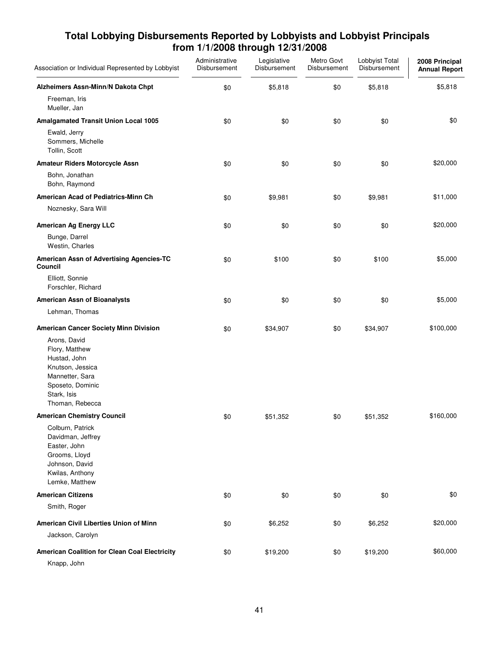| Association or Individual Represented by Lobbyist                                                                                           | Administrative<br>Disbursement | Legislative<br>Disbursement | Metro Govt<br>Disbursement | Lobbyist Total<br>Disbursement | 2008 Principal<br><b>Annual Report</b> |
|---------------------------------------------------------------------------------------------------------------------------------------------|--------------------------------|-----------------------------|----------------------------|--------------------------------|----------------------------------------|
| Alzheimers Assn-Minn/N Dakota Chpt                                                                                                          | \$0                            | \$5,818                     | \$0                        | \$5,818                        | \$5,818                                |
| Freeman, Iris<br>Mueller, Jan                                                                                                               |                                |                             |                            |                                |                                        |
| <b>Amalgamated Transit Union Local 1005</b>                                                                                                 | \$0                            | \$0                         | \$0                        | \$0                            | \$0                                    |
| Ewald, Jerry<br>Sommers, Michelle<br>Tollin, Scott                                                                                          |                                |                             |                            |                                |                                        |
| Amateur Riders Motorcycle Assn                                                                                                              | \$0                            | \$0                         | \$0                        | \$0                            | \$20,000                               |
| Bohn, Jonathan<br>Bohn, Raymond                                                                                                             |                                |                             |                            |                                |                                        |
| American Acad of Pediatrics-Minn Ch                                                                                                         | \$0                            | \$9,981                     | \$0                        | \$9,981                        | \$11,000                               |
| Noznesky, Sara Will                                                                                                                         |                                |                             |                            |                                |                                        |
| American Ag Energy LLC                                                                                                                      | \$0                            | \$0                         | \$0                        | \$0                            | \$20,000                               |
| Bunge, Darrel<br>Westin, Charles                                                                                                            |                                |                             |                            |                                |                                        |
| American Assn of Advertising Agencies-TC<br>Council                                                                                         | \$0                            | \$100                       | \$0                        | \$100                          | \$5,000                                |
| Elliott, Sonnie<br>Forschler, Richard                                                                                                       |                                |                             |                            |                                |                                        |
| <b>American Assn of Bioanalysts</b>                                                                                                         | \$0                            | \$0                         | \$0                        | \$0                            | \$5,000                                |
| Lehman, Thomas                                                                                                                              |                                |                             |                            |                                |                                        |
| American Cancer Society Minn Division                                                                                                       | \$0                            | \$34,907                    | \$0                        | \$34,907                       | \$100,000                              |
| Arons, David<br>Flory, Matthew<br>Hustad, John<br>Knutson, Jessica<br>Mannetter, Sara<br>Sposeto, Dominic<br>Stark, Isis<br>Thoman, Rebecca |                                |                             |                            |                                |                                        |
| <b>American Chemistry Council</b>                                                                                                           | \$0                            | \$51,352                    | \$0                        | \$51,352                       | \$160,000                              |
| Colburn, Patrick<br>Davidman, Jeffrey<br>Easter, John<br>Grooms, Lloyd<br>Johnson, David<br>Kwilas, Anthony<br>Lemke, Matthew               |                                |                             |                            |                                |                                        |
| <b>American Citizens</b>                                                                                                                    | \$0                            | \$0                         | \$0                        | \$0                            | \$0                                    |
| Smith, Roger                                                                                                                                |                                |                             |                            |                                |                                        |
| American Civil Liberties Union of Minn                                                                                                      | \$0                            | \$6,252                     | \$0                        | \$6,252                        | \$20,000                               |
| Jackson, Carolyn                                                                                                                            |                                |                             |                            |                                |                                        |
| American Coalition for Clean Coal Electricity<br>Knapp, John                                                                                | \$0                            | \$19,200                    | \$0                        | \$19,200                       | \$60,000                               |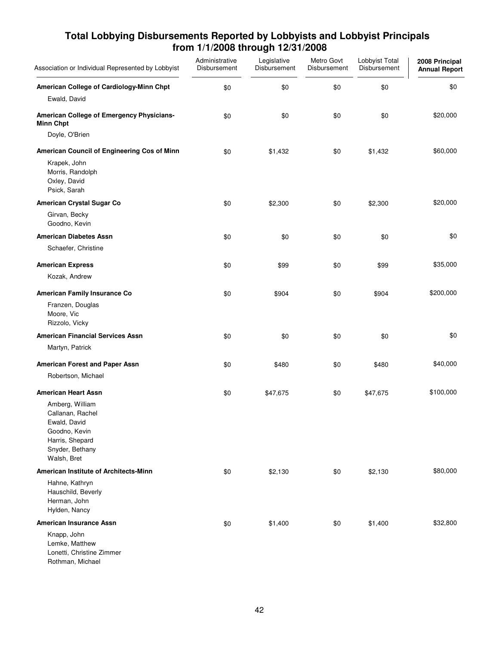| Association or Individual Represented by Lobbyist                                                                         | Administrative<br>Disbursement | Legislative<br>Disbursement | Metro Govt<br>Disbursement | Lobbyist Total<br>Disbursement | 2008 Principal<br><b>Annual Report</b> |
|---------------------------------------------------------------------------------------------------------------------------|--------------------------------|-----------------------------|----------------------------|--------------------------------|----------------------------------------|
| American College of Cardiology-Minn Chpt                                                                                  | \$0                            | \$0                         | \$0                        | \$0                            | \$0                                    |
| Ewald, David                                                                                                              |                                |                             |                            |                                |                                        |
| American College of Emergency Physicians-<br><b>Minn Chpt</b>                                                             | \$0                            | \$0                         | \$0                        | \$0                            | \$20,000                               |
| Doyle, O'Brien                                                                                                            |                                |                             |                            |                                |                                        |
| American Council of Engineering Cos of Minn                                                                               | \$0                            | \$1,432                     | \$0                        | \$1,432                        | \$60,000                               |
| Krapek, John<br>Morris, Randolph<br>Oxley, David<br>Psick, Sarah                                                          |                                |                             |                            |                                |                                        |
| American Crystal Sugar Co                                                                                                 | \$0                            | \$2,300                     | \$0                        | \$2,300                        | \$20,000                               |
| Girvan, Becky<br>Goodno, Kevin                                                                                            |                                |                             |                            |                                |                                        |
| <b>American Diabetes Assn</b>                                                                                             | \$0                            | \$0                         | \$0                        | \$0                            | \$0                                    |
| Schaefer, Christine                                                                                                       |                                |                             |                            |                                |                                        |
| <b>American Express</b>                                                                                                   | \$0                            | \$99                        | \$0                        | \$99                           | \$35,000                               |
| Kozak, Andrew                                                                                                             |                                |                             |                            |                                |                                        |
| American Family Insurance Co                                                                                              | \$0                            | \$904                       | \$0                        | \$904                          | \$200,000                              |
| Franzen, Douglas<br>Moore, Vic<br>Rizzolo, Vicky                                                                          |                                |                             |                            |                                |                                        |
| <b>American Financial Services Assn</b>                                                                                   | \$0                            | \$0                         | \$0                        | \$0                            | \$0                                    |
| Martyn, Patrick                                                                                                           |                                |                             |                            |                                |                                        |
| American Forest and Paper Assn                                                                                            | \$0                            | \$480                       | \$0                        | \$480                          | \$40,000                               |
| Robertson, Michael                                                                                                        |                                |                             |                            |                                |                                        |
| <b>American Heart Assn</b>                                                                                                | \$0                            | \$47,675                    | \$0                        | \$47,675                       | \$100,000                              |
| Amberg, William<br>Callanan, Rachel<br>Ewald, David<br>Goodno, Kevin<br>Harris, Shepard<br>Snyder, Bethany<br>Walsh, Bret |                                |                             |                            |                                |                                        |
| American Institute of Architects-Minn                                                                                     | \$0                            | \$2,130                     | \$0                        | \$2,130                        | \$80,000                               |
| Hahne, Kathryn<br>Hauschild, Beverly<br>Herman, John<br>Hylden, Nancy                                                     |                                |                             |                            |                                |                                        |
| American Insurance Assn                                                                                                   | \$0                            | \$1,400                     | \$0                        | \$1,400                        | \$32,800                               |
| Knapp, John<br>Lemke, Matthew<br>Lonetti, Christine Zimmer<br>Rothman, Michael                                            |                                |                             |                            |                                |                                        |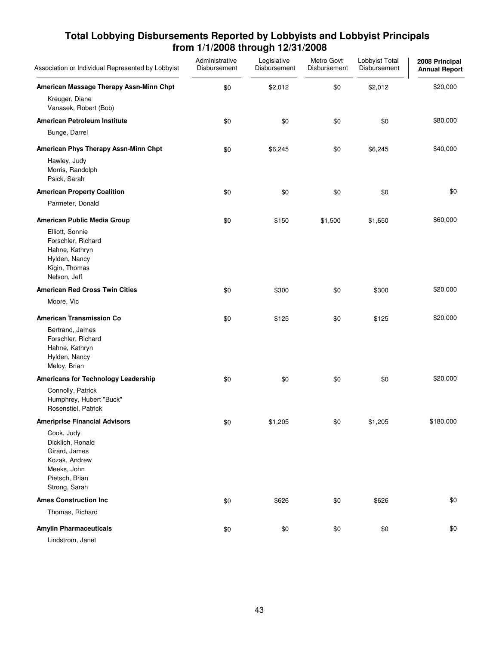| Association or Individual Represented by Lobbyist                                                                  | Administrative<br>Disbursement | Legislative<br>Disbursement | Metro Govt<br>Disbursement | Lobbyist Total<br>Disbursement | 2008 Principal<br><b>Annual Report</b> |
|--------------------------------------------------------------------------------------------------------------------|--------------------------------|-----------------------------|----------------------------|--------------------------------|----------------------------------------|
| American Massage Therapy Assn-Minn Chpt                                                                            | \$0                            | \$2,012                     | \$0                        | \$2,012                        | \$20,000                               |
| Kreuger, Diane<br>Vanasek, Robert (Bob)                                                                            |                                |                             |                            |                                |                                        |
| American Petroleum Institute                                                                                       | \$0                            | \$0                         | \$0                        | \$0                            | \$80,000                               |
| Bunge, Darrel                                                                                                      |                                |                             |                            |                                |                                        |
| American Phys Therapy Assn-Minn Chpt                                                                               | \$0                            | \$6,245                     | \$0                        | \$6,245                        | \$40,000                               |
| Hawley, Judy<br>Morris, Randolph<br>Psick, Sarah                                                                   |                                |                             |                            |                                |                                        |
| <b>American Property Coalition</b>                                                                                 | \$0                            | \$0                         | \$0                        | \$0                            | \$0                                    |
| Parmeter, Donald                                                                                                   |                                |                             |                            |                                |                                        |
| American Public Media Group                                                                                        | \$0                            | \$150                       | \$1,500                    | \$1,650                        | \$60,000                               |
| Elliott, Sonnie<br>Forschler, Richard<br>Hahne, Kathryn<br>Hylden, Nancy<br>Kigin, Thomas<br>Nelson, Jeff          |                                |                             |                            |                                |                                        |
| <b>American Red Cross Twin Cities</b>                                                                              | \$0                            | \$300                       | \$0                        | \$300                          | \$20,000                               |
| Moore, Vic                                                                                                         |                                |                             |                            |                                |                                        |
| <b>American Transmission Co</b>                                                                                    | \$0                            | \$125                       | \$0                        | \$125                          | \$20,000                               |
| Bertrand, James<br>Forschler, Richard<br>Hahne, Kathryn<br>Hylden, Nancy<br>Meloy, Brian                           |                                |                             |                            |                                |                                        |
| Americans for Technology Leadership                                                                                | \$0                            | \$0                         | \$0                        | \$0                            | \$20,000                               |
| Connolly, Patrick<br>Humphrey, Hubert "Buck"<br>Rosenstiel, Patrick                                                |                                |                             |                            |                                |                                        |
| <b>Ameriprise Financial Advisors</b>                                                                               | \$0                            | \$1,205                     | \$0                        | \$1,205                        | \$180,000                              |
| Cook, Judy<br>Dicklich, Ronald<br>Girard, James<br>Kozak, Andrew<br>Meeks, John<br>Pietsch, Brian<br>Strong, Sarah |                                |                             |                            |                                |                                        |
| <b>Ames Construction Inc.</b>                                                                                      | \$0                            | \$626                       | \$0                        | \$626                          | \$0                                    |
| Thomas, Richard                                                                                                    |                                |                             |                            |                                |                                        |
| <b>Amylin Pharmaceuticals</b>                                                                                      | \$0                            | \$0                         | \$0                        | \$0                            | \$0                                    |
| Lindstrom, Janet                                                                                                   |                                |                             |                            |                                |                                        |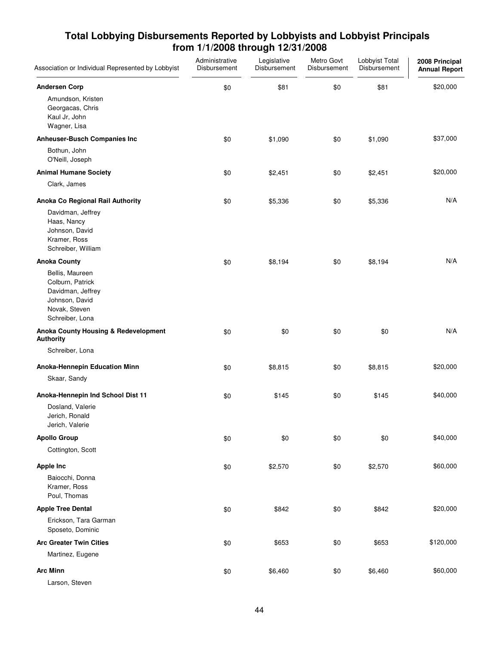| Association or Individual Represented by Lobbyist                                                              | Administrative<br>Disbursement | Legislative<br>Disbursement | Metro Govt<br>Disbursement | Lobbyist Total<br>Disbursement | 2008 Principal<br><b>Annual Report</b> |
|----------------------------------------------------------------------------------------------------------------|--------------------------------|-----------------------------|----------------------------|--------------------------------|----------------------------------------|
| <b>Andersen Corp</b>                                                                                           | \$0                            | \$81                        | \$0                        | \$81                           | \$20,000                               |
| Amundson, Kristen<br>Georgacas, Chris<br>Kaul Jr, John<br>Wagner, Lisa                                         |                                |                             |                            |                                |                                        |
| Anheuser-Busch Companies Inc                                                                                   | \$0                            | \$1,090                     | \$0                        | \$1,090                        | \$37,000                               |
| Bothun, John<br>O'Neill, Joseph                                                                                |                                |                             |                            |                                |                                        |
| <b>Animal Humane Society</b>                                                                                   | \$0                            | \$2,451                     | \$0                        | \$2,451                        | \$20,000                               |
| Clark, James                                                                                                   |                                |                             |                            |                                |                                        |
| Anoka Co Regional Rail Authority                                                                               | \$0                            | \$5,336                     | \$0                        | \$5,336                        | N/A                                    |
| Davidman, Jeffrey<br>Haas, Nancy<br>Johnson, David<br>Kramer, Ross<br>Schreiber, William                       |                                |                             |                            |                                |                                        |
| <b>Anoka County</b>                                                                                            | \$0                            | \$8,194                     | \$0                        | \$8,194                        | N/A                                    |
| Bellis, Maureen<br>Colburn, Patrick<br>Davidman, Jeffrey<br>Johnson, David<br>Novak, Steven<br>Schreiber, Lona |                                |                             |                            |                                |                                        |
| Anoka County Housing & Redevelopment<br><b>Authority</b>                                                       | \$0                            | \$0                         | \$0                        | \$0                            | N/A                                    |
| Schreiber, Lona                                                                                                |                                |                             |                            |                                |                                        |
| Anoka-Hennepin Education Minn                                                                                  | \$0                            | \$8,815                     | \$0                        | \$8,815                        | \$20,000                               |
| Skaar, Sandy                                                                                                   |                                |                             |                            |                                |                                        |
| Anoka-Hennepin Ind School Dist 11                                                                              | \$0                            | \$145                       | \$0                        | \$145                          | \$40,000                               |
| Dosland, Valerie<br>Jerich, Ronald<br>Jerich, Valerie                                                          |                                |                             |                            |                                |                                        |
| <b>Apollo Group</b>                                                                                            | \$0                            | \$0                         | \$0                        | \$0                            | \$40,000                               |
| Cottington, Scott                                                                                              |                                |                             |                            |                                |                                        |
| <b>Apple Inc</b>                                                                                               | \$0                            | \$2,570                     | \$0                        | \$2,570                        | \$60,000                               |
| Baiocchi, Donna<br>Kramer, Ross<br>Poul, Thomas                                                                |                                |                             |                            |                                |                                        |
| <b>Apple Tree Dental</b>                                                                                       | \$0                            | \$842                       | \$0                        | \$842                          | \$20,000                               |
| Erickson, Tara Garman<br>Sposeto, Dominic                                                                      |                                |                             |                            |                                |                                        |
| <b>Arc Greater Twin Cities</b>                                                                                 | \$0                            | \$653                       | \$0                        | \$653                          | \$120,000                              |
| Martinez, Eugene                                                                                               |                                |                             |                            |                                |                                        |
| <b>Arc Minn</b>                                                                                                | \$0                            | \$6,460                     | \$0                        | \$6,460                        | \$60,000                               |
| Larson, Steven                                                                                                 |                                |                             |                            |                                |                                        |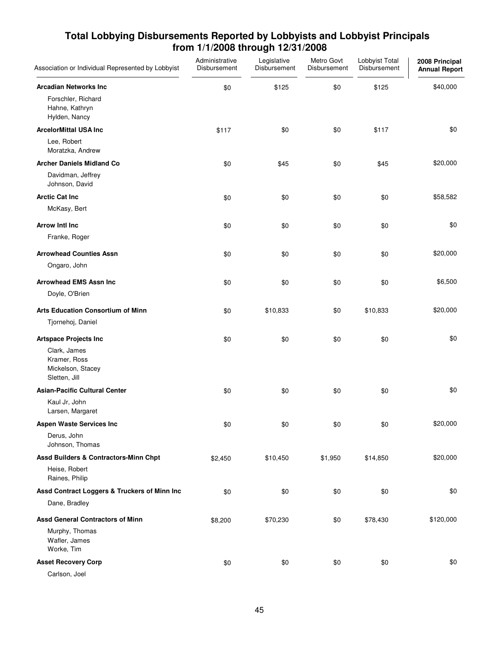| Association or Individual Represented by Lobbyist                  | Administrative<br>Disbursement | Legislative<br>Disbursement | Metro Govt<br>Disbursement | Lobbyist Total<br>Disbursement | 2008 Principal<br><b>Annual Report</b> |
|--------------------------------------------------------------------|--------------------------------|-----------------------------|----------------------------|--------------------------------|----------------------------------------|
| <b>Arcadian Networks Inc.</b>                                      | \$0                            | \$125                       | \$0                        | \$125                          | \$40,000                               |
| Forschler, Richard<br>Hahne, Kathryn<br>Hylden, Nancy              |                                |                             |                            |                                |                                        |
| <b>ArcelorMittal USA Inc</b>                                       | \$117                          | \$0                         | \$0                        | \$117                          | \$0                                    |
| Lee, Robert<br>Moratzka, Andrew                                    |                                |                             |                            |                                |                                        |
| <b>Archer Daniels Midland Co</b>                                   | \$0                            | \$45                        | \$0                        | \$45                           | \$20,000                               |
| Davidman, Jeffrey<br>Johnson, David                                |                                |                             |                            |                                |                                        |
| <b>Arctic Cat Inc</b>                                              | \$0                            | \$0                         | \$0                        | \$0                            | \$58,582                               |
| McKasy, Bert                                                       |                                |                             |                            |                                |                                        |
| <b>Arrow Intl Inc.</b>                                             | \$0                            | \$0                         | \$0                        | \$0                            | \$0                                    |
| Franke, Roger                                                      |                                |                             |                            |                                |                                        |
| <b>Arrowhead Counties Assn</b>                                     | \$0                            | \$0                         | \$0                        | \$0                            | \$20,000                               |
| Ongaro, John                                                       |                                |                             |                            |                                |                                        |
| <b>Arrowhead EMS Assn Inc</b>                                      | \$0                            | \$0                         | \$0                        | \$0                            | \$6,500                                |
| Doyle, O'Brien                                                     |                                |                             |                            |                                |                                        |
| <b>Arts Education Consortium of Minn</b>                           | \$0                            | \$10,833                    | \$0                        | \$10,833                       | \$20,000                               |
| Tjornehoj, Daniel                                                  |                                |                             |                            |                                |                                        |
| <b>Artspace Projects Inc</b>                                       | \$0                            | \$0                         | \$0                        | \$0                            | \$0                                    |
| Clark, James<br>Kramer, Ross<br>Mickelson, Stacey<br>Sletten, Jill |                                |                             |                            |                                |                                        |
| <b>Asian-Pacific Cultural Center</b>                               | \$0                            | \$0                         | \$0                        | \$0                            | \$0                                    |
| Kaul Jr, John<br>Larsen, Margaret                                  |                                |                             |                            |                                |                                        |
| <b>Aspen Waste Services Inc</b>                                    | \$0                            | \$0                         | \$0                        | \$0                            | \$20,000                               |
| Derus, John<br>Johnson, Thomas                                     |                                |                             |                            |                                |                                        |
| Assd Builders & Contractors-Minn Chpt                              | \$2,450                        | \$10,450                    | \$1,950                    | \$14,850                       | \$20,000                               |
| Heise, Robert<br>Raines, Philip                                    |                                |                             |                            |                                |                                        |
| Assd Contract Loggers & Truckers of Minn Inc                       | \$0                            | \$0                         | \$0                        | \$0                            | \$0                                    |
| Dane, Bradley                                                      |                                |                             |                            |                                |                                        |
| <b>Assd General Contractors of Minn</b>                            | \$8,200                        | \$70,230                    | \$0                        | \$78,430                       | \$120,000                              |
| Murphy, Thomas<br>Wafler, James<br>Worke, Tim                      |                                |                             |                            |                                |                                        |
| <b>Asset Recovery Corp</b>                                         | \$0                            | \$0                         | \$0                        | \$0                            | \$0                                    |
| Carlson, Joel                                                      |                                |                             |                            |                                |                                        |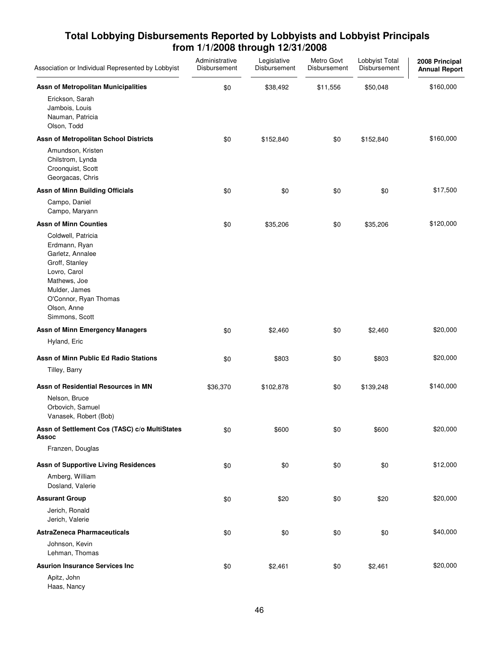| Association or Individual Represented by Lobbyist                                                                                                                                    | Administrative<br>Disbursement | Legislative<br>Disbursement | Metro Govt<br>Disbursement | Lobbyist Total<br>Disbursement | 2008 Principal<br><b>Annual Report</b> |
|--------------------------------------------------------------------------------------------------------------------------------------------------------------------------------------|--------------------------------|-----------------------------|----------------------------|--------------------------------|----------------------------------------|
| Assn of Metropolitan Municipalities                                                                                                                                                  | \$0                            | \$38,492                    | \$11,556                   | \$50,048                       | \$160,000                              |
| Erickson, Sarah<br>Jambois, Louis<br>Nauman, Patricia<br>Olson, Todd                                                                                                                 |                                |                             |                            |                                |                                        |
| Assn of Metropolitan School Districts                                                                                                                                                | \$0                            | \$152,840                   | \$0                        | \$152,840                      | \$160,000                              |
| Amundson, Kristen<br>Chilstrom, Lynda<br>Croonquist, Scott<br>Georgacas, Chris                                                                                                       |                                |                             |                            |                                |                                        |
| <b>Assn of Minn Building Officials</b>                                                                                                                                               | \$0                            | \$0                         | \$0                        | \$0                            | \$17,500                               |
| Campo, Daniel<br>Campo, Maryann                                                                                                                                                      |                                |                             |                            |                                |                                        |
| <b>Assn of Minn Counties</b>                                                                                                                                                         | \$0                            | \$35,206                    | \$0                        | \$35,206                       | \$120,000                              |
| Coldwell, Patricia<br>Erdmann, Ryan<br>Garletz, Annalee<br>Groff, Stanley<br>Lovro, Carol<br>Mathews, Joe<br>Mulder, James<br>O'Connor, Ryan Thomas<br>Olson, Anne<br>Simmons, Scott |                                |                             |                            |                                |                                        |
| <b>Assn of Minn Emergency Managers</b>                                                                                                                                               | \$0                            | \$2,460                     | \$0                        | \$2,460                        | \$20,000                               |
| Hyland, Eric                                                                                                                                                                         |                                |                             |                            |                                |                                        |
| Assn of Minn Public Ed Radio Stations                                                                                                                                                | \$0                            | \$803                       | \$0                        | \$803                          | \$20,000                               |
| Tilley, Barry                                                                                                                                                                        |                                |                             |                            |                                |                                        |
| Assn of Residential Resources in MN                                                                                                                                                  | \$36,370                       | \$102,878                   | \$0                        | \$139,248                      | \$140,000                              |
| Nelson, Bruce<br>Orbovich, Samuel<br>Vanasek, Robert (Bob)                                                                                                                           |                                |                             |                            |                                |                                        |
| Assn of Settlement Cos (TASC) c/o MultiStates<br><b>Assoc</b>                                                                                                                        | \$0                            | \$600                       | \$0                        | \$600                          | \$20,000                               |
| Franzen, Douglas                                                                                                                                                                     |                                |                             |                            |                                |                                        |
| <b>Assn of Supportive Living Residences</b>                                                                                                                                          | \$0                            | \$0                         | \$0                        | \$0                            | \$12,000                               |
| Amberg, William<br>Dosland, Valerie                                                                                                                                                  |                                |                             |                            |                                |                                        |
| <b>Assurant Group</b>                                                                                                                                                                | \$0                            | \$20                        | \$0                        | \$20                           | \$20,000                               |
| Jerich, Ronald<br>Jerich, Valerie                                                                                                                                                    |                                |                             |                            |                                |                                        |
| <b>AstraZeneca Pharmaceuticals</b>                                                                                                                                                   | \$0                            | \$0                         | \$0                        | \$0                            | \$40,000                               |
| Johnson, Kevin<br>Lehman, Thomas                                                                                                                                                     |                                |                             |                            |                                |                                        |
| <b>Asurion Insurance Services Inc</b>                                                                                                                                                | \$0                            | \$2,461                     | \$0                        | \$2,461                        | \$20,000                               |
| Apitz, John<br>Haas, Nancy                                                                                                                                                           |                                |                             |                            |                                |                                        |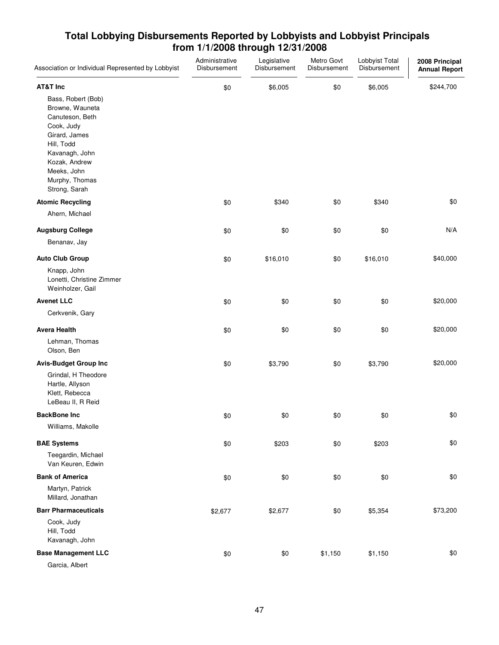| Association or Individual Represented by Lobbyist                                                                                                                                          | Administrative<br>Disbursement | Legislative<br>Disbursement | Metro Govt<br>Disbursement | Lobbyist Total<br>Disbursement | 2008 Principal<br><b>Annual Report</b> |
|--------------------------------------------------------------------------------------------------------------------------------------------------------------------------------------------|--------------------------------|-----------------------------|----------------------------|--------------------------------|----------------------------------------|
| <b>AT&amp;T Inc</b>                                                                                                                                                                        | \$0                            | \$6,005                     | \$0                        | \$6,005                        | \$244,700                              |
| Bass, Robert (Bob)<br>Browne, Wauneta<br>Canuteson, Beth<br>Cook, Judy<br>Girard, James<br>Hill, Todd<br>Kavanagh, John<br>Kozak, Andrew<br>Meeks, John<br>Murphy, Thomas<br>Strong, Sarah |                                |                             |                            |                                |                                        |
| <b>Atomic Recycling</b>                                                                                                                                                                    | \$0                            | \$340                       | \$0                        | \$340                          | \$0                                    |
| Ahern, Michael                                                                                                                                                                             |                                |                             |                            |                                |                                        |
| <b>Augsburg College</b>                                                                                                                                                                    | \$0                            | \$0                         | \$0                        | \$0                            | N/A                                    |
| Benanav, Jay                                                                                                                                                                               |                                |                             |                            |                                |                                        |
| <b>Auto Club Group</b>                                                                                                                                                                     | \$0                            | \$16,010                    | \$0                        | \$16,010                       | \$40,000                               |
| Knapp, John<br>Lonetti, Christine Zimmer<br>Weinholzer, Gail                                                                                                                               |                                |                             |                            |                                |                                        |
| <b>Avenet LLC</b>                                                                                                                                                                          | \$0                            | \$0                         | \$0                        | \$0                            | \$20,000                               |
| Cerkvenik, Gary                                                                                                                                                                            |                                |                             |                            |                                |                                        |
| <b>Avera Health</b>                                                                                                                                                                        | \$0                            | \$0                         | \$0                        | \$0                            | \$20,000                               |
| Lehman, Thomas<br>Olson, Ben                                                                                                                                                               |                                |                             |                            |                                |                                        |
| <b>Avis-Budget Group Inc</b>                                                                                                                                                               | \$0                            | \$3,790                     | \$0                        | \$3,790                        | \$20,000                               |
| Grindal, H Theodore<br>Hartle, Allyson<br>Klett, Rebecca<br>LeBeau II, R Reid                                                                                                              |                                |                             |                            |                                |                                        |
| <b>BackBone Inc</b>                                                                                                                                                                        | \$0                            | \$0                         | \$0                        | \$0                            | \$0                                    |
| Williams, Makolle                                                                                                                                                                          |                                |                             |                            |                                |                                        |
| <b>BAE Systems</b>                                                                                                                                                                         | \$0                            | \$203                       | \$0                        | \$203                          | \$0                                    |
| Teegardin, Michael<br>Van Keuren, Edwin                                                                                                                                                    |                                |                             |                            |                                |                                        |
| <b>Bank of America</b>                                                                                                                                                                     | \$0                            | \$0                         | \$0                        | \$0                            | \$0                                    |
| Martyn, Patrick<br>Millard, Jonathan                                                                                                                                                       |                                |                             |                            |                                |                                        |
| <b>Barr Pharmaceuticals</b>                                                                                                                                                                | \$2,677                        | \$2,677                     | \$0                        | \$5,354                        | \$73,200                               |
| Cook, Judy<br>Hill, Todd<br>Kavanagh, John                                                                                                                                                 |                                |                             |                            |                                |                                        |
| <b>Base Management LLC</b>                                                                                                                                                                 | \$0                            | \$0                         | \$1,150                    | \$1,150                        | \$0                                    |
| Garcia, Albert                                                                                                                                                                             |                                |                             |                            |                                |                                        |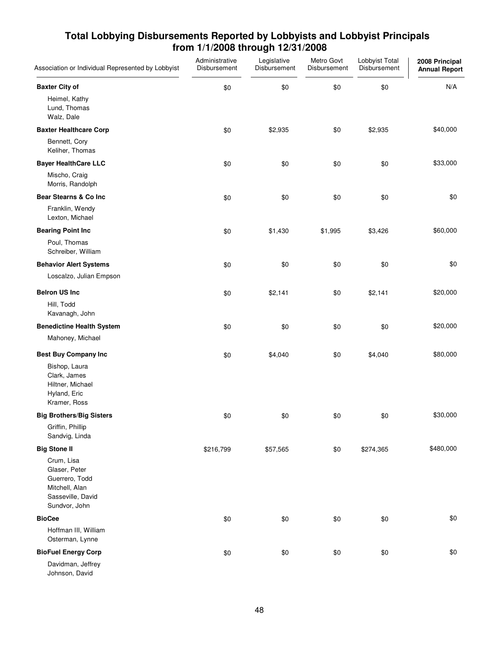| Association or Individual Represented by Lobbyist                                                     | Administrative<br>Disbursement | Legislative<br>Disbursement | Metro Govt<br>Disbursement | Lobbyist Total<br>Disbursement | 2008 Principal<br><b>Annual Report</b> |
|-------------------------------------------------------------------------------------------------------|--------------------------------|-----------------------------|----------------------------|--------------------------------|----------------------------------------|
| <b>Baxter City of</b>                                                                                 | \$0                            | \$0                         | \$0                        | \$0                            | N/A                                    |
| Heimel, Kathy<br>Lund, Thomas<br>Walz, Dale                                                           |                                |                             |                            |                                |                                        |
| <b>Baxter Healthcare Corp</b>                                                                         | \$0                            | \$2,935                     | \$0                        | \$2,935                        | \$40,000                               |
| Bennett, Cory<br>Keliher, Thomas                                                                      |                                |                             |                            |                                |                                        |
| <b>Bayer HealthCare LLC</b>                                                                           | \$0                            | \$0                         | \$0                        | \$0                            | \$33,000                               |
| Mischo, Craig<br>Morris, Randolph                                                                     |                                |                             |                            |                                |                                        |
| Bear Stearns & Co Inc                                                                                 | \$0                            | \$0                         | \$0                        | \$0                            | \$0                                    |
| Franklin, Wendy<br>Lexton, Michael                                                                    |                                |                             |                            |                                |                                        |
| <b>Bearing Point Inc</b>                                                                              | \$0                            | \$1,430                     | \$1,995                    | \$3,426                        | \$60,000                               |
| Poul, Thomas<br>Schreiber, William                                                                    |                                |                             |                            |                                |                                        |
| <b>Behavior Alert Systems</b>                                                                         | \$0                            | \$0                         | \$0                        | \$0                            | \$0                                    |
| Loscalzo, Julian Empson                                                                               |                                |                             |                            |                                |                                        |
| <b>Belron US Inc</b>                                                                                  | \$0                            | \$2,141                     | \$0                        | \$2,141                        | \$20,000                               |
| Hill, Todd<br>Kavanagh, John                                                                          |                                |                             |                            |                                |                                        |
| <b>Benedictine Health System</b>                                                                      | \$0                            | \$0                         | \$0                        | \$0                            | \$20,000                               |
| Mahoney, Michael                                                                                      |                                |                             |                            |                                |                                        |
| <b>Best Buy Company Inc</b>                                                                           | \$0                            | \$4,040                     | \$0                        | \$4,040                        | \$80,000                               |
| Bishop, Laura<br>Clark, James<br>Hiltner, Michael<br>Hyland, Eric<br>Kramer, Ross                     |                                |                             |                            |                                |                                        |
| <b>Big Brothers/Big Sisters</b>                                                                       | \$0                            | \$0                         | \$0                        | \$0                            | \$30,000                               |
| Griffin, Phillip<br>Sandvig, Linda                                                                    |                                |                             |                            |                                |                                        |
| <b>Big Stone II</b>                                                                                   | \$216,799                      | \$57,565                    | \$0                        | \$274,365                      | \$480,000                              |
| Crum, Lisa<br>Glaser, Peter<br>Guerrero, Todd<br>Mitchell, Alan<br>Sasseville, David<br>Sundvor, John |                                |                             |                            |                                |                                        |
| <b>BioCee</b>                                                                                         | \$0                            | \$0                         | \$0                        | \$0                            | \$0                                    |
| Hoffman III, William<br>Osterman, Lynne                                                               |                                |                             |                            |                                |                                        |
| <b>BioFuel Energy Corp</b>                                                                            | \$0                            | \$0                         | \$0                        | \$0                            | \$0                                    |
| Davidman, Jeffrey<br>Johnson, David                                                                   |                                |                             |                            |                                |                                        |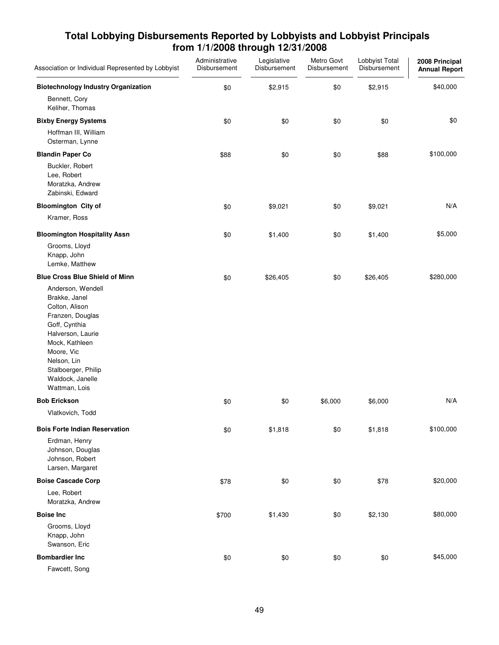| Association or Individual Represented by Lobbyist                                                                                                                                                                         | Administrative<br>Disbursement | Legislative<br>Disbursement | Metro Govt<br>Disbursement | Lobbyist Total<br>Disbursement | 2008 Principal<br><b>Annual Report</b> |
|---------------------------------------------------------------------------------------------------------------------------------------------------------------------------------------------------------------------------|--------------------------------|-----------------------------|----------------------------|--------------------------------|----------------------------------------|
| <b>Biotechnology Industry Organization</b>                                                                                                                                                                                | \$0                            | \$2,915                     | \$0                        | \$2,915                        | \$40,000                               |
| Bennett, Cory<br>Keliher, Thomas                                                                                                                                                                                          |                                |                             |                            |                                |                                        |
| <b>Bixby Energy Systems</b>                                                                                                                                                                                               | \$0                            | \$0                         | \$0                        | \$0                            | \$0                                    |
| Hoffman III, William<br>Osterman, Lynne                                                                                                                                                                                   |                                |                             |                            |                                |                                        |
| <b>Blandin Paper Co</b>                                                                                                                                                                                                   | \$88                           | \$0                         | \$0                        | \$88                           | \$100,000                              |
| Buckler, Robert<br>Lee, Robert<br>Moratzka, Andrew<br>Zabinski, Edward                                                                                                                                                    |                                |                             |                            |                                |                                        |
| <b>Bloomington City of</b>                                                                                                                                                                                                | \$0                            | \$9,021                     | \$0                        | \$9,021                        | N/A                                    |
| Kramer, Ross                                                                                                                                                                                                              |                                |                             |                            |                                |                                        |
| <b>Bloomington Hospitality Assn</b>                                                                                                                                                                                       | \$0                            | \$1,400                     | \$0                        | \$1,400                        | \$5,000                                |
| Grooms, Lloyd<br>Knapp, John<br>Lemke, Matthew                                                                                                                                                                            |                                |                             |                            |                                |                                        |
| <b>Blue Cross Blue Shield of Minn</b>                                                                                                                                                                                     | \$0                            | \$26,405                    | \$0                        | \$26,405                       | \$280,000                              |
| Anderson, Wendell<br>Brakke, Janel<br>Colton, Alison<br>Franzen, Douglas<br>Goff, Cynthia<br>Halverson, Laurie<br>Mock, Kathleen<br>Moore, Vic<br>Nelson, Lin<br>Stalboerger, Philip<br>Waldock, Janelle<br>Wattman, Lois |                                |                             |                            |                                |                                        |
| <b>Bob Erickson</b>                                                                                                                                                                                                       | \$0                            | \$0                         | \$6,000                    | \$6,000                        | N/A                                    |
| Vlatkovich, Todd                                                                                                                                                                                                          |                                |                             |                            |                                |                                        |
| <b>Bois Forte Indian Reservation</b>                                                                                                                                                                                      | \$0                            | \$1,818                     | \$0                        | \$1,818                        | \$100,000                              |
| Erdman, Henry<br>Johnson, Douglas<br>Johnson, Robert<br>Larsen, Margaret                                                                                                                                                  |                                |                             |                            |                                |                                        |
| <b>Boise Cascade Corp</b>                                                                                                                                                                                                 | \$78                           | \$0                         | \$0                        | \$78                           | \$20,000                               |
| Lee, Robert<br>Moratzka, Andrew                                                                                                                                                                                           |                                |                             |                            |                                |                                        |
| <b>Boise Inc</b>                                                                                                                                                                                                          | \$700                          | \$1,430                     | \$0                        | \$2,130                        | \$80,000                               |
| Grooms, Lloyd<br>Knapp, John<br>Swanson, Eric                                                                                                                                                                             |                                |                             |                            |                                |                                        |
| <b>Bombardier Inc</b>                                                                                                                                                                                                     | \$0                            | \$0                         | \$0                        | \$0                            | \$45,000                               |
| Fawcett, Song                                                                                                                                                                                                             |                                |                             |                            |                                |                                        |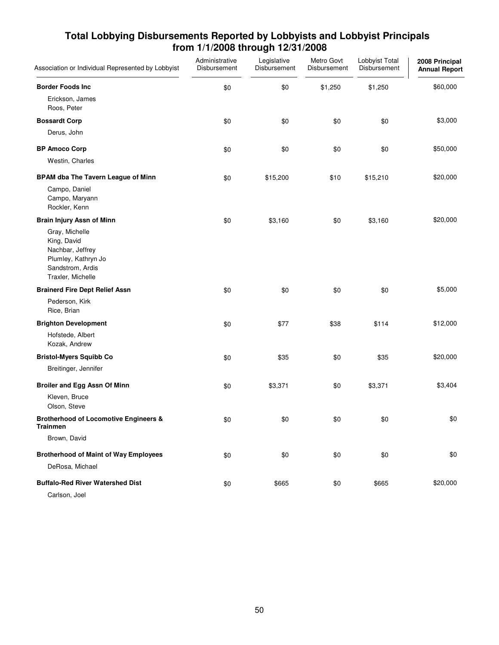| Association or Individual Represented by Lobbyist                                                                 | Administrative<br>Disbursement | Legislative<br>Disbursement | Metro Govt<br>Disbursement | Lobbyist Total<br>Disbursement | 2008 Principal<br><b>Annual Report</b> |
|-------------------------------------------------------------------------------------------------------------------|--------------------------------|-----------------------------|----------------------------|--------------------------------|----------------------------------------|
| <b>Border Foods Inc</b>                                                                                           | \$0                            | \$0                         | \$1,250                    | \$1,250                        | \$60,000                               |
| Erickson, James<br>Roos, Peter                                                                                    |                                |                             |                            |                                |                                        |
| <b>Bossardt Corp</b>                                                                                              | \$0                            | \$0                         | \$0                        | \$0                            | \$3,000                                |
| Derus, John                                                                                                       |                                |                             |                            |                                |                                        |
| <b>BP Amoco Corp</b>                                                                                              | \$0                            | \$0                         | \$0                        | \$0                            | \$50,000                               |
| Westin, Charles                                                                                                   |                                |                             |                            |                                |                                        |
| <b>BPAM dba The Tavern League of Minn</b>                                                                         | \$0                            | \$15,200                    | \$10                       | \$15,210                       | \$20,000                               |
| Campo, Daniel<br>Campo, Maryann<br>Rockler, Kenn                                                                  |                                |                             |                            |                                |                                        |
| <b>Brain Injury Assn of Minn</b>                                                                                  | \$0                            | \$3,160                     | \$0                        | \$3,160                        | \$20,000                               |
| Gray, Michelle<br>King, David<br>Nachbar, Jeffrey<br>Plumley, Kathryn Jo<br>Sandstrom, Ardis<br>Traxler, Michelle |                                |                             |                            |                                |                                        |
| <b>Brainerd Fire Dept Relief Assn</b>                                                                             | \$0                            | \$0                         | \$0                        | \$0                            | \$5,000                                |
| Pederson, Kirk<br>Rice, Brian                                                                                     |                                |                             |                            |                                |                                        |
| <b>Brighton Development</b>                                                                                       | \$0                            | \$77                        | \$38                       | \$114                          | \$12,000                               |
| Hofstede, Albert<br>Kozak, Andrew                                                                                 |                                |                             |                            |                                |                                        |
| <b>Bristol-Myers Squibb Co</b>                                                                                    | \$0                            | \$35                        | \$0                        | \$35                           | \$20,000                               |
| Breitinger, Jennifer                                                                                              |                                |                             |                            |                                |                                        |
| Broiler and Egg Assn Of Minn                                                                                      | \$0                            | \$3,371                     | \$0                        | \$3,371                        | \$3,404                                |
| Kleven, Bruce<br>Olson, Steve                                                                                     |                                |                             |                            |                                |                                        |
| <b>Brotherhood of Locomotive Engineers &amp;</b><br><b>Trainmen</b>                                               | \$0                            | \$0                         | \$0                        | \$0                            | \$0                                    |
| Brown, David                                                                                                      |                                |                             |                            |                                |                                        |
| <b>Brotherhood of Maint of Way Employees</b><br>DeRosa, Michael                                                   | \$0                            | \$0                         | \$0                        | \$0                            | \$0                                    |
| <b>Buffalo-Red River Watershed Dist</b><br>Carlson, Joel                                                          | \$0                            | \$665                       | \$0                        | \$665                          | \$20,000                               |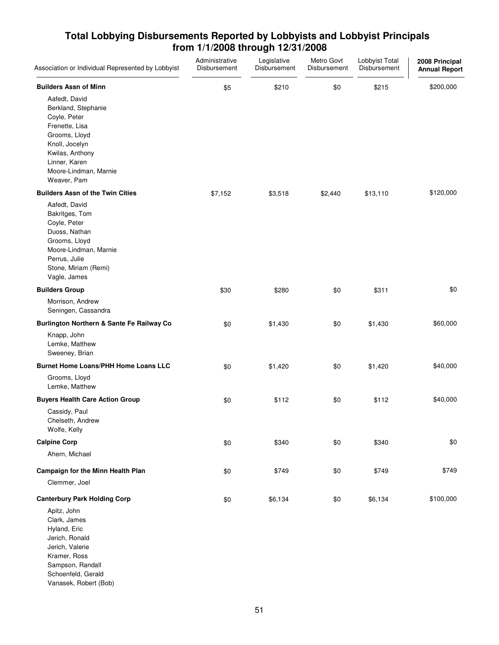| Association or Individual Represented by Lobbyist                                                                                                                                                                     | Administrative<br>Disbursement | Legislative<br>Disbursement | Metro Govt<br>Disbursement | Lobbyist Total<br>Disbursement | 2008 Principal<br><b>Annual Report</b> |
|-----------------------------------------------------------------------------------------------------------------------------------------------------------------------------------------------------------------------|--------------------------------|-----------------------------|----------------------------|--------------------------------|----------------------------------------|
| <b>Builders Assn of Minn</b><br>Aafedt, David<br>Berkland, Stephanie<br>Coyle, Peter<br>Frenette, Lisa<br>Grooms, Lloyd<br>Knoll, Jocelyn<br>Kwilas, Anthony<br>Linner, Karen<br>Moore-Lindman, Marnie<br>Weaver, Pam | \$5                            | \$210                       | \$0                        | \$215                          | \$200,000                              |
| <b>Builders Assn of the Twin Cities</b><br>Aafedt, David<br>Bakritges, Tom<br>Coyle, Peter<br>Duoss, Nathan<br>Grooms, Lloyd<br>Moore-Lindman, Marnie<br>Perrus, Julie<br>Stone, Miriam (Remi)<br>Vagle, James        | \$7,152                        | \$3,518                     | \$2,440                    | \$13,110                       | \$120,000                              |
| <b>Builders Group</b><br>Morrison, Andrew<br>Seningen, Cassandra                                                                                                                                                      | \$30                           | \$280                       | \$0                        | \$311                          | \$0                                    |
| Burlington Northern & Sante Fe Railway Co<br>Knapp, John<br>Lemke, Matthew<br>Sweeney, Brian                                                                                                                          | \$0                            | \$1,430                     | \$0                        | \$1,430                        | \$60,000                               |
| <b>Burnet Home Loans/PHH Home Loans LLC</b><br>Grooms, Lloyd<br>Lemke, Matthew                                                                                                                                        | \$0                            | \$1,420                     | \$0                        | \$1,420                        | \$40,000                               |
| <b>Buyers Health Care Action Group</b><br>Cassidy, Paul<br>Chelseth, Andrew<br>Wolfe, Kelly                                                                                                                           | \$0                            | \$112                       | \$0                        | \$112                          | \$40,000                               |
| <b>Calpine Corp</b><br>Ahern, Michael                                                                                                                                                                                 | \$0                            | \$340                       | \$0                        | \$340                          | \$0                                    |
| Campaign for the Minn Health Plan<br>Clemmer, Joel                                                                                                                                                                    | \$0                            | \$749                       | \$0                        | \$749                          | \$749                                  |
| <b>Canterbury Park Holding Corp</b><br>Apitz, John<br>Clark, James<br>Hyland, Eric<br>Jerich, Ronald<br>Jerich, Valerie<br>Kramer, Ross<br>Sampson, Randall<br>Schoenfeld, Gerald<br>Vanasek, Robert (Bob)            | \$0                            | \$6,134                     | \$0                        | \$6,134                        | \$100,000                              |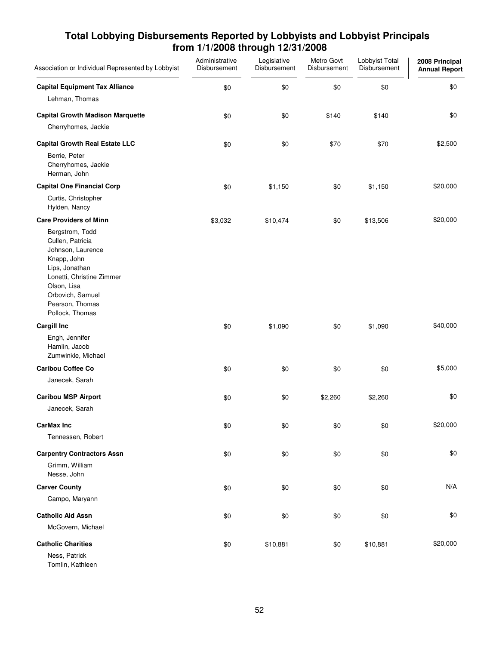| Association or Individual Represented by Lobbyist                                                                                                                                               | Administrative<br>Disbursement | Legislative<br>Disbursement | Metro Govt<br>Disbursement | Lobbyist Total<br>Disbursement | 2008 Principal<br><b>Annual Report</b> |
|-------------------------------------------------------------------------------------------------------------------------------------------------------------------------------------------------|--------------------------------|-----------------------------|----------------------------|--------------------------------|----------------------------------------|
| <b>Capital Equipment Tax Alliance</b>                                                                                                                                                           | \$0                            | \$0                         | \$0                        | \$0                            | \$0                                    |
| Lehman, Thomas                                                                                                                                                                                  |                                |                             |                            |                                |                                        |
| <b>Capital Growth Madison Marquette</b>                                                                                                                                                         | \$0                            | \$0                         | \$140                      | \$140                          | \$0                                    |
| Cherryhomes, Jackie                                                                                                                                                                             |                                |                             |                            |                                |                                        |
| <b>Capital Growth Real Estate LLC</b>                                                                                                                                                           | \$0                            | \$0                         | \$70                       | \$70                           | \$2,500                                |
| Berrie, Peter<br>Cherryhomes, Jackie<br>Herman, John                                                                                                                                            |                                |                             |                            |                                |                                        |
| <b>Capital One Financial Corp</b>                                                                                                                                                               | \$0                            | \$1,150                     | \$0                        | \$1,150                        | \$20,000                               |
| Curtis, Christopher<br>Hylden, Nancy                                                                                                                                                            |                                |                             |                            |                                |                                        |
| <b>Care Providers of Minn</b>                                                                                                                                                                   | \$3,032                        | \$10,474                    | \$0                        | \$13,506                       | \$20,000                               |
| Bergstrom, Todd<br>Cullen, Patricia<br>Johnson, Laurence<br>Knapp, John<br>Lips, Jonathan<br>Lonetti, Christine Zimmer<br>Olson, Lisa<br>Orbovich, Samuel<br>Pearson, Thomas<br>Pollock, Thomas |                                |                             |                            |                                |                                        |
| <b>Cargill Inc</b>                                                                                                                                                                              | \$0                            | \$1,090                     | \$0                        | \$1,090                        | \$40,000                               |
| Engh, Jennifer<br>Hamlin, Jacob<br>Zumwinkle, Michael                                                                                                                                           |                                |                             |                            |                                |                                        |
| <b>Caribou Coffee Co</b>                                                                                                                                                                        | \$0                            | \$0                         | \$0                        | \$0                            | \$5,000                                |
| Janecek, Sarah                                                                                                                                                                                  |                                |                             |                            |                                |                                        |
| <b>Caribou MSP Airport</b>                                                                                                                                                                      | \$0                            | \$0                         | \$2,260                    | \$2,260                        | \$0                                    |
| Janecek, Sarah                                                                                                                                                                                  |                                |                             |                            |                                |                                        |
| <b>CarMax Inc</b>                                                                                                                                                                               | \$0                            | \$0                         | \$0                        | \$0                            | \$20,000                               |
| Tennessen, Robert                                                                                                                                                                               |                                |                             |                            |                                |                                        |
| <b>Carpentry Contractors Assn</b>                                                                                                                                                               | \$0                            | \$0                         | \$0                        | \$0                            | \$0                                    |
| Grimm, William<br>Nesse, John                                                                                                                                                                   |                                |                             |                            |                                |                                        |
| <b>Carver County</b>                                                                                                                                                                            | \$0                            | \$0                         | \$0                        | \$0                            | N/A                                    |
| Campo, Maryann                                                                                                                                                                                  |                                |                             |                            |                                |                                        |
| <b>Catholic Aid Assn</b>                                                                                                                                                                        | \$0                            | \$0                         | \$0                        | \$0                            | \$0                                    |
| McGovern, Michael                                                                                                                                                                               |                                |                             |                            |                                |                                        |
| <b>Catholic Charities</b>                                                                                                                                                                       | \$0                            | \$10,881                    | \$0                        | \$10,881                       | \$20,000                               |
| Ness, Patrick<br>Tomlin, Kathleen                                                                                                                                                               |                                |                             |                            |                                |                                        |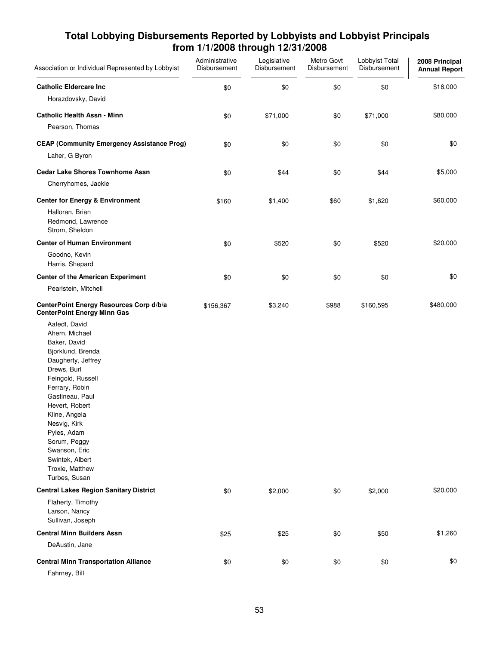| Association or Individual Represented by Lobbyist                                                                                                                                                                                                                                                                             | Administrative<br>Disbursement | Legislative<br>Disbursement | Metro Govt<br>Disbursement | Lobbyist Total<br>Disbursement | 2008 Principal<br><b>Annual Report</b> |
|-------------------------------------------------------------------------------------------------------------------------------------------------------------------------------------------------------------------------------------------------------------------------------------------------------------------------------|--------------------------------|-----------------------------|----------------------------|--------------------------------|----------------------------------------|
| <b>Catholic Eldercare Inc.</b>                                                                                                                                                                                                                                                                                                | \$0                            | \$0                         | \$0                        | \$0                            | \$18,000                               |
| Horazdovsky, David                                                                                                                                                                                                                                                                                                            |                                |                             |                            |                                |                                        |
| <b>Catholic Health Assn - Minn</b><br>Pearson, Thomas                                                                                                                                                                                                                                                                         | \$0                            | \$71,000                    | \$0                        | \$71,000                       | \$80,000                               |
| <b>CEAP (Community Emergency Assistance Prog)</b>                                                                                                                                                                                                                                                                             | \$0                            | \$0                         | \$0                        | \$0                            | \$0                                    |
| Laher, G Byron                                                                                                                                                                                                                                                                                                                |                                |                             |                            |                                |                                        |
| <b>Cedar Lake Shores Townhome Assn</b>                                                                                                                                                                                                                                                                                        | \$0                            | \$44                        | \$0                        | \$44                           | \$5,000                                |
| Cherryhomes, Jackie                                                                                                                                                                                                                                                                                                           |                                |                             |                            |                                |                                        |
| <b>Center for Energy &amp; Environment</b>                                                                                                                                                                                                                                                                                    | \$160                          | \$1,400                     | \$60                       | \$1,620                        | \$60,000                               |
| Halloran, Brian<br>Redmond, Lawrence<br>Strom, Sheldon                                                                                                                                                                                                                                                                        |                                |                             |                            |                                |                                        |
| <b>Center of Human Environment</b>                                                                                                                                                                                                                                                                                            | \$0                            | \$520                       | \$0                        | \$520                          | \$20,000                               |
| Goodno, Kevin<br>Harris, Shepard                                                                                                                                                                                                                                                                                              |                                |                             |                            |                                |                                        |
| <b>Center of the American Experiment</b>                                                                                                                                                                                                                                                                                      | \$0                            | \$0                         | \$0                        | \$0                            | \$0                                    |
| Pearlstein, Mitchell                                                                                                                                                                                                                                                                                                          |                                |                             |                            |                                |                                        |
| CenterPoint Energy Resources Corp d/b/a<br><b>CenterPoint Energy Minn Gas</b>                                                                                                                                                                                                                                                 | \$156,367                      | \$3,240                     | \$988                      | \$160,595                      | \$480,000                              |
| Aafedt, David<br>Ahern, Michael<br>Baker, David<br>Bjorklund, Brenda<br>Daugherty, Jeffrey<br>Drews, Burl<br>Feingold, Russell<br>Ferrary, Robin<br>Gastineau, Paul<br>Hevert, Robert<br>Kline, Angela<br>Nesvig, Kirk<br>Pyles, Adam<br>Sorum, Peggy<br>Swanson, Eric<br>Swintek, Albert<br>Troxle, Matthew<br>Turbes, Susan |                                |                             |                            |                                |                                        |
| <b>Central Lakes Region Sanitary District</b>                                                                                                                                                                                                                                                                                 | \$0                            | \$2,000                     | \$0                        | \$2,000                        | \$20,000                               |
| Flaherty, Timothy<br>Larson, Nancy<br>Sullivan, Joseph                                                                                                                                                                                                                                                                        |                                |                             |                            |                                |                                        |
| <b>Central Minn Builders Assn</b>                                                                                                                                                                                                                                                                                             | \$25                           | \$25                        | \$0                        | \$50                           | \$1,260                                |
| DeAustin, Jane                                                                                                                                                                                                                                                                                                                |                                |                             |                            |                                |                                        |
| <b>Central Minn Transportation Alliance</b><br>Fahrney, Bill                                                                                                                                                                                                                                                                  | \$0                            | \$0                         | \$0                        | \$0                            | \$0                                    |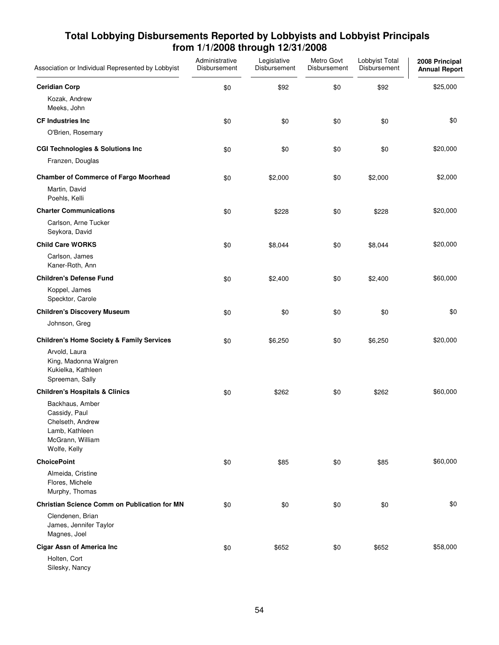| Association or Individual Represented by Lobbyist                                                          | Administrative<br>Disbursement | Legislative<br>Disbursement | Metro Govt<br>Disbursement | Lobbyist Total<br>Disbursement | 2008 Principal<br><b>Annual Report</b> |
|------------------------------------------------------------------------------------------------------------|--------------------------------|-----------------------------|----------------------------|--------------------------------|----------------------------------------|
| <b>Ceridian Corp</b>                                                                                       | \$0                            | \$92                        | \$0                        | \$92                           | \$25,000                               |
| Kozak, Andrew<br>Meeks, John                                                                               |                                |                             |                            |                                |                                        |
| <b>CF Industries Inc</b>                                                                                   | \$0                            | \$0                         | \$0                        | \$0                            | \$0                                    |
| O'Brien, Rosemary                                                                                          |                                |                             |                            |                                |                                        |
| <b>CGI Technologies &amp; Solutions Inc</b>                                                                | \$0                            | \$0                         | \$0                        | \$0                            | \$20,000                               |
| Franzen, Douglas                                                                                           |                                |                             |                            |                                |                                        |
| <b>Chamber of Commerce of Fargo Moorhead</b>                                                               | \$0                            | \$2,000                     | \$0                        | \$2,000                        | \$2,000                                |
| Martin, David<br>Poehls, Kelli                                                                             |                                |                             |                            |                                |                                        |
| <b>Charter Communications</b>                                                                              | \$0                            | \$228                       | \$0                        | \$228                          | \$20,000                               |
| Carlson, Arne Tucker<br>Seykora, David                                                                     |                                |                             |                            |                                |                                        |
| <b>Child Care WORKS</b>                                                                                    | \$0                            | \$8,044                     | \$0                        | \$8,044                        | \$20,000                               |
| Carlson, James<br>Kaner-Roth, Ann                                                                          |                                |                             |                            |                                |                                        |
| <b>Children's Defense Fund</b>                                                                             | \$0                            | \$2,400                     | \$0                        | \$2,400                        | \$60,000                               |
| Koppel, James<br>Specktor, Carole                                                                          |                                |                             |                            |                                |                                        |
| <b>Children's Discovery Museum</b>                                                                         | \$0                            | \$0                         | \$0                        | \$0                            | \$0                                    |
| Johnson, Greg                                                                                              |                                |                             |                            |                                |                                        |
| <b>Children's Home Society &amp; Family Services</b>                                                       | \$0                            | \$6,250                     | \$0                        | \$6,250                        | \$20,000                               |
| Arvold, Laura<br>King, Madonna Walgren<br>Kukielka, Kathleen<br>Spreeman, Sally                            |                                |                             |                            |                                |                                        |
| <b>Children's Hospitals &amp; Clinics</b>                                                                  | \$0                            | \$262                       | \$0                        | \$262                          | \$60,000                               |
| Backhaus, Amber<br>Cassidy, Paul<br>Chelseth, Andrew<br>Lamb, Kathleen<br>McGrann, William<br>Wolfe, Kelly |                                |                             |                            |                                |                                        |
| <b>ChoicePoint</b>                                                                                         | \$0                            | \$85                        | \$0                        | \$85                           | \$60,000                               |
| Almeida, Cristine<br>Flores, Michele<br>Murphy, Thomas                                                     |                                |                             |                            |                                |                                        |
| <b>Christian Science Comm on Publication for MN</b>                                                        | \$0                            | \$0                         | \$0                        | \$0                            | \$0                                    |
| Clendenen, Brian<br>James, Jennifer Taylor<br>Magnes, Joel                                                 |                                |                             |                            |                                |                                        |
| <b>Cigar Assn of America Inc</b>                                                                           | \$0                            | \$652                       | \$0                        | \$652                          | \$58,000                               |
| Holten, Cort<br>Silesky, Nancy                                                                             |                                |                             |                            |                                |                                        |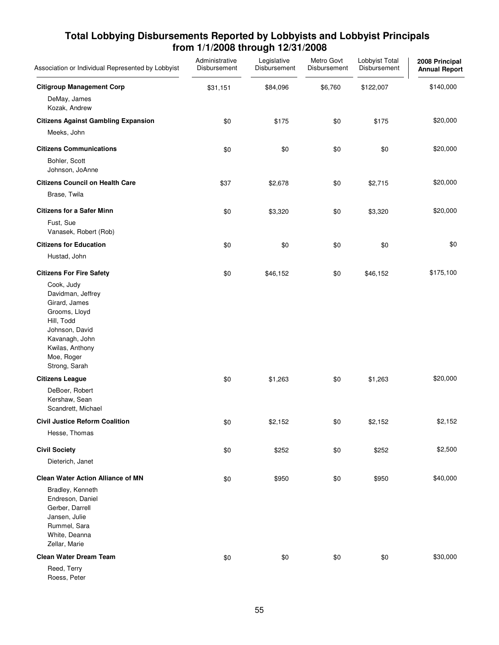| Association or Individual Represented by Lobbyist                                                                                                                     | Administrative<br>Disbursement | Legislative<br>Disbursement | Metro Govt<br>Disbursement | Lobbyist Total<br>Disbursement | 2008 Principal<br><b>Annual Report</b> |
|-----------------------------------------------------------------------------------------------------------------------------------------------------------------------|--------------------------------|-----------------------------|----------------------------|--------------------------------|----------------------------------------|
| <b>Citigroup Management Corp</b>                                                                                                                                      | \$31,151                       | \$84,096                    | \$6,760                    | \$122,007                      | \$140,000                              |
| DeMay, James<br>Kozak, Andrew                                                                                                                                         |                                |                             |                            |                                |                                        |
| <b>Citizens Against Gambling Expansion</b>                                                                                                                            | \$0                            | \$175                       | \$0                        | \$175                          | \$20,000                               |
| Meeks, John                                                                                                                                                           |                                |                             |                            |                                |                                        |
| <b>Citizens Communications</b>                                                                                                                                        | \$0                            | \$0                         | \$0                        | \$0                            | \$20,000                               |
| Bohler, Scott<br>Johnson, JoAnne                                                                                                                                      |                                |                             |                            |                                |                                        |
| <b>Citizens Council on Health Care</b>                                                                                                                                | \$37                           | \$2,678                     | \$0                        | \$2,715                        | \$20,000                               |
| Brase, Twila                                                                                                                                                          |                                |                             |                            |                                |                                        |
| <b>Citizens for a Safer Minn</b>                                                                                                                                      | \$0                            | \$3,320                     | \$0                        | \$3,320                        | \$20,000                               |
| Fust, Sue<br>Vanasek, Robert (Rob)                                                                                                                                    |                                |                             |                            |                                |                                        |
| <b>Citizens for Education</b>                                                                                                                                         | \$0                            | \$0                         | \$0                        | \$0                            | \$0                                    |
| Hustad, John                                                                                                                                                          |                                |                             |                            |                                |                                        |
| <b>Citizens For Fire Safety</b>                                                                                                                                       | \$0                            | \$46,152                    | \$0                        | \$46,152                       | \$175,100                              |
| Cook, Judy<br>Davidman, Jeffrey<br>Girard, James<br>Grooms, Lloyd<br>Hill, Todd<br>Johnson, David<br>Kavanagh, John<br>Kwilas, Anthony<br>Moe, Roger<br>Strong, Sarah |                                |                             |                            |                                |                                        |
| <b>Citizens League</b>                                                                                                                                                | \$0                            | \$1,263                     | \$0                        | \$1,263                        | \$20,000                               |
| DeBoer, Robert<br>Kershaw, Sean<br>Scandrett, Michael                                                                                                                 |                                |                             |                            |                                |                                        |
| <b>Civil Justice Reform Coalition</b>                                                                                                                                 | $\$0$                          | \$2,152                     | \$0                        | \$2,152                        | \$2,152                                |
| Hesse, Thomas                                                                                                                                                         |                                |                             |                            |                                |                                        |
| <b>Civil Society</b>                                                                                                                                                  | \$0                            | \$252                       | \$0                        | \$252                          | \$2,500                                |
| Dieterich, Janet                                                                                                                                                      |                                |                             |                            |                                |                                        |
| <b>Clean Water Action Alliance of MN</b>                                                                                                                              | \$0                            | \$950                       | \$0                        | \$950                          | \$40,000                               |
| Bradley, Kenneth<br>Endreson, Daniel<br>Gerber, Darrell<br>Jansen, Julie<br>Rummel, Sara<br>White, Deanna<br>Zellar, Marie                                            |                                |                             |                            |                                |                                        |
| <b>Clean Water Dream Team</b>                                                                                                                                         | \$0                            | \$0                         | \$0                        | \$0                            | \$30,000                               |
| Reed, Terry<br>Roess, Peter                                                                                                                                           |                                |                             |                            |                                |                                        |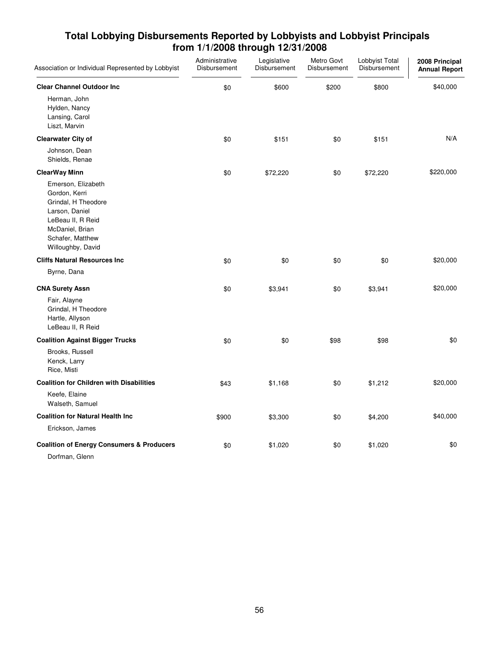| Association or Individual Represented by Lobbyist                                                                                                             | Administrative<br>Disbursement | Legislative<br>Disbursement | Metro Govt<br>Disbursement | Lobbyist Total<br>Disbursement | 2008 Principal<br><b>Annual Report</b> |
|---------------------------------------------------------------------------------------------------------------------------------------------------------------|--------------------------------|-----------------------------|----------------------------|--------------------------------|----------------------------------------|
| <b>Clear Channel Outdoor Inc</b>                                                                                                                              | \$0                            | \$600                       | \$200                      | \$800                          | \$40,000                               |
| Herman, John<br>Hylden, Nancy<br>Lansing, Carol<br>Liszt, Marvin                                                                                              |                                |                             |                            |                                |                                        |
| <b>Clearwater City of</b>                                                                                                                                     | \$0                            | \$151                       | \$0                        | \$151                          | N/A                                    |
| Johnson, Dean<br>Shields, Renae                                                                                                                               |                                |                             |                            |                                |                                        |
| <b>ClearWay Minn</b>                                                                                                                                          | \$0                            | \$72,220                    | \$0                        | \$72,220                       | \$220,000                              |
| Emerson, Elizabeth<br>Gordon, Kerri<br>Grindal, H Theodore<br>Larson, Daniel<br>LeBeau II, R Reid<br>McDaniel, Brian<br>Schafer, Matthew<br>Willoughby, David |                                |                             |                            |                                |                                        |
| <b>Cliffs Natural Resources Inc</b>                                                                                                                           | \$0                            | \$0                         | \$0                        | \$0                            | \$20,000                               |
| Byrne, Dana                                                                                                                                                   |                                |                             |                            |                                |                                        |
| <b>CNA Surety Assn</b>                                                                                                                                        | \$0                            | \$3,941                     | \$0                        | \$3,941                        | \$20,000                               |
| Fair, Alayne<br>Grindal, H Theodore<br>Hartle, Allyson<br>LeBeau II, R Reid                                                                                   |                                |                             |                            |                                |                                        |
| <b>Coalition Against Bigger Trucks</b>                                                                                                                        | \$0                            | \$0                         | \$98                       | \$98                           | \$0                                    |
| Brooks, Russell<br>Kenck, Larry<br>Rice, Misti                                                                                                                |                                |                             |                            |                                |                                        |
| <b>Coalition for Children with Disabilities</b>                                                                                                               | \$43                           | \$1,168                     | \$0                        | \$1,212                        | \$20,000                               |
| Keefe, Elaine<br>Walseth, Samuel                                                                                                                              |                                |                             |                            |                                |                                        |
| <b>Coalition for Natural Health Inc</b>                                                                                                                       | \$900                          | \$3,300                     | \$0                        | \$4,200                        | \$40,000                               |
| Erickson, James                                                                                                                                               |                                |                             |                            |                                |                                        |
| <b>Coalition of Energy Consumers &amp; Producers</b><br>Dorfman, Glenn                                                                                        | \$0                            | \$1,020                     | \$0                        | \$1,020                        | \$0                                    |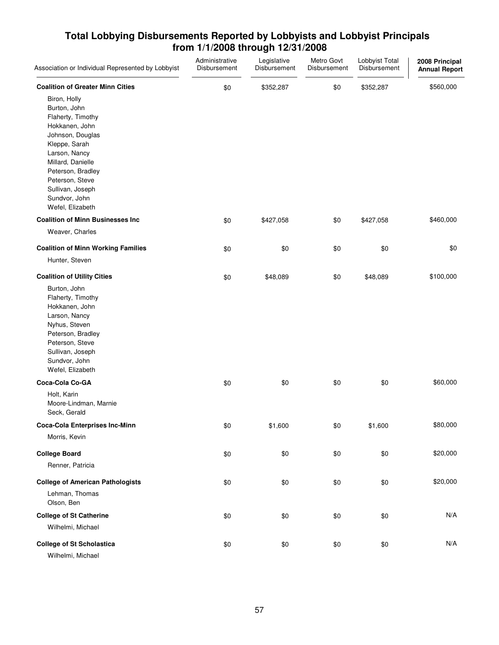| Association or Individual Represented by Lobbyist                                                                                                                                                                                               | Administrative<br>Disbursement | Legislative<br>Disbursement | Metro Govt<br>Disbursement | Lobbyist Total<br>Disbursement | 2008 Principal<br><b>Annual Report</b> |
|-------------------------------------------------------------------------------------------------------------------------------------------------------------------------------------------------------------------------------------------------|--------------------------------|-----------------------------|----------------------------|--------------------------------|----------------------------------------|
| <b>Coalition of Greater Minn Cities</b>                                                                                                                                                                                                         | \$0                            | \$352,287                   | \$0                        | \$352,287                      | \$560,000                              |
| Biron, Holly<br>Burton, John<br>Flaherty, Timothy<br>Hokkanen, John<br>Johnson, Douglas<br>Kleppe, Sarah<br>Larson, Nancy<br>Millard, Danielle<br>Peterson, Bradley<br>Peterson, Steve<br>Sullivan, Joseph<br>Sundvor, John<br>Wefel, Elizabeth |                                |                             |                            |                                |                                        |
| <b>Coalition of Minn Businesses Inc.</b>                                                                                                                                                                                                        | \$0                            | \$427,058                   | \$0                        | \$427,058                      | \$460,000                              |
| Weaver, Charles                                                                                                                                                                                                                                 |                                |                             |                            |                                |                                        |
| <b>Coalition of Minn Working Families</b>                                                                                                                                                                                                       | \$0                            | \$0                         | \$0                        | \$0                            | \$0                                    |
| Hunter, Steven                                                                                                                                                                                                                                  |                                |                             |                            |                                |                                        |
| <b>Coalition of Utility Cities</b>                                                                                                                                                                                                              | \$0                            | \$48,089                    | \$0                        | \$48,089                       | \$100,000                              |
| Burton, John<br>Flaherty, Timothy<br>Hokkanen, John<br>Larson, Nancy<br>Nyhus, Steven<br>Peterson, Bradley<br>Peterson, Steve<br>Sullivan, Joseph<br>Sundvor, John<br>Wefel, Elizabeth                                                          |                                |                             |                            |                                |                                        |
| Coca-Cola Co-GA                                                                                                                                                                                                                                 | \$0                            | \$0                         | \$0                        | \$0                            | \$60,000                               |
| Holt, Karin<br>Moore-Lindman, Marnie<br>Seck, Gerald                                                                                                                                                                                            |                                |                             |                            |                                |                                        |
| <b>Coca-Cola Enterprises Inc-Minn</b><br>Morris, Kevin                                                                                                                                                                                          | \$0                            | \$1,600                     | \$0                        | \$1,600                        | \$80,000                               |
| <b>College Board</b>                                                                                                                                                                                                                            | \$0                            | \$0                         | \$0                        | \$0                            | \$20,000                               |
| Renner, Patricia                                                                                                                                                                                                                                |                                |                             |                            |                                |                                        |
| <b>College of American Pathologists</b><br>Lehman, Thomas<br>Olson, Ben                                                                                                                                                                         | \$0                            | \$0                         | \$0                        | \$0                            | \$20,000                               |
| <b>College of St Catherine</b>                                                                                                                                                                                                                  | \$0                            | \$0                         | \$0                        | \$0                            | N/A                                    |
| Wilhelmi, Michael                                                                                                                                                                                                                               |                                |                             |                            |                                |                                        |
| <b>College of St Scholastica</b><br>Wilhelmi, Michael                                                                                                                                                                                           | \$0                            | \$0                         | \$0                        | \$0                            | N/A                                    |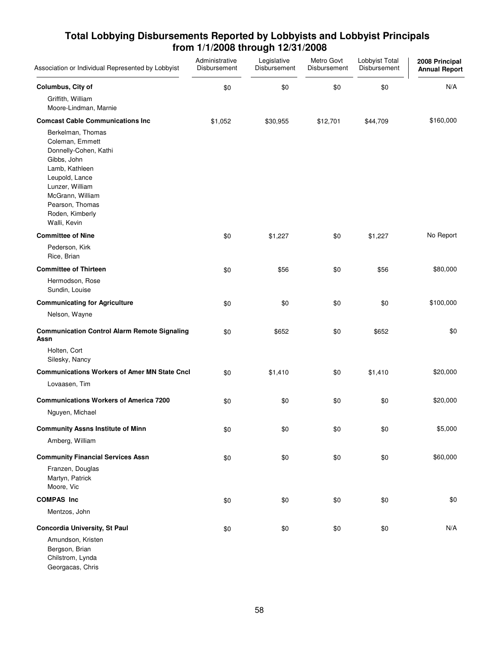| Association or Individual Represented by Lobbyist                                                                                                                                                             | Administrative<br>Disbursement | Legislative<br>Disbursement | Metro Govt<br>Disbursement | Lobbyist Total<br>Disbursement | 2008 Principal<br><b>Annual Report</b> |
|---------------------------------------------------------------------------------------------------------------------------------------------------------------------------------------------------------------|--------------------------------|-----------------------------|----------------------------|--------------------------------|----------------------------------------|
| Columbus, City of<br>Griffith, William<br>Moore-Lindman, Marnie                                                                                                                                               | \$0                            | \$0                         | \$0                        | \$0                            | N/A                                    |
| <b>Comcast Cable Communications Inc.</b>                                                                                                                                                                      | \$1,052                        | \$30,955                    | \$12,701                   | \$44,709                       | \$160,000                              |
| Berkelman, Thomas<br>Coleman, Emmett<br>Donnelly-Cohen, Kathi<br>Gibbs, John<br>Lamb, Kathleen<br>Leupold, Lance<br>Lunzer, William<br>McGrann, William<br>Pearson, Thomas<br>Roden, Kimberly<br>Walli, Kevin |                                |                             |                            |                                |                                        |
| <b>Committee of Nine</b>                                                                                                                                                                                      | \$0                            | \$1,227                     | \$0                        | \$1,227                        | No Report                              |
| Pederson, Kirk<br>Rice, Brian                                                                                                                                                                                 |                                |                             |                            |                                |                                        |
| <b>Committee of Thirteen</b>                                                                                                                                                                                  | \$0                            | \$56                        | \$0                        | \$56                           | \$80,000                               |
| Hermodson, Rose<br>Sundin, Louise                                                                                                                                                                             |                                |                             |                            |                                |                                        |
| <b>Communicating for Agriculture</b>                                                                                                                                                                          | \$0                            | \$0                         | \$0                        | \$0                            | \$100,000                              |
| Nelson, Wayne                                                                                                                                                                                                 |                                |                             |                            |                                |                                        |
| <b>Communication Control Alarm Remote Signaling</b><br>Assn                                                                                                                                                   | \$0                            | \$652                       | \$0                        | \$652                          | \$0                                    |
| Holten, Cort<br>Silesky, Nancy                                                                                                                                                                                |                                |                             |                            |                                |                                        |
| <b>Communications Workers of Amer MN State Cncl</b>                                                                                                                                                           | \$0                            | \$1,410                     | \$0                        | \$1,410                        | \$20,000                               |
| Lovaasen, Tim                                                                                                                                                                                                 |                                |                             |                            |                                |                                        |
| <b>Communications Workers of America 7200</b>                                                                                                                                                                 | \$0                            | \$0                         | \$0                        | \$0                            | \$20,000                               |
| Nguyen, Michael                                                                                                                                                                                               |                                |                             |                            |                                |                                        |
| <b>Community Assns Institute of Minn</b>                                                                                                                                                                      | \$0                            | \$0                         | \$0                        | \$0                            | \$5,000                                |
| Amberg, William                                                                                                                                                                                               |                                |                             |                            |                                |                                        |
| <b>Community Financial Services Assn</b>                                                                                                                                                                      | \$0                            | \$0                         | \$0                        | \$0                            | \$60,000                               |
| Franzen, Douglas<br>Martyn, Patrick<br>Moore, Vic                                                                                                                                                             |                                |                             |                            |                                |                                        |
| <b>COMPAS Inc</b>                                                                                                                                                                                             | \$0                            | \$0                         | \$0                        | \$0                            | \$0                                    |
| Mentzos, John                                                                                                                                                                                                 |                                |                             |                            |                                |                                        |
| <b>Concordia University, St Paul</b>                                                                                                                                                                          | \$0                            | \$0                         | \$0                        | \$0                            | N/A                                    |
| Amundson, Kristen<br>Bergson, Brian<br>Chilstrom, Lynda                                                                                                                                                       |                                |                             |                            |                                |                                        |

Georgacas, Chris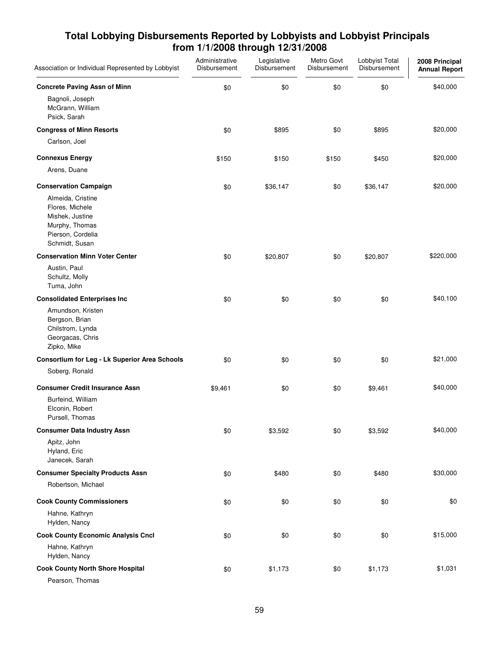| Association or Individual Represented by Lobbyist                                                                | Administrative<br>Disbursement | Legislative<br>Disbursement | Metro Govt<br>Disbursement | Lobbyist Total<br>Disbursement | 2008 Principal<br><b>Annual Report</b> |
|------------------------------------------------------------------------------------------------------------------|--------------------------------|-----------------------------|----------------------------|--------------------------------|----------------------------------------|
| <b>Concrete Paving Assn of Minn</b>                                                                              | \$0                            | \$0                         | \$0                        | \$0                            | \$40,000                               |
| Bagnoli, Joseph<br>McGrann, William<br>Psick, Sarah                                                              |                                |                             |                            |                                |                                        |
| <b>Congress of Minn Resorts</b>                                                                                  | \$0                            | \$895                       | \$0                        | \$895                          | \$20,000                               |
| Carlson, Joel                                                                                                    |                                |                             |                            |                                |                                        |
| <b>Connexus Energy</b>                                                                                           | \$150                          | \$150                       | \$150                      | \$450                          | \$20,000                               |
| Arens, Duane                                                                                                     |                                |                             |                            |                                |                                        |
| <b>Conservation Campaign</b>                                                                                     | \$0                            | \$36,147                    | \$0                        | \$36,147                       | \$20,000                               |
| Almeida, Cristine<br>Flores, Michele<br>Mishek, Justine<br>Murphy, Thomas<br>Pierson, Cordelia<br>Schmidt, Susan |                                |                             |                            |                                |                                        |
| <b>Conservation Minn Voter Center</b>                                                                            | \$0                            | \$20,807                    | \$0                        | \$20,807                       | \$220,000                              |
| Austin, Paul<br>Schultz, Molly<br>Tuma, John                                                                     |                                |                             |                            |                                |                                        |
| <b>Consolidated Enterprises Inc</b>                                                                              | \$0                            | \$0                         | \$0                        | \$0                            | \$40,100                               |
| Amundson, Kristen<br>Bergson, Brian<br>Chilstrom, Lynda<br>Georgacas, Chris<br>Zipko, Mike                       |                                |                             |                            |                                |                                        |
| <b>Consortium for Leg - Lk Superior Area Schools</b>                                                             | \$0                            | \$0                         | \$0                        | \$0                            | \$21,000                               |
| Soberg, Ronald                                                                                                   |                                |                             |                            |                                |                                        |
| <b>Consumer Credit Insurance Assn</b>                                                                            | \$9,461                        | \$0                         | \$0                        | \$9,461                        | \$40,000                               |
| Burfeind, William<br>Elconin, Robert<br>Pursell, Thomas                                                          |                                |                             |                            |                                |                                        |
| <b>Consumer Data Industry Assn</b>                                                                               | \$0                            | \$3,592                     | \$0                        | \$3,592                        | \$40,000                               |
| Apitz, John<br>Hyland, Eric<br>Janecek, Sarah                                                                    |                                |                             |                            |                                |                                        |
| <b>Consumer Specialty Products Assn</b>                                                                          | \$0                            | \$480                       | \$0                        | \$480                          | \$30,000                               |
| Robertson, Michael                                                                                               |                                |                             |                            |                                |                                        |
| <b>Cook County Commissioners</b>                                                                                 | \$0                            | \$0                         | \$0                        | \$0                            | \$0                                    |
| Hahne, Kathryn<br>Hylden, Nancy                                                                                  |                                |                             |                            |                                |                                        |
| <b>Cook County Economic Analysis Cncl</b>                                                                        | \$0                            | \$0                         | \$0                        | \$0                            | \$15,000                               |
| Hahne, Kathryn<br>Hylden, Nancy                                                                                  |                                |                             |                            |                                |                                        |
| <b>Cook County North Shore Hospital</b><br>Pearson, Thomas                                                       | \$0                            | \$1,173                     | \$0                        | \$1,173                        | \$1,031                                |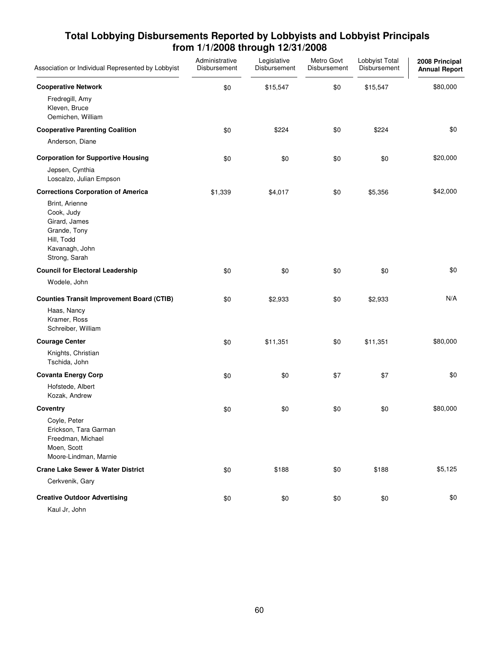| Association or Individual Represented by Lobbyist                                                              | Administrative<br>Disbursement | Legislative<br>Disbursement | Metro Govt<br>Disbursement | Lobbyist Total<br>Disbursement | 2008 Principal<br><b>Annual Report</b> |
|----------------------------------------------------------------------------------------------------------------|--------------------------------|-----------------------------|----------------------------|--------------------------------|----------------------------------------|
| <b>Cooperative Network</b>                                                                                     | \$0                            | \$15,547                    | \$0                        | \$15,547                       | \$80,000                               |
| Fredregill, Amy<br>Kleven, Bruce<br>Oemichen, William                                                          |                                |                             |                            |                                |                                        |
| <b>Cooperative Parenting Coalition</b>                                                                         | \$0                            | \$224                       | \$0                        | \$224                          | \$0                                    |
| Anderson, Diane                                                                                                |                                |                             |                            |                                |                                        |
| <b>Corporation for Supportive Housing</b>                                                                      | \$0                            | \$0                         | \$0                        | \$0                            | \$20,000                               |
| Jepsen, Cynthia<br>Loscalzo, Julian Empson                                                                     |                                |                             |                            |                                |                                        |
| <b>Corrections Corporation of America</b>                                                                      | \$1,339                        | \$4,017                     | \$0                        | \$5,356                        | \$42,000                               |
| Brint, Arienne<br>Cook, Judy<br>Girard, James<br>Grande, Tony<br>Hill, Todd<br>Kavanagh, John<br>Strong, Sarah |                                |                             |                            |                                |                                        |
| <b>Council for Electoral Leadership</b>                                                                        | \$0                            | \$0                         | \$0                        | \$0                            | \$0                                    |
| Wodele, John                                                                                                   |                                |                             |                            |                                |                                        |
| <b>Counties Transit Improvement Board (CTIB)</b>                                                               | \$0                            | \$2,933                     | \$0                        | \$2,933                        | N/A                                    |
| Haas, Nancy<br>Kramer, Ross<br>Schreiber, William                                                              |                                |                             |                            |                                |                                        |
| <b>Courage Center</b>                                                                                          | \$0                            | \$11,351                    | \$0                        | \$11,351                       | \$80,000                               |
| Knights, Christian<br>Tschida, John                                                                            |                                |                             |                            |                                |                                        |
| <b>Covanta Energy Corp</b>                                                                                     | \$0                            | \$0                         | \$7                        | \$7                            | \$0                                    |
| Hofstede, Albert<br>Kozak, Andrew                                                                              |                                |                             |                            |                                |                                        |
| <b>Coventry</b>                                                                                                | \$0                            | \$0                         | \$0                        | \$0                            | \$80,000                               |
| Coyle, Peter<br>Erickson, Tara Garman<br>Freedman, Michael<br>Moen, Scott<br>Moore-Lindman, Marnie             |                                |                             |                            |                                |                                        |
| <b>Crane Lake Sewer &amp; Water District</b>                                                                   | \$0                            | \$188                       | \$0                        | \$188                          | \$5,125                                |
| Cerkvenik, Gary                                                                                                |                                |                             |                            |                                |                                        |
| <b>Creative Outdoor Advertising</b><br>Kaul Jr, John                                                           | \$0                            | \$0                         | \$0                        | \$0                            | \$0                                    |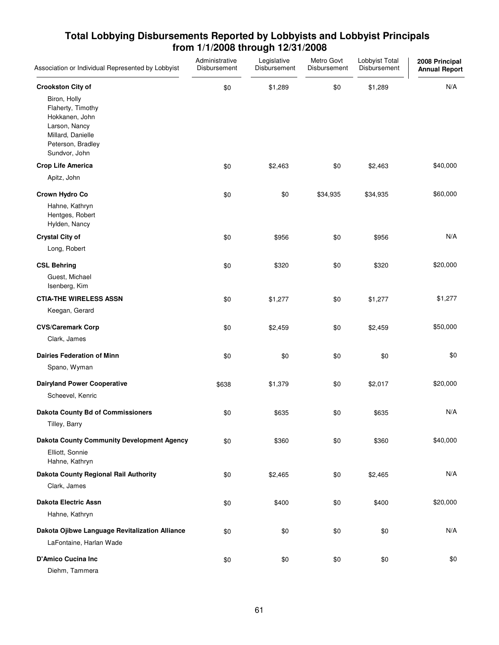| Association or Individual Represented by Lobbyist                                                                                                           | Administrative<br>Disbursement | Legislative<br>Disbursement | Metro Govt<br>Disbursement | Lobbyist Total<br>Disbursement | 2008 Principal<br><b>Annual Report</b> |
|-------------------------------------------------------------------------------------------------------------------------------------------------------------|--------------------------------|-----------------------------|----------------------------|--------------------------------|----------------------------------------|
| <b>Crookston City of</b><br>Biron, Holly<br>Flaherty, Timothy<br>Hokkanen, John<br>Larson, Nancy<br>Millard, Danielle<br>Peterson, Bradley<br>Sundvor, John | \$0                            | \$1,289                     | \$0                        | \$1,289                        | N/A                                    |
| <b>Crop Life America</b>                                                                                                                                    | \$0                            | \$2,463                     | \$0                        | \$2,463                        | \$40,000                               |
| Apitz, John                                                                                                                                                 |                                |                             |                            |                                |                                        |
| Crown Hydro Co<br>Hahne, Kathryn<br>Hentges, Robert<br>Hylden, Nancy                                                                                        | \$0                            | \$0                         | \$34,935                   | \$34,935                       | \$60,000                               |
| <b>Crystal City of</b><br>Long, Robert                                                                                                                      | \$0                            | \$956                       | \$0                        | \$956                          | N/A                                    |
| <b>CSL Behring</b><br>Guest, Michael<br>Isenberg, Kim                                                                                                       | \$0                            | \$320                       | \$0                        | \$320                          | \$20,000                               |
| <b>CTIA-THE WIRELESS ASSN</b><br>Keegan, Gerard                                                                                                             | \$0                            | \$1,277                     | \$0                        | \$1,277                        | \$1,277                                |
| <b>CVS/Caremark Corp</b><br>Clark, James                                                                                                                    | \$0                            | \$2,459                     | \$0                        | \$2,459                        | \$50,000                               |
| <b>Dairies Federation of Minn</b><br>Spano, Wyman                                                                                                           | \$0                            | \$0                         | \$0                        | \$0                            | \$0                                    |
| <b>Dairyland Power Cooperative</b><br>Scheevel, Kenric                                                                                                      | \$638                          | \$1,379                     | \$0                        | \$2,017                        | \$20,000                               |
| <b>Dakota County Bd of Commissioners</b><br>Tilley, Barry                                                                                                   | \$0                            | \$635                       | \$0                        | \$635                          | N/A                                    |
| <b>Dakota County Community Development Agency</b><br>Elliott, Sonnie<br>Hahne, Kathryn                                                                      | \$0                            | \$360                       | \$0                        | \$360                          | \$40,000                               |
| Dakota County Regional Rail Authority<br>Clark, James                                                                                                       | \$0                            | \$2,465                     | \$0                        | \$2,465                        | N/A                                    |
| <b>Dakota Electric Assn</b><br>Hahne, Kathryn                                                                                                               | \$0                            | \$400                       | \$0                        | \$400                          | \$20,000                               |
| Dakota Ojibwe Language Revitalization Alliance<br>LaFontaine, Harlan Wade                                                                                   | \$0                            | \$0                         | \$0                        | \$0                            | N/A                                    |
| <b>D'Amico Cucina Inc</b><br>Diehm, Tammera                                                                                                                 | \$0                            | \$0                         | \$0                        | \$0                            | \$0                                    |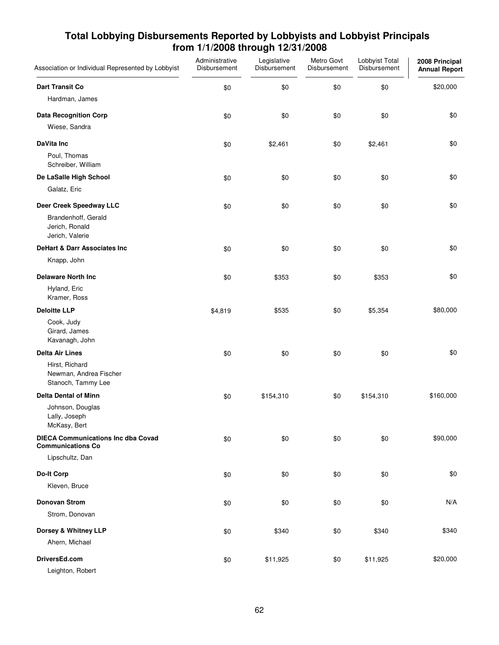| Association or Individual Represented by Lobbyist                     | Administrative<br>Disbursement | Legislative<br>Disbursement | Metro Govt<br>Disbursement | Lobbyist Total<br>Disbursement | 2008 Principal<br><b>Annual Report</b> |
|-----------------------------------------------------------------------|--------------------------------|-----------------------------|----------------------------|--------------------------------|----------------------------------------|
| <b>Dart Transit Co</b>                                                | \$0                            | \$0                         | \$0                        | \$0                            | \$20,000                               |
| Hardman, James                                                        |                                |                             |                            |                                |                                        |
| <b>Data Recognition Corp</b><br>Wiese, Sandra                         | \$0                            | \$0                         | \$0                        | \$0                            | \$0                                    |
| DaVita Inc                                                            | \$0                            | \$2,461                     | \$0                        | \$2,461                        | \$0                                    |
| Poul, Thomas<br>Schreiber, William                                    |                                |                             |                            |                                |                                        |
| De LaSalle High School                                                | \$0                            | \$0                         | \$0                        | \$0                            | \$0                                    |
| Galatz, Eric                                                          |                                |                             |                            |                                |                                        |
| Deer Creek Speedway LLC                                               | \$0                            | \$0                         | \$0                        | \$0                            | \$0                                    |
| Brandenhoff, Gerald<br>Jerich, Ronald<br>Jerich, Valerie              |                                |                             |                            |                                |                                        |
| <b>DeHart &amp; Darr Associates Inc</b>                               | \$0                            | \$0                         | \$0                        | \$0                            | \$0                                    |
| Knapp, John                                                           |                                |                             |                            |                                |                                        |
| <b>Delaware North Inc</b>                                             | \$0                            | \$353                       | \$0                        | \$353                          | \$0                                    |
| Hyland, Eric<br>Kramer, Ross                                          |                                |                             |                            |                                |                                        |
| <b>Deloitte LLP</b>                                                   | \$4,819                        | \$535                       | \$0                        | \$5,354                        | \$80,000                               |
| Cook, Judy<br>Girard, James<br>Kavanagh, John                         |                                |                             |                            |                                |                                        |
| <b>Delta Air Lines</b>                                                | \$0                            | \$0                         | \$0                        | \$0                            | \$0                                    |
| Hirst, Richard<br>Newman, Andrea Fischer<br>Stanoch, Tammy Lee        |                                |                             |                            |                                |                                        |
| <b>Delta Dental of Minn</b>                                           | \$0                            | \$154,310                   | \$0                        | \$154,310                      | \$160,000                              |
| Johnson, Douglas<br>Lally, Joseph<br>McKasy, Bert                     |                                |                             |                            |                                |                                        |
| <b>DIECA Communications Inc dba Covad</b><br><b>Communications Co</b> | \$0                            | \$0                         | \$0                        | \$0                            | \$90,000                               |
| Lipschultz, Dan                                                       |                                |                             |                            |                                |                                        |
| <b>Do-It Corp</b>                                                     | \$0                            | \$0                         | \$0                        | \$0                            | \$0                                    |
| Kleven, Bruce                                                         |                                |                             |                            |                                |                                        |
| <b>Donovan Strom</b>                                                  | \$0                            | \$0                         | \$0                        | \$0                            | N/A                                    |
| Strom, Donovan                                                        |                                |                             |                            |                                |                                        |
| Dorsey & Whitney LLP                                                  | \$0                            | \$340                       | \$0                        | \$340                          | \$340                                  |
| Ahern, Michael                                                        |                                |                             |                            |                                |                                        |
| DriversEd.com<br>Leighton, Robert                                     | \$0                            | \$11,925                    | \$0                        | \$11,925                       | \$20,000                               |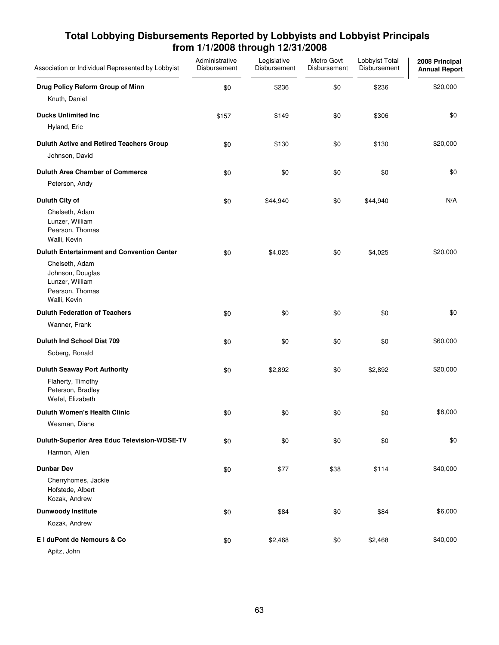| Association or Individual Represented by Lobbyist                                                                                             | Administrative<br>Disbursement | Legislative<br>Disbursement | Metro Govt<br>Disbursement | Lobbyist Total<br>Disbursement | 2008 Principal<br><b>Annual Report</b> |
|-----------------------------------------------------------------------------------------------------------------------------------------------|--------------------------------|-----------------------------|----------------------------|--------------------------------|----------------------------------------|
| Drug Policy Reform Group of Minn<br>Knuth, Daniel                                                                                             | \$0                            | \$236                       | \$0                        | \$236                          | \$20,000                               |
| <b>Ducks Unlimited Inc.</b><br>Hyland, Eric                                                                                                   | \$157                          | \$149                       | \$0                        | \$306                          | \$0                                    |
| Duluth Active and Retired Teachers Group<br>Johnson, David                                                                                    | \$0                            | \$130                       | \$0                        | \$130                          | \$20,000                               |
| <b>Duluth Area Chamber of Commerce</b><br>Peterson, Andy                                                                                      | \$0                            | \$0                         | \$0                        | \$0                            | \$0                                    |
| Duluth City of<br>Chelseth, Adam<br>Lunzer, William<br>Pearson, Thomas<br>Walli, Kevin                                                        | \$0                            | \$44,940                    | \$0                        | \$44,940                       | N/A                                    |
| <b>Duluth Entertainment and Convention Center</b><br>Chelseth, Adam<br>Johnson, Douglas<br>Lunzer, William<br>Pearson, Thomas<br>Walli, Kevin | \$0                            | \$4,025                     | \$0                        | \$4,025                        | \$20,000                               |
| <b>Duluth Federation of Teachers</b><br>Wanner, Frank                                                                                         | \$0                            | \$0                         | \$0                        | \$0                            | \$0                                    |
| Duluth Ind School Dist 709<br>Soberg, Ronald                                                                                                  | \$0                            | \$0                         | \$0                        | \$0                            | \$60,000                               |
| <b>Duluth Seaway Port Authority</b><br>Flaherty, Timothy<br>Peterson, Bradley<br>Wefel, Elizabeth                                             | \$0                            | \$2,892                     | \$0                        | \$2,892                        | \$20,000                               |
| <b>Duluth Women's Health Clinic</b><br>Wesman, Diane                                                                                          | \$0                            | \$0                         | \$0                        | \$0                            | \$8,000                                |
| Duluth-Superior Area Educ Television-WDSE-TV<br>Harmon, Allen                                                                                 | \$0                            | \$0                         | \$0                        | \$0                            | \$0                                    |
| <b>Dunbar Dev</b><br>Cherryhomes, Jackie<br>Hofstede, Albert<br>Kozak, Andrew                                                                 | \$0                            | \$77                        | \$38                       | \$114                          | \$40,000                               |
| <b>Dunwoody Institute</b><br>Kozak, Andrew                                                                                                    | \$0                            | \$84                        | \$0                        | \$84                           | \$6,000                                |
| El duPont de Nemours & Co<br>Apitz, John                                                                                                      | \$0                            | \$2,468                     | \$0                        | \$2,468                        | \$40,000                               |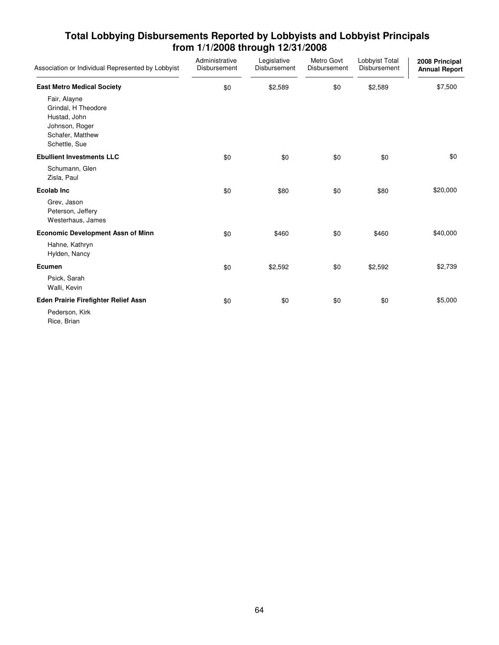| Association or Individual Represented by Lobbyist                                                          | Administrative<br>Disbursement | Legislative<br>Disbursement | Metro Govt<br>Disbursement | Lobbyist Total<br>Disbursement | 2008 Principal<br><b>Annual Report</b> |
|------------------------------------------------------------------------------------------------------------|--------------------------------|-----------------------------|----------------------------|--------------------------------|----------------------------------------|
| <b>East Metro Medical Society</b>                                                                          | \$0                            | \$2,589                     | \$0                        | \$2,589                        | \$7,500                                |
| Fair, Alayne<br>Grindal, H Theodore<br>Hustad, John<br>Johnson, Roger<br>Schafer, Matthew<br>Schettle, Sue |                                |                             |                            |                                |                                        |
| <b>Ebullient Investments LLC</b>                                                                           | \$0                            | \$0                         | \$0                        | \$0                            | \$0                                    |
| Schumann, Glen<br>Zisla, Paul                                                                              |                                |                             |                            |                                |                                        |
| <b>Ecolab Inc</b>                                                                                          | \$0                            | \$80                        | \$0                        | \$80                           | \$20,000                               |
| Grev, Jason<br>Peterson, Jeffery<br>Westerhaus, James                                                      |                                |                             |                            |                                |                                        |
| <b>Economic Development Assn of Minn</b>                                                                   | \$0                            | \$460                       | \$0                        | \$460                          | \$40,000                               |
| Hahne, Kathryn<br>Hylden, Nancy                                                                            |                                |                             |                            |                                |                                        |
| Ecumen                                                                                                     | \$0                            | \$2,592                     | \$0                        | \$2,592                        | \$2,739                                |
| Psick, Sarah<br>Walli, Kevin                                                                               |                                |                             |                            |                                |                                        |
| Eden Prairie Firefighter Relief Assn                                                                       | \$0                            | \$0                         | \$0                        | \$0                            | \$5,000                                |
| Pederson, Kirk<br>Rice, Brian                                                                              |                                |                             |                            |                                |                                        |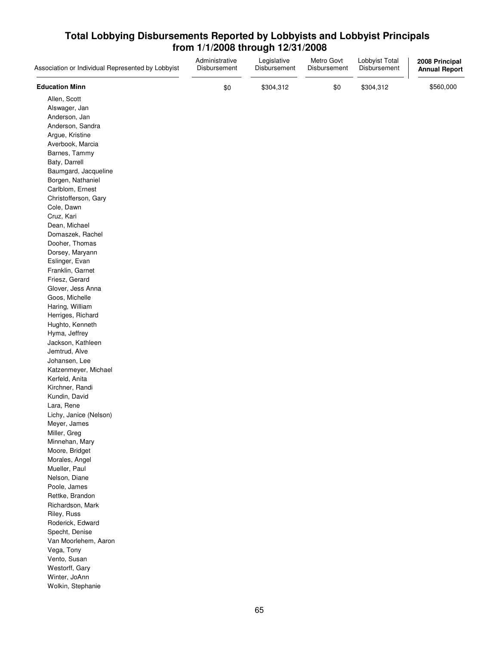| Association or Individual Represented by Lobbyist | Administrative<br>Disbursement | Legislative<br>Disbursement | Metro Govt<br>Disbursement | Lobbyist Total<br>Disbursement | 2008 Principal<br><b>Annual Report</b> |
|---------------------------------------------------|--------------------------------|-----------------------------|----------------------------|--------------------------------|----------------------------------------|
| <b>Education Minn</b>                             | \$0                            | \$304,312                   | \$0                        | \$304,312                      | \$560,000                              |
| Allen, Scott                                      |                                |                             |                            |                                |                                        |
| Alswager, Jan                                     |                                |                             |                            |                                |                                        |
| Anderson, Jan                                     |                                |                             |                            |                                |                                        |
| Anderson, Sandra                                  |                                |                             |                            |                                |                                        |
| Argue, Kristine                                   |                                |                             |                            |                                |                                        |
| Averbook, Marcia                                  |                                |                             |                            |                                |                                        |
|                                                   |                                |                             |                            |                                |                                        |
| Barnes, Tammy                                     |                                |                             |                            |                                |                                        |
| Baty, Darrell                                     |                                |                             |                            |                                |                                        |
| Baumgard, Jacqueline                              |                                |                             |                            |                                |                                        |
| Borgen, Nathaniel                                 |                                |                             |                            |                                |                                        |
| Carlblom, Ernest                                  |                                |                             |                            |                                |                                        |
| Christofferson, Gary                              |                                |                             |                            |                                |                                        |
| Cole, Dawn                                        |                                |                             |                            |                                |                                        |
| Cruz, Kari                                        |                                |                             |                            |                                |                                        |
| Dean, Michael                                     |                                |                             |                            |                                |                                        |
| Domaszek, Rachel                                  |                                |                             |                            |                                |                                        |
| Dooher, Thomas                                    |                                |                             |                            |                                |                                        |
| Dorsey, Maryann                                   |                                |                             |                            |                                |                                        |
| Eslinger, Evan                                    |                                |                             |                            |                                |                                        |
| Franklin, Garnet                                  |                                |                             |                            |                                |                                        |
| Friesz, Gerard                                    |                                |                             |                            |                                |                                        |
| Glover, Jess Anna                                 |                                |                             |                            |                                |                                        |
| Goos, Michelle                                    |                                |                             |                            |                                |                                        |
| Haring, William                                   |                                |                             |                            |                                |                                        |
| Herriges, Richard                                 |                                |                             |                            |                                |                                        |
| Hughto, Kenneth                                   |                                |                             |                            |                                |                                        |
| Hyma, Jeffrey                                     |                                |                             |                            |                                |                                        |
| Jackson, Kathleen                                 |                                |                             |                            |                                |                                        |
| Jemtrud, Alve                                     |                                |                             |                            |                                |                                        |
| Johansen, Lee                                     |                                |                             |                            |                                |                                        |
| Katzenmeyer, Michael                              |                                |                             |                            |                                |                                        |
| Kerfeld, Anita                                    |                                |                             |                            |                                |                                        |
| Kirchner, Randi                                   |                                |                             |                            |                                |                                        |
| Kundin, David                                     |                                |                             |                            |                                |                                        |
| Lara, Rene                                        |                                |                             |                            |                                |                                        |
| Lichy, Janice (Nelson)                            |                                |                             |                            |                                |                                        |
| Meyer, James                                      |                                |                             |                            |                                |                                        |
| Miller, Greg                                      |                                |                             |                            |                                |                                        |
| Minnehan, Mary                                    |                                |                             |                            |                                |                                        |
| Moore, Bridget                                    |                                |                             |                            |                                |                                        |
| Morales, Angel                                    |                                |                             |                            |                                |                                        |
| Mueller, Paul                                     |                                |                             |                            |                                |                                        |
| Nelson, Diane                                     |                                |                             |                            |                                |                                        |
| Poole, James                                      |                                |                             |                            |                                |                                        |
| Rettke, Brandon                                   |                                |                             |                            |                                |                                        |
| Richardson, Mark                                  |                                |                             |                            |                                |                                        |
| Riley, Russ                                       |                                |                             |                            |                                |                                        |
| Roderick, Edward                                  |                                |                             |                            |                                |                                        |
| Specht, Denise                                    |                                |                             |                            |                                |                                        |
| Van Moorlehem, Aaron                              |                                |                             |                            |                                |                                        |
| Vega, Tony                                        |                                |                             |                            |                                |                                        |
| Vento, Susan                                      |                                |                             |                            |                                |                                        |
| Westorff, Gary                                    |                                |                             |                            |                                |                                        |
| Winter, JoAnn                                     |                                |                             |                            |                                |                                        |
|                                                   |                                |                             |                            |                                |                                        |
| Wolkin, Stephanie                                 |                                |                             |                            |                                |                                        |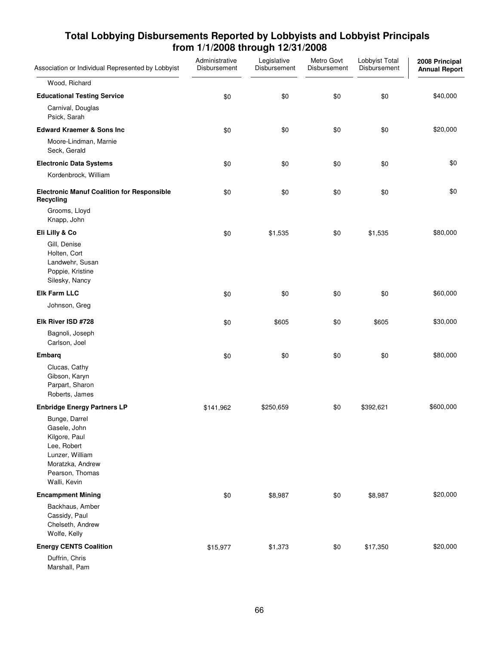| Association or Individual Represented by Lobbyist                                                                                       | Administrative<br>Disbursement | Legislative<br>Disbursement | Metro Govt<br>Disbursement | Lobbyist Total<br>Disbursement | 2008 Principal<br><b>Annual Report</b> |
|-----------------------------------------------------------------------------------------------------------------------------------------|--------------------------------|-----------------------------|----------------------------|--------------------------------|----------------------------------------|
| Wood, Richard                                                                                                                           |                                |                             |                            |                                |                                        |
| <b>Educational Testing Service</b>                                                                                                      | \$0                            | \$0                         | \$0                        | \$0                            | \$40,000                               |
| Carnival, Douglas<br>Psick, Sarah                                                                                                       |                                |                             |                            |                                |                                        |
| <b>Edward Kraemer &amp; Sons Inc</b>                                                                                                    | \$0                            | \$0                         | \$0                        | \$0                            | \$20,000                               |
| Moore-Lindman, Marnie<br>Seck, Gerald                                                                                                   |                                |                             |                            |                                |                                        |
| <b>Electronic Data Systems</b>                                                                                                          | \$0                            | \$0                         | \$0                        | \$0                            | \$0                                    |
| Kordenbrock, William                                                                                                                    |                                |                             |                            |                                |                                        |
| <b>Electronic Manuf Coalition for Responsible</b><br>Recycling                                                                          | \$0                            | \$0                         | \$0                        | \$0                            | \$0                                    |
| Grooms, Lloyd<br>Knapp, John                                                                                                            |                                |                             |                            |                                |                                        |
| Eli Lilly & Co                                                                                                                          | \$0                            | \$1,535                     | \$0                        | \$1,535                        | \$80,000                               |
| Gill, Denise<br>Holten, Cort<br>Landwehr, Susan<br>Poppie, Kristine<br>Silesky, Nancy                                                   |                                |                             |                            |                                |                                        |
| <b>Elk Farm LLC</b>                                                                                                                     | \$0                            | \$0                         | \$0                        | \$0                            | \$60,000                               |
| Johnson, Greg                                                                                                                           |                                |                             |                            |                                |                                        |
| Elk River ISD #728                                                                                                                      | \$0                            | \$605                       | \$0                        | \$605                          | \$30,000                               |
| Bagnoli, Joseph<br>Carlson, Joel                                                                                                        |                                |                             |                            |                                |                                        |
| Embarg                                                                                                                                  | \$0                            | \$0                         | \$0                        | \$0                            | \$80,000                               |
| Clucas, Cathy<br>Gibson, Karyn<br>Parpart, Sharon<br>Roberts, James                                                                     |                                |                             |                            |                                |                                        |
| <b>Enbridge Energy Partners LP</b>                                                                                                      | \$141,962                      | \$250,659                   | \$0                        | \$392,621                      | \$600,000                              |
| Bunge, Darrel<br>Gasele, John<br>Kilgore, Paul<br>Lee, Robert<br>Lunzer, William<br>Moratzka, Andrew<br>Pearson, Thomas<br>Walli, Kevin |                                |                             |                            |                                |                                        |
| <b>Encampment Mining</b>                                                                                                                | \$0                            | \$8,987                     | \$0                        | \$8,987                        | \$20,000                               |
| Backhaus, Amber<br>Cassidy, Paul<br>Chelseth, Andrew<br>Wolfe, Kelly                                                                    |                                |                             |                            |                                |                                        |
| <b>Energy CENTS Coalition</b>                                                                                                           | \$15,977                       | \$1,373                     | \$0                        | \$17,350                       | \$20,000                               |
| Duffrin, Chris<br>Marshall, Pam                                                                                                         |                                |                             |                            |                                |                                        |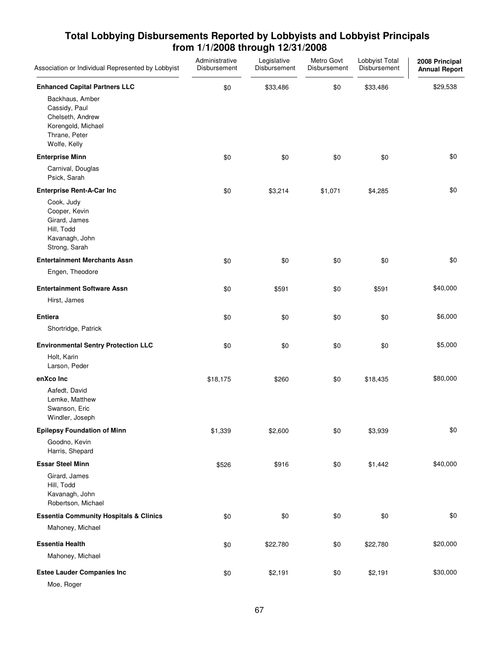| Association or Individual Represented by Lobbyist                                                                                                   | Administrative<br>Disbursement | Legislative<br>Disbursement | Metro Govt<br>Disbursement | Lobbyist Total<br>Disbursement | 2008 Principal<br><b>Annual Report</b> |
|-----------------------------------------------------------------------------------------------------------------------------------------------------|--------------------------------|-----------------------------|----------------------------|--------------------------------|----------------------------------------|
| <b>Enhanced Capital Partners LLC</b><br>Backhaus, Amber<br>Cassidy, Paul<br>Chelseth, Andrew<br>Korengold, Michael<br>Thrane, Peter<br>Wolfe, Kelly | \$0                            | \$33,486                    | \$0                        | \$33,486                       | \$29,538                               |
| <b>Enterprise Minn</b><br>Carnival, Douglas<br>Psick, Sarah                                                                                         | \$0                            | \$0                         | \$0                        | \$0                            | \$0                                    |
| <b>Enterprise Rent-A-Car Inc</b><br>Cook, Judy<br>Cooper, Kevin<br>Girard, James<br>Hill, Todd<br>Kavanagh, John<br>Strong, Sarah                   | \$0                            | \$3,214                     | \$1,071                    | \$4,285                        | \$0                                    |
| <b>Entertainment Merchants Assn</b>                                                                                                                 | \$0                            | \$0                         | \$0                        | \$0                            | \$0                                    |
| Engen, Theodore<br><b>Entertainment Software Assn</b><br>Hirst, James                                                                               | \$0                            | \$591                       | \$0                        | \$591                          | \$40,000                               |
| <b>Entiera</b><br>Shortridge, Patrick                                                                                                               | \$0                            | \$0                         | \$0                        | \$0                            | \$6,000                                |
| <b>Environmental Sentry Protection LLC</b><br>Holt, Karin<br>Larson, Peder                                                                          | \$0                            | \$0                         | \$0                        | \$0                            | \$5,000                                |
| enXco Inc<br>Aafedt, David<br>Lemke, Matthew<br>Swanson, Eric<br>Windler, Joseph                                                                    | \$18,175                       | \$260                       | \$0                        | \$18,435                       | \$80,000                               |
| <b>Epilepsy Foundation of Minn</b><br>Goodno, Kevin                                                                                                 | \$1,339                        | \$2,600                     | \$0                        | \$3,939                        | \$0                                    |
| Harris, Shepard<br><b>Essar Steel Minn</b><br>Girard, James<br>Hill, Todd<br>Kavanagh, John<br>Robertson, Michael                                   | \$526                          | \$916                       | \$0                        | \$1,442                        | \$40,000                               |
| <b>Essentia Community Hospitals &amp; Clinics</b><br>Mahoney, Michael                                                                               | \$0                            | \$0                         | \$0                        | \$0                            | \$0                                    |
| <b>Essentia Health</b><br>Mahoney, Michael                                                                                                          | \$0                            | \$22,780                    | \$0                        | \$22,780                       | \$20,000                               |
| <b>Estee Lauder Companies Inc</b><br>Moe, Roger                                                                                                     | \$0                            | \$2,191                     | \$0                        | \$2,191                        | \$30,000                               |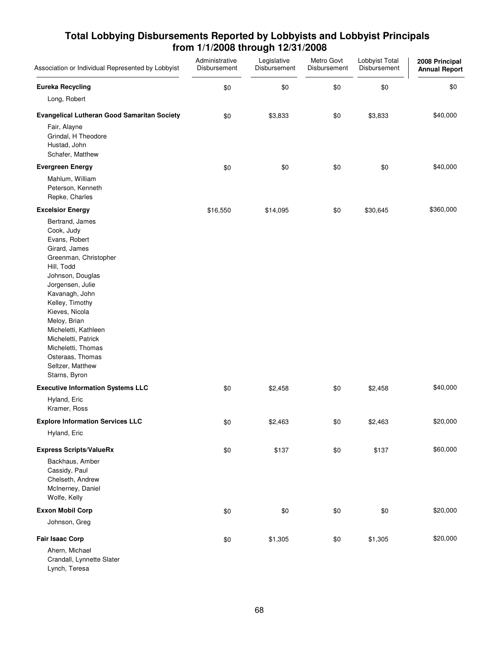| Association or Individual Represented by Lobbyist                                                                                                                                                                                                                                                                                                   | Administrative<br>Disbursement | Legislative<br>Disbursement | Metro Govt<br>Disbursement | Lobbyist Total<br>Disbursement | 2008 Principal<br><b>Annual Report</b> |
|-----------------------------------------------------------------------------------------------------------------------------------------------------------------------------------------------------------------------------------------------------------------------------------------------------------------------------------------------------|--------------------------------|-----------------------------|----------------------------|--------------------------------|----------------------------------------|
| <b>Eureka Recycling</b>                                                                                                                                                                                                                                                                                                                             | \$0                            | \$0                         | \$0                        | \$0                            | \$0                                    |
| Long, Robert                                                                                                                                                                                                                                                                                                                                        |                                |                             |                            |                                |                                        |
| <b>Evangelical Lutheran Good Samaritan Society</b>                                                                                                                                                                                                                                                                                                  | \$0                            | \$3,833                     | \$0                        | \$3,833                        | \$40,000                               |
| Fair, Alayne<br>Grindal, H Theodore<br>Hustad, John<br>Schafer, Matthew                                                                                                                                                                                                                                                                             |                                |                             |                            |                                |                                        |
| <b>Evergreen Energy</b>                                                                                                                                                                                                                                                                                                                             | \$0                            | \$0                         | \$0                        | \$0                            | \$40,000                               |
| Mahlum, William<br>Peterson, Kenneth<br>Repke, Charles                                                                                                                                                                                                                                                                                              |                                |                             |                            |                                |                                        |
| <b>Excelsior Energy</b>                                                                                                                                                                                                                                                                                                                             | \$16,550                       | \$14,095                    | \$0                        | \$30,645                       | \$360,000                              |
| Bertrand, James<br>Cook, Judy<br>Evans, Robert<br>Girard, James<br>Greenman, Christopher<br>Hill, Todd<br>Johnson, Douglas<br>Jorgensen, Julie<br>Kavanagh, John<br>Kelley, Timothy<br>Kieves, Nicola<br>Meloy, Brian<br>Micheletti, Kathleen<br>Micheletti, Patrick<br>Micheletti, Thomas<br>Osteraas, Thomas<br>Seltzer, Matthew<br>Starns, Byron |                                |                             |                            |                                |                                        |
| <b>Executive Information Systems LLC</b>                                                                                                                                                                                                                                                                                                            | \$0                            | \$2,458                     | \$0                        | \$2,458                        | \$40,000                               |
| Hyland, Eric<br>Kramer, Ross                                                                                                                                                                                                                                                                                                                        |                                |                             |                            |                                |                                        |
| <b>Explore Information Services LLC</b>                                                                                                                                                                                                                                                                                                             | $\$0$                          | \$2,463                     | \$0                        | \$2,463                        | \$20,000                               |
| Hyland, Eric                                                                                                                                                                                                                                                                                                                                        |                                |                             |                            |                                |                                        |
| <b>Express Scripts/ValueRx</b><br>Backhaus, Amber<br>Cassidy, Paul<br>Chelseth, Andrew<br>McInerney, Daniel<br>Wolfe, Kelly                                                                                                                                                                                                                         | \$0                            | \$137                       | \$0                        | \$137                          | \$60,000                               |
| <b>Exxon Mobil Corp</b>                                                                                                                                                                                                                                                                                                                             | \$0                            | \$0                         | \$0                        | \$0                            | \$20,000                               |
| Johnson, Greg                                                                                                                                                                                                                                                                                                                                       |                                |                             |                            |                                |                                        |
| <b>Fair Isaac Corp</b>                                                                                                                                                                                                                                                                                                                              | \$0                            | \$1,305                     | \$0                        | \$1,305                        | \$20,000                               |
| Ahern, Michael<br>Crandall, Lynnette Slater<br>Lynch, Teresa                                                                                                                                                                                                                                                                                        |                                |                             |                            |                                |                                        |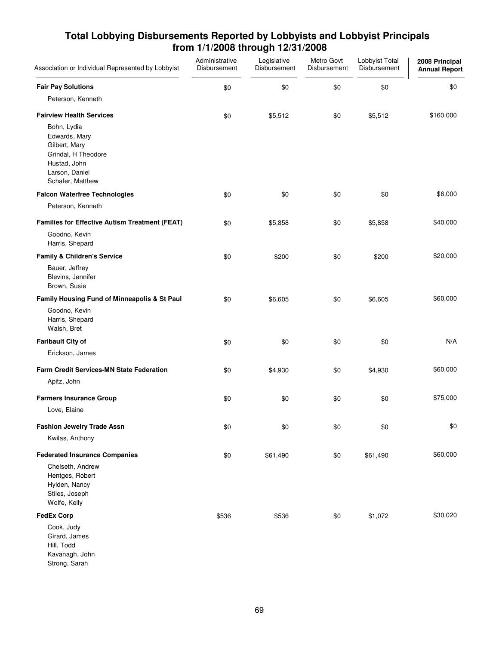| Association or Individual Represented by Lobbyist                                                                          | Administrative<br>Disbursement | Legislative<br>Disbursement | Metro Govt<br>Disbursement | Lobbyist Total<br>Disbursement | 2008 Principal<br><b>Annual Report</b> |
|----------------------------------------------------------------------------------------------------------------------------|--------------------------------|-----------------------------|----------------------------|--------------------------------|----------------------------------------|
| <b>Fair Pay Solutions</b>                                                                                                  | \$0                            | \$0                         | \$0                        | \$0                            | \$0                                    |
| Peterson, Kenneth                                                                                                          |                                |                             |                            |                                |                                        |
| <b>Fairview Health Services</b>                                                                                            | \$0                            | \$5,512                     | \$0                        | \$5,512                        | \$160,000                              |
| Bohn, Lydia<br>Edwards, Mary<br>Gilbert, Mary<br>Grindal, H Theodore<br>Hustad, John<br>Larson, Daniel<br>Schafer, Matthew |                                |                             |                            |                                |                                        |
| <b>Falcon Waterfree Technologies</b>                                                                                       | \$0                            | \$0                         | \$0                        | \$0                            | \$6,000                                |
| Peterson, Kenneth                                                                                                          |                                |                             |                            |                                |                                        |
| Families for Effective Autism Treatment (FEAT)                                                                             | \$0                            | \$5,858                     | \$0                        | \$5,858                        | \$40,000                               |
| Goodno, Kevin<br>Harris, Shepard                                                                                           |                                |                             |                            |                                |                                        |
| <b>Family &amp; Children's Service</b>                                                                                     | \$0                            | \$200                       | \$0                        | \$200                          | \$20,000                               |
| Bauer, Jeffrey<br>Blevins, Jennifer<br>Brown, Susie                                                                        |                                |                             |                            |                                |                                        |
| Family Housing Fund of Minneapolis & St Paul                                                                               | \$0                            | \$6,605                     | \$0                        | \$6,605                        | \$60,000                               |
| Goodno, Kevin<br>Harris, Shepard<br>Walsh, Bret                                                                            |                                |                             |                            |                                |                                        |
| <b>Faribault City of</b>                                                                                                   | \$0                            | \$0                         | \$0                        | \$0                            | N/A                                    |
| Erickson, James                                                                                                            |                                |                             |                            |                                |                                        |
| <b>Farm Credit Services-MN State Federation</b>                                                                            | \$0                            | \$4,930                     | \$0                        | \$4,930                        | \$60,000                               |
| Apitz, John                                                                                                                |                                |                             |                            |                                |                                        |
| <b>Farmers Insurance Group</b>                                                                                             | \$0                            | \$0                         | \$0                        | \$0                            | \$75,000                               |
| Love, Elaine                                                                                                               |                                |                             |                            |                                |                                        |
| <b>Fashion Jewelry Trade Assn</b>                                                                                          | \$0                            | \$0                         | \$0                        | \$0                            | \$0                                    |
| Kwilas, Anthony                                                                                                            |                                |                             |                            |                                |                                        |
| <b>Federated Insurance Companies</b>                                                                                       | \$0                            | \$61,490                    | \$0                        | \$61,490                       | \$60,000                               |
| Chelseth, Andrew<br>Hentges, Robert<br>Hylden, Nancy<br>Stiles, Joseph<br>Wolfe, Kelly                                     |                                |                             |                            |                                |                                        |
| <b>FedEx Corp</b>                                                                                                          | \$536                          | \$536                       | \$0                        | \$1,072                        | \$30,020                               |
| Cook, Judy<br>Girard, James<br>Hill, Todd<br>Kavanagh, John<br>Strong, Sarah                                               |                                |                             |                            |                                |                                        |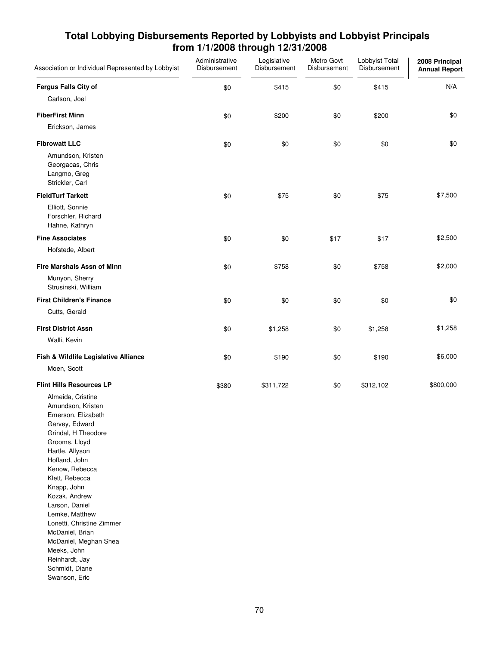| Association or Individual Represented by Lobbyist                                                                                                                                                                                                                                                                                                                                                               | Administrative<br>Disbursement | Legislative<br>Disbursement | Metro Govt<br>Disbursement | Lobbyist Total<br>Disbursement | 2008 Principal<br><b>Annual Report</b> |
|-----------------------------------------------------------------------------------------------------------------------------------------------------------------------------------------------------------------------------------------------------------------------------------------------------------------------------------------------------------------------------------------------------------------|--------------------------------|-----------------------------|----------------------------|--------------------------------|----------------------------------------|
| <b>Fergus Falls City of</b>                                                                                                                                                                                                                                                                                                                                                                                     | \$0                            | \$415                       | \$0                        | \$415                          | N/A                                    |
| Carlson, Joel                                                                                                                                                                                                                                                                                                                                                                                                   |                                |                             |                            |                                |                                        |
| <b>FiberFirst Minn</b>                                                                                                                                                                                                                                                                                                                                                                                          | \$0                            | \$200                       | \$0                        | \$200                          | \$0                                    |
| Erickson, James                                                                                                                                                                                                                                                                                                                                                                                                 |                                |                             |                            |                                |                                        |
| <b>Fibrowatt LLC</b>                                                                                                                                                                                                                                                                                                                                                                                            | \$0                            | \$0                         | \$0                        | \$0                            | \$0                                    |
| Amundson, Kristen<br>Georgacas, Chris<br>Langmo, Greg<br>Strickler, Carl                                                                                                                                                                                                                                                                                                                                        |                                |                             |                            |                                |                                        |
| <b>FieldTurf Tarkett</b>                                                                                                                                                                                                                                                                                                                                                                                        | \$0                            | \$75                        | \$0                        | \$75                           | \$7,500                                |
| Elliott, Sonnie<br>Forschler, Richard<br>Hahne, Kathryn                                                                                                                                                                                                                                                                                                                                                         |                                |                             |                            |                                |                                        |
| <b>Fine Associates</b>                                                                                                                                                                                                                                                                                                                                                                                          | \$0                            | \$0                         | \$17                       | \$17                           | \$2,500                                |
| Hofstede, Albert                                                                                                                                                                                                                                                                                                                                                                                                |                                |                             |                            |                                |                                        |
| Fire Marshals Assn of Minn                                                                                                                                                                                                                                                                                                                                                                                      | \$0                            | \$758                       | \$0                        | \$758                          | \$2,000                                |
| Munyon, Sherry<br>Strusinski, William                                                                                                                                                                                                                                                                                                                                                                           |                                |                             |                            |                                |                                        |
| <b>First Children's Finance</b>                                                                                                                                                                                                                                                                                                                                                                                 | \$0                            | \$0                         | \$0                        | \$0                            | \$0                                    |
| Cutts, Gerald                                                                                                                                                                                                                                                                                                                                                                                                   |                                |                             |                            |                                |                                        |
| <b>First District Assn</b>                                                                                                                                                                                                                                                                                                                                                                                      | \$0                            | \$1,258                     | \$0                        | \$1,258                        | \$1,258                                |
| Walli, Kevin                                                                                                                                                                                                                                                                                                                                                                                                    |                                |                             |                            |                                |                                        |
| Fish & Wildlife Legislative Alliance                                                                                                                                                                                                                                                                                                                                                                            | \$0                            | \$190                       | \$0                        | \$190                          | \$6,000                                |
| Moen, Scott                                                                                                                                                                                                                                                                                                                                                                                                     |                                |                             |                            |                                |                                        |
| <b>Flint Hills Resources LP</b>                                                                                                                                                                                                                                                                                                                                                                                 | \$380                          | \$311,722                   | \$0                        | \$312,102                      | \$800,000                              |
| Almeida, Cristine<br>Amundson, Kristen<br>Emerson, Elizabeth<br>Garvey, Edward<br>Grindal, H Theodore<br>Grooms, Lloyd<br>Hartle, Allyson<br>Hofland, John<br>Kenow, Rebecca<br>Klett, Rebecca<br>Knapp, John<br>Kozak, Andrew<br>Larson, Daniel<br>Lemke, Matthew<br>Lonetti, Christine Zimmer<br>McDaniel, Brian<br>McDaniel, Meghan Shea<br>Meeks, John<br>Reinhardt, Jay<br>Schmidt, Diane<br>Swanson, Eric |                                |                             |                            |                                |                                        |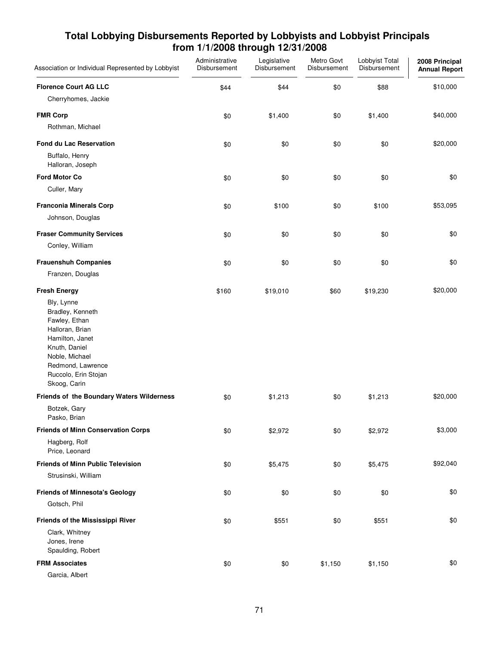| Association or Individual Represented by Lobbyist                                                                                                                                     | Administrative<br>Disbursement | Legislative<br>Disbursement | Metro Govt<br>Disbursement | Lobbyist Total<br>Disbursement | 2008 Principal<br><b>Annual Report</b> |
|---------------------------------------------------------------------------------------------------------------------------------------------------------------------------------------|--------------------------------|-----------------------------|----------------------------|--------------------------------|----------------------------------------|
| <b>Florence Court AG LLC</b>                                                                                                                                                          | \$44                           | \$44                        | \$0                        | \$88                           | \$10,000                               |
| Cherryhomes, Jackie                                                                                                                                                                   |                                |                             |                            |                                |                                        |
| <b>FMR Corp</b>                                                                                                                                                                       | \$0                            | \$1,400                     | \$0                        | \$1,400                        | \$40,000                               |
| Rothman, Michael                                                                                                                                                                      |                                |                             |                            |                                |                                        |
| <b>Fond du Lac Reservation</b>                                                                                                                                                        | \$0                            | \$0                         | \$0                        | \$0                            | \$20,000                               |
| Buffalo, Henry<br>Halloran, Joseph                                                                                                                                                    |                                |                             |                            |                                |                                        |
| <b>Ford Motor Co</b>                                                                                                                                                                  | \$0                            | \$0                         | \$0                        | \$0                            | \$0                                    |
| Culler, Mary                                                                                                                                                                          |                                |                             |                            |                                |                                        |
| <b>Franconia Minerals Corp</b>                                                                                                                                                        | \$0                            | \$100                       | \$0                        | \$100                          | \$53,095                               |
| Johnson, Douglas                                                                                                                                                                      |                                |                             |                            |                                |                                        |
| <b>Fraser Community Services</b>                                                                                                                                                      | \$0                            | \$0                         | \$0                        | \$0                            | \$0                                    |
| Conley, William                                                                                                                                                                       |                                |                             |                            |                                |                                        |
| <b>Frauenshuh Companies</b>                                                                                                                                                           | \$0                            | \$0                         | \$0                        | \$0                            | \$0                                    |
| Franzen, Douglas                                                                                                                                                                      |                                |                             |                            |                                |                                        |
| <b>Fresh Energy</b>                                                                                                                                                                   | \$160                          | \$19,010                    | \$60                       | \$19,230                       | \$20,000                               |
| Bly, Lynne<br>Bradley, Kenneth<br>Fawley, Ethan<br>Halloran, Brian<br>Hamilton, Janet<br>Knuth, Daniel<br>Noble, Michael<br>Redmond, Lawrence<br>Ruccolo, Erin Stojan<br>Skoog, Carin |                                |                             |                            |                                |                                        |
| Friends of the Boundary Waters Wilderness                                                                                                                                             | \$0                            | \$1,213                     | \$0                        | \$1,213                        | \$20,000                               |
| Botzek, Gary<br>Pasko, Brian                                                                                                                                                          |                                |                             |                            |                                |                                        |
| <b>Friends of Minn Conservation Corps</b>                                                                                                                                             | \$0                            | \$2,972                     | \$0                        | \$2,972                        | \$3,000                                |
| Hagberg, Rolf<br>Price, Leonard                                                                                                                                                       |                                |                             |                            |                                |                                        |
| <b>Friends of Minn Public Television</b>                                                                                                                                              | \$0                            | \$5,475                     | \$0                        | \$5,475                        | \$92,040                               |
| Strusinski, William                                                                                                                                                                   |                                |                             |                            |                                |                                        |
| <b>Friends of Minnesota's Geology</b>                                                                                                                                                 | \$0                            | \$0                         | \$0                        | \$0                            | \$0                                    |
| Gotsch, Phil                                                                                                                                                                          |                                |                             |                            |                                |                                        |
| <b>Friends of the Mississippi River</b><br>Clark, Whitney<br>Jones, Irene<br>Spaulding, Robert                                                                                        | \$0                            | \$551                       | \$0                        | \$551                          | \$0                                    |
| <b>FRM Associates</b>                                                                                                                                                                 | \$0                            | \$0                         | \$1,150                    | \$1,150                        | \$0                                    |
| Garcia, Albert                                                                                                                                                                        |                                |                             |                            |                                |                                        |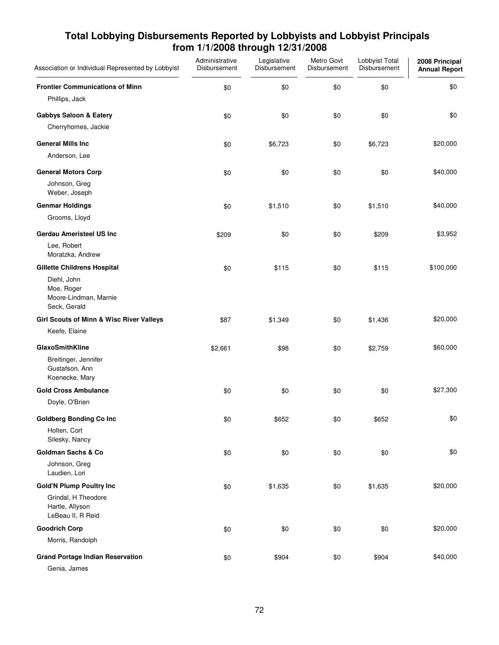| Total Lobbying Disbursements Reported by Lobbyists and Lobbyist Principals |
|----------------------------------------------------------------------------|
| from 1/1/2008 through 12/31/2008                                           |

| Association or Individual Represented by Lobbyist                  | Administrative<br>Disbursement | Legislative<br>Disbursement | Metro Govt<br>Disbursement | Lobbyist Total<br>Disbursement | 2008 Principal<br><b>Annual Report</b> |
|--------------------------------------------------------------------|--------------------------------|-----------------------------|----------------------------|--------------------------------|----------------------------------------|
| <b>Frontier Communications of Minn</b>                             | \$0                            | \$0                         | \$0                        | \$0                            | \$0                                    |
| Phillips, Jack                                                     |                                |                             |                            |                                |                                        |
| <b>Gabbys Saloon &amp; Eatery</b>                                  | \$0                            | \$0                         | \$0                        | \$0                            | \$0                                    |
| Cherryhomes, Jackie                                                |                                |                             |                            |                                |                                        |
| <b>General Mills Inc</b>                                           | \$0                            | \$6,723                     | \$0                        | \$6,723                        | \$20,000                               |
| Anderson, Lee                                                      |                                |                             |                            |                                |                                        |
| <b>General Motors Corp</b>                                         | \$0                            | \$0                         | \$0                        | \$0                            | \$40,000                               |
| Johnson, Greg<br>Weber, Joseph                                     |                                |                             |                            |                                |                                        |
| <b>Genmar Holdings</b>                                             | \$0                            | \$1,510                     | \$0                        | \$1,510                        | \$40,000                               |
| Grooms, Lloyd                                                      |                                |                             |                            |                                |                                        |
| <b>Gerdau Ameristeel US Inc</b>                                    | \$209                          | \$0                         | \$0                        | \$209                          | \$3,952                                |
| Lee, Robert<br>Moratzka, Andrew                                    |                                |                             |                            |                                |                                        |
| <b>Gillette Childrens Hospital</b>                                 | \$0                            | \$115                       | \$0                        | \$115                          | \$100,000                              |
| Diehl, John<br>Moe, Roger<br>Moore-Lindman, Marnie<br>Seck, Gerald |                                |                             |                            |                                |                                        |
| Girl Scouts of Minn & Wisc River Valleys                           | \$87                           | \$1,349                     | \$0                        | \$1,436                        | \$20,000                               |
| Keefe, Elaine                                                      |                                |                             |                            |                                |                                        |
| GlaxoSmithKline                                                    | \$2,661                        | \$98                        | \$0                        | \$2,759                        | \$60,000                               |
| Breitinger, Jennifer<br>Gustafson, Ann<br>Koenecke, Mary           |                                |                             |                            |                                |                                        |
| <b>Gold Cross Ambulance</b>                                        | \$0                            | \$0                         | \$0                        | \$0                            | \$27,300                               |
| Doyle, O'Brien                                                     |                                |                             |                            |                                |                                        |
| <b>Goldberg Bonding Co Inc</b>                                     | \$0                            | \$652                       | \$0                        | \$652                          | \$0                                    |
| Holten, Cort<br>Silesky, Nancy                                     |                                |                             |                            |                                |                                        |
| <b>Goldman Sachs &amp; Co</b>                                      | \$0                            | \$0                         | \$0                        | \$0                            | \$0                                    |
| Johnson, Greg<br>Laudien, Lori                                     |                                |                             |                            |                                |                                        |
| <b>Gold'N Plump Poultry Inc</b>                                    | \$0                            | \$1,635                     | \$0                        | \$1,635                        | \$20,000                               |
| Grindal, H Theodore<br>Hartle, Allyson<br>LeBeau II, R Reid        |                                |                             |                            |                                |                                        |
| <b>Goodrich Corp</b>                                               | \$0                            | \$0                         | \$0                        | \$0                            | \$20,000                               |
| Morris, Randolph                                                   |                                |                             |                            |                                |                                        |
| <b>Grand Portage Indian Reservation</b>                            | \$0                            | \$904                       | \$0                        | \$904                          | \$40,000                               |
| Genia, James                                                       |                                |                             |                            |                                |                                        |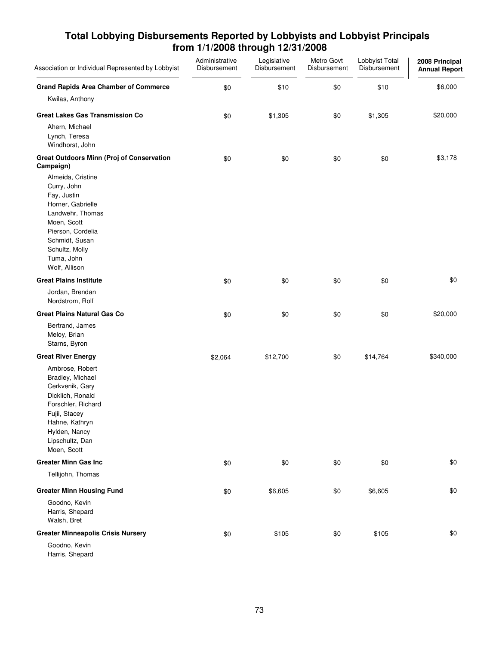| Association or Individual Represented by Lobbyist                                                                                                                                               | Administrative<br>Disbursement | Legislative<br>Disbursement | Metro Govt<br>Disbursement | Lobbyist Total<br>Disbursement | 2008 Principal<br><b>Annual Report</b> |
|-------------------------------------------------------------------------------------------------------------------------------------------------------------------------------------------------|--------------------------------|-----------------------------|----------------------------|--------------------------------|----------------------------------------|
| <b>Grand Rapids Area Chamber of Commerce</b>                                                                                                                                                    | \$0                            | \$10                        | \$0                        | \$10                           | \$6,000                                |
| Kwilas, Anthony                                                                                                                                                                                 |                                |                             |                            |                                |                                        |
| <b>Great Lakes Gas Transmission Co</b>                                                                                                                                                          | \$0                            | \$1,305                     | \$0                        | \$1,305                        | \$20,000                               |
| Ahern, Michael<br>Lynch, Teresa<br>Windhorst, John                                                                                                                                              |                                |                             |                            |                                |                                        |
| <b>Great Outdoors Minn (Proj of Conservation</b><br>Campaign)                                                                                                                                   | \$0                            | \$0                         | \$0                        | \$0                            | \$3,178                                |
| Almeida, Cristine<br>Curry, John<br>Fay, Justin<br>Horner, Gabrielle<br>Landwehr, Thomas<br>Moen, Scott<br>Pierson, Cordelia<br>Schmidt, Susan<br>Schultz, Molly<br>Tuma, John<br>Wolf, Allison |                                |                             |                            |                                |                                        |
| <b>Great Plains Institute</b>                                                                                                                                                                   | \$0                            | \$0                         | \$0                        | \$0                            | \$0                                    |
| Jordan, Brendan<br>Nordstrom, Rolf                                                                                                                                                              |                                |                             |                            |                                |                                        |
| <b>Great Plains Natural Gas Co</b>                                                                                                                                                              | \$0                            | \$0                         | \$0                        | \$0                            | \$20,000                               |
| Bertrand, James<br>Meloy, Brian<br>Starns, Byron                                                                                                                                                |                                |                             |                            |                                |                                        |
| <b>Great River Energy</b>                                                                                                                                                                       | \$2,064                        | \$12,700                    | \$0                        | \$14,764                       | \$340,000                              |
| Ambrose, Robert<br>Bradley, Michael<br>Cerkvenik, Gary<br>Dicklich, Ronald<br>Forschler, Richard<br>Fujii, Stacey<br>Hahne, Kathryn<br>Hylden, Nancy<br>Lipschultz, Dan<br>Moen, Scott          |                                |                             |                            |                                |                                        |
| <b>Greater Minn Gas Inc</b>                                                                                                                                                                     | \$0                            | \$0                         | \$0                        | \$0                            | \$0                                    |
| Tellijohn, Thomas                                                                                                                                                                               |                                |                             |                            |                                |                                        |
| <b>Greater Minn Housing Fund</b>                                                                                                                                                                | \$0                            | \$6,605                     | \$0                        | \$6,605                        | \$0                                    |
| Goodno, Kevin<br>Harris, Shepard<br>Walsh, Bret                                                                                                                                                 |                                |                             |                            |                                |                                        |
| <b>Greater Minneapolis Crisis Nursery</b>                                                                                                                                                       | \$0                            | \$105                       | \$0                        | \$105                          | \$0                                    |
| Goodno, Kevin<br>Harris, Shepard                                                                                                                                                                |                                |                             |                            |                                |                                        |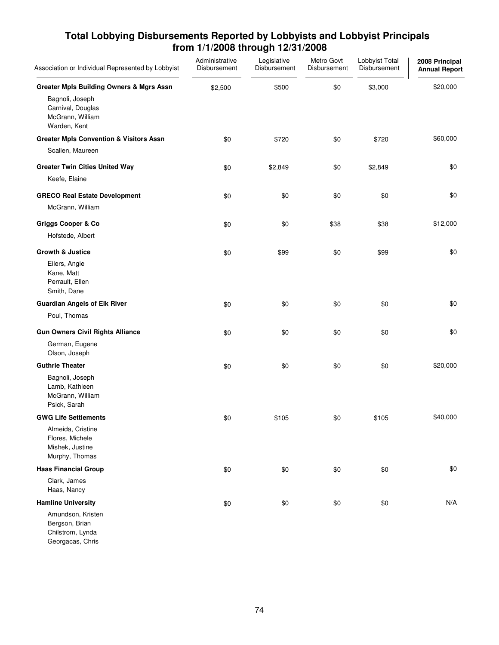#### Association or Individual Represented by Lobbyist Legislative Disbursement Metro Govt Disbursement Lobbyist Total Disbursement Administrative Disbursement **2008 Principal Annual Report Greater Mpls Building Owners & Mgrs Assn** \$2,500 \$500 \$500 \$3,000 \$3,000 \$20,000 Bagnoli, Joseph Carnival, Douglas McGrann, William Warden, Kent **Greater Mpls Convention & Visitors Assn**  $$0$  $$720$  $$60,000$  $$720$  $$60,000$ Scallen, Maureen **Greater Twin Cities United Way 60 52,849 \$0 \$2,849 \$0 \$2,849 \$0 \$2,849** \$0 Keefe, Elaine **GRECO Real Estate Development**  $\begin{array}{cccc} 0.60 & 0.80 & 0.80 & 0.80 & 0.80 & 0.80 & 0.80 & 0.80 & 0.80 & 0.80 & 0.80 & 0.80 & 0.80 & 0.80 & 0.80 & 0.80 & 0.80 & 0.80 & 0.80 & 0.80 & 0.80 & 0.80 & 0.80 & 0.80 & 0.80 & 0.80 & 0.80 & 0.80 & 0.80 & 0.80 & 0$ McGrann, William **Griggs Cooper & Co 60 \$12,000** \$0 \$38 \$38 \$38 \$12,000 Hofstede, Albert **Growth & Justice** \$0 \$99 \$0 \$99 \$0 Eilers, Angie Kane, Matt Perrault, Ellen Smith, Dane **Guardian Angels of Elk River** \$0 \$0 \$0 \$0 \$0 Poul, Thomas **Gun Owners Civil Rights Alliance 50**  $\frac{1}{30}$  \$0  $\frac{1}{30}$  \$0 \$0 \$0 \$0 \$0 German, Eugene Olson, Joseph **Guthrie Theater \$**0 \$0 \$0 \$0 \$20,000 Bagnoli, Joseph Lamb, Kathleen McGrann, William Psick, Sarah **GWG Life Settlements**  $\begin{array}{cccccccccc} 105 & 200 & 300 & 5105 & 500 & 5105 & 540,000 & 5105 & 540,000 & 5105 & 540,000 & 5105 & 540,000 & 5105 & 540,000 & 5105 & 5105 & 5105 & 5105 & 5105 & 5105 & 5105 & 5105 & 5105 & 5105 & 5105 & 5105 & 5105 & 5105 & 510$ Almeida, Cristine Flores, Michele Mishek, Justine Murphy, Thomas **Haas Financial Group \$**0 \$0 \$0 \$0 \$0 Clark, James Haas, Nancy **Hamline University** \$0 \$0 \$0 \$0 N/A Amundson, Kristen

# **Total Lobbying Disbursements Reported by Lobbyists and Lobbyist Principals from 1/1/2008 through 12/31/2008**

Chilstrom, Lynda Georgacas, Chris

Bergson, Brian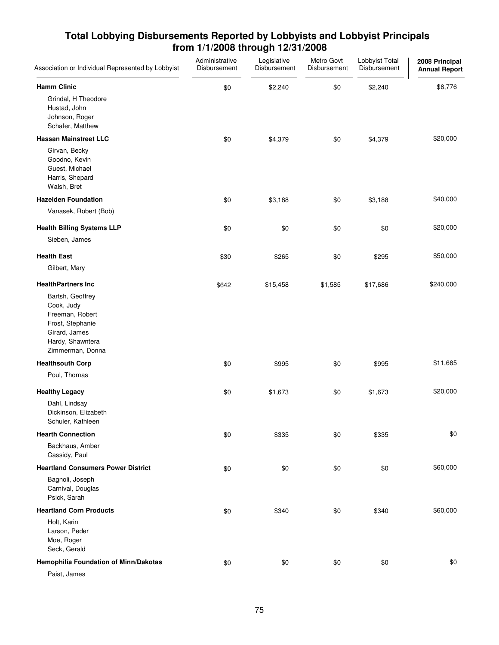| Association or Individual Represented by Lobbyist                                                                              | Administrative<br>Disbursement | Legislative<br>Disbursement | Metro Govt<br>Disbursement | Lobbyist Total<br>Disbursement | 2008 Principal<br><b>Annual Report</b> |
|--------------------------------------------------------------------------------------------------------------------------------|--------------------------------|-----------------------------|----------------------------|--------------------------------|----------------------------------------|
| <b>Hamm Clinic</b>                                                                                                             | \$0                            | \$2,240                     | \$0                        | \$2,240                        | \$8,776                                |
| Grindal, H Theodore<br>Hustad, John<br>Johnson, Roger<br>Schafer, Matthew                                                      |                                |                             |                            |                                |                                        |
| <b>Hassan Mainstreet LLC</b>                                                                                                   | \$0                            | \$4,379                     | \$0                        | \$4,379                        | \$20,000                               |
| Girvan, Becky<br>Goodno, Kevin<br>Guest, Michael<br>Harris, Shepard<br>Walsh, Bret                                             |                                |                             |                            |                                |                                        |
| <b>Hazelden Foundation</b>                                                                                                     | \$0                            | \$3,188                     | \$0                        | \$3,188                        | \$40,000                               |
| Vanasek, Robert (Bob)                                                                                                          |                                |                             |                            |                                |                                        |
| <b>Health Billing Systems LLP</b>                                                                                              | \$0                            | \$0                         | \$0                        | \$0                            | \$20,000                               |
| Sieben, James                                                                                                                  |                                |                             |                            |                                |                                        |
| <b>Health East</b>                                                                                                             | \$30                           | \$265                       | \$0                        | \$295                          | \$50,000                               |
| Gilbert, Mary                                                                                                                  |                                |                             |                            |                                |                                        |
| <b>HealthPartners Inc</b>                                                                                                      | \$642                          | \$15,458                    | \$1,585                    | \$17,686                       | \$240,000                              |
| Bartsh, Geoffrey<br>Cook, Judy<br>Freeman, Robert<br>Frost, Stephanie<br>Girard, James<br>Hardy, Shawntera<br>Zimmerman, Donna |                                |                             |                            |                                |                                        |
| <b>Healthsouth Corp</b>                                                                                                        | \$0                            | \$995                       | \$0                        | \$995                          | \$11,685                               |
| Poul, Thomas                                                                                                                   |                                |                             |                            |                                |                                        |
| <b>Healthy Legacy</b>                                                                                                          | \$0                            | \$1,673                     | \$0                        | \$1,673                        | \$20,000                               |
| Dahl, Lindsay<br>Dickinson, Elizabeth<br>Schuler, Kathleen                                                                     |                                |                             |                            |                                |                                        |
| <b>Hearth Connection</b>                                                                                                       | \$0                            | \$335                       | \$0                        | \$335                          | \$0                                    |
| Backhaus, Amber<br>Cassidy, Paul                                                                                               |                                |                             |                            |                                |                                        |
| <b>Heartland Consumers Power District</b>                                                                                      | \$0                            | \$0                         | \$0                        | \$0                            | \$60,000                               |
| Bagnoli, Joseph<br>Carnival, Douglas<br>Psick, Sarah                                                                           |                                |                             |                            |                                |                                        |
| <b>Heartland Corn Products</b>                                                                                                 | \$0                            | \$340                       | \$0                        | \$340                          | \$60,000                               |
| Holt, Karin<br>Larson, Peder<br>Moe, Roger<br>Seck, Gerald                                                                     |                                |                             |                            |                                |                                        |
| Hemophilia Foundation of Minn/Dakotas                                                                                          | \$0                            | \$0                         | \$0                        | \$0                            | \$0                                    |
| Paist, James                                                                                                                   |                                |                             |                            |                                |                                        |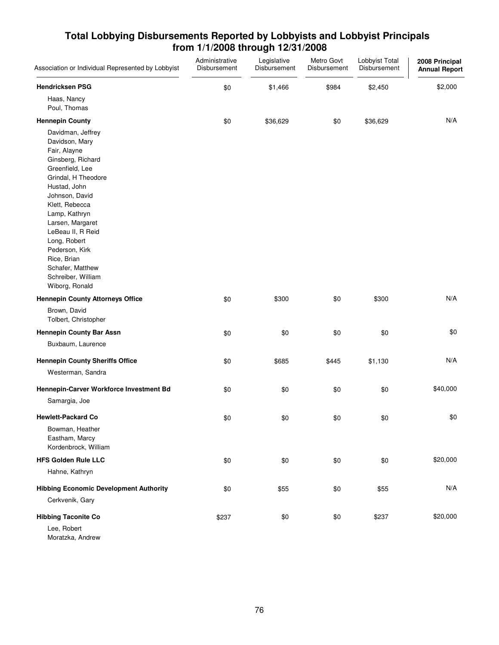| Association or Individual Represented by Lobbyist                                                                                                                                                                                                                                                                                             | Administrative<br>Disbursement | Legislative<br>Disbursement | Metro Govt<br>Disbursement | Lobbyist Total<br>Disbursement | 2008 Principal<br><b>Annual Report</b> |
|-----------------------------------------------------------------------------------------------------------------------------------------------------------------------------------------------------------------------------------------------------------------------------------------------------------------------------------------------|--------------------------------|-----------------------------|----------------------------|--------------------------------|----------------------------------------|
| <b>Hendricksen PSG</b>                                                                                                                                                                                                                                                                                                                        | \$0                            | \$1,466                     | \$984                      | \$2,450                        | \$2,000                                |
| Haas, Nancy<br>Poul, Thomas                                                                                                                                                                                                                                                                                                                   |                                |                             |                            |                                |                                        |
| <b>Hennepin County</b>                                                                                                                                                                                                                                                                                                                        | \$0                            | \$36,629                    | \$0                        | \$36,629                       | N/A                                    |
| Davidman, Jeffrey<br>Davidson, Mary<br>Fair, Alayne<br>Ginsberg, Richard<br>Greenfield, Lee<br>Grindal, H Theodore<br>Hustad, John<br>Johnson, David<br>Klett, Rebecca<br>Lamp, Kathryn<br>Larsen, Margaret<br>LeBeau II, R Reid<br>Long, Robert<br>Pederson, Kirk<br>Rice, Brian<br>Schafer, Matthew<br>Schreiber, William<br>Wiborg, Ronald |                                |                             |                            |                                |                                        |
| <b>Hennepin County Attorneys Office</b>                                                                                                                                                                                                                                                                                                       | \$0                            | \$300                       | \$0                        | \$300                          | N/A                                    |
| Brown, David<br>Tolbert, Christopher                                                                                                                                                                                                                                                                                                          |                                |                             |                            |                                |                                        |
| <b>Hennepin County Bar Assn</b>                                                                                                                                                                                                                                                                                                               | \$0                            | \$0                         | \$0                        | \$0                            | \$0                                    |
| Buxbaum, Laurence                                                                                                                                                                                                                                                                                                                             |                                |                             |                            |                                |                                        |
| <b>Hennepin County Sheriffs Office</b>                                                                                                                                                                                                                                                                                                        | \$0                            | \$685                       | \$445                      | \$1,130                        | N/A                                    |
| Westerman, Sandra                                                                                                                                                                                                                                                                                                                             |                                |                             |                            |                                |                                        |
| Hennepin-Carver Workforce Investment Bd                                                                                                                                                                                                                                                                                                       | \$0                            | \$0                         | \$0                        | \$0                            | \$40,000                               |
| Samargia, Joe                                                                                                                                                                                                                                                                                                                                 |                                |                             |                            |                                |                                        |
| <b>Hewlett-Packard Co</b>                                                                                                                                                                                                                                                                                                                     | \$0                            | \$0                         | \$0                        | \$0                            | \$0                                    |
| Bowman, Heather<br>Eastham, Marcy<br>Kordenbrock, William                                                                                                                                                                                                                                                                                     |                                |                             |                            |                                |                                        |
| <b>HFS Golden Rule LLC</b>                                                                                                                                                                                                                                                                                                                    | \$0                            | \$0                         | \$0                        | \$0                            | \$20,000                               |
| Hahne, Kathryn                                                                                                                                                                                                                                                                                                                                |                                |                             |                            |                                |                                        |
| <b>Hibbing Economic Development Authority</b>                                                                                                                                                                                                                                                                                                 | \$0                            | \$55                        | \$0                        | \$55                           | N/A                                    |
| Cerkvenik, Gary                                                                                                                                                                                                                                                                                                                               |                                |                             |                            |                                |                                        |
| <b>Hibbing Taconite Co</b>                                                                                                                                                                                                                                                                                                                    | \$237                          | \$0                         | \$0                        | \$237                          | \$20,000                               |
| Lee, Robert<br>Moratzka, Andrew                                                                                                                                                                                                                                                                                                               |                                |                             |                            |                                |                                        |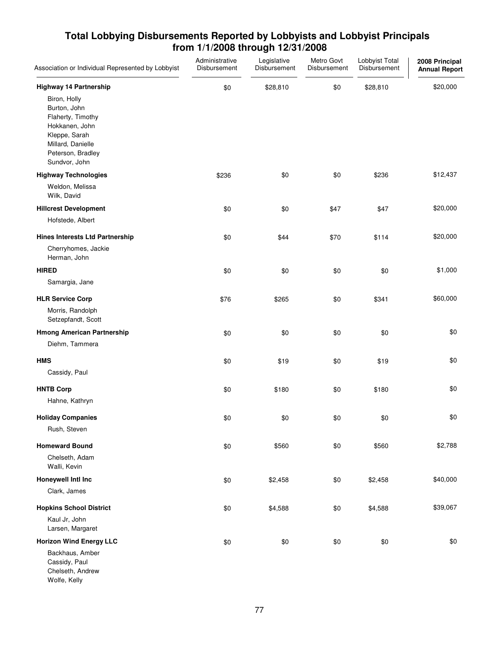| Association or Individual Represented by Lobbyist                                                                                               | Administrative<br>Disbursement | Legislative<br>Disbursement | Metro Govt<br>Disbursement | Lobbyist Total<br>Disbursement | 2008 Principal<br><b>Annual Report</b> |
|-------------------------------------------------------------------------------------------------------------------------------------------------|--------------------------------|-----------------------------|----------------------------|--------------------------------|----------------------------------------|
| <b>Highway 14 Partnership</b>                                                                                                                   | \$0                            | \$28,810                    | \$0                        | \$28,810                       | \$20,000                               |
| Biron, Holly<br>Burton, John<br>Flaherty, Timothy<br>Hokkanen, John<br>Kleppe, Sarah<br>Millard, Danielle<br>Peterson, Bradley<br>Sundvor, John |                                |                             |                            |                                |                                        |
| <b>Highway Technologies</b>                                                                                                                     | \$236                          | \$0                         | \$0                        | \$236                          | \$12,437                               |
| Weldon, Melissa<br>Wilk, David                                                                                                                  |                                |                             |                            |                                |                                        |
| <b>Hillcrest Development</b>                                                                                                                    | \$0                            | \$0                         | \$47                       | \$47                           | \$20,000                               |
| Hofstede, Albert                                                                                                                                |                                |                             |                            |                                |                                        |
| <b>Hines Interests Ltd Partnership</b>                                                                                                          | \$0                            | \$44                        | \$70                       | \$114                          | \$20,000                               |
| Cherryhomes, Jackie<br>Herman, John                                                                                                             |                                |                             |                            |                                |                                        |
| <b>HIRED</b>                                                                                                                                    | \$0                            | \$0                         | \$0                        | \$0                            | \$1,000                                |
| Samargia, Jane                                                                                                                                  |                                |                             |                            |                                |                                        |
| <b>HLR Service Corp</b>                                                                                                                         | \$76                           | \$265                       | \$0                        | \$341                          | \$60,000                               |
| Morris, Randolph<br>Setzepfandt, Scott                                                                                                          |                                |                             |                            |                                |                                        |
| <b>Hmong American Partnership</b>                                                                                                               | \$0                            | \$0                         | \$0                        | \$0                            | \$0                                    |
| Diehm, Tammera                                                                                                                                  |                                |                             |                            |                                |                                        |
| <b>HMS</b>                                                                                                                                      | \$0                            | \$19                        | \$0                        | \$19                           | \$0                                    |
| Cassidy, Paul                                                                                                                                   |                                |                             |                            |                                |                                        |
| <b>HNTB Corp</b>                                                                                                                                | \$0                            | \$180                       | \$0                        | \$180                          | \$0                                    |
| Hahne, Kathryn                                                                                                                                  |                                |                             |                            |                                |                                        |
| <b>Holiday Companies</b>                                                                                                                        | \$0                            | \$0                         | \$0                        | \$0                            | \$0                                    |
| Rush, Steven                                                                                                                                    |                                |                             |                            |                                |                                        |
| <b>Homeward Bound</b>                                                                                                                           | \$0                            | \$560                       | \$0                        | \$560                          | \$2,788                                |
| Chelseth, Adam<br>Walli, Kevin                                                                                                                  |                                |                             |                            |                                |                                        |
| Honeywell Intl Inc                                                                                                                              | \$0                            | \$2,458                     | \$0                        | \$2,458                        | \$40,000                               |
| Clark, James                                                                                                                                    |                                |                             |                            |                                |                                        |
| <b>Hopkins School District</b>                                                                                                                  | \$0                            | \$4,588                     | \$0                        | \$4,588                        | \$39,067                               |
| Kaul Jr, John<br>Larsen, Margaret                                                                                                               |                                |                             |                            |                                |                                        |
| <b>Horizon Wind Energy LLC</b>                                                                                                                  | \$0                            | \$0                         | \$0                        | \$0                            | \$0                                    |
| Backhaus, Amber<br>Cassidy, Paul<br>Chelseth, Andrew<br>Wolfe, Kelly                                                                            |                                |                             |                            |                                |                                        |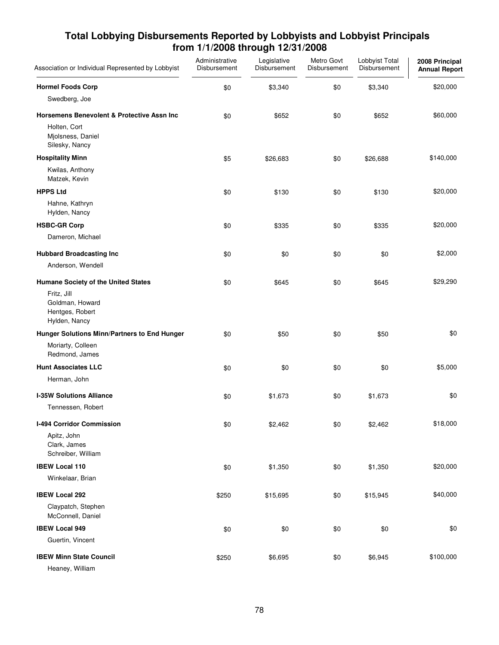| Association or Individual Represented by Lobbyist                  | Administrative<br>Disbursement | Legislative<br>Disbursement | Metro Govt<br>Disbursement | Lobbyist Total<br>Disbursement | 2008 Principal<br><b>Annual Report</b> |
|--------------------------------------------------------------------|--------------------------------|-----------------------------|----------------------------|--------------------------------|----------------------------------------|
| <b>Hormel Foods Corp</b>                                           | \$0                            | \$3,340                     | \$0                        | \$3,340                        | \$20,000                               |
| Swedberg, Joe                                                      |                                |                             |                            |                                |                                        |
| <b>Horsemens Benevolent &amp; Protective Assn Inc</b>              | \$0                            | \$652                       | \$0                        | \$652                          | \$60,000                               |
| Holten, Cort<br>Mjolsness, Daniel<br>Silesky, Nancy                |                                |                             |                            |                                |                                        |
| <b>Hospitality Minn</b>                                            | \$5                            | \$26,683                    | \$0                        | \$26,688                       | \$140,000                              |
| Kwilas, Anthony<br>Matzek, Kevin                                   |                                |                             |                            |                                |                                        |
| <b>HPPS Ltd</b>                                                    | \$0                            | \$130                       | \$0                        | \$130                          | \$20,000                               |
| Hahne, Kathryn<br>Hylden, Nancy                                    |                                |                             |                            |                                |                                        |
| <b>HSBC-GR Corp</b>                                                | \$0                            | \$335                       | \$0                        | \$335                          | \$20,000                               |
| Dameron, Michael                                                   |                                |                             |                            |                                |                                        |
| <b>Hubbard Broadcasting Inc</b>                                    | \$0                            | \$0                         | \$0                        | \$0                            | \$2,000                                |
| Anderson, Wendell                                                  |                                |                             |                            |                                |                                        |
| Humane Society of the United States                                | \$0                            | \$645                       | \$0                        | \$645                          | \$29,290                               |
| Fritz, Jill<br>Goldman, Howard<br>Hentges, Robert<br>Hylden, Nancy |                                |                             |                            |                                |                                        |
| Hunger Solutions Minn/Partners to End Hunger                       | \$0                            | \$50                        | \$0                        | \$50                           | \$0                                    |
| Moriarty, Colleen<br>Redmond, James                                |                                |                             |                            |                                |                                        |
| <b>Hunt Associates LLC</b>                                         | \$0                            | \$0                         | \$0                        | \$0                            | \$5,000                                |
| Herman, John                                                       |                                |                             |                            |                                |                                        |
| <b>I-35W Solutions Alliance</b>                                    | \$0                            | \$1,673                     | \$0                        | \$1,673                        | \$0                                    |
| Tennessen, Robert                                                  |                                |                             |                            |                                |                                        |
| I-494 Corridor Commission                                          | \$0                            | \$2,462                     | \$0                        | \$2,462                        | \$18,000                               |
| Apitz, John<br>Clark, James<br>Schreiber, William                  |                                |                             |                            |                                |                                        |
| <b>IBEW Local 110</b>                                              | \$0                            | \$1,350                     | \$0                        | \$1,350                        | \$20,000                               |
| Winkelaar, Brian                                                   |                                |                             |                            |                                |                                        |
| <b>IBEW Local 292</b>                                              | \$250                          | \$15,695                    | \$0                        | \$15,945                       | \$40,000                               |
| Claypatch, Stephen<br>McConnell, Daniel                            |                                |                             |                            |                                |                                        |
| <b>IBEW Local 949</b>                                              | \$0                            | \$0                         | \$0                        | \$0                            | \$0                                    |
| Guertin, Vincent                                                   |                                |                             |                            |                                |                                        |
| <b>IBEW Minn State Council</b><br>Heaney, William                  | \$250                          | \$6,695                     | $$0$$                      | \$6,945                        | \$100,000                              |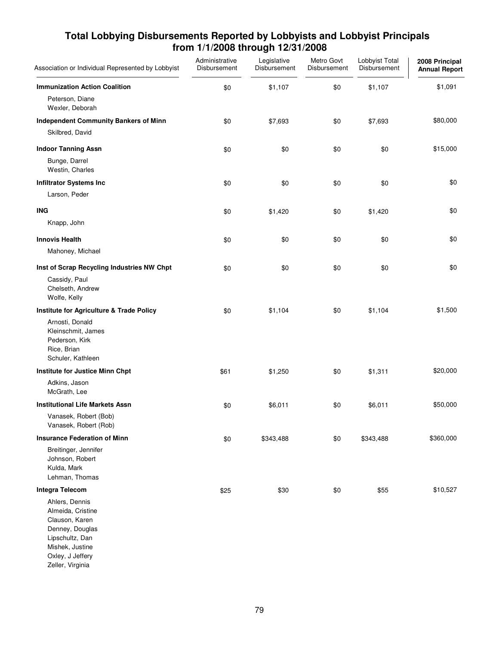| Association or Individual Represented by Lobbyist                                                                                                      | Administrative<br>Disbursement | Legislative<br>Disbursement | Metro Govt<br>Disbursement | Lobbyist Total<br>Disbursement | 2008 Principal<br><b>Annual Report</b> |
|--------------------------------------------------------------------------------------------------------------------------------------------------------|--------------------------------|-----------------------------|----------------------------|--------------------------------|----------------------------------------|
| <b>Immunization Action Coalition</b>                                                                                                                   | \$0                            | \$1,107                     | \$0                        | \$1,107                        | \$1,091                                |
| Peterson, Diane<br>Wexler, Deborah                                                                                                                     |                                |                             |                            |                                |                                        |
| <b>Independent Community Bankers of Minn</b><br>Skilbred, David                                                                                        | \$0                            | \$7,693                     | \$0                        | \$7,693                        | \$80,000                               |
| <b>Indoor Tanning Assn</b><br>Bunge, Darrel<br>Westin, Charles                                                                                         | \$0                            | \$0                         | \$0                        | \$0                            | \$15,000                               |
| <b>Infiltrator Systems Inc</b>                                                                                                                         | \$0                            | \$0                         | \$0                        | \$0                            | \$0                                    |
| Larson, Peder                                                                                                                                          |                                |                             |                            |                                |                                        |
| <b>ING</b><br>Knapp, John                                                                                                                              | \$0                            | \$1,420                     | \$0                        | \$1,420                        | \$0                                    |
| <b>Innovis Health</b><br>Mahoney, Michael                                                                                                              | \$0                            | \$0                         | \$0                        | \$0                            | \$0                                    |
| Inst of Scrap Recycling Industries NW Chpt                                                                                                             | \$0                            | \$0                         | \$0                        | \$0                            | \$0                                    |
| Cassidy, Paul<br>Chelseth, Andrew<br>Wolfe, Kelly                                                                                                      |                                |                             |                            |                                |                                        |
| Institute for Agriculture & Trade Policy                                                                                                               | \$0                            | \$1,104                     | \$0                        | \$1,104                        | \$1,500                                |
| Arnosti, Donald<br>Kleinschmit, James<br>Pederson, Kirk<br>Rice, Brian<br>Schuler, Kathleen                                                            |                                |                             |                            |                                |                                        |
| Institute for Justice Minn Chpt                                                                                                                        | \$61                           | \$1,250                     | \$0                        | \$1,311                        | \$20,000                               |
| Adkins, Jason<br>McGrath, Lee                                                                                                                          |                                |                             |                            |                                |                                        |
| <b>Institutional Life Markets Assn</b>                                                                                                                 | \$0                            | \$6,011                     | \$0                        | \$6,011                        | \$50,000                               |
| Vanasek, Robert (Bob)<br>Vanasek, Robert (Rob)                                                                                                         |                                |                             |                            |                                |                                        |
| <b>Insurance Federation of Minn</b>                                                                                                                    | \$0                            | \$343,488                   | \$0                        | \$343,488                      | \$360,000                              |
| Breitinger, Jennifer<br>Johnson, Robert<br>Kulda, Mark<br>Lehman, Thomas                                                                               |                                |                             |                            |                                |                                        |
| Integra Telecom                                                                                                                                        | \$25                           | \$30                        | \$0                        | \$55                           | \$10,527                               |
| Ahlers, Dennis<br>Almeida, Cristine<br>Clauson, Karen<br>Denney, Douglas<br>Lipschultz, Dan<br>Mishek, Justine<br>Oxley, J Jeffery<br>Zeller, Virginia |                                |                             |                            |                                |                                        |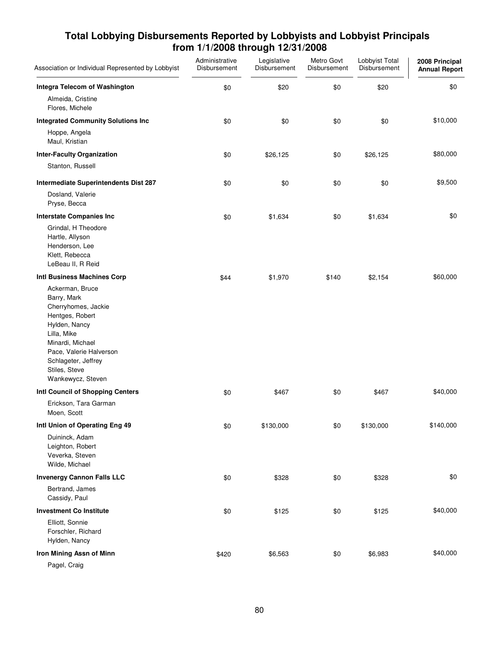| Association or Individual Represented by Lobbyist                                                                                                                                                                    | Administrative<br>Disbursement | Legislative<br>Disbursement | Metro Govt<br>Disbursement | Lobbyist Total<br>Disbursement | 2008 Principal<br><b>Annual Report</b> |
|----------------------------------------------------------------------------------------------------------------------------------------------------------------------------------------------------------------------|--------------------------------|-----------------------------|----------------------------|--------------------------------|----------------------------------------|
| Integra Telecom of Washington                                                                                                                                                                                        | \$0                            | \$20                        | \$0                        | \$20                           | \$0                                    |
| Almeida, Cristine<br>Flores, Michele                                                                                                                                                                                 |                                |                             |                            |                                |                                        |
| <b>Integrated Community Solutions Inc</b>                                                                                                                                                                            | \$0                            | \$0                         | \$0                        | \$0                            | \$10,000                               |
| Hoppe, Angela<br>Maul, Kristian                                                                                                                                                                                      |                                |                             |                            |                                |                                        |
| <b>Inter-Faculty Organization</b>                                                                                                                                                                                    | \$0                            | \$26,125                    | \$0                        | \$26,125                       | \$80,000                               |
| Stanton, Russell                                                                                                                                                                                                     |                                |                             |                            |                                |                                        |
| Intermediate Superintendents Dist 287                                                                                                                                                                                | \$0                            | \$0                         | \$0                        | \$0                            | \$9,500                                |
| Dosland, Valerie<br>Pryse, Becca                                                                                                                                                                                     |                                |                             |                            |                                |                                        |
| <b>Interstate Companies Inc</b>                                                                                                                                                                                      | \$0                            | \$1,634                     | \$0                        | \$1,634                        | \$0                                    |
| Grindal, H Theodore<br>Hartle, Allyson<br>Henderson, Lee<br>Klett, Rebecca<br>LeBeau II, R Reid                                                                                                                      |                                |                             |                            |                                |                                        |
| Intl Business Machines Corp                                                                                                                                                                                          | \$44                           | \$1,970                     | \$140                      | \$2,154                        | \$60,000                               |
| Ackerman, Bruce<br>Barry, Mark<br>Cherryhomes, Jackie<br>Hentges, Robert<br>Hylden, Nancy<br>Lilla, Mike<br>Minardi, Michael<br>Pace, Valerie Halverson<br>Schlageter, Jeffrey<br>Stiles, Steve<br>Wankewycz, Steven |                                |                             |                            |                                |                                        |
| Intl Council of Shopping Centers                                                                                                                                                                                     | \$0                            | \$467                       | \$0                        | \$467                          | \$40,000                               |
| Erickson, Tara Garman<br>Moen, Scott                                                                                                                                                                                 |                                |                             |                            |                                |                                        |
| Intl Union of Operating Eng 49                                                                                                                                                                                       | \$0                            | \$130,000                   | \$0                        | \$130,000                      | \$140,000                              |
| Duininck, Adam<br>Leighton, Robert<br>Veverka, Steven<br>Wilde, Michael                                                                                                                                              |                                |                             |                            |                                |                                        |
| <b>Invenergy Cannon Falls LLC</b>                                                                                                                                                                                    | \$0                            | \$328                       | \$0                        | \$328                          | \$0                                    |
| Bertrand, James<br>Cassidy, Paul                                                                                                                                                                                     |                                |                             |                            |                                |                                        |
| <b>Investment Co Institute</b>                                                                                                                                                                                       | \$0                            | \$125                       | \$0                        | \$125                          | \$40,000                               |
| Elliott, Sonnie<br>Forschler, Richard<br>Hylden, Nancy                                                                                                                                                               |                                |                             |                            |                                |                                        |
| Iron Mining Assn of Minn                                                                                                                                                                                             | \$420                          | \$6,563                     | \$0                        | \$6,983                        | \$40,000                               |
| Pagel, Craig                                                                                                                                                                                                         |                                |                             |                            |                                |                                        |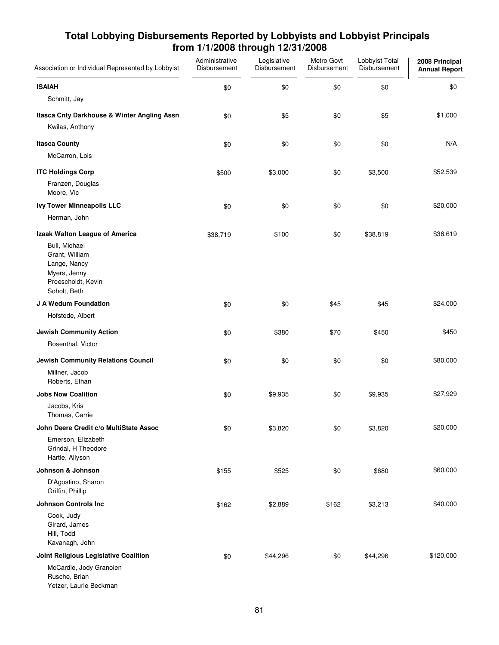| Association or Individual Represented by Lobbyist                                                     | Administrative<br>Disbursement | Legislative<br>Disbursement | Metro Govt<br>Disbursement | Lobbyist Total<br>Disbursement | 2008 Principal<br><b>Annual Report</b> |
|-------------------------------------------------------------------------------------------------------|--------------------------------|-----------------------------|----------------------------|--------------------------------|----------------------------------------|
| <b>ISAIAH</b>                                                                                         | \$0                            | \$0                         | \$0                        | \$0                            | \$0                                    |
| Schmitt, Jay                                                                                          |                                |                             |                            |                                |                                        |
| Itasca Cnty Darkhouse & Winter Angling Assn<br>Kwilas, Anthony                                        | \$0                            | \$5                         | \$0                        | \$5                            | \$1,000                                |
| <b>Itasca County</b>                                                                                  | \$0                            | \$0                         | \$0                        | \$0                            | N/A                                    |
| McCarron, Lois                                                                                        |                                |                             |                            |                                |                                        |
| <b>ITC Holdings Corp</b>                                                                              | \$500                          | \$3,000                     | \$0                        | \$3,500                        | \$52,539                               |
| Franzen, Douglas<br>Moore, Vic                                                                        |                                |                             |                            |                                |                                        |
| <b>Ivy Tower Minneapolis LLC</b>                                                                      | \$0                            | \$0                         | \$0                        | \$0                            | \$20,000                               |
| Herman, John                                                                                          |                                |                             |                            |                                |                                        |
| Izaak Walton League of America                                                                        | \$38,719                       | \$100                       | \$0                        | \$38,819                       | \$38,619                               |
| Bull, Michael<br>Grant, William<br>Lange, Nancy<br>Myers, Jenny<br>Proescholdt, Kevin<br>Soholt, Beth |                                |                             |                            |                                |                                        |
| J A Wedum Foundation                                                                                  | \$0                            | \$0                         | \$45                       | \$45                           | \$24,000                               |
| Hofstede, Albert                                                                                      |                                |                             |                            |                                |                                        |
| <b>Jewish Community Action</b>                                                                        | \$0                            | \$380                       | \$70                       | \$450                          | \$450                                  |
| Rosenthal, Victor                                                                                     |                                |                             |                            |                                |                                        |
| Jewish Community Relations Council                                                                    | \$0                            | \$0                         | \$0                        | \$0                            | \$80,000                               |
| Millner, Jacob<br>Roberts, Ethan                                                                      |                                |                             |                            |                                |                                        |
| <b>Jobs Now Coalition</b>                                                                             | \$0                            | \$9,935                     | \$0                        | \$9,935                        | \$27,929                               |
| Jacobs, Kris<br>Thomas, Carrie                                                                        |                                |                             |                            |                                |                                        |
| John Deere Credit c/o MultiState Assoc                                                                | \$0                            | \$3,820                     | \$0                        | \$3,820                        | \$20,000                               |
| Emerson, Elizabeth<br>Grindal, H Theodore<br>Hartle, Allyson                                          |                                |                             |                            |                                |                                        |
| Johnson & Johnson                                                                                     | \$155                          | \$525                       | \$0                        | \$680                          | \$60,000                               |
| D'Agostino, Sharon<br>Griffin, Phillip                                                                |                                |                             |                            |                                |                                        |
| <b>Johnson Controls Inc.</b>                                                                          | \$162                          | \$2,889                     | \$162                      | \$3,213                        | \$40,000                               |
| Cook, Judy<br>Girard, James<br>Hill, Todd<br>Kavanagh, John                                           |                                |                             |                            |                                |                                        |
| Joint Religious Legislative Coalition                                                                 | \$0                            | \$44,296                    | \$0                        | \$44,296                       | \$120,000                              |
| McCardle, Jody Granoien<br>Rusche, Brian<br>Yetzer, Laurie Beckman                                    |                                |                             |                            |                                |                                        |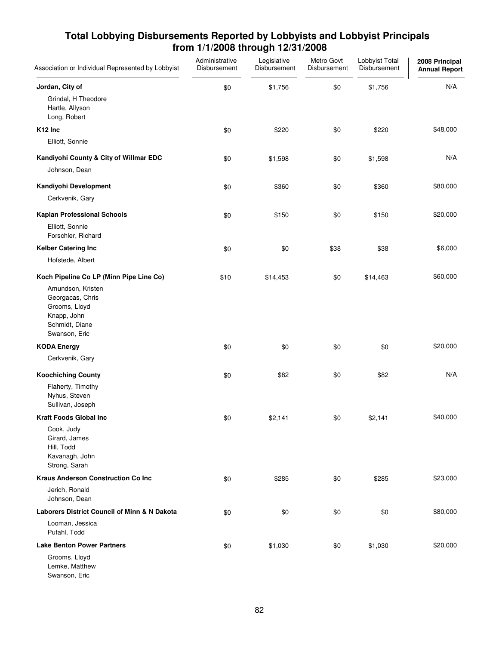| Association or Individual Represented by Lobbyist                                                                                                   | Administrative<br>Disbursement | Legislative<br>Disbursement | Metro Govt<br>Disbursement | Lobbyist Total<br>Disbursement | 2008 Principal<br><b>Annual Report</b> |
|-----------------------------------------------------------------------------------------------------------------------------------------------------|--------------------------------|-----------------------------|----------------------------|--------------------------------|----------------------------------------|
| Jordan, City of<br>Grindal, H Theodore<br>Hartle, Allyson<br>Long, Robert                                                                           | \$0                            | \$1,756                     | \$0                        | \$1,756                        | N/A                                    |
| K <sub>12</sub> Inc                                                                                                                                 | \$0                            | \$220                       | \$0                        | \$220                          | \$48,000                               |
| Elliott, Sonnie                                                                                                                                     |                                |                             |                            |                                |                                        |
| Kandiyohi County & City of Willmar EDC<br>Johnson, Dean                                                                                             | \$0                            | \$1,598                     | \$0                        | \$1,598                        | N/A                                    |
| Kandiyohi Development                                                                                                                               | \$0                            | \$360                       | \$0                        | \$360                          | \$80,000                               |
| Cerkvenik, Gary                                                                                                                                     |                                |                             |                            |                                |                                        |
| <b>Kaplan Professional Schools</b><br>Elliott, Sonnie<br>Forschler, Richard                                                                         | \$0                            | \$150                       | \$0                        | \$150                          | \$20,000                               |
| <b>Kelber Catering Inc</b>                                                                                                                          | \$0                            | \$0                         | \$38                       | \$38                           | \$6,000                                |
| Hofstede, Albert                                                                                                                                    |                                |                             |                            |                                |                                        |
| Koch Pipeline Co LP (Minn Pipe Line Co)<br>Amundson, Kristen<br>Georgacas, Chris<br>Grooms, Lloyd<br>Knapp, John<br>Schmidt, Diane<br>Swanson, Eric | \$10                           | \$14,453                    | \$0                        | \$14,463                       | \$60,000                               |
| <b>KODA Energy</b>                                                                                                                                  | \$0                            | \$0                         | \$0                        | \$0                            | \$20,000                               |
| Cerkvenik, Gary                                                                                                                                     |                                |                             |                            |                                |                                        |
| <b>Koochiching County</b><br>Flaherty, Timothy<br>Nyhus, Steven<br>Sullivan, Joseph                                                                 | \$0                            | \$82                        | \$0                        | \$82                           | N/A                                    |
| <b>Kraft Foods Global Inc</b>                                                                                                                       | \$0                            | \$2,141                     | \$0                        | \$2,141                        | \$40,000                               |
| Cook, Judy<br>Girard, James<br>Hill, Todd<br>Kavanagh, John<br>Strong, Sarah                                                                        |                                |                             |                            |                                |                                        |
| <b>Kraus Anderson Construction Co Inc</b>                                                                                                           | \$0                            | \$285                       | \$0                        | \$285                          | \$23,000                               |
| Jerich, Ronald<br>Johnson, Dean                                                                                                                     |                                |                             |                            |                                |                                        |
| <b>Laborers District Council of Minn &amp; N Dakota</b>                                                                                             | \$0                            | \$0                         | \$0                        | \$0                            | \$80,000                               |
| Looman, Jessica<br>Pufahl, Todd                                                                                                                     |                                |                             |                            |                                |                                        |
| <b>Lake Benton Power Partners</b>                                                                                                                   | \$0                            | \$1,030                     | \$0                        | \$1,030                        | \$20,000                               |
| Grooms, Lloyd<br>Lemke, Matthew<br>Swanson, Eric                                                                                                    |                                |                             |                            |                                |                                        |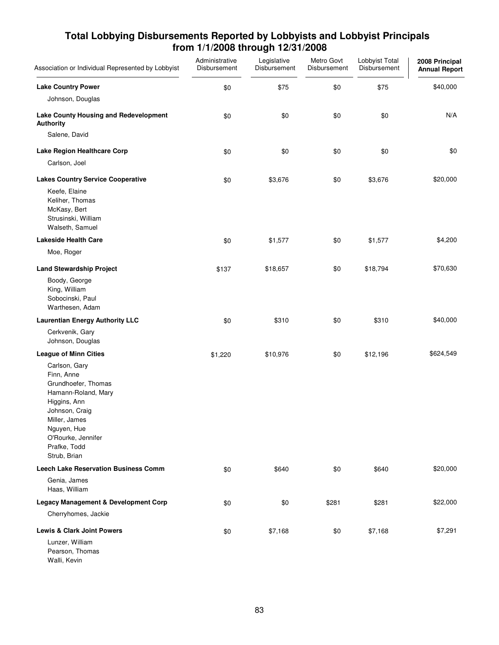| Association or Individual Represented by Lobbyist                                                                                                                                                 | Administrative<br>Disbursement | Legislative<br>Disbursement | Metro Govt<br>Disbursement | Lobbyist Total<br>Disbursement | 2008 Principal<br><b>Annual Report</b> |
|---------------------------------------------------------------------------------------------------------------------------------------------------------------------------------------------------|--------------------------------|-----------------------------|----------------------------|--------------------------------|----------------------------------------|
| <b>Lake Country Power</b>                                                                                                                                                                         | \$0                            | \$75                        | \$0                        | \$75                           | \$40,000                               |
| Johnson, Douglas                                                                                                                                                                                  |                                |                             |                            |                                |                                        |
| Lake County Housing and Redevelopment<br><b>Authority</b>                                                                                                                                         | \$0                            | \$0                         | \$0                        | \$0                            | N/A                                    |
| Salene, David                                                                                                                                                                                     |                                |                             |                            |                                |                                        |
| Lake Region Healthcare Corp                                                                                                                                                                       | \$0                            | \$0                         | \$0                        | \$0                            | \$0                                    |
| Carlson, Joel                                                                                                                                                                                     |                                |                             |                            |                                |                                        |
| <b>Lakes Country Service Cooperative</b>                                                                                                                                                          | \$0                            | \$3,676                     | \$0                        | \$3,676                        | \$20,000                               |
| Keefe, Elaine<br>Keliher, Thomas<br>McKasy, Bert<br>Strusinski, William<br>Walseth, Samuel                                                                                                        |                                |                             |                            |                                |                                        |
| <b>Lakeside Health Care</b>                                                                                                                                                                       | \$0                            | \$1,577                     | \$0                        | \$1,577                        | \$4,200                                |
| Moe, Roger                                                                                                                                                                                        |                                |                             |                            |                                |                                        |
| <b>Land Stewardship Project</b>                                                                                                                                                                   | \$137                          | \$18,657                    | \$0                        | \$18,794                       | \$70,630                               |
| Boody, George<br>King, William<br>Sobocinski, Paul<br>Warthesen, Adam                                                                                                                             |                                |                             |                            |                                |                                        |
| <b>Laurentian Energy Authority LLC</b>                                                                                                                                                            | \$0                            | \$310                       | \$0                        | \$310                          | \$40,000                               |
| Cerkvenik, Gary<br>Johnson, Douglas                                                                                                                                                               |                                |                             |                            |                                |                                        |
| <b>League of Minn Cities</b>                                                                                                                                                                      | \$1,220                        | \$10,976                    | \$0                        | \$12,196                       | \$624,549                              |
| Carlson, Gary<br>Finn, Anne<br>Grundhoefer, Thomas<br>Hamann-Roland, Mary<br>Higgins, Ann<br>Johnson, Craig<br>Miller, James<br>Nguyen, Hue<br>O'Rourke, Jennifer<br>Prafke, Todd<br>Strub, Brian |                                |                             |                            |                                |                                        |
| <b>Leech Lake Reservation Business Comm</b>                                                                                                                                                       | \$0                            | \$640                       | \$0                        | \$640                          | \$20,000                               |
| Genia, James<br>Haas, William                                                                                                                                                                     |                                |                             |                            |                                |                                        |
| <b>Legacy Management &amp; Development Corp</b>                                                                                                                                                   | \$0                            | \$0                         | \$281                      | \$281                          | \$22,000                               |
| Cherryhomes, Jackie                                                                                                                                                                               |                                |                             |                            |                                |                                        |
| <b>Lewis &amp; Clark Joint Powers</b>                                                                                                                                                             | \$0                            | \$7,168                     | \$0                        | \$7,168                        | \$7,291                                |
| Lunzer, William<br>Pearson, Thomas<br>Walli, Kevin                                                                                                                                                |                                |                             |                            |                                |                                        |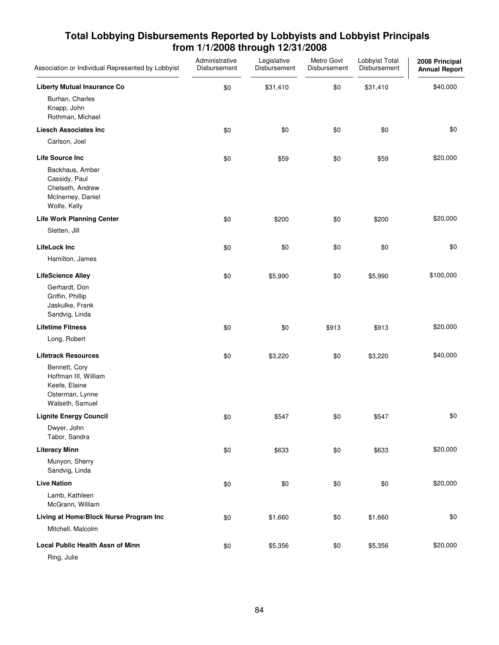| Association or Individual Represented by Lobbyist                                                                          | Administrative<br>Disbursement | Legislative<br>Disbursement | Metro Govt<br>Disbursement | Lobbyist Total<br>Disbursement | 2008 Principal<br><b>Annual Report</b> |
|----------------------------------------------------------------------------------------------------------------------------|--------------------------------|-----------------------------|----------------------------|--------------------------------|----------------------------------------|
| <b>Liberty Mutual Insurance Co</b><br>Burhan, Charles<br>Knapp, John<br>Rothman, Michael                                   | \$0                            | \$31,410                    | \$0                        | \$31,410                       | \$40,000                               |
| <b>Liesch Associates Inc</b><br>Carlson, Joel                                                                              | \$0                            | \$0                         | \$0                        | \$0                            | \$0                                    |
| <b>Life Source Inc</b><br>Backhaus, Amber<br>Cassidy, Paul<br>Chelseth, Andrew<br>McInerney, Daniel<br>Wolfe, Kelly        | \$0                            | \$59                        | \$0                        | \$59                           | \$20,000                               |
| <b>Life Work Planning Center</b><br>Sletten, Jill                                                                          | \$0                            | \$200                       | \$0                        | \$200                          | \$20,000                               |
| <b>LifeLock Inc</b><br>Hamilton, James                                                                                     | \$0                            | \$0                         | \$0                        | \$0                            | \$0                                    |
| <b>LifeScience Alley</b><br>Gerhardt, Don<br>Griffin, Phillip<br>Jaskulke, Frank<br>Sandvig, Linda                         | \$0                            | \$5,990                     | \$0                        | \$5,990                        | \$100,000                              |
| <b>Lifetime Fitness</b>                                                                                                    | \$0                            | \$0                         | \$913                      | \$913                          | \$20,000                               |
| Long, Robert                                                                                                               |                                |                             |                            |                                |                                        |
| <b>Lifetrack Resources</b><br>Bennett, Cory<br>Hoffman III, William<br>Keefe, Elaine<br>Osterman, Lynne<br>Walseth, Samuel | \$0                            | \$3,220                     | \$0                        | \$3,220                        | \$40,000                               |
| <b>Lignite Energy Council</b>                                                                                              | \$0                            | \$547                       | \$0                        | \$547                          | \$0                                    |
| Dwyer, John<br>Tabor, Sandra                                                                                               |                                |                             |                            |                                |                                        |
| <b>Literacy Minn</b>                                                                                                       | \$0                            | \$633                       | \$0                        | \$633                          | \$20,000                               |
| Munyon, Sherry<br>Sandvig, Linda                                                                                           |                                |                             |                            |                                |                                        |
| <b>Live Nation</b><br>Lamb, Kathleen<br>McGrann, William                                                                   | \$0                            | \$0                         | \$0                        | \$0                            | \$20,000                               |
| Living at Home/Block Nurse Program Inc<br>Mitchell, Malcolm                                                                | \$0                            | \$1,660                     | \$0                        | \$1,660                        | \$0                                    |
| <b>Local Public Health Assn of Minn</b><br>Ring, Julie                                                                     | \$0                            | \$5,356                     | \$0                        | \$5,356                        | \$20,000                               |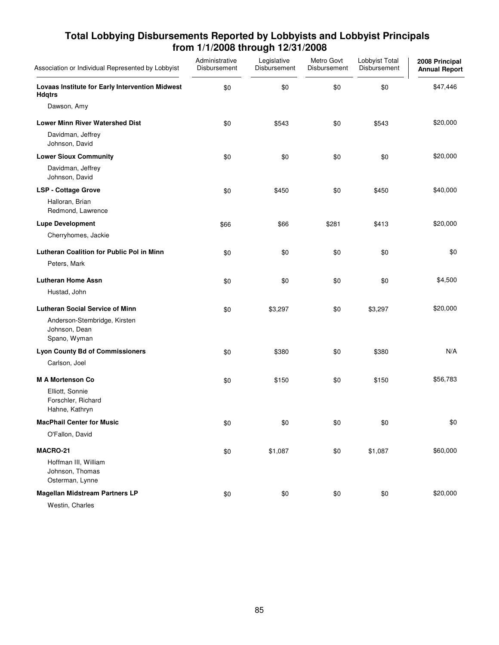| Association or Individual Represented by Lobbyist                             | Administrative<br>Disbursement | Legislative<br>Disbursement | Metro Govt<br>Disbursement | Lobbyist Total<br>Disbursement | 2008 Principal<br><b>Annual Report</b> |
|-------------------------------------------------------------------------------|--------------------------------|-----------------------------|----------------------------|--------------------------------|----------------------------------------|
| Lovaas Institute for Early Intervention Midwest<br><b>Hdqtrs</b>              | \$0                            | \$0                         | \$0                        | \$0                            | \$47,446                               |
| Dawson, Amy                                                                   |                                |                             |                            |                                |                                        |
| <b>Lower Minn River Watershed Dist</b><br>Davidman, Jeffrey<br>Johnson, David | \$0                            | \$543                       | \$0                        | \$543                          | \$20,000                               |
| <b>Lower Sioux Community</b>                                                  | \$0                            | \$0                         | \$0                        | \$0                            | \$20,000                               |
| Davidman, Jeffrey<br>Johnson, David                                           |                                |                             |                            |                                |                                        |
| <b>LSP - Cottage Grove</b>                                                    | \$0                            | \$450                       | \$0                        | \$450                          | \$40,000                               |
| Halloran, Brian<br>Redmond, Lawrence                                          |                                |                             |                            |                                |                                        |
| <b>Lupe Development</b>                                                       | \$66                           | \$66                        | \$281                      | \$413                          | \$20,000                               |
| Cherryhomes, Jackie                                                           |                                |                             |                            |                                |                                        |
| <b>Lutheran Coalition for Public Pol in Minn</b>                              | \$0                            | \$0                         | \$0                        | \$0                            | \$0                                    |
| Peters, Mark                                                                  |                                |                             |                            |                                |                                        |
| <b>Lutheran Home Assn</b>                                                     | \$0                            | \$0                         | \$0                        | \$0                            | \$4,500                                |
| Hustad, John                                                                  |                                |                             |                            |                                |                                        |
| <b>Lutheran Social Service of Minn</b>                                        | \$0                            | \$3,297                     | \$0                        | \$3,297                        | \$20,000                               |
| Anderson-Stembridge, Kirsten<br>Johnson, Dean<br>Spano, Wyman                 |                                |                             |                            |                                |                                        |
| <b>Lyon County Bd of Commissioners</b>                                        | \$0                            | \$380                       | \$0                        | \$380                          | N/A                                    |
| Carlson, Joel                                                                 |                                |                             |                            |                                |                                        |
| <b>M A Mortenson Co</b>                                                       | \$0                            | \$150                       | \$0                        | \$150                          | \$56,783                               |
| Elliott, Sonnie<br>Forschler, Richard<br>Hahne, Kathryn                       |                                |                             |                            |                                |                                        |
| <b>MacPhail Center for Music</b>                                              | \$0                            | \$0                         | \$0                        | \$0                            | \$0                                    |
| O'Fallon, David                                                               |                                |                             |                            |                                |                                        |
| MACRO-21                                                                      | \$0                            | \$1,087                     | \$0                        | \$1,087                        | \$60,000                               |
| Hoffman III, William<br>Johnson, Thomas<br>Osterman, Lynne                    |                                |                             |                            |                                |                                        |
| <b>Magellan Midstream Partners LP</b><br>Westin, Charles                      | \$0                            | \$0                         | \$0                        | \$0                            | \$20,000                               |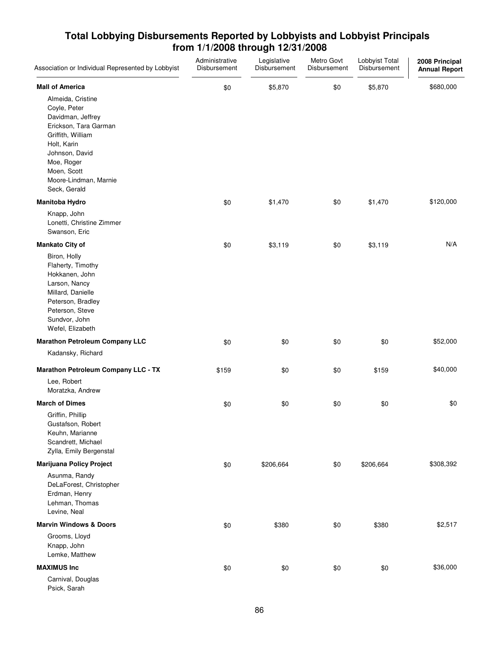| Association or Individual Represented by Lobbyist                                                                                                                                                           | Administrative<br>Disbursement | Legislative<br>Disbursement | Metro Govt<br>Disbursement | Lobbyist Total<br>Disbursement | 2008 Principal<br><b>Annual Report</b> |
|-------------------------------------------------------------------------------------------------------------------------------------------------------------------------------------------------------------|--------------------------------|-----------------------------|----------------------------|--------------------------------|----------------------------------------|
| <b>Mall of America</b>                                                                                                                                                                                      | \$0                            | \$5,870                     | \$0                        | \$5,870                        | \$680,000                              |
| Almeida, Cristine<br>Coyle, Peter<br>Davidman, Jeffrey<br>Erickson, Tara Garman<br>Griffith, William<br>Holt, Karin<br>Johnson, David<br>Moe, Roger<br>Moen, Scott<br>Moore-Lindman, Marnie<br>Seck, Gerald |                                |                             |                            |                                |                                        |
| <b>Manitoba Hydro</b>                                                                                                                                                                                       | \$0                            | \$1,470                     | \$0                        | \$1,470                        | \$120,000                              |
| Knapp, John<br>Lonetti, Christine Zimmer<br>Swanson, Eric                                                                                                                                                   |                                |                             |                            |                                |                                        |
| <b>Mankato City of</b>                                                                                                                                                                                      | \$0                            | \$3,119                     | \$0                        | \$3,119                        | N/A                                    |
| Biron, Holly<br>Flaherty, Timothy<br>Hokkanen, John<br>Larson, Nancy<br>Millard, Danielle<br>Peterson, Bradley<br>Peterson, Steve<br>Sundvor, John<br>Wefel, Elizabeth                                      |                                |                             |                            |                                |                                        |
| <b>Marathon Petroleum Company LLC</b>                                                                                                                                                                       | \$0                            | \$0                         | \$0                        | \$0                            | \$52,000                               |
| Kadansky, Richard                                                                                                                                                                                           |                                |                             |                            |                                |                                        |
| <b>Marathon Petroleum Company LLC - TX</b>                                                                                                                                                                  | \$159                          | \$0                         | \$0                        | \$159                          | \$40,000                               |
| Lee, Robert<br>Moratzka, Andrew                                                                                                                                                                             |                                |                             |                            |                                |                                        |
| <b>March of Dimes</b>                                                                                                                                                                                       | \$0                            | \$0                         | \$0                        | \$0                            | \$0                                    |
| Griffin, Phillip<br>Gustafson, Robert<br>Keuhn, Marianne<br>Scandrett, Michael<br>Zylla, Emily Bergenstal                                                                                                   |                                |                             |                            |                                |                                        |
| <b>Marijuana Policy Project</b>                                                                                                                                                                             | \$0                            | \$206,664                   | \$0                        | \$206,664                      | \$308,392                              |
| Asunma, Randy<br>DeLaForest, Christopher<br>Erdman, Henry<br>Lehman, Thomas<br>Levine, Neal                                                                                                                 |                                |                             |                            |                                |                                        |
| <b>Marvin Windows &amp; Doors</b>                                                                                                                                                                           | \$0                            | \$380                       | \$0                        | \$380                          | \$2,517                                |
| Grooms, Lloyd<br>Knapp, John<br>Lemke, Matthew                                                                                                                                                              |                                |                             |                            |                                |                                        |
| <b>MAXIMUS Inc</b>                                                                                                                                                                                          | \$0                            | \$0                         | \$0                        | \$0                            | \$36,000                               |
| Carnival, Douglas<br>Psick, Sarah                                                                                                                                                                           |                                |                             |                            |                                |                                        |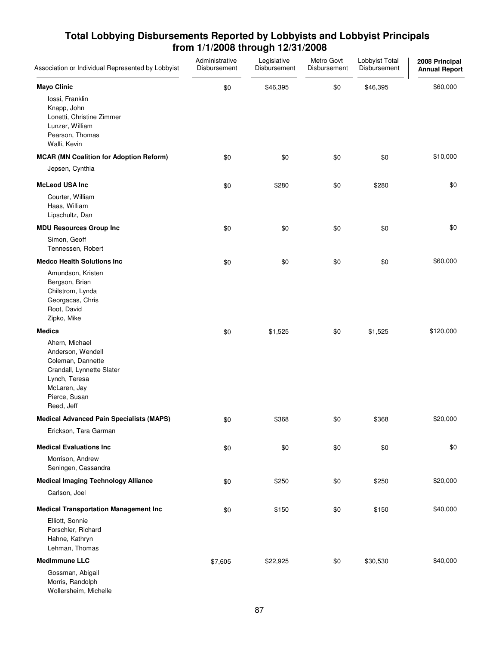| Association or Individual Represented by Lobbyist                                                                                                                      | Administrative<br>Disbursement | Legislative<br>Disbursement | Metro Govt<br>Disbursement | Lobbyist Total<br>Disbursement | 2008 Principal<br><b>Annual Report</b> |
|------------------------------------------------------------------------------------------------------------------------------------------------------------------------|--------------------------------|-----------------------------|----------------------------|--------------------------------|----------------------------------------|
| <b>Mayo Clinic</b><br>lossi, Franklin<br>Knapp, John<br>Lonetti, Christine Zimmer<br>Lunzer, William<br>Pearson, Thomas<br>Walli, Kevin                                | \$0                            | \$46,395                    | \$0                        | \$46,395                       | \$60,000                               |
| <b>MCAR (MN Coalition for Adoption Reform)</b><br>Jepsen, Cynthia                                                                                                      | \$0                            | \$0                         | \$0                        | \$0                            | \$10,000                               |
| <b>McLeod USA Inc</b><br>Courter, William<br>Haas, William<br>Lipschultz, Dan                                                                                          | \$0                            | \$280                       | \$0                        | \$280                          | \$0                                    |
| <b>MDU Resources Group Inc</b><br>Simon, Geoff<br>Tennessen, Robert                                                                                                    | \$0                            | \$0                         | \$0                        | \$0                            | \$0                                    |
| <b>Medco Health Solutions Inc.</b><br>Amundson, Kristen<br>Bergson, Brian<br>Chilstrom, Lynda<br>Georgacas, Chris<br>Root, David<br>Zipko, Mike                        | \$0                            | \$0                         | \$0                        | \$0                            | \$60,000                               |
| <b>Medica</b><br>Ahern, Michael<br>Anderson, Wendell<br>Coleman, Dannette<br>Crandall, Lynnette Slater<br>Lynch, Teresa<br>McLaren, Jay<br>Pierce, Susan<br>Reed, Jeff | \$0                            | \$1,525                     | \$0                        | \$1,525                        | \$120,000                              |
| <b>Medical Advanced Pain Specialists (MAPS)</b><br>Erickson, Tara Garman                                                                                               | \$0                            | \$368                       | \$0                        | \$368                          | \$20,000                               |
| <b>Medical Evaluations Inc.</b><br>Morrison, Andrew<br>Seningen, Cassandra                                                                                             | \$0                            | \$0                         | \$0                        | \$0                            | \$0                                    |
| <b>Medical Imaging Technology Alliance</b><br>Carlson, Joel                                                                                                            | \$0                            | \$250                       | \$0                        | \$250                          | \$20,000                               |
| <b>Medical Transportation Management Inc</b><br>Elliott, Sonnie<br>Forschler, Richard<br>Hahne, Kathryn<br>Lehman, Thomas                                              | \$0                            | \$150                       | \$0                        | \$150                          | \$40,000                               |
| <b>MedImmune LLC</b><br>Gossman, Abigail<br>Morris, Randolph<br>Wollersheim, Michelle                                                                                  | \$7,605                        | \$22,925                    | \$0                        | \$30,530                       | \$40,000                               |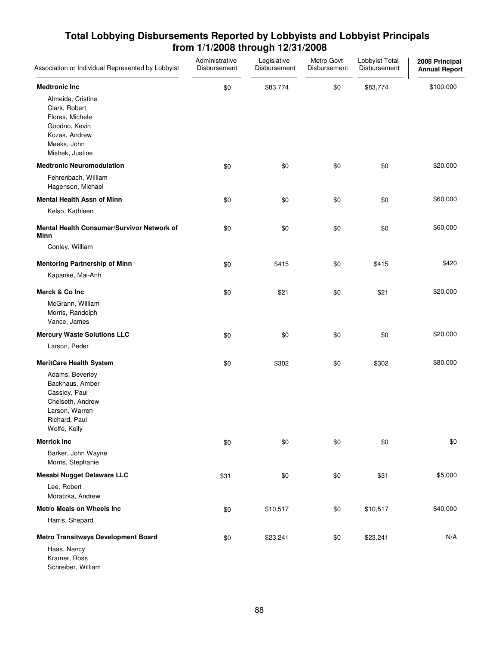| Association or Individual Represented by Lobbyist                                                                          | Administrative<br>Disbursement | Legislative<br>Disbursement | Metro Govt<br>Disbursement | Lobbyist Total<br>Disbursement | 2008 Principal<br><b>Annual Report</b> |
|----------------------------------------------------------------------------------------------------------------------------|--------------------------------|-----------------------------|----------------------------|--------------------------------|----------------------------------------|
| <b>Medtronic Inc</b>                                                                                                       | \$0                            | \$83,774                    | \$0                        | \$83,774                       | \$100,000                              |
| Almeida, Cristine<br>Clark, Robert<br>Flores, Michele<br>Goodno, Kevin<br>Kozak, Andrew<br>Meeks, John<br>Mishek, Justine  |                                |                             |                            |                                |                                        |
| <b>Medtronic Neuromodulation</b>                                                                                           | \$0                            | \$0                         | \$0                        | \$0                            | \$20,000                               |
| Fehrenbach, William<br>Hagenson, Michael                                                                                   |                                |                             |                            |                                |                                        |
| <b>Mental Health Assn of Minn</b>                                                                                          | \$0                            | \$0                         | \$0                        | \$0                            | \$60,000                               |
| Kelso, Kathleen                                                                                                            |                                |                             |                            |                                |                                        |
| <b>Mental Health Consumer/Survivor Network of</b><br>Minn                                                                  | \$0                            | \$0                         | \$0                        | \$0                            | \$60,000                               |
| Conley, William                                                                                                            |                                |                             |                            |                                |                                        |
| <b>Mentoring Partnership of Minn</b>                                                                                       | \$0                            | \$415                       | \$0                        | \$415                          | \$420                                  |
| Kapanke, Mai-Anh                                                                                                           |                                |                             |                            |                                |                                        |
| Merck & Co Inc                                                                                                             | \$0                            | \$21                        | \$0                        | \$21                           | \$20,000                               |
| McGrann, William<br>Morris, Randolph<br>Vance, James                                                                       |                                |                             |                            |                                |                                        |
| <b>Mercury Waste Solutions LLC</b>                                                                                         | \$0                            | \$0                         | \$0                        | \$0                            | \$20,000                               |
| Larson, Peder                                                                                                              |                                |                             |                            |                                |                                        |
| <b>MeritCare Health System</b>                                                                                             | \$0                            | \$302                       | \$0                        | \$302                          | \$80,000                               |
| Adams, Beverley<br>Backhaus, Amber<br>Cassidy, Paul<br>Chelseth, Andrew<br>Larson, Warren<br>Richard, Paul<br>Wolfe, Kelly |                                |                             |                            |                                |                                        |
| <b>Merrick Inc</b>                                                                                                         | \$0                            | \$0                         | \$0                        | \$0                            | \$0                                    |
| Barker, John Wayne<br>Morris, Stephanie                                                                                    |                                |                             |                            |                                |                                        |
| <b>Mesabi Nugget Delaware LLC</b>                                                                                          | \$31                           | \$0                         | \$0                        | \$31                           | \$5,000                                |
| Lee, Robert<br>Moratzka, Andrew                                                                                            |                                |                             |                            |                                |                                        |
| <b>Metro Meals on Wheels Inc</b>                                                                                           | \$0                            | \$10,517                    | \$0                        | \$10,517                       | \$40,000                               |
| Harris, Shepard                                                                                                            |                                |                             |                            |                                |                                        |
| <b>Metro Transitways Development Board</b>                                                                                 | \$0                            | \$23,241                    | \$0                        | \$23,241                       | N/A                                    |
| Haas, Nancy<br>Kramer, Ross<br>Schreiber, William                                                                          |                                |                             |                            |                                |                                        |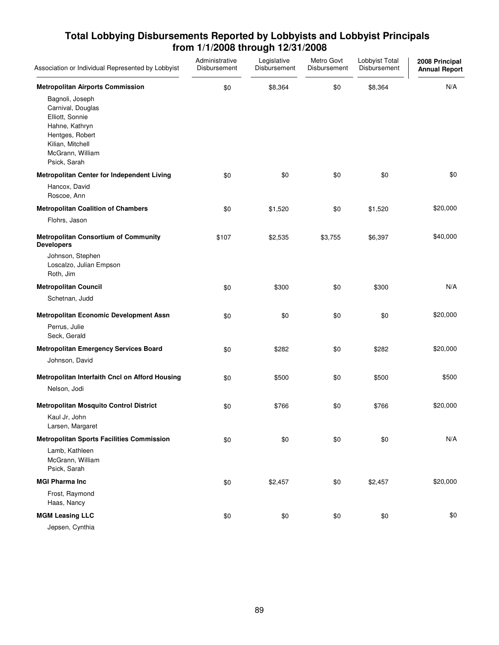| Association or Individual Represented by Lobbyist                                                                                                    | Administrative<br>Disbursement | Legislative<br>Disbursement | Metro Govt<br>Disbursement | Lobbyist Total<br>Disbursement | 2008 Principal<br><b>Annual Report</b> |
|------------------------------------------------------------------------------------------------------------------------------------------------------|--------------------------------|-----------------------------|----------------------------|--------------------------------|----------------------------------------|
| <b>Metropolitan Airports Commission</b>                                                                                                              | \$0                            | \$8,364                     | \$0                        | \$8,364                        | N/A                                    |
| Bagnoli, Joseph<br>Carnival, Douglas<br>Elliott, Sonnie<br>Hahne, Kathryn<br>Hentges, Robert<br>Kilian, Mitchell<br>McGrann, William<br>Psick, Sarah |                                |                             |                            |                                |                                        |
| Metropolitan Center for Independent Living                                                                                                           | \$0                            | \$0                         | \$0                        | \$0                            | \$0                                    |
| Hancox, David<br>Roscoe, Ann                                                                                                                         |                                |                             |                            |                                |                                        |
| <b>Metropolitan Coalition of Chambers</b>                                                                                                            | \$0                            | \$1,520                     | \$0                        | \$1,520                        | \$20,000                               |
| Flohrs, Jason                                                                                                                                        |                                |                             |                            |                                |                                        |
| <b>Metropolitan Consortium of Community</b><br><b>Developers</b>                                                                                     | \$107                          | \$2,535                     | \$3,755                    | \$6,397                        | \$40,000                               |
| Johnson, Stephen<br>Loscalzo, Julian Empson<br>Roth, Jim                                                                                             |                                |                             |                            |                                |                                        |
| <b>Metropolitan Council</b>                                                                                                                          | \$0                            | \$300                       | \$0                        | \$300                          | N/A                                    |
| Schetnan, Judd                                                                                                                                       |                                |                             |                            |                                |                                        |
| <b>Metropolitan Economic Development Assn</b>                                                                                                        | \$0                            | \$0                         | \$0                        | \$0                            | \$20,000                               |
| Perrus, Julie<br>Seck, Gerald                                                                                                                        |                                |                             |                            |                                |                                        |
| <b>Metropolitan Emergency Services Board</b>                                                                                                         | \$0                            | \$282                       | \$0                        | \$282                          | \$20,000                               |
| Johnson, David                                                                                                                                       |                                |                             |                            |                                |                                        |
| Metropolitan Interfaith Cncl on Afford Housing                                                                                                       | \$0                            | \$500                       | \$0                        | \$500                          | \$500                                  |
| Nelson, Jodi                                                                                                                                         |                                |                             |                            |                                |                                        |
| <b>Metropolitan Mosquito Control District</b>                                                                                                        | \$0                            | \$766                       | \$0                        | \$766                          | \$20,000                               |
| Kaul Jr, John<br>Larsen, Margaret                                                                                                                    |                                |                             |                            |                                |                                        |
| <b>Metropolitan Sports Facilities Commission</b>                                                                                                     | \$0                            | \$0                         | \$0                        | \$0                            | N/A                                    |
| Lamb, Kathleen<br>McGrann, William<br>Psick, Sarah                                                                                                   |                                |                             |                            |                                |                                        |
| <b>MGI Pharma Inc.</b>                                                                                                                               | \$0                            | \$2,457                     | \$0                        | \$2,457                        | \$20,000                               |
| Frost, Raymond<br>Haas, Nancy                                                                                                                        |                                |                             |                            |                                |                                        |
| <b>MGM Leasing LLC</b><br>Jepsen, Cynthia                                                                                                            | \$0                            | \$0                         | \$0                        | \$0                            | \$0                                    |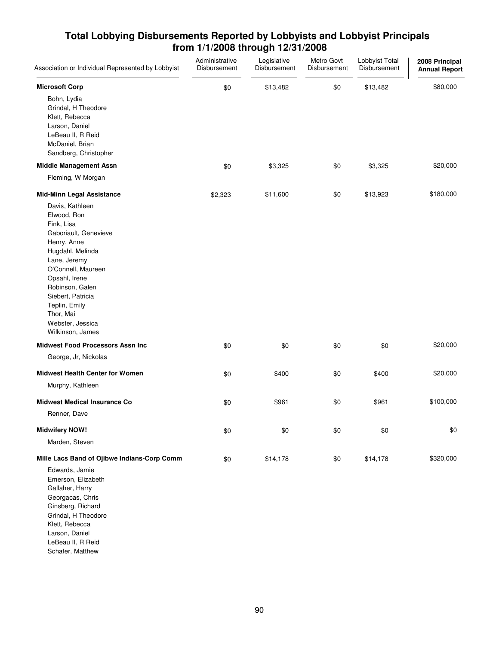| Association or Individual Represented by Lobbyist                                                                                                                                                                                                                             | Administrative<br>Disbursement | Legislative<br>Disbursement | Metro Govt<br>Disbursement | Lobbyist Total<br>Disbursement | 2008 Principal<br><b>Annual Report</b> |
|-------------------------------------------------------------------------------------------------------------------------------------------------------------------------------------------------------------------------------------------------------------------------------|--------------------------------|-----------------------------|----------------------------|--------------------------------|----------------------------------------|
| <b>Microsoft Corp</b>                                                                                                                                                                                                                                                         | \$0                            | \$13,482                    | \$0                        | \$13,482                       | \$80,000                               |
| Bohn, Lydia<br>Grindal, H Theodore<br>Klett, Rebecca<br>Larson, Daniel<br>LeBeau II, R Reid<br>McDaniel, Brian<br>Sandberg, Christopher                                                                                                                                       |                                |                             |                            |                                |                                        |
| <b>Middle Management Assn</b>                                                                                                                                                                                                                                                 | \$0                            | \$3,325                     | \$0                        | \$3,325                        | \$20,000                               |
| Fleming, W Morgan                                                                                                                                                                                                                                                             |                                |                             |                            |                                |                                        |
| <b>Mid-Minn Legal Assistance</b>                                                                                                                                                                                                                                              | \$2,323                        | \$11,600                    | \$0                        | \$13,923                       | \$180,000                              |
| Davis, Kathleen<br>Elwood, Ron<br>Fink, Lisa<br>Gaboriault, Genevieve<br>Henry, Anne<br>Hugdahl, Melinda<br>Lane, Jeremy<br>O'Connell, Maureen<br>Opsahl, Irene<br>Robinson, Galen<br>Siebert, Patricia<br>Teplin, Emily<br>Thor, Mai<br>Webster, Jessica<br>Wilkinson, James |                                |                             |                            |                                |                                        |
| <b>Midwest Food Processors Assn Inc</b>                                                                                                                                                                                                                                       | \$0                            | \$0                         | \$0                        | \$0                            | \$20,000                               |
| George, Jr, Nickolas                                                                                                                                                                                                                                                          |                                |                             |                            |                                |                                        |
| <b>Midwest Health Center for Women</b><br>Murphy, Kathleen                                                                                                                                                                                                                    | \$0                            | \$400                       | \$0                        | \$400                          | \$20,000                               |
| <b>Midwest Medical Insurance Co</b><br>Renner, Dave                                                                                                                                                                                                                           | \$0                            | \$961                       | \$0                        | \$961                          | \$100,000                              |
| <b>Midwifery NOW!</b>                                                                                                                                                                                                                                                         | \$0                            | \$0                         | \$0                        | \$0                            | \$0                                    |
| Marden, Steven                                                                                                                                                                                                                                                                |                                |                             |                            |                                |                                        |
| Mille Lacs Band of Ojibwe Indians-Corp Comm<br>Edwards, Jamie<br>Emerson, Elizabeth<br>Gallaher, Harry<br>Georgacas, Chris<br>Ginsberg, Richard<br>Grindal, H Theodore<br>Klett, Rebecca<br>Larson, Daniel<br>LeBeau II, R Reid<br>Schafer, Matthew                           | \$0                            | \$14,178                    | \$0                        | \$14,178                       | \$320,000                              |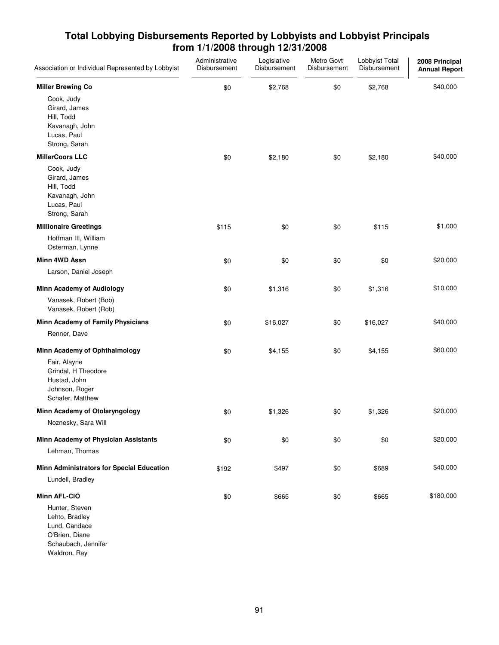| Association or Individual Represented by Lobbyist                                                          | Administrative<br>Disbursement | Legislative<br>Disbursement | Metro Govt<br>Disbursement | Lobbyist Total<br>Disbursement | 2008 Principal<br><b>Annual Report</b> |
|------------------------------------------------------------------------------------------------------------|--------------------------------|-----------------------------|----------------------------|--------------------------------|----------------------------------------|
| <b>Miller Brewing Co</b><br>Cook, Judy<br>Girard, James                                                    | \$0                            | \$2,768                     | \$0                        | \$2,768                        | \$40,000                               |
| Hill, Todd<br>Kavanagh, John<br>Lucas, Paul<br>Strong, Sarah                                               |                                |                             |                            |                                |                                        |
| <b>MillerCoors LLC</b>                                                                                     | \$0                            | \$2,180                     | \$0                        | \$2,180                        | \$40,000                               |
| Cook, Judy<br>Girard, James<br>Hill, Todd<br>Kavanagh, John<br>Lucas, Paul<br>Strong, Sarah                |                                |                             |                            |                                |                                        |
| <b>Millionaire Greetings</b>                                                                               | \$115                          | \$0                         | \$0                        | \$115                          | \$1,000                                |
| Hoffman III, William<br>Osterman, Lynne                                                                    |                                |                             |                            |                                |                                        |
| Minn 4WD Assn                                                                                              | \$0                            | \$0                         | \$0                        | \$0                            | \$20,000                               |
| Larson, Daniel Joseph                                                                                      |                                |                             |                            |                                |                                        |
| <b>Minn Academy of Audiology</b>                                                                           | \$0                            | \$1,316                     | \$0                        | \$1,316                        | \$10,000                               |
| Vanasek, Robert (Bob)<br>Vanasek, Robert (Rob)                                                             |                                |                             |                            |                                |                                        |
| Minn Academy of Family Physicians                                                                          | \$0                            | \$16,027                    | \$0                        | \$16,027                       | \$40,000                               |
| Renner, Dave                                                                                               |                                |                             |                            |                                |                                        |
| Minn Academy of Ophthalmology                                                                              | \$0                            | \$4,155                     | \$0                        | \$4,155                        | \$60,000                               |
| Fair, Alayne<br>Grindal, H Theodore<br>Hustad, John<br>Johnson, Roger<br>Schafer, Matthew                  |                                |                             |                            |                                |                                        |
| Minn Academy of Otolaryngology                                                                             | \$0                            | \$1,326                     | \$0                        | \$1,326                        | \$20,000                               |
| Noznesky, Sara Will                                                                                        |                                |                             |                            |                                |                                        |
| Minn Academy of Physician Assistants                                                                       | \$0                            | \$0                         | \$0                        | \$0                            | \$20,000                               |
| Lehman, Thomas                                                                                             |                                |                             |                            |                                |                                        |
| Minn Administrators for Special Education                                                                  | \$192                          | \$497                       | \$0                        | \$689                          | \$40,000                               |
| Lundell, Bradley                                                                                           |                                |                             |                            |                                |                                        |
| <b>Minn AFL-CIO</b>                                                                                        | \$0                            | \$665                       | \$0                        | \$665                          | \$180,000                              |
| Hunter, Steven<br>Lehto, Bradley<br>Lund, Candace<br>O'Brien, Diane<br>Schaubach, Jennifer<br>Waldron, Ray |                                |                             |                            |                                |                                        |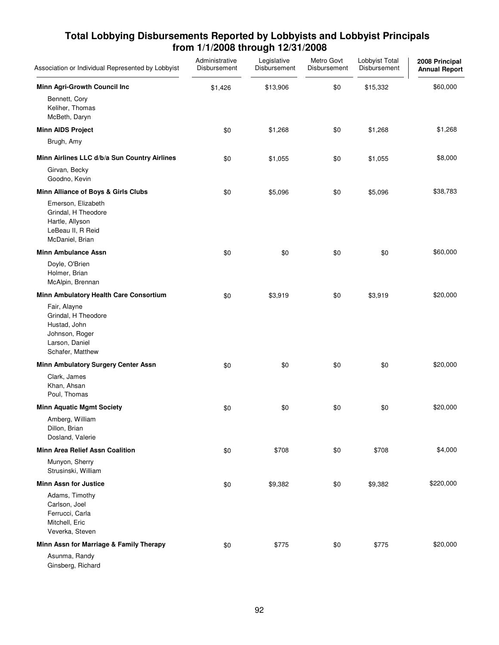| Association or Individual Represented by Lobbyist                                                           | Administrative<br>Disbursement | Legislative<br>Disbursement | Metro Govt<br>Disbursement | Lobbyist Total<br>Disbursement | 2008 Principal<br><b>Annual Report</b> |
|-------------------------------------------------------------------------------------------------------------|--------------------------------|-----------------------------|----------------------------|--------------------------------|----------------------------------------|
| Minn Agri-Growth Council Inc                                                                                | \$1,426                        | \$13,906                    | \$0                        | \$15,332                       | \$60,000                               |
| Bennett, Cory<br>Keliher, Thomas<br>McBeth, Daryn                                                           |                                |                             |                            |                                |                                        |
| <b>Minn AIDS Project</b>                                                                                    | \$0                            | \$1,268                     | \$0                        | \$1,268                        | \$1,268                                |
| Brugh, Amy                                                                                                  |                                |                             |                            |                                |                                        |
| Minn Airlines LLC d/b/a Sun Country Airlines                                                                | \$0                            | \$1,055                     | \$0                        | \$1,055                        | \$8,000                                |
| Girvan, Becky<br>Goodno, Kevin                                                                              |                                |                             |                            |                                |                                        |
| Minn Alliance of Boys & Girls Clubs                                                                         | \$0                            | \$5,096                     | \$0                        | \$5,096                        | \$38,783                               |
| Emerson, Elizabeth<br>Grindal, H Theodore<br>Hartle, Allyson<br>LeBeau II, R Reid<br>McDaniel, Brian        |                                |                             |                            |                                |                                        |
| <b>Minn Ambulance Assn</b>                                                                                  | \$0                            | \$0                         | \$0                        | \$0                            | \$60,000                               |
| Doyle, O'Brien<br>Holmer, Brian<br>McAlpin, Brennan                                                         |                                |                             |                            |                                |                                        |
| Minn Ambulatory Health Care Consortium                                                                      | \$0                            | \$3,919                     | \$0                        | \$3,919                        | \$20,000                               |
| Fair, Alayne<br>Grindal, H Theodore<br>Hustad, John<br>Johnson, Roger<br>Larson, Daniel<br>Schafer, Matthew |                                |                             |                            |                                |                                        |
| Minn Ambulatory Surgery Center Assn                                                                         | \$0                            | \$0                         | \$0                        | \$0                            | \$20,000                               |
| Clark, James<br>Khan, Ahsan<br>Poul, Thomas                                                                 |                                |                             |                            |                                |                                        |
| <b>Minn Aquatic Mgmt Society</b>                                                                            | \$0                            | \$0                         | \$0                        | \$0                            | \$20,000                               |
| Amberg, William<br>Dillon, Brian<br>Dosland, Valerie                                                        |                                |                             |                            |                                |                                        |
| <b>Minn Area Relief Assn Coalition</b>                                                                      | \$0                            | \$708                       | \$0                        | \$708                          | \$4,000                                |
| Munyon, Sherry<br>Strusinski, William                                                                       |                                |                             |                            |                                |                                        |
| <b>Minn Assn for Justice</b>                                                                                | \$0                            | \$9,382                     | \$0                        | \$9,382                        | \$220,000                              |
| Adams, Timothy<br>Carlson, Joel<br>Ferrucci, Carla<br>Mitchell, Eric<br>Veverka, Steven                     |                                |                             |                            |                                |                                        |
| Minn Assn for Marriage & Family Therapy                                                                     | \$0                            | \$775                       | \$0                        | \$775                          | \$20,000                               |
| Asunma, Randy<br>Ginsberg, Richard                                                                          |                                |                             |                            |                                |                                        |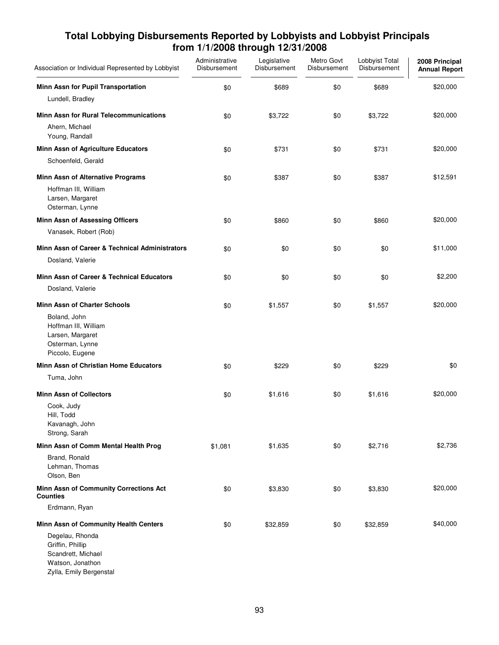| Association or Individual Represented by Lobbyist                                                        | Administrative<br>Disbursement | Legislative<br>Disbursement | Metro Govt<br>Disbursement | Lobbyist Total<br>Disbursement | 2008 Principal<br><b>Annual Report</b> |
|----------------------------------------------------------------------------------------------------------|--------------------------------|-----------------------------|----------------------------|--------------------------------|----------------------------------------|
| Minn Assn for Pupil Transportation                                                                       | \$0                            | \$689                       | \$0                        | \$689                          | \$20,000                               |
| Lundell, Bradley                                                                                         |                                |                             |                            |                                |                                        |
| <b>Minn Assn for Rural Telecommunications</b>                                                            | \$0                            | \$3,722                     | \$0                        | \$3,722                        | \$20,000                               |
| Ahern, Michael<br>Young, Randall                                                                         |                                |                             |                            |                                |                                        |
| Minn Assn of Agriculture Educators                                                                       | \$0                            | \$731                       | \$0                        | \$731                          | \$20,000                               |
| Schoenfeld, Gerald                                                                                       |                                |                             |                            |                                |                                        |
| Minn Assn of Alternative Programs                                                                        | \$0                            | \$387                       | \$0                        | \$387                          | \$12,591                               |
| Hoffman III, William<br>Larsen, Margaret<br>Osterman, Lynne                                              |                                |                             |                            |                                |                                        |
| <b>Minn Assn of Assessing Officers</b>                                                                   | \$0                            | \$860                       | \$0                        | \$860                          | \$20,000                               |
| Vanasek, Robert (Rob)                                                                                    |                                |                             |                            |                                |                                        |
| Minn Assn of Career & Technical Administrators                                                           | \$0                            | \$0                         | \$0                        | \$0                            | \$11,000                               |
| Dosland, Valerie                                                                                         |                                |                             |                            |                                |                                        |
| Minn Assn of Career & Technical Educators                                                                | \$0                            | \$0                         | \$0                        | \$0                            | \$2,200                                |
| Dosland, Valerie                                                                                         |                                |                             |                            |                                |                                        |
| <b>Minn Assn of Charter Schools</b>                                                                      | \$0                            | \$1,557                     | \$0                        | \$1,557                        | \$20,000                               |
| Boland, John<br>Hoffman III, William<br>Larsen, Margaret<br>Osterman, Lynne<br>Piccolo, Eugene           |                                |                             |                            |                                |                                        |
| Minn Assn of Christian Home Educators                                                                    | \$0                            | \$229                       | \$0                        | \$229                          | \$0                                    |
| Tuma, John                                                                                               |                                |                             |                            |                                |                                        |
| <b>Minn Assn of Collectors</b>                                                                           | \$0                            | \$1,616                     | \$0                        | \$1,616                        | \$20,000                               |
| Cook, Judy                                                                                               |                                |                             |                            |                                |                                        |
| Hill, Todd<br>Kavanagh, John                                                                             |                                |                             |                            |                                |                                        |
| Strong, Sarah                                                                                            |                                |                             |                            |                                |                                        |
| Minn Assn of Comm Mental Health Prog                                                                     | \$1,081                        | \$1,635                     | \$0                        | \$2,716                        | \$2,736                                |
| Brand, Ronald<br>Lehman, Thomas<br>Olson, Ben                                                            |                                |                             |                            |                                |                                        |
| Minn Assn of Community Corrections Act<br><b>Counties</b>                                                | \$0                            | \$3,830                     | \$0                        | \$3,830                        | \$20,000                               |
| Erdmann, Ryan                                                                                            |                                |                             |                            |                                |                                        |
| Minn Assn of Community Health Centers                                                                    | \$0                            | \$32,859                    | \$0                        | \$32,859                       | \$40,000                               |
| Degelau, Rhonda<br>Griffin, Phillip<br>Scandrett, Michael<br>Watson, Jonathon<br>Zylla, Emily Bergenstal |                                |                             |                            |                                |                                        |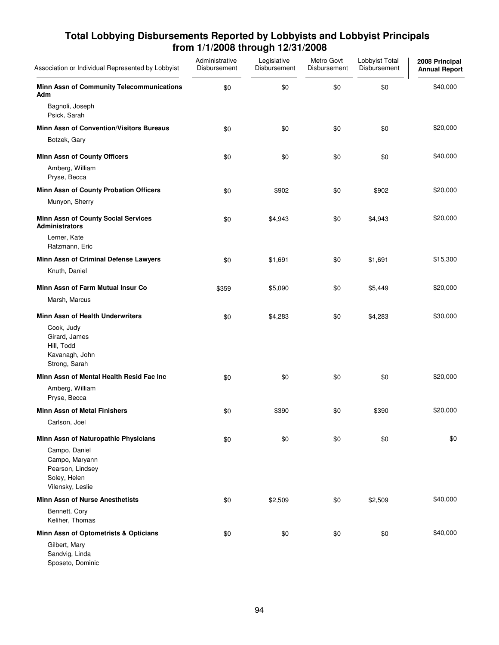| Association or Individual Represented by Lobbyist                                       | Administrative<br>Disbursement | Legislative<br>Disbursement | Metro Govt<br>Disbursement | Lobbyist Total<br>Disbursement | 2008 Principal<br><b>Annual Report</b> |
|-----------------------------------------------------------------------------------------|--------------------------------|-----------------------------|----------------------------|--------------------------------|----------------------------------------|
| Minn Assn of Community Telecommunications<br>Adm                                        | \$0                            | \$0                         | \$0                        | \$0                            | \$40,000                               |
| Bagnoli, Joseph<br>Psick, Sarah                                                         |                                |                             |                            |                                |                                        |
| Minn Assn of Convention/Visitors Bureaus                                                | \$0                            | \$0                         | \$0                        | \$0                            | \$20,000                               |
| Botzek, Gary                                                                            |                                |                             |                            |                                |                                        |
| <b>Minn Assn of County Officers</b>                                                     | \$0                            | \$0                         | \$0                        | \$0                            | \$40,000                               |
| Amberg, William<br>Pryse, Becca                                                         |                                |                             |                            |                                |                                        |
| Minn Assn of County Probation Officers                                                  | \$0                            | \$902                       | \$0                        | \$902                          | \$20,000                               |
| Munyon, Sherry                                                                          |                                |                             |                            |                                |                                        |
| <b>Minn Assn of County Social Services</b><br><b>Administrators</b>                     | \$0                            | \$4,943                     | \$0                        | \$4,943                        | \$20,000                               |
| Lerner, Kate<br>Ratzmann, Eric                                                          |                                |                             |                            |                                |                                        |
| Minn Assn of Criminal Defense Lawyers                                                   | \$0                            | \$1,691                     | \$0                        | \$1,691                        | \$15,300                               |
| Knuth, Daniel                                                                           |                                |                             |                            |                                |                                        |
| Minn Assn of Farm Mutual Insur Co                                                       | \$359                          | \$5,090                     | \$0                        | \$5,449                        | \$20,000                               |
| Marsh, Marcus                                                                           |                                |                             |                            |                                |                                        |
| <b>Minn Assn of Health Underwriters</b>                                                 | \$0                            | \$4,283                     | \$0                        | \$4,283                        | \$30,000                               |
| Cook, Judy<br>Girard, James<br>Hill, Todd<br>Kavanagh, John<br>Strong, Sarah            |                                |                             |                            |                                |                                        |
| Minn Assn of Mental Health Resid Fac Inc                                                | \$0                            | \$0                         | \$0                        | \$0                            | \$20,000                               |
| Amberg, William<br>Pryse, Becca                                                         |                                |                             |                            |                                |                                        |
| <b>Minn Assn of Metal Finishers</b>                                                     | \$0                            | \$390                       | \$0                        | \$390                          | \$20,000                               |
| Carlson, Joel                                                                           |                                |                             |                            |                                |                                        |
| Minn Assn of Naturopathic Physicians                                                    | \$0                            | \$0                         | \$0                        | \$0                            | \$0                                    |
| Campo, Daniel<br>Campo, Maryann<br>Pearson, Lindsey<br>Soley, Helen<br>Vilensky, Leslie |                                |                             |                            |                                |                                        |
| <b>Minn Assn of Nurse Anesthetists</b>                                                  | \$0                            | \$2,509                     | \$0                        | \$2,509                        | \$40,000                               |
| Bennett, Cory<br>Keliher, Thomas                                                        |                                |                             |                            |                                |                                        |
| Minn Assn of Optometrists & Opticians                                                   | \$0                            | \$0                         | \$0                        | \$0                            | \$40,000                               |
| Gilbert, Mary<br>Sandvig, Linda<br>Sposeto, Dominic                                     |                                |                             |                            |                                |                                        |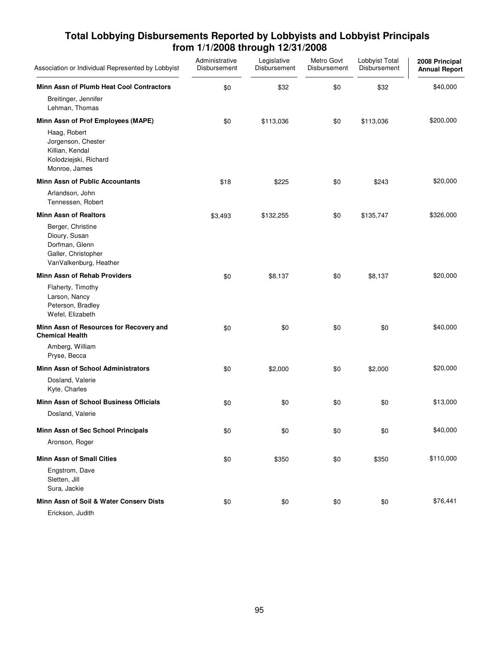| Association or Individual Represented by Lobbyist                                                     | Administrative<br>Disbursement | Legislative<br>Disbursement | Metro Govt<br>Disbursement | Lobbyist Total<br>Disbursement | 2008 Principal<br><b>Annual Report</b> |
|-------------------------------------------------------------------------------------------------------|--------------------------------|-----------------------------|----------------------------|--------------------------------|----------------------------------------|
| Minn Assn of Plumb Heat Cool Contractors                                                              | \$0                            | \$32                        | \$0                        | \$32                           | \$40,000                               |
| Breitinger, Jennifer<br>Lehman, Thomas                                                                |                                |                             |                            |                                |                                        |
| Minn Assn of Prof Employees (MAPE)                                                                    | \$0                            | \$113,036                   | \$0                        | \$113,036                      | \$200,000                              |
| Haag, Robert<br>Jorgenson, Chester<br>Killian, Kendal<br>Kolodziejski, Richard<br>Monroe, James       |                                |                             |                            |                                |                                        |
| <b>Minn Assn of Public Accountants</b>                                                                | \$18                           | \$225                       | \$0                        | \$243                          | \$20,000                               |
| Arlandson, John<br>Tennessen, Robert                                                                  |                                |                             |                            |                                |                                        |
| <b>Minn Assn of Realtors</b>                                                                          | \$3,493                        | \$132,255                   | \$0                        | \$135,747                      | \$326,000                              |
| Berger, Christine<br>Dioury, Susan<br>Dorfman, Glenn<br>Galler, Christopher<br>VanValkenburg, Heather |                                |                             |                            |                                |                                        |
| Minn Assn of Rehab Providers                                                                          | \$0                            | \$8,137                     | \$0                        | \$8,137                        | \$20,000                               |
| Flaherty, Timothy<br>Larson, Nancy<br>Peterson, Bradley<br>Wefel, Elizabeth                           |                                |                             |                            |                                |                                        |
| Minn Assn of Resources for Recovery and<br><b>Chemical Health</b>                                     | \$0                            | \$0                         | \$0                        | \$0                            | \$40,000                               |
| Amberg, William<br>Pryse, Becca                                                                       |                                |                             |                            |                                |                                        |
| <b>Minn Assn of School Administrators</b>                                                             | \$0                            | \$2,000                     | \$0                        | \$2,000                        | \$20,000                               |
| Dosland, Valerie<br>Kyte, Charles                                                                     |                                |                             |                            |                                |                                        |
| Minn Assn of School Business Officials                                                                | \$0                            | \$0                         | \$0                        | \$0                            | \$13,000                               |
| Dosland, Valerie                                                                                      |                                |                             |                            |                                |                                        |
| Minn Assn of Sec School Principals                                                                    | \$0                            | \$0                         | \$0                        | \$0                            | \$40,000                               |
| Aronson, Roger                                                                                        |                                |                             |                            |                                |                                        |
| <b>Minn Assn of Small Cities</b>                                                                      | \$0                            | \$350                       | \$0                        | \$350                          | \$110,000                              |
| Engstrom, Dave<br>Sletten, Jill<br>Sura, Jackie                                                       |                                |                             |                            |                                |                                        |
| Minn Assn of Soil & Water Conserv Dists                                                               | \$0                            | \$0                         | \$0                        | \$0                            | \$76,441                               |
| Erickson, Judith                                                                                      |                                |                             |                            |                                |                                        |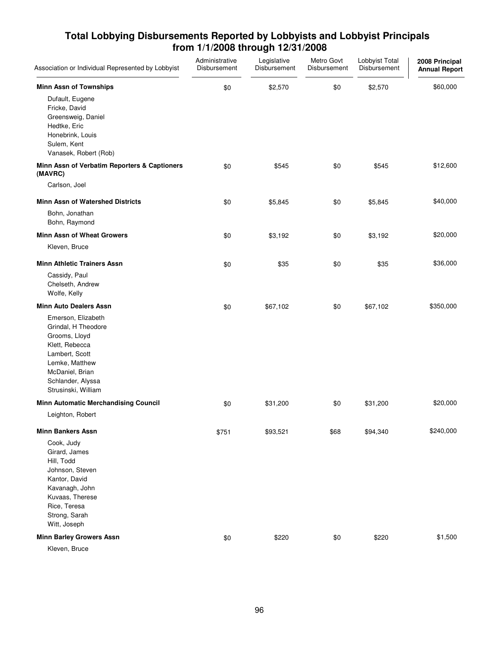| <b>Minn Assn of Townships</b><br>\$60,000<br>\$2,570<br>\$0<br>\$0<br>\$2,570<br>Dufault, Eugene<br>Fricke, David<br>Greensweig, Daniel<br>Hedtke, Eric<br>Honebrink, Louis<br>Sulem, Kent<br>Vanasek, Robert (Rob)<br>Minn Assn of Verbatim Reporters & Captioners<br>\$545<br>\$12,600<br>\$0<br>\$545<br>\$0<br>(MAVRC)<br>Carlson, Joel<br>\$40,000<br><b>Minn Assn of Watershed Districts</b><br>\$5,845<br>\$5,845<br>\$0<br>\$0<br>Bohn, Jonathan<br>Bohn, Raymond<br><b>Minn Assn of Wheat Growers</b><br>\$20,000<br>\$0<br>\$0<br>\$3,192<br>\$3,192<br>Kleven, Bruce<br><b>Minn Athletic Trainers Assn</b><br>\$35<br>\$36,000<br>\$0<br>\$35<br>\$0<br>Cassidy, Paul<br>Chelseth, Andrew<br>Wolfe, Kelly<br><b>Minn Auto Dealers Assn</b><br>\$350,000<br>\$0<br>\$67,102<br>\$0<br>\$67,102<br>Emerson, Elizabeth<br>Grindal, H Theodore<br>Grooms, Lloyd<br>Klett, Rebecca<br>Lambert, Scott<br>Lemke, Matthew<br>McDaniel, Brian<br>Schlander, Alyssa<br>Strusinski, William<br><b>Minn Automatic Merchandising Council</b><br>\$20,000<br>\$31,200<br>\$0<br>\$31,200<br>\$0<br>Leighton, Robert<br>\$240,000<br><b>Minn Bankers Assn</b><br>\$93,521<br>\$68<br>\$94,340<br>\$751<br>Cook, Judy<br>Girard, James<br>Hill, Todd<br>Johnson, Steven<br>Kantor, David<br>Kavanagh, John<br>Kuvaas, Therese<br>Rice, Teresa<br>Strong, Sarah<br>Witt, Joseph<br><b>Minn Barley Growers Assn</b><br>\$1,500<br>\$0<br>\$220<br>\$0<br>\$220 | Association or Individual Represented by Lobbyist | Administrative<br>Disbursement | Legislative<br>Disbursement | Metro Govt<br>Disbursement | Lobbyist Total<br>Disbursement | 2008 Principal<br><b>Annual Report</b> |
|---------------------------------------------------------------------------------------------------------------------------------------------------------------------------------------------------------------------------------------------------------------------------------------------------------------------------------------------------------------------------------------------------------------------------------------------------------------------------------------------------------------------------------------------------------------------------------------------------------------------------------------------------------------------------------------------------------------------------------------------------------------------------------------------------------------------------------------------------------------------------------------------------------------------------------------------------------------------------------------------------------------------------------------------------------------------------------------------------------------------------------------------------------------------------------------------------------------------------------------------------------------------------------------------------------------------------------------------------------------------------------------------------------------------------------------------------------|---------------------------------------------------|--------------------------------|-----------------------------|----------------------------|--------------------------------|----------------------------------------|
|                                                                                                                                                                                                                                                                                                                                                                                                                                                                                                                                                                                                                                                                                                                                                                                                                                                                                                                                                                                                                                                                                                                                                                                                                                                                                                                                                                                                                                                         |                                                   |                                |                             |                            |                                |                                        |
|                                                                                                                                                                                                                                                                                                                                                                                                                                                                                                                                                                                                                                                                                                                                                                                                                                                                                                                                                                                                                                                                                                                                                                                                                                                                                                                                                                                                                                                         |                                                   |                                |                             |                            |                                |                                        |
|                                                                                                                                                                                                                                                                                                                                                                                                                                                                                                                                                                                                                                                                                                                                                                                                                                                                                                                                                                                                                                                                                                                                                                                                                                                                                                                                                                                                                                                         |                                                   |                                |                             |                            |                                |                                        |
|                                                                                                                                                                                                                                                                                                                                                                                                                                                                                                                                                                                                                                                                                                                                                                                                                                                                                                                                                                                                                                                                                                                                                                                                                                                                                                                                                                                                                                                         |                                                   |                                |                             |                            |                                |                                        |
|                                                                                                                                                                                                                                                                                                                                                                                                                                                                                                                                                                                                                                                                                                                                                                                                                                                                                                                                                                                                                                                                                                                                                                                                                                                                                                                                                                                                                                                         |                                                   |                                |                             |                            |                                |                                        |
|                                                                                                                                                                                                                                                                                                                                                                                                                                                                                                                                                                                                                                                                                                                                                                                                                                                                                                                                                                                                                                                                                                                                                                                                                                                                                                                                                                                                                                                         |                                                   |                                |                             |                            |                                |                                        |
|                                                                                                                                                                                                                                                                                                                                                                                                                                                                                                                                                                                                                                                                                                                                                                                                                                                                                                                                                                                                                                                                                                                                                                                                                                                                                                                                                                                                                                                         |                                                   |                                |                             |                            |                                |                                        |
|                                                                                                                                                                                                                                                                                                                                                                                                                                                                                                                                                                                                                                                                                                                                                                                                                                                                                                                                                                                                                                                                                                                                                                                                                                                                                                                                                                                                                                                         |                                                   |                                |                             |                            |                                |                                        |
|                                                                                                                                                                                                                                                                                                                                                                                                                                                                                                                                                                                                                                                                                                                                                                                                                                                                                                                                                                                                                                                                                                                                                                                                                                                                                                                                                                                                                                                         |                                                   |                                |                             |                            |                                |                                        |
| Kleven, Bruce                                                                                                                                                                                                                                                                                                                                                                                                                                                                                                                                                                                                                                                                                                                                                                                                                                                                                                                                                                                                                                                                                                                                                                                                                                                                                                                                                                                                                                           |                                                   |                                |                             |                            |                                |                                        |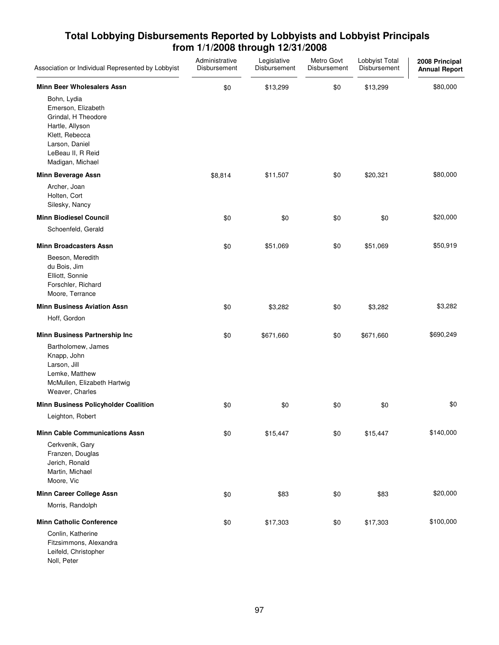| Association or Individual Represented by Lobbyist                                                                                                        | Administrative<br>Disbursement | Legislative<br>Disbursement | Metro Govt<br>Disbursement | Lobbyist Total<br>Disbursement | 2008 Principal<br><b>Annual Report</b> |
|----------------------------------------------------------------------------------------------------------------------------------------------------------|--------------------------------|-----------------------------|----------------------------|--------------------------------|----------------------------------------|
| <b>Minn Beer Wholesalers Assn</b>                                                                                                                        | \$0                            | \$13,299                    | \$0                        | \$13,299                       | \$80,000                               |
| Bohn, Lydia<br>Emerson, Elizabeth<br>Grindal, H Theodore<br>Hartle, Allyson<br>Klett, Rebecca<br>Larson, Daniel<br>LeBeau II, R Reid<br>Madigan, Michael |                                |                             |                            |                                |                                        |
| Minn Beverage Assn                                                                                                                                       | \$8,814                        | \$11,507                    | \$0                        | \$20,321                       | \$80,000                               |
| Archer, Joan<br>Holten, Cort<br>Silesky, Nancy                                                                                                           |                                |                             |                            |                                |                                        |
| <b>Minn Biodiesel Council</b>                                                                                                                            | \$0                            | \$0                         | \$0                        | \$0                            | \$20,000                               |
| Schoenfeld, Gerald                                                                                                                                       |                                |                             |                            |                                |                                        |
| <b>Minn Broadcasters Assn</b>                                                                                                                            | \$0                            | \$51,069                    | \$0                        | \$51,069                       | \$50,919                               |
| Beeson, Meredith<br>du Bois, Jim<br>Elliott, Sonnie<br>Forschler, Richard<br>Moore, Terrance                                                             |                                |                             |                            |                                |                                        |
| <b>Minn Business Aviation Assn</b>                                                                                                                       | \$0                            | \$3,282                     | \$0                        | \$3,282                        | \$3,282                                |
| Hoff, Gordon                                                                                                                                             |                                |                             |                            |                                |                                        |
| Minn Business Partnership Inc                                                                                                                            | \$0                            | \$671,660                   | \$0                        | \$671,660                      | \$690,249                              |
| Bartholomew, James<br>Knapp, John<br>Larson, Jill<br>Lemke, Matthew<br>McMullen, Elizabeth Hartwig<br>Weaver, Charles                                    |                                |                             |                            |                                |                                        |
| Minn Business Policyholder Coalition                                                                                                                     | \$0                            | \$0                         | \$0                        | \$0                            | \$0                                    |
| Leighton, Robert                                                                                                                                         |                                |                             |                            |                                |                                        |
| <b>Minn Cable Communications Assn</b>                                                                                                                    | \$0                            | \$15,447                    | \$0                        | \$15,447                       | \$140,000                              |
| Cerkvenik, Gary<br>Franzen, Douglas<br>Jerich, Ronald<br>Martin, Michael<br>Moore, Vic                                                                   |                                |                             |                            |                                |                                        |
| <b>Minn Career College Assn</b>                                                                                                                          | \$0                            | \$83                        | \$0                        | \$83                           | \$20,000                               |
| Morris, Randolph                                                                                                                                         |                                |                             |                            |                                |                                        |
| <b>Minn Catholic Conference</b>                                                                                                                          | \$0                            | \$17,303                    | \$0                        | \$17,303                       | \$100,000                              |
| Conlin, Katherine<br>Fitzsimmons, Alexandra<br>Leifeld, Christopher<br>Noll, Peter                                                                       |                                |                             |                            |                                |                                        |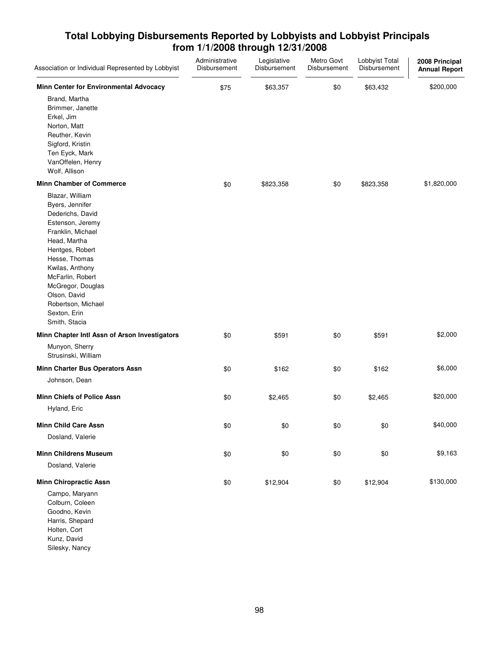| Association or Individual Represented by Lobbyist                                                                                                                                                                                                                                      | Administrative<br>Disbursement | Legislative<br>Disbursement | Metro Govt<br>Disbursement | Lobbyist Total<br>Disbursement | 2008 Principal<br><b>Annual Report</b> |
|----------------------------------------------------------------------------------------------------------------------------------------------------------------------------------------------------------------------------------------------------------------------------------------|--------------------------------|-----------------------------|----------------------------|--------------------------------|----------------------------------------|
| Minn Center for Environmental Advocacy                                                                                                                                                                                                                                                 | \$75                           | \$63,357                    | \$0                        | \$63,432                       | \$200,000                              |
| Brand, Martha<br>Brimmer, Janette<br>Erkel, Jim<br>Norton, Matt<br>Reuther, Kevin<br>Sigford, Kristin<br>Ten Eyck, Mark<br>VanOffelen, Henry<br>Wolf, Allison                                                                                                                          |                                |                             |                            |                                |                                        |
| <b>Minn Chamber of Commerce</b>                                                                                                                                                                                                                                                        | \$0                            | \$823,358                   | \$0                        | \$823,358                      | \$1,820,000                            |
| Blazar, William<br>Byers, Jennifer<br>Dederichs, David<br>Estenson, Jeremy<br>Franklin, Michael<br>Head, Martha<br>Hentges, Robert<br>Hesse, Thomas<br>Kwilas, Anthony<br>McFarlin, Robert<br>McGregor, Douglas<br>Olson, David<br>Robertson, Michael<br>Sexton, Erin<br>Smith, Stacia |                                |                             |                            |                                |                                        |
| Minn Chapter Intl Assn of Arson Investigators                                                                                                                                                                                                                                          | \$0                            | \$591                       | \$0                        | \$591                          | \$2,000                                |
| Munyon, Sherry<br>Strusinski, William                                                                                                                                                                                                                                                  |                                |                             |                            |                                |                                        |
| Minn Charter Bus Operators Assn<br>Johnson, Dean                                                                                                                                                                                                                                       | \$0                            | \$162                       | \$0                        | \$162                          | \$6,000                                |
| <b>Minn Chiefs of Police Assn</b><br>Hyland, Eric                                                                                                                                                                                                                                      | \$0                            | \$2,465                     | \$0                        | \$2,465                        | \$20,000                               |
| Minn Child Care Assn                                                                                                                                                                                                                                                                   |                                | \$0                         | \$0                        | \$0                            | \$40,000                               |
| Dosland, Valerie                                                                                                                                                                                                                                                                       | \$0                            |                             |                            |                                |                                        |
| <b>Minn Childrens Museum</b>                                                                                                                                                                                                                                                           | \$0                            | \$0                         | \$0                        | \$0                            | \$9,163                                |
| Dosland, Valerie                                                                                                                                                                                                                                                                       |                                |                             |                            |                                |                                        |
| <b>Minn Chiropractic Assn</b>                                                                                                                                                                                                                                                          | \$0                            | \$12,904                    | \$0                        | \$12,904                       | \$130,000                              |
| Campo, Maryann<br>Colburn, Coleen<br>Goodno, Kevin<br>Harris, Shepard<br>Holten, Cort                                                                                                                                                                                                  |                                |                             |                            |                                |                                        |

Kunz, David Silesky, Nancy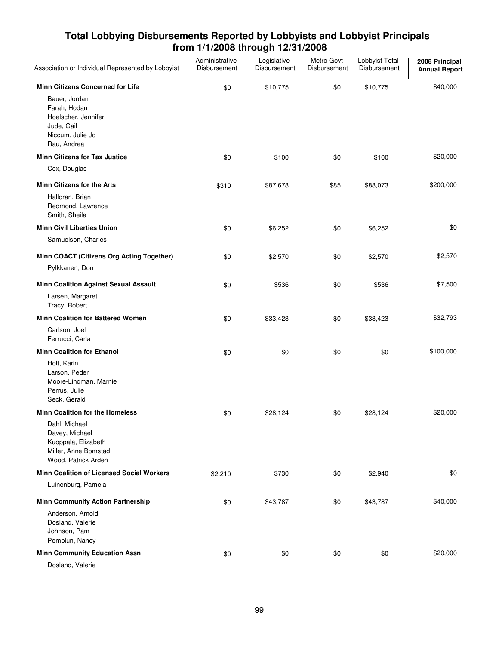| Association or Individual Represented by Lobbyist                                                                                                | Administrative<br>Disbursement | Legislative<br>Disbursement | Metro Govt<br>Disbursement | Lobbyist Total<br>Disbursement | 2008 Principal<br><b>Annual Report</b> |
|--------------------------------------------------------------------------------------------------------------------------------------------------|--------------------------------|-----------------------------|----------------------------|--------------------------------|----------------------------------------|
| <b>Minn Citizens Concerned for Life</b><br>Bauer, Jordan<br>Farah, Hodan<br>Hoelscher, Jennifer<br>Jude, Gail<br>Niccum, Julie Jo<br>Rau, Andrea | \$0                            | \$10,775                    | \$0                        | \$10,775                       | \$40,000                               |
| <b>Minn Citizens for Tax Justice</b>                                                                                                             | \$0                            | \$100                       | \$0                        | \$100                          | \$20,000                               |
| Cox, Douglas                                                                                                                                     |                                |                             |                            |                                |                                        |
| <b>Minn Citizens for the Arts</b><br>Halloran, Brian<br>Redmond, Lawrence<br>Smith, Sheila                                                       | \$310                          | \$87,678                    | \$85                       | \$88,073                       | \$200,000                              |
| <b>Minn Civil Liberties Union</b>                                                                                                                | \$0                            | \$6,252                     | \$0                        | \$6,252                        | \$0                                    |
| Samuelson, Charles                                                                                                                               |                                |                             |                            |                                |                                        |
| Minn COACT (Citizens Org Acting Together)<br>Pylkkanen, Don                                                                                      | \$0                            | \$2,570                     | \$0                        | \$2,570                        | \$2,570                                |
| <b>Minn Coalition Against Sexual Assault</b>                                                                                                     | \$0                            | \$536                       | \$0                        | \$536                          | \$7,500                                |
| Larsen, Margaret<br>Tracy, Robert                                                                                                                |                                |                             |                            |                                |                                        |
| <b>Minn Coalition for Battered Women</b>                                                                                                         | \$0                            | \$33,423                    | \$0                        | \$33,423                       | \$32,793                               |
| Carlson, Joel<br>Ferrucci, Carla                                                                                                                 |                                |                             |                            |                                |                                        |
| <b>Minn Coalition for Ethanol</b><br>Holt, Karin<br>Larson, Peder<br>Moore-Lindman, Marnie<br>Perrus, Julie<br>Seck, Gerald                      | \$0                            | \$0                         | \$0                        | \$0                            | \$100,000                              |
| <b>Minn Coalition for the Homeless</b>                                                                                                           | \$0                            | \$28,124                    | \$0                        | \$28,124                       | \$20,000                               |
| Dahl, Michael<br>Davey, Michael<br>Kuoppala, Elizabeth<br>Miller, Anne Bomstad<br>Wood, Patrick Arden                                            |                                |                             |                            |                                |                                        |
| <b>Minn Coalition of Licensed Social Workers</b>                                                                                                 | \$2,210                        | \$730                       | \$0                        | \$2,940                        | \$0                                    |
| Luinenburg, Pamela                                                                                                                               |                                |                             |                            |                                |                                        |
| <b>Minn Community Action Partnership</b><br>Anderson, Arnold<br>Dosland, Valerie<br>Johnson, Pam<br>Pomplun, Nancy                               | \$0                            | \$43,787                    | \$0                        | \$43,787                       | \$40,000                               |
| <b>Minn Community Education Assn</b>                                                                                                             | \$0                            | \$0                         | \$0                        | \$0                            | \$20,000                               |
| Dosland, Valerie                                                                                                                                 |                                |                             |                            |                                |                                        |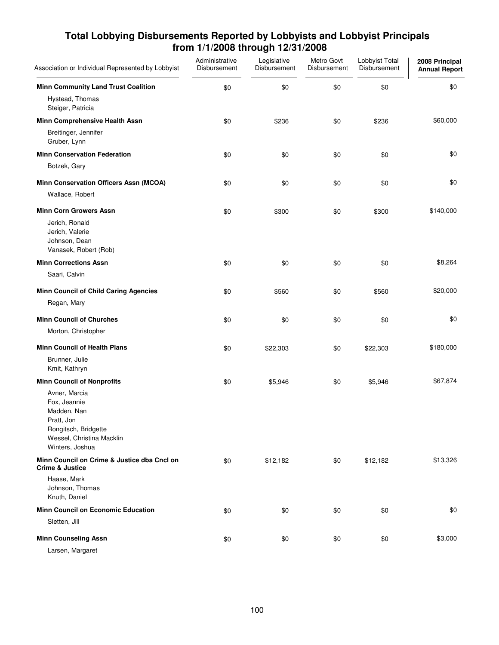| Association or Individual Represented by Lobbyist                                                                                  | Administrative<br>Disbursement | Legislative<br>Disbursement | Metro Govt<br>Disbursement | Lobbyist Total<br>Disbursement | 2008 Principal<br><b>Annual Report</b> |
|------------------------------------------------------------------------------------------------------------------------------------|--------------------------------|-----------------------------|----------------------------|--------------------------------|----------------------------------------|
| <b>Minn Community Land Trust Coalition</b>                                                                                         | \$0                            | \$0                         | \$0                        | \$0                            | \$0                                    |
| Hystead, Thomas<br>Steiger, Patricia                                                                                               |                                |                             |                            |                                |                                        |
| Minn Comprehensive Health Assn                                                                                                     | \$0                            | \$236                       | \$0                        | \$236                          | \$60,000                               |
| Breitinger, Jennifer<br>Gruber, Lynn                                                                                               |                                |                             |                            |                                |                                        |
| <b>Minn Conservation Federation</b>                                                                                                | \$0                            | \$0                         | \$0                        | \$0                            | \$0                                    |
| Botzek, Gary                                                                                                                       |                                |                             |                            |                                |                                        |
| Minn Conservation Officers Assn (MCOA)                                                                                             | \$0                            | \$0                         | \$0                        | \$0                            | \$0                                    |
| Wallace, Robert                                                                                                                    |                                |                             |                            |                                |                                        |
| <b>Minn Corn Growers Assn</b>                                                                                                      | \$0                            | \$300                       | \$0                        | \$300                          | \$140,000                              |
| Jerich, Ronald<br>Jerich, Valerie<br>Johnson, Dean<br>Vanasek, Robert (Rob)                                                        |                                |                             |                            |                                |                                        |
| <b>Minn Corrections Assn</b>                                                                                                       | \$0                            | \$0                         | \$0                        | \$0                            | \$8,264                                |
| Saari, Calvin                                                                                                                      |                                |                             |                            |                                |                                        |
| <b>Minn Council of Child Caring Agencies</b>                                                                                       | \$0                            | \$560                       | \$0                        | \$560                          | \$20,000                               |
| Regan, Mary                                                                                                                        |                                |                             |                            |                                |                                        |
| <b>Minn Council of Churches</b>                                                                                                    | \$0                            | \$0                         | \$0                        | \$0                            | \$0                                    |
| Morton, Christopher                                                                                                                |                                |                             |                            |                                |                                        |
| <b>Minn Council of Health Plans</b>                                                                                                | \$0                            | \$22,303                    | \$0                        | \$22,303                       | \$180,000                              |
| Brunner, Julie<br>Kmit, Kathryn                                                                                                    |                                |                             |                            |                                |                                        |
| <b>Minn Council of Nonprofits</b>                                                                                                  | \$0                            | \$5,946                     | \$0                        | \$5,946                        | \$67,874                               |
| Avner, Marcia<br>Fox, Jeannie<br>Madden, Nan<br>Pratt, Jon<br>Rongitsch, Bridgette<br>Wessel, Christina Macklin<br>Winters, Joshua |                                |                             |                            |                                |                                        |
| Minn Council on Crime & Justice dba Cncl on<br><b>Crime &amp; Justice</b>                                                          | \$0                            | \$12,182                    | \$0                        | \$12,182                       | \$13,326                               |
| Haase, Mark<br>Johnson, Thomas<br>Knuth, Daniel                                                                                    |                                |                             |                            |                                |                                        |
| Minn Council on Economic Education                                                                                                 | \$0                            | \$0                         | \$0                        | \$0                            | \$0                                    |
| Sletten, Jill                                                                                                                      |                                |                             |                            |                                |                                        |
| <b>Minn Counseling Assn</b>                                                                                                        | \$0                            | \$0                         | \$0                        | \$0                            | \$3,000                                |
| Larsen, Margaret                                                                                                                   |                                |                             |                            |                                |                                        |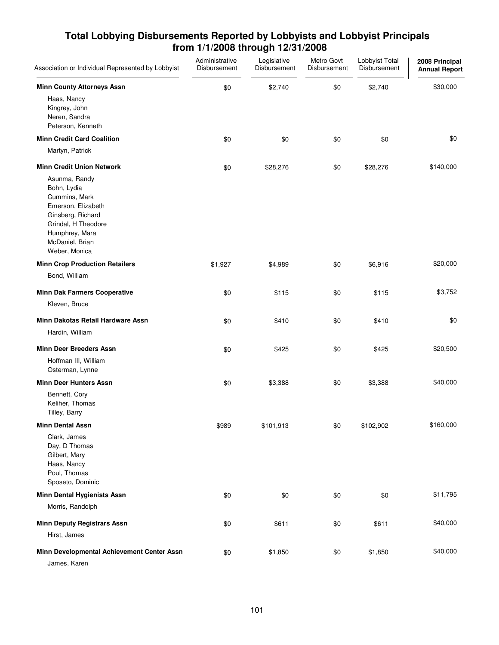| Association or Individual Represented by Lobbyist                                                                                                                     | Administrative<br>Disbursement | Legislative<br>Disbursement | Metro Govt<br>Disbursement | Lobbyist Total<br>Disbursement | 2008 Principal<br><b>Annual Report</b> |
|-----------------------------------------------------------------------------------------------------------------------------------------------------------------------|--------------------------------|-----------------------------|----------------------------|--------------------------------|----------------------------------------|
| <b>Minn County Attorneys Assn</b>                                                                                                                                     | \$0                            | \$2,740                     | \$0                        | \$2,740                        | \$30,000                               |
| Haas, Nancy<br>Kingrey, John<br>Neren, Sandra<br>Peterson, Kenneth                                                                                                    |                                |                             |                            |                                |                                        |
| <b>Minn Credit Card Coalition</b>                                                                                                                                     | \$0                            | \$0                         | \$0                        | \$0                            | \$0                                    |
| Martyn, Patrick                                                                                                                                                       |                                |                             |                            |                                |                                        |
| <b>Minn Credit Union Network</b>                                                                                                                                      | \$0                            | \$28,276                    | \$0                        | \$28,276                       | \$140,000                              |
| Asunma, Randy<br>Bohn, Lydia<br>Cummins, Mark<br>Emerson, Elizabeth<br>Ginsberg, Richard<br>Grindal, H Theodore<br>Humphrey, Mara<br>McDaniel, Brian<br>Weber, Monica |                                |                             |                            |                                |                                        |
| <b>Minn Crop Production Retailers</b>                                                                                                                                 | \$1,927                        | \$4,989                     | \$0                        | \$6,916                        | \$20,000                               |
| Bond, William                                                                                                                                                         |                                |                             |                            |                                |                                        |
| <b>Minn Dak Farmers Cooperative</b>                                                                                                                                   | \$0                            | \$115                       | \$0                        | \$115                          | \$3,752                                |
| Kleven, Bruce                                                                                                                                                         |                                |                             |                            |                                |                                        |
| Minn Dakotas Retail Hardware Assn                                                                                                                                     | \$0                            | \$410                       | \$0                        | \$410                          | \$0                                    |
| Hardin, William                                                                                                                                                       |                                |                             |                            |                                |                                        |
| <b>Minn Deer Breeders Assn</b>                                                                                                                                        | \$0                            | \$425                       | \$0                        | \$425                          | \$20,500                               |
| Hoffman III, William<br>Osterman, Lynne                                                                                                                               |                                |                             |                            |                                |                                        |
| <b>Minn Deer Hunters Assn</b>                                                                                                                                         | \$0                            | \$3,388                     | \$0                        | \$3,388                        | \$40,000                               |
| Bennett, Cory<br>Keliher, Thomas<br>Tilley, Barry                                                                                                                     |                                |                             |                            |                                |                                        |
| <b>Minn Dental Assn</b>                                                                                                                                               | \$989                          | \$101,913                   | \$0                        | \$102,902                      | \$160,000                              |
| Clark, James<br>Day, D Thomas<br>Gilbert, Mary<br>Haas, Nancy<br>Poul, Thomas<br>Sposeto, Dominic                                                                     |                                |                             |                            |                                |                                        |
| <b>Minn Dental Hygienists Assn</b>                                                                                                                                    | \$0                            | \$0                         | \$0                        | \$0                            | \$11,795                               |
| Morris, Randolph                                                                                                                                                      |                                |                             |                            |                                |                                        |
| <b>Minn Deputy Registrars Assn</b>                                                                                                                                    | \$0                            | \$611                       | \$0                        | \$611                          | \$40,000                               |
| Hirst, James                                                                                                                                                          |                                |                             |                            |                                |                                        |
| Minn Developmental Achievement Center Assn                                                                                                                            | \$0                            | \$1,850                     | \$0                        | \$1,850                        | \$40,000                               |
| James, Karen                                                                                                                                                          |                                |                             |                            |                                |                                        |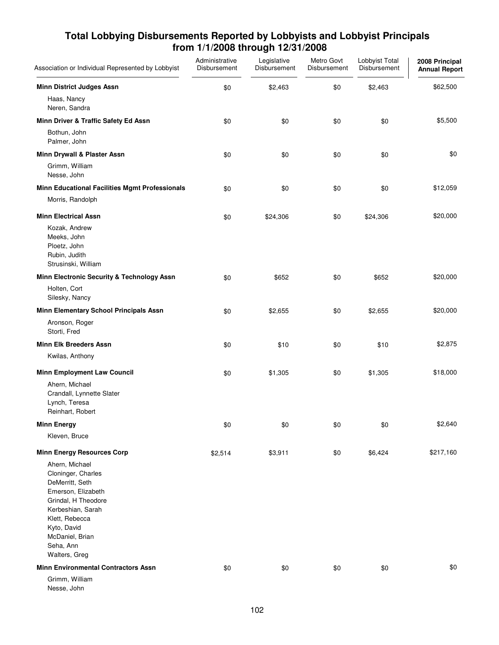| Association or Individual Represented by Lobbyist                                                                                                                                                                                                | Administrative<br>Disbursement | Legislative<br>Disbursement | Metro Govt<br>Disbursement | Lobbyist Total<br>Disbursement | 2008 Principal<br><b>Annual Report</b> |
|--------------------------------------------------------------------------------------------------------------------------------------------------------------------------------------------------------------------------------------------------|--------------------------------|-----------------------------|----------------------------|--------------------------------|----------------------------------------|
| <b>Minn District Judges Assn</b>                                                                                                                                                                                                                 | \$0                            | \$2,463                     | \$0                        | \$2,463                        | \$62,500                               |
| Haas, Nancy<br>Neren, Sandra                                                                                                                                                                                                                     |                                |                             |                            |                                |                                        |
| Minn Driver & Traffic Safety Ed Assn                                                                                                                                                                                                             | \$0                            | \$0                         | \$0                        | \$0                            | \$5,500                                |
| Bothun, John<br>Palmer, John                                                                                                                                                                                                                     |                                |                             |                            |                                |                                        |
| Minn Drywall & Plaster Assn                                                                                                                                                                                                                      | \$0                            | \$0                         | \$0                        | \$0                            | \$0                                    |
| Grimm, William<br>Nesse, John                                                                                                                                                                                                                    |                                |                             |                            |                                |                                        |
| <b>Minn Educational Facilities Mgmt Professionals</b>                                                                                                                                                                                            | \$0                            | \$0                         | \$0                        | \$0                            | \$12,059                               |
| Morris, Randolph                                                                                                                                                                                                                                 |                                |                             |                            |                                |                                        |
| <b>Minn Electrical Assn</b>                                                                                                                                                                                                                      | \$0                            | \$24,306                    | \$0                        | \$24,306                       | \$20,000                               |
| Kozak, Andrew<br>Meeks, John<br>Ploetz, John<br>Rubin, Judith<br>Strusinski, William                                                                                                                                                             |                                |                             |                            |                                |                                        |
| Minn Electronic Security & Technology Assn                                                                                                                                                                                                       | \$0                            | \$652                       | \$0                        | \$652                          | \$20,000                               |
| Holten, Cort<br>Silesky, Nancy                                                                                                                                                                                                                   |                                |                             |                            |                                |                                        |
| Minn Elementary School Principals Assn                                                                                                                                                                                                           | \$0                            | \$2,655                     | \$0                        | \$2,655                        | \$20,000                               |
| Aronson, Roger<br>Storti, Fred                                                                                                                                                                                                                   |                                |                             |                            |                                |                                        |
| <b>Minn Elk Breeders Assn</b>                                                                                                                                                                                                                    | \$0                            | \$10                        | \$0                        | \$10                           | \$2,875                                |
| Kwilas, Anthony                                                                                                                                                                                                                                  |                                |                             |                            |                                |                                        |
| <b>Minn Employment Law Council</b><br>Ahern, Michael<br>Crandall, Lynnette Slater<br>Lynch, Teresa<br>Reinhart, Robert                                                                                                                           | \$0                            | \$1,305                     | \$0                        | \$1,305                        | \$18,000                               |
| <b>Minn Energy</b>                                                                                                                                                                                                                               | \$0                            | \$0                         | \$0                        | \$0                            | \$2,640                                |
| Kleven, Bruce                                                                                                                                                                                                                                    |                                |                             |                            |                                |                                        |
| <b>Minn Energy Resources Corp</b><br>Ahern, Michael<br>Cloninger, Charles<br>DeMerritt, Seth<br>Emerson, Elizabeth<br>Grindal, H Theodore<br>Kerbeshian, Sarah<br>Klett, Rebecca<br>Kyto, David<br>McDaniel, Brian<br>Seha, Ann<br>Walters, Greg | \$2,514                        | \$3,911                     | \$0                        | \$6,424                        | \$217,160                              |
| <b>Minn Environmental Contractors Assn</b>                                                                                                                                                                                                       | \$0                            | \$0                         | \$0                        | \$0                            | \$0                                    |
| Grimm, William<br>Nesse, John                                                                                                                                                                                                                    |                                |                             |                            |                                |                                        |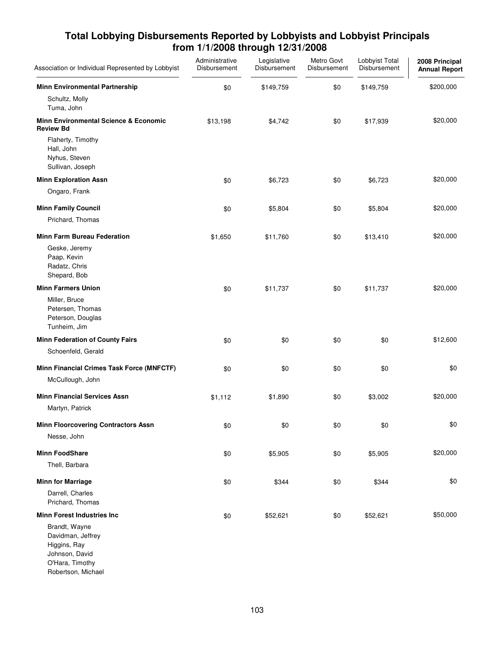| Association or Individual Represented by Lobbyist                                                             | Administrative<br>Disbursement | Legislative<br>Disbursement | Metro Govt<br>Disbursement | Lobbyist Total<br>Disbursement | 2008 Principal<br><b>Annual Report</b> |
|---------------------------------------------------------------------------------------------------------------|--------------------------------|-----------------------------|----------------------------|--------------------------------|----------------------------------------|
| <b>Minn Environmental Partnership</b>                                                                         | \$0                            | \$149,759                   | \$0                        | \$149,759                      | \$200,000                              |
| Schultz, Molly<br>Tuma, John                                                                                  |                                |                             |                            |                                |                                        |
| <b>Minn Environmental Science &amp; Economic</b><br><b>Review Bd</b>                                          | \$13,198                       | \$4,742                     | \$0                        | \$17,939                       | \$20,000                               |
| Flaherty, Timothy<br>Hall, John<br>Nyhus, Steven<br>Sullivan, Joseph                                          |                                |                             |                            |                                |                                        |
| <b>Minn Exploration Assn</b>                                                                                  | \$0                            | \$6,723                     | \$0                        | \$6,723                        | \$20,000                               |
| Ongaro, Frank                                                                                                 |                                |                             |                            |                                |                                        |
| <b>Minn Family Council</b>                                                                                    | \$0                            | \$5,804                     | \$0                        | \$5,804                        | \$20,000                               |
| Prichard, Thomas                                                                                              |                                |                             |                            |                                |                                        |
| <b>Minn Farm Bureau Federation</b>                                                                            | \$1,650                        | \$11,760                    | \$0                        | \$13,410                       | \$20,000                               |
| Geske, Jeremy<br>Paap, Kevin<br>Radatz, Chris<br>Shepard, Bob                                                 |                                |                             |                            |                                |                                        |
| <b>Minn Farmers Union</b>                                                                                     | \$0                            | \$11,737                    | \$0                        | \$11,737                       | \$20,000                               |
| Miller, Bruce<br>Petersen, Thomas<br>Peterson, Douglas<br>Tunheim, Jim                                        |                                |                             |                            |                                |                                        |
| <b>Minn Federation of County Fairs</b>                                                                        | \$0                            | \$0                         | \$0                        | \$0                            | \$12,600                               |
| Schoenfeld, Gerald                                                                                            |                                |                             |                            |                                |                                        |
| Minn Financial Crimes Task Force (MNFCTF)                                                                     | \$0                            | \$0                         | \$0                        | \$0                            | \$0                                    |
| McCullough, John                                                                                              |                                |                             |                            |                                |                                        |
| <b>Minn Financial Services Assn</b>                                                                           | \$1,112                        | \$1,890                     | \$0                        | \$3,002                        | \$20,000                               |
| Martyn, Patrick                                                                                               |                                |                             |                            |                                |                                        |
| <b>Minn Floorcovering Contractors Assn</b>                                                                    | \$0                            | \$0                         | \$0                        | \$0                            | \$0                                    |
| Nesse, John                                                                                                   |                                |                             |                            |                                |                                        |
| <b>Minn FoodShare</b>                                                                                         | \$0                            | \$5,905                     | \$0                        | \$5,905                        | \$20,000                               |
| Thell, Barbara                                                                                                |                                |                             |                            |                                |                                        |
| <b>Minn for Marriage</b>                                                                                      | \$0                            | \$344                       | \$0                        | \$344                          | \$0                                    |
| Darrell, Charles<br>Prichard, Thomas                                                                          |                                |                             |                            |                                |                                        |
| <b>Minn Forest Industries Inc</b>                                                                             | \$0                            | \$52,621                    | \$0                        | \$52,621                       | \$50,000                               |
| Brandt, Wayne<br>Davidman, Jeffrey<br>Higgins, Ray<br>Johnson, David<br>O'Hara, Timothy<br>Robertson, Michael |                                |                             |                            |                                |                                        |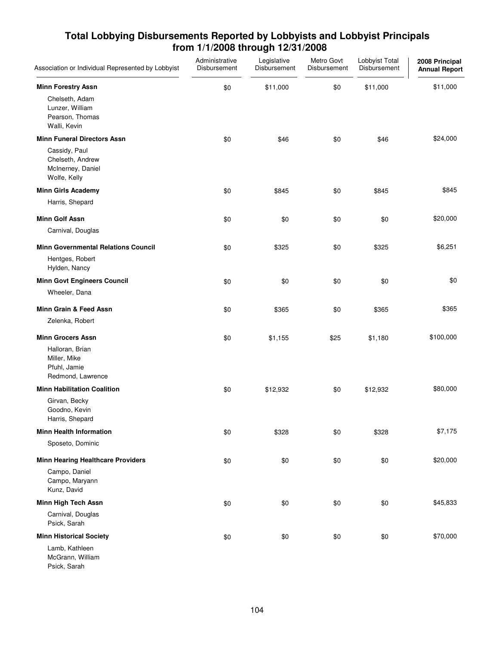| Association or Individual Represented by Lobbyist                              | Administrative<br>Disbursement | Legislative<br>Disbursement | Metro Govt<br>Disbursement | Lobbyist Total<br>Disbursement | 2008 Principal<br><b>Annual Report</b> |
|--------------------------------------------------------------------------------|--------------------------------|-----------------------------|----------------------------|--------------------------------|----------------------------------------|
| <b>Minn Forestry Assn</b>                                                      | \$0                            | \$11,000                    | \$0                        | \$11,000                       | \$11,000                               |
| Chelseth, Adam<br>Lunzer, William<br>Pearson, Thomas<br>Walli, Kevin           |                                |                             |                            |                                |                                        |
| <b>Minn Funeral Directors Assn</b>                                             | \$0                            | \$46                        | \$0                        | \$46                           | \$24,000                               |
| Cassidy, Paul<br>Chelseth, Andrew<br>McInerney, Daniel<br>Wolfe, Kelly         |                                |                             |                            |                                |                                        |
| <b>Minn Girls Academy</b>                                                      | \$0                            | \$845                       | \$0                        | \$845                          | \$845                                  |
| Harris, Shepard                                                                |                                |                             |                            |                                |                                        |
| <b>Minn Golf Assn</b><br>Carnival, Douglas                                     | \$0                            | \$0                         | \$0                        | \$0                            | \$20,000                               |
|                                                                                |                                |                             |                            |                                |                                        |
| <b>Minn Governmental Relations Council</b><br>Hentges, Robert<br>Hylden, Nancy | \$0                            | \$325                       | \$0                        | \$325                          | \$6,251                                |
| <b>Minn Govt Engineers Council</b>                                             | \$0                            | \$0                         | \$0                        | \$0                            | \$0                                    |
| Wheeler, Dana                                                                  |                                |                             |                            |                                |                                        |
| Minn Grain & Feed Assn                                                         | \$0                            | \$365                       | \$0                        | \$365                          | \$365                                  |
| Zelenka, Robert                                                                |                                |                             |                            |                                |                                        |
| <b>Minn Grocers Assn</b>                                                       | \$0                            | \$1,155                     | \$25                       | \$1,180                        | \$100,000                              |
| Halloran, Brian<br>Miller, Mike<br>Pfuhl, Jamie<br>Redmond, Lawrence           |                                |                             |                            |                                |                                        |
| <b>Minn Habilitation Coalition</b>                                             | \$0                            | \$12,932                    | \$0                        | \$12,932                       | \$80,000                               |
| Girvan, Becky<br>Goodno, Kevin<br>Harris, Shepard                              |                                |                             |                            |                                |                                        |
| <b>Minn Health Information</b>                                                 | \$0                            | \$328                       | \$0                        | \$328                          | \$7,175                                |
| Sposeto, Dominic                                                               |                                |                             |                            |                                |                                        |
| <b>Minn Hearing Healthcare Providers</b>                                       | \$0                            | \$0                         | \$0                        | \$0                            | \$20,000                               |
| Campo, Daniel<br>Campo, Maryann<br>Kunz, David                                 |                                |                             |                            |                                |                                        |
| Minn High Tech Assn                                                            | \$0                            | \$0                         | \$0                        | \$0                            | \$45,833                               |
| Carnival, Douglas<br>Psick, Sarah                                              |                                |                             |                            |                                |                                        |
| <b>Minn Historical Society</b>                                                 | \$0                            | \$0                         | \$0                        | \$0                            | \$70,000                               |
| Lamb, Kathleen<br>McGrann, William<br>Psick, Sarah                             |                                |                             |                            |                                |                                        |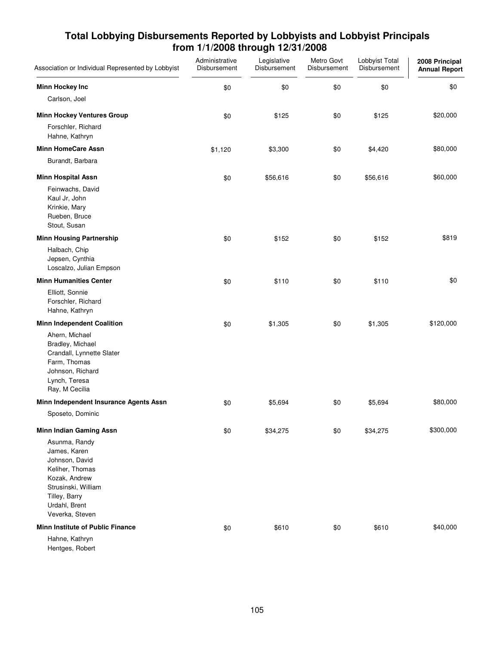| Association or Individual Represented by Lobbyist                                                                                                               | Administrative<br>Disbursement | Legislative<br>Disbursement | Metro Govt<br>Disbursement | Lobbyist Total<br>Disbursement | 2008 Principal<br><b>Annual Report</b> |
|-----------------------------------------------------------------------------------------------------------------------------------------------------------------|--------------------------------|-----------------------------|----------------------------|--------------------------------|----------------------------------------|
| <b>Minn Hockey Inc</b>                                                                                                                                          | \$0                            | \$0                         | \$0                        | \$0                            | \$0                                    |
| Carlson, Joel                                                                                                                                                   |                                |                             |                            |                                |                                        |
| <b>Minn Hockey Ventures Group</b>                                                                                                                               | \$0                            | \$125                       | \$0                        | \$125                          | \$20,000                               |
| Forschler, Richard<br>Hahne, Kathryn                                                                                                                            |                                |                             |                            |                                |                                        |
| <b>Minn HomeCare Assn</b>                                                                                                                                       | \$1,120                        | \$3,300                     | \$0                        | \$4,420                        | \$80,000                               |
| Burandt, Barbara                                                                                                                                                |                                |                             |                            |                                |                                        |
| <b>Minn Hospital Assn</b>                                                                                                                                       | \$0                            | \$56,616                    | \$0                        | \$56,616                       | \$60,000                               |
| Feinwachs, David<br>Kaul Jr, John<br>Krinkie, Mary<br>Rueben, Bruce<br>Stout, Susan                                                                             |                                |                             |                            |                                |                                        |
| <b>Minn Housing Partnership</b>                                                                                                                                 | \$0                            | \$152                       | \$0                        | \$152                          | \$819                                  |
| Halbach, Chip<br>Jepsen, Cynthia<br>Loscalzo, Julian Empson                                                                                                     |                                |                             |                            |                                |                                        |
| <b>Minn Humanities Center</b>                                                                                                                                   | \$0                            | \$110                       | \$0                        | \$110                          | \$0                                    |
| Elliott, Sonnie<br>Forschler, Richard<br>Hahne, Kathryn                                                                                                         |                                |                             |                            |                                |                                        |
| <b>Minn Independent Coalition</b>                                                                                                                               | \$0                            | \$1,305                     | \$0                        | \$1,305                        | \$120,000                              |
| Ahern, Michael<br>Bradley, Michael<br>Crandall, Lynnette Slater<br>Farm, Thomas<br>Johnson, Richard<br>Lynch, Teresa<br>Ray, M Cecilia                          |                                |                             |                            |                                |                                        |
| Minn Independent Insurance Agents Assn                                                                                                                          | \$0                            | \$5,694                     | \$0                        | \$5,694                        | \$80,000                               |
| Sposeto, Dominic                                                                                                                                                |                                |                             |                            |                                |                                        |
| <b>Minn Indian Gaming Assn</b>                                                                                                                                  | \$0                            | \$34,275                    | \$0                        | \$34,275                       | \$300,000                              |
| Asunma, Randy<br>James, Karen<br>Johnson, David<br>Keliher, Thomas<br>Kozak, Andrew<br>Strusinski, William<br>Tilley, Barry<br>Urdahl, Brent<br>Veverka, Steven |                                |                             |                            |                                |                                        |
| <b>Minn Institute of Public Finance</b>                                                                                                                         | \$0                            | \$610                       | \$0                        | \$610                          | \$40,000                               |
| Hahne, Kathryn<br>Hentges, Robert                                                                                                                               |                                |                             |                            |                                |                                        |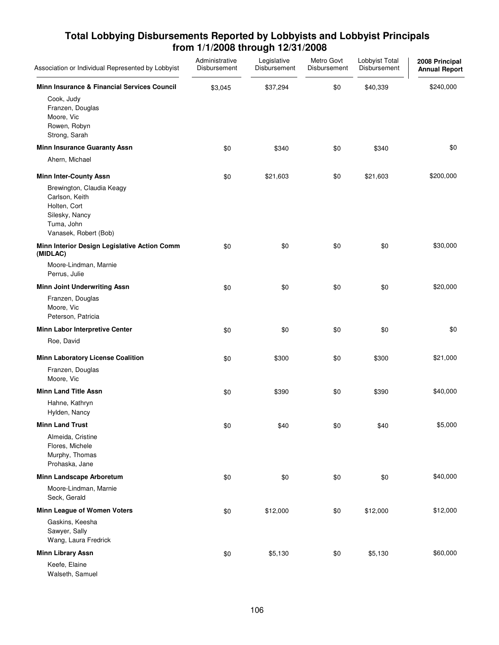| Association or Individual Represented by Lobbyist                                                                    | Administrative<br>Disbursement | Legislative<br>Disbursement | Metro Govt<br>Disbursement | Lobbyist Total<br>Disbursement | 2008 Principal<br><b>Annual Report</b> |
|----------------------------------------------------------------------------------------------------------------------|--------------------------------|-----------------------------|----------------------------|--------------------------------|----------------------------------------|
| Minn Insurance & Financial Services Council                                                                          | \$3,045                        | \$37,294                    | \$0                        | \$40,339                       | \$240,000                              |
| Cook, Judy<br>Franzen, Douglas<br>Moore, Vic<br>Rowen, Robyn<br>Strong, Sarah                                        |                                |                             |                            |                                |                                        |
| <b>Minn Insurance Guaranty Assn</b>                                                                                  | \$0                            | \$340                       | \$0                        | \$340                          | \$0                                    |
| Ahern, Michael                                                                                                       |                                |                             |                            |                                |                                        |
| <b>Minn Inter-County Assn</b>                                                                                        | \$0                            | \$21,603                    | \$0                        | \$21,603                       | \$200,000                              |
| Brewington, Claudia Keagy<br>Carlson, Keith<br>Holten, Cort<br>Silesky, Nancy<br>Tuma, John<br>Vanasek, Robert (Bob) |                                |                             |                            |                                |                                        |
| Minn Interior Design Legislative Action Comm<br>(MIDLAC)                                                             | \$0                            | \$0                         | \$0                        | \$0                            | \$30,000                               |
| Moore-Lindman, Marnie<br>Perrus, Julie                                                                               |                                |                             |                            |                                |                                        |
| <b>Minn Joint Underwriting Assn</b>                                                                                  | \$0                            | \$0                         | \$0                        | \$0                            | \$20,000                               |
| Franzen, Douglas<br>Moore, Vic<br>Peterson, Patricia                                                                 |                                |                             |                            |                                |                                        |
| Minn Labor Interpretive Center                                                                                       | \$0                            | \$0                         | \$0                        | \$0                            | \$0                                    |
| Roe, David                                                                                                           |                                |                             |                            |                                |                                        |
| <b>Minn Laboratory License Coalition</b>                                                                             | \$0                            | \$300                       | \$0                        | \$300                          | \$21,000                               |
| Franzen, Douglas<br>Moore, Vic                                                                                       |                                |                             |                            |                                |                                        |
| <b>Minn Land Title Assn</b>                                                                                          | \$0                            | \$390                       | \$0                        | \$390                          | \$40,000                               |
| Hahne, Kathryn<br>Hylden, Nancy                                                                                      |                                |                             |                            |                                |                                        |
| <b>Minn Land Trust</b>                                                                                               | \$0                            | \$40                        | \$0                        | \$40                           | \$5,000                                |
| Almeida, Cristine<br>Flores, Michele<br>Murphy, Thomas<br>Prohaska, Jane                                             |                                |                             |                            |                                |                                        |
| Minn Landscape Arboretum                                                                                             | \$0                            | \$0                         | \$0                        | \$0                            | \$40,000                               |
| Moore-Lindman, Marnie<br>Seck, Gerald                                                                                |                                |                             |                            |                                |                                        |
| Minn League of Women Voters                                                                                          | \$0                            | \$12,000                    | \$0                        | \$12,000                       | \$12,000                               |
| Gaskins, Keesha<br>Sawyer, Sally<br>Wang, Laura Fredrick                                                             |                                |                             |                            |                                |                                        |
| <b>Minn Library Assn</b>                                                                                             | \$0                            | \$5,130                     | \$0                        | \$5,130                        | \$60,000                               |
| Keefe, Elaine<br>Walseth, Samuel                                                                                     |                                |                             |                            |                                |                                        |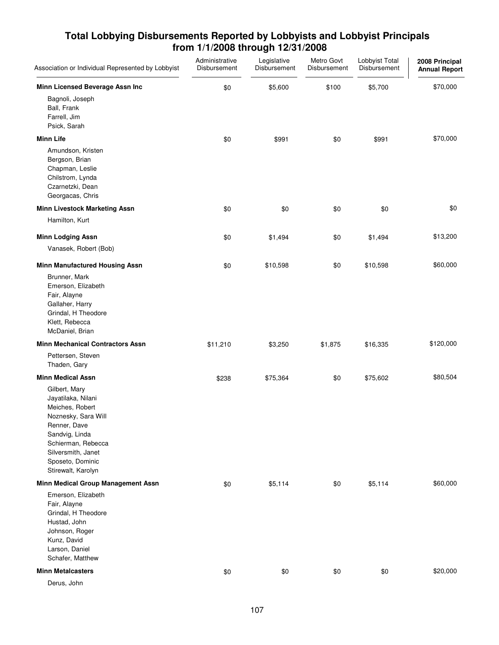| Association or Individual Represented by Lobbyist                                                                                                                                                     | Administrative<br>Disbursement | Legislative<br>Disbursement | Metro Govt<br>Disbursement | Lobbyist Total<br>Disbursement | 2008 Principal<br><b>Annual Report</b> |
|-------------------------------------------------------------------------------------------------------------------------------------------------------------------------------------------------------|--------------------------------|-----------------------------|----------------------------|--------------------------------|----------------------------------------|
| Minn Licensed Beverage Assn Inc                                                                                                                                                                       | \$0                            | \$5,600                     | \$100                      | \$5,700                        | \$70,000                               |
| Bagnoli, Joseph<br>Ball, Frank<br>Farrell, Jim<br>Psick, Sarah                                                                                                                                        |                                |                             |                            |                                |                                        |
| <b>Minn Life</b>                                                                                                                                                                                      | \$0                            | \$991                       | \$0                        | \$991                          | \$70,000                               |
| Amundson, Kristen<br>Bergson, Brian<br>Chapman, Leslie<br>Chilstrom, Lynda<br>Czarnetzki, Dean<br>Georgacas, Chris                                                                                    |                                |                             |                            |                                |                                        |
| <b>Minn Livestock Marketing Assn</b>                                                                                                                                                                  | \$0                            | \$0                         | \$0                        | \$0                            | \$0                                    |
| Hamilton, Kurt                                                                                                                                                                                        |                                |                             |                            |                                |                                        |
| <b>Minn Lodging Assn</b>                                                                                                                                                                              | \$0                            | \$1,494                     | \$0                        | \$1,494                        | \$13,200                               |
| Vanasek, Robert (Bob)                                                                                                                                                                                 |                                |                             |                            |                                |                                        |
| <b>Minn Manufactured Housing Assn</b>                                                                                                                                                                 | \$0                            | \$10,598                    | \$0                        | \$10,598                       | \$60,000                               |
| Brunner, Mark<br>Emerson, Elizabeth<br>Fair, Alayne<br>Gallaher, Harry<br>Grindal, H Theodore<br>Klett, Rebecca<br>McDaniel, Brian                                                                    |                                |                             |                            |                                |                                        |
| <b>Minn Mechanical Contractors Assn</b>                                                                                                                                                               | \$11,210                       | \$3,250                     | \$1,875                    | \$16,335                       | \$120,000                              |
| Pettersen, Steven<br>Thaden, Gary                                                                                                                                                                     |                                |                             |                            |                                |                                        |
| <b>Minn Medical Assn</b>                                                                                                                                                                              | \$238                          | \$75,364                    | \$0                        | \$75,602                       | \$80,504                               |
| Gilbert, Mary<br>Jayatilaka, Nilani<br>Meiches, Robert<br>Noznesky, Sara Will<br>Renner, Dave<br>Sandvig, Linda<br>Schierman, Rebecca<br>Silversmith, Janet<br>Sposeto, Dominic<br>Stirewalt, Karolyn |                                |                             |                            |                                |                                        |
| Minn Medical Group Management Assn                                                                                                                                                                    | \$0                            | \$5,114                     | \$0                        | \$5,114                        | \$60,000                               |
| Emerson, Elizabeth<br>Fair, Alayne<br>Grindal, H Theodore<br>Hustad, John<br>Johnson, Roger<br>Kunz, David<br>Larson, Daniel<br>Schafer, Matthew                                                      |                                |                             |                            |                                |                                        |
| <b>Minn Metalcasters</b>                                                                                                                                                                              | \$0                            | \$0                         | \$0                        | \$0                            | \$20,000                               |
| Derus, John                                                                                                                                                                                           |                                |                             |                            |                                |                                        |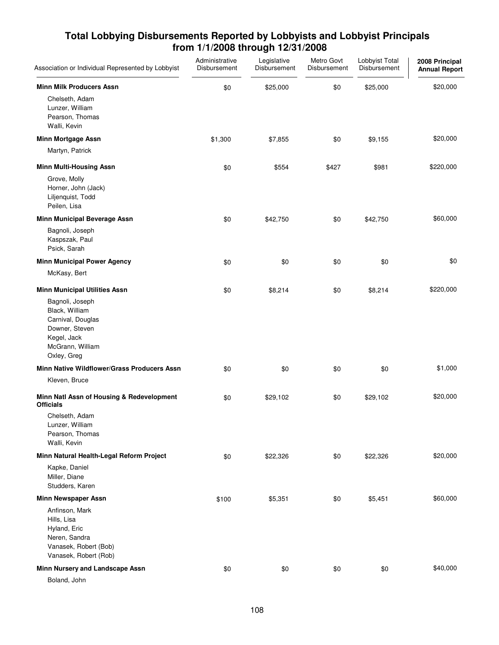| Association or Individual Represented by Lobbyist                                                                                                                  | Administrative<br>Disbursement | Legislative<br>Disbursement | Metro Govt<br>Disbursement | Lobbyist Total<br>Disbursement | 2008 Principal<br><b>Annual Report</b> |
|--------------------------------------------------------------------------------------------------------------------------------------------------------------------|--------------------------------|-----------------------------|----------------------------|--------------------------------|----------------------------------------|
| <b>Minn Milk Producers Assn</b><br>Chelseth, Adam<br>Lunzer, William<br>Pearson, Thomas<br>Walli, Kevin                                                            | \$0                            | \$25,000                    | \$0                        | \$25,000                       | \$20,000                               |
| <b>Minn Mortgage Assn</b>                                                                                                                                          | \$1,300                        | \$7,855                     | \$0                        | \$9,155                        | \$20,000                               |
| Martyn, Patrick                                                                                                                                                    |                                |                             |                            |                                |                                        |
| <b>Minn Multi-Housing Assn</b><br>Grove, Molly<br>Horner, John (Jack)<br>Liljenquist, Todd<br>Peilen, Lisa                                                         | \$0                            | \$554                       | \$427                      | \$981                          | \$220,000                              |
| Minn Municipal Beverage Assn<br>Bagnoli, Joseph<br>Kaspszak, Paul                                                                                                  | \$0                            | \$42,750                    | \$0                        | \$42,750                       | \$60,000                               |
| Psick, Sarah<br><b>Minn Municipal Power Agency</b><br>McKasy, Bert                                                                                                 | \$0                            | \$0                         | \$0                        | \$0                            | \$0                                    |
| <b>Minn Municipal Utilities Assn</b><br>Bagnoli, Joseph<br>Black, William<br>Carnival, Douglas<br>Downer, Steven<br>Kegel, Jack<br>McGrann, William<br>Oxley, Greg | \$0                            | \$8,214                     | \$0                        | \$8,214                        | \$220,000                              |
| Minn Native Wildflower/Grass Producers Assn                                                                                                                        | \$0                            | \$0                         | \$0                        | \$0                            | \$1,000                                |
| Kleven, Bruce                                                                                                                                                      |                                |                             |                            |                                |                                        |
| Minn Natl Assn of Housing & Redevelopment<br><b>Officials</b><br>Chelseth, Adam<br>Lunzer, William<br>Pearson, Thomas<br>Walli, Kevin                              | \$0                            | \$29,102                    | \$0                        | \$29,102                       | \$20,000                               |
| Minn Natural Health-Legal Reform Project                                                                                                                           | \$0                            | \$22,326                    | \$0                        | \$22,326                       | \$20,000                               |
| Kapke, Daniel<br>Miller, Diane<br>Studders, Karen                                                                                                                  |                                |                             |                            |                                |                                        |
| <b>Minn Newspaper Assn</b>                                                                                                                                         | \$100                          | \$5,351                     | \$0                        | \$5,451                        | \$60,000                               |
| Anfinson, Mark<br>Hills, Lisa<br>Hyland, Eric<br>Neren, Sandra<br>Vanasek, Robert (Bob)<br>Vanasek, Robert (Rob)                                                   |                                |                             |                            |                                |                                        |
| Minn Nursery and Landscape Assn                                                                                                                                    | \$0                            | \$0                         | \$0                        | \$0                            | \$40,000                               |
| Boland, John                                                                                                                                                       |                                |                             |                            |                                |                                        |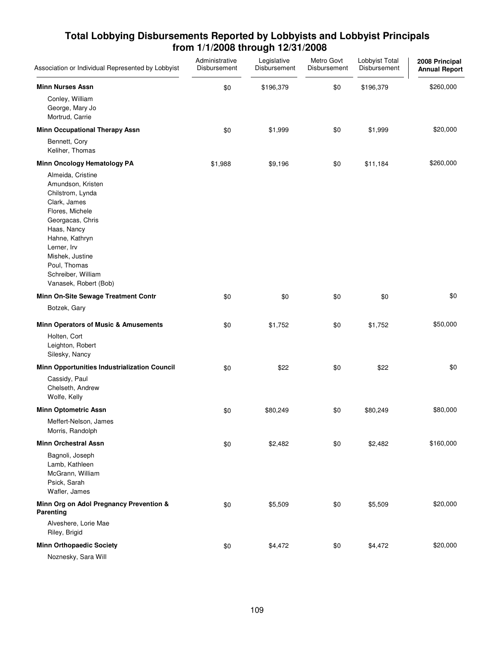| Association or Individual Represented by Lobbyist                                                                                                                                                                                                   | Administrative<br>Disbursement | Legislative<br>Disbursement | Metro Govt<br>Disbursement | Lobbyist Total<br>Disbursement | 2008 Principal<br><b>Annual Report</b> |
|-----------------------------------------------------------------------------------------------------------------------------------------------------------------------------------------------------------------------------------------------------|--------------------------------|-----------------------------|----------------------------|--------------------------------|----------------------------------------|
| <b>Minn Nurses Assn</b>                                                                                                                                                                                                                             | \$0                            | \$196,379                   | \$0                        | \$196,379                      | \$260,000                              |
| Conley, William<br>George, Mary Jo<br>Mortrud, Carrie                                                                                                                                                                                               |                                |                             |                            |                                |                                        |
| <b>Minn Occupational Therapy Assn</b>                                                                                                                                                                                                               | \$0                            | \$1,999                     | \$0                        | \$1,999                        | \$20,000                               |
| Bennett, Cory<br>Keliher, Thomas                                                                                                                                                                                                                    |                                |                             |                            |                                |                                        |
| Minn Oncology Hematology PA                                                                                                                                                                                                                         | \$1,988                        | \$9,196                     | \$0                        | \$11,184                       | \$260,000                              |
| Almeida, Cristine<br>Amundson, Kristen<br>Chilstrom, Lynda<br>Clark, James<br>Flores, Michele<br>Georgacas, Chris<br>Haas, Nancy<br>Hahne, Kathryn<br>Lerner, Irv<br>Mishek, Justine<br>Poul, Thomas<br>Schreiber, William<br>Vanasek, Robert (Bob) |                                |                             |                            |                                |                                        |
| Minn On-Site Sewage Treatment Contr                                                                                                                                                                                                                 | \$0                            | \$0                         | \$0                        | \$0                            | \$0                                    |
| Botzek, Gary                                                                                                                                                                                                                                        |                                |                             |                            |                                |                                        |
| Minn Operators of Music & Amusements                                                                                                                                                                                                                | \$0                            | \$1,752                     | \$0                        | \$1,752                        | \$50,000                               |
| Holten, Cort<br>Leighton, Robert<br>Silesky, Nancy                                                                                                                                                                                                  |                                |                             |                            |                                |                                        |
| Minn Opportunities Industrialization Council                                                                                                                                                                                                        | \$0                            | \$22                        | \$0                        | \$22                           | \$0                                    |
| Cassidy, Paul<br>Chelseth, Andrew<br>Wolfe, Kelly                                                                                                                                                                                                   |                                |                             |                            |                                |                                        |
| <b>Minn Optometric Assn</b>                                                                                                                                                                                                                         | \$0                            | \$80,249                    | \$0                        | \$80,249                       | \$80,000                               |
| Meffert-Nelson, James<br>Morris, Randolph                                                                                                                                                                                                           |                                |                             |                            |                                |                                        |
| <b>Minn Orchestral Assn</b>                                                                                                                                                                                                                         | \$0                            | \$2,482                     | \$0                        | \$2,482                        | \$160,000                              |
| Bagnoli, Joseph<br>Lamb, Kathleen<br>McGrann, William<br>Psick, Sarah<br>Wafler, James                                                                                                                                                              |                                |                             |                            |                                |                                        |
| Minn Org on Adol Pregnancy Prevention &<br>Parenting                                                                                                                                                                                                | \$0                            | \$5,509                     | \$0                        | \$5,509                        | \$20,000                               |
| Alveshere, Lorie Mae<br>Riley, Brigid                                                                                                                                                                                                               |                                |                             |                            |                                |                                        |
| <b>Minn Orthopaedic Society</b><br>Noznesky, Sara Will                                                                                                                                                                                              | \$0                            | \$4,472                     | \$0                        | \$4,472                        | \$20,000                               |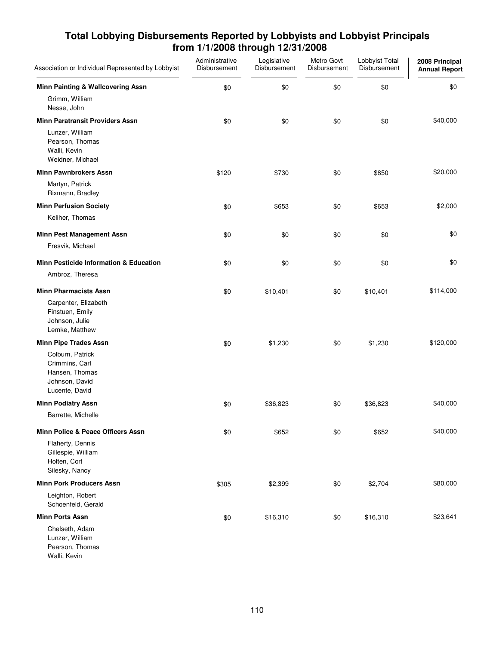| Association or Individual Represented by Lobbyist                                        | Administrative<br>Disbursement | Legislative<br>Disbursement | Metro Govt<br>Disbursement | Lobbyist Total<br>Disbursement | 2008 Principal<br><b>Annual Report</b> |
|------------------------------------------------------------------------------------------|--------------------------------|-----------------------------|----------------------------|--------------------------------|----------------------------------------|
| Minn Painting & Wallcovering Assn                                                        | \$0                            | \$0                         | \$0                        | \$0                            | \$0                                    |
| Grimm, William<br>Nesse, John                                                            |                                |                             |                            |                                |                                        |
| <b>Minn Paratransit Providers Assn</b>                                                   | \$0                            | \$0                         | \$0                        | \$0                            | \$40,000                               |
| Lunzer, William<br>Pearson, Thomas<br>Walli, Kevin<br>Weidner, Michael                   |                                |                             |                            |                                |                                        |
| <b>Minn Pawnbrokers Assn</b>                                                             | \$120                          | \$730                       | \$0                        | \$850                          | \$20,000                               |
| Martyn, Patrick<br>Rixmann, Bradley                                                      |                                |                             |                            |                                |                                        |
| <b>Minn Perfusion Society</b>                                                            | \$0                            | \$653                       | \$0                        | \$653                          | \$2,000                                |
| Keliher, Thomas                                                                          |                                |                             |                            |                                |                                        |
| <b>Minn Pest Management Assn</b>                                                         | \$0                            | \$0                         | \$0                        | \$0                            | \$0                                    |
| Fresvik, Michael                                                                         |                                |                             |                            |                                |                                        |
| <b>Minn Pesticide Information &amp; Education</b>                                        | \$0                            | \$0                         | \$0                        | \$0                            | \$0                                    |
| Ambroz, Theresa                                                                          |                                |                             |                            |                                |                                        |
| <b>Minn Pharmacists Assn</b>                                                             | \$0                            | \$10,401                    | \$0                        | \$10,401                       | \$114,000                              |
| Carpenter, Elizabeth<br>Finstuen, Emily<br>Johnson, Julie<br>Lemke, Matthew              |                                |                             |                            |                                |                                        |
| <b>Minn Pipe Trades Assn</b>                                                             | \$0                            | \$1,230                     | \$0                        | \$1,230                        | \$120,000                              |
| Colburn, Patrick<br>Crimmins, Carl<br>Hansen, Thomas<br>Johnson, David<br>Lucente, David |                                |                             |                            |                                |                                        |
| <b>Minn Podiatry Assn</b>                                                                | \$0                            | \$36,823                    | \$0                        | \$36,823                       | \$40,000                               |
| Barrette, Michelle                                                                       |                                |                             |                            |                                |                                        |
| Minn Police & Peace Officers Assn                                                        | \$0                            | \$652                       | \$0                        | \$652                          | \$40,000                               |
| Flaherty, Dennis<br>Gillespie, William<br>Holten, Cort<br>Silesky, Nancy                 |                                |                             |                            |                                |                                        |
| <b>Minn Pork Producers Assn</b>                                                          | \$305                          | \$2,399                     | \$0                        | \$2,704                        | \$80,000                               |
| Leighton, Robert<br>Schoenfeld, Gerald                                                   |                                |                             |                            |                                |                                        |
| <b>Minn Ports Assn</b>                                                                   | \$0                            | \$16,310                    | \$0                        | \$16,310                       | \$23,641                               |
| Chelseth, Adam<br>Lunzer, William<br>Pearson, Thomas<br>Walli, Kevin                     |                                |                             |                            |                                |                                        |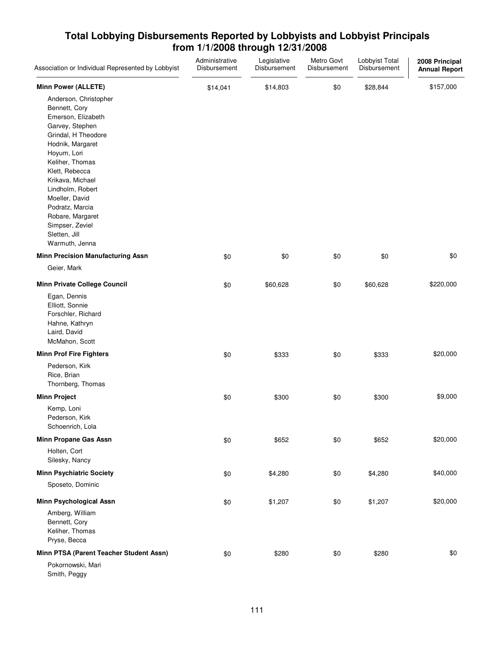| Association or Individual Represented by Lobbyist                                                                                                                                                                                                                                                                                     | Administrative<br>Disbursement | Legislative<br>Disbursement | Metro Govt<br>Disbursement | Lobbyist Total<br>Disbursement | 2008 Principal<br><b>Annual Report</b> |
|---------------------------------------------------------------------------------------------------------------------------------------------------------------------------------------------------------------------------------------------------------------------------------------------------------------------------------------|--------------------------------|-----------------------------|----------------------------|--------------------------------|----------------------------------------|
| <b>Minn Power (ALLETE)</b>                                                                                                                                                                                                                                                                                                            | \$14,041                       | \$14,803                    | \$0                        | \$28,844                       | \$157,000                              |
| Anderson, Christopher<br>Bennett, Cory<br>Emerson, Elizabeth<br>Garvey, Stephen<br>Grindal, H Theodore<br>Hodnik, Margaret<br>Hoyum, Lori<br>Keliher, Thomas<br>Klett, Rebecca<br>Krikava, Michael<br>Lindholm, Robert<br>Moeller, David<br>Podratz, Marcia<br>Robare, Margaret<br>Simpser, Zeviel<br>Sletten, Jill<br>Warmuth, Jenna |                                |                             |                            |                                |                                        |
| <b>Minn Precision Manufacturing Assn</b>                                                                                                                                                                                                                                                                                              | \$0                            | \$0                         | \$0                        | \$0                            | \$0                                    |
| Geier, Mark                                                                                                                                                                                                                                                                                                                           |                                |                             |                            |                                |                                        |
| <b>Minn Private College Council</b>                                                                                                                                                                                                                                                                                                   | \$0                            | \$60,628                    | \$0                        | \$60,628                       | \$220,000                              |
| Egan, Dennis<br>Elliott, Sonnie<br>Forschler, Richard<br>Hahne, Kathryn<br>Laird, David<br>McMahon, Scott                                                                                                                                                                                                                             |                                |                             |                            |                                |                                        |
| <b>Minn Prof Fire Fighters</b>                                                                                                                                                                                                                                                                                                        | \$0                            | \$333                       | \$0                        | \$333                          | \$20,000                               |
| Pederson, Kirk<br>Rice, Brian<br>Thornberg, Thomas                                                                                                                                                                                                                                                                                    |                                |                             |                            |                                |                                        |
| <b>Minn Project</b>                                                                                                                                                                                                                                                                                                                   | \$0                            | \$300                       | \$0                        | \$300                          | \$9,000                                |
| Kemp, Loni<br>Pederson, Kirk<br>Schoenrich, Lola                                                                                                                                                                                                                                                                                      |                                |                             |                            |                                |                                        |
| <b>Minn Propane Gas Assn</b>                                                                                                                                                                                                                                                                                                          | \$0                            | \$652                       | \$0                        | \$652                          | \$20,000                               |
| Holten, Cort<br>Silesky, Nancy                                                                                                                                                                                                                                                                                                        |                                |                             |                            |                                |                                        |
| <b>Minn Psychiatric Society</b>                                                                                                                                                                                                                                                                                                       | \$0                            | \$4,280                     | \$0                        | \$4,280                        | \$40,000                               |
| Sposeto, Dominic                                                                                                                                                                                                                                                                                                                      |                                |                             |                            |                                |                                        |
| <b>Minn Psychological Assn</b>                                                                                                                                                                                                                                                                                                        | \$0                            | \$1,207                     | \$0                        | \$1,207                        | \$20,000                               |
| Amberg, William<br>Bennett, Cory<br>Keliher, Thomas<br>Pryse, Becca                                                                                                                                                                                                                                                                   |                                |                             |                            |                                |                                        |
| Minn PTSA (Parent Teacher Student Assn)                                                                                                                                                                                                                                                                                               | \$0                            | \$280                       | \$0                        | \$280                          | \$0                                    |
| Pokornowski, Mari<br>Smith, Peggy                                                                                                                                                                                                                                                                                                     |                                |                             |                            |                                |                                        |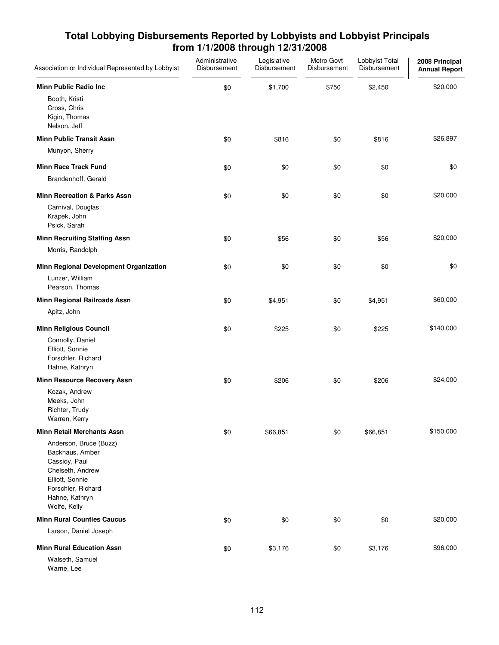| Association or Individual Represented by Lobbyist                                                                                                         | Administrative<br>Disbursement | Legislative<br>Disbursement | Metro Govt<br>Disbursement | Lobbyist Total<br>Disbursement | 2008 Principal<br><b>Annual Report</b> |
|-----------------------------------------------------------------------------------------------------------------------------------------------------------|--------------------------------|-----------------------------|----------------------------|--------------------------------|----------------------------------------|
| <b>Minn Public Radio Inc.</b>                                                                                                                             | \$0                            | \$1,700                     | \$750                      | \$2,450                        | \$20,000                               |
| Booth, Kristi<br>Cross, Chris<br>Kigin, Thomas<br>Nelson, Jeff                                                                                            |                                |                             |                            |                                |                                        |
| <b>Minn Public Transit Assn</b>                                                                                                                           | \$0                            | \$816                       | \$0                        | \$816                          | \$26,897                               |
| Munyon, Sherry                                                                                                                                            |                                |                             |                            |                                |                                        |
| <b>Minn Race Track Fund</b>                                                                                                                               | \$0                            | \$0                         | \$0                        | \$0                            | \$0                                    |
| Brandenhoff, Gerald                                                                                                                                       |                                |                             |                            |                                |                                        |
| <b>Minn Recreation &amp; Parks Assn</b>                                                                                                                   | \$0                            | \$0                         | \$0                        | \$0                            | \$20,000                               |
| Carnival, Douglas<br>Krapek, John<br>Psick, Sarah                                                                                                         |                                |                             |                            |                                |                                        |
| <b>Minn Recruiting Staffing Assn</b>                                                                                                                      | \$0                            | \$56                        | \$0                        | \$56                           | \$20,000                               |
| Morris, Randolph                                                                                                                                          |                                |                             |                            |                                |                                        |
| Minn Regional Development Organization                                                                                                                    | \$0                            | \$0                         | \$0                        | \$0                            | \$0                                    |
| Lunzer, William<br>Pearson, Thomas                                                                                                                        |                                |                             |                            |                                |                                        |
| Minn Regional Railroads Assn                                                                                                                              | \$0                            | \$4,951                     | \$0                        | \$4,951                        | \$60,000                               |
| Apitz, John                                                                                                                                               |                                |                             |                            |                                |                                        |
| <b>Minn Religious Council</b>                                                                                                                             | \$0                            | \$225                       | \$0                        | \$225                          | \$140,000                              |
| Connolly, Daniel<br>Elliott, Sonnie<br>Forschler, Richard<br>Hahne, Kathryn                                                                               |                                |                             |                            |                                |                                        |
| <b>Minn Resource Recovery Assn</b>                                                                                                                        | \$0                            | \$206                       | \$0                        | \$206                          | \$24,000                               |
| Kozak, Andrew<br>Meeks, John<br>Richter, Trudy<br>Warren, Kerry                                                                                           |                                |                             |                            |                                |                                        |
| <b>Minn Retail Merchants Assn</b>                                                                                                                         | \$0                            | \$66,851                    | \$0                        | \$66,851                       | \$150,000                              |
| Anderson, Bruce (Buzz)<br>Backhaus, Amber<br>Cassidy, Paul<br>Chelseth, Andrew<br>Elliott, Sonnie<br>Forschler, Richard<br>Hahne, Kathryn<br>Wolfe, Kelly |                                |                             |                            |                                |                                        |
| <b>Minn Rural Counties Caucus</b>                                                                                                                         | \$0                            | \$0                         | \$0                        | \$0                            | \$20,000                               |
| Larson, Daniel Joseph                                                                                                                                     |                                |                             |                            |                                |                                        |
| <b>Minn Rural Education Assn</b>                                                                                                                          | \$0                            | \$3,176                     | \$0                        | \$3,176                        | \$96,000                               |
| Walseth, Samuel<br>Warne, Lee                                                                                                                             |                                |                             |                            |                                |                                        |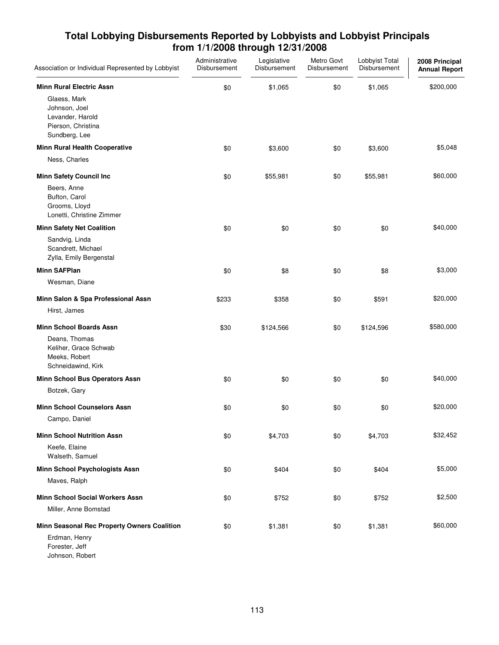| Association or Individual Represented by Lobbyist                                        | Administrative<br>Disbursement | Legislative<br>Disbursement | Metro Govt<br>Disbursement | Lobbyist Total<br>Disbursement | 2008 Principal<br><b>Annual Report</b> |
|------------------------------------------------------------------------------------------|--------------------------------|-----------------------------|----------------------------|--------------------------------|----------------------------------------|
| <b>Minn Rural Electric Assn</b>                                                          | \$0                            | \$1,065                     | \$0                        | \$1,065                        | \$200,000                              |
| Glaess, Mark<br>Johnson, Joel<br>Levander, Harold<br>Pierson, Christina<br>Sundberg, Lee |                                |                             |                            |                                |                                        |
| <b>Minn Rural Health Cooperative</b>                                                     | \$0                            | \$3,600                     | \$0                        | \$3,600                        | \$5,048                                |
| Ness, Charles                                                                            |                                |                             |                            |                                |                                        |
| <b>Minn Safety Council Inc</b>                                                           | \$0                            | \$55,981                    | \$0                        | \$55,981                       | \$60,000                               |
| Beers, Anne<br>Bufton, Carol<br>Grooms, Lloyd<br>Lonetti, Christine Zimmer               |                                |                             |                            |                                |                                        |
| <b>Minn Safety Net Coalition</b>                                                         | \$0                            | \$0                         | \$0                        | \$0                            | \$40,000                               |
| Sandvig, Linda<br>Scandrett, Michael<br>Zylla, Emily Bergenstal                          |                                |                             |                            |                                |                                        |
| <b>Minn SAFPlan</b>                                                                      | \$0                            | \$8                         | \$0                        | \$8                            | \$3,000                                |
| Wesman, Diane                                                                            |                                |                             |                            |                                |                                        |
| Minn Salon & Spa Professional Assn                                                       | \$233                          | \$358                       | \$0                        | \$591                          | \$20,000                               |
| Hirst, James                                                                             |                                |                             |                            |                                |                                        |
| <b>Minn School Boards Assn</b>                                                           | \$30                           | \$124,566                   | \$0                        | \$124,596                      | \$580,000                              |
| Deans, Thomas<br>Keliher, Grace Schwab<br>Meeks, Robert<br>Schneidawind, Kirk            |                                |                             |                            |                                |                                        |
| Minn School Bus Operators Assn                                                           | \$0                            | \$0                         | \$0                        | \$0                            | \$40,000                               |
| Botzek, Gary                                                                             |                                |                             |                            |                                |                                        |
| <b>Minn School Counselors Assn</b>                                                       | \$0                            | \$0                         | \$0                        | \$0                            | \$20,000                               |
| Campo, Daniel                                                                            |                                |                             |                            |                                |                                        |
| <b>Minn School Nutrition Assn</b>                                                        | \$0                            | \$4,703                     | \$0                        | \$4,703                        | \$32,452                               |
| Keefe, Elaine<br>Walseth, Samuel                                                         |                                |                             |                            |                                |                                        |
| <b>Minn School Psychologists Assn</b>                                                    | \$0                            | \$404                       | \$0                        | \$404                          | \$5,000                                |
| Maves, Ralph                                                                             |                                |                             |                            |                                |                                        |
| <b>Minn School Social Workers Assn</b>                                                   | \$0                            | \$752                       | \$0                        | \$752                          | \$2,500                                |
| Miller, Anne Bomstad                                                                     |                                |                             |                            |                                |                                        |
| Minn Seasonal Rec Property Owners Coalition                                              | \$0                            | \$1,381                     | \$0                        | \$1,381                        | \$60,000                               |
| Erdman, Henry<br>Forester, Jeff<br>Johnson, Robert                                       |                                |                             |                            |                                |                                        |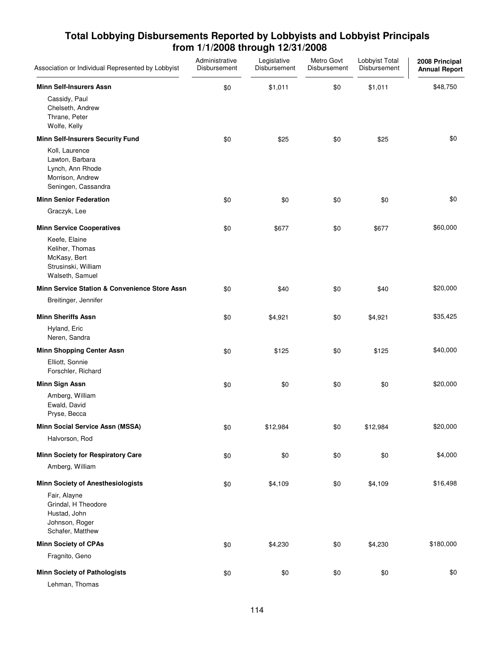| Association or Individual Represented by Lobbyist                                                | Administrative<br>Disbursement | Legislative<br>Disbursement | Metro Govt<br>Disbursement | Lobbyist Total<br>Disbursement | 2008 Principal<br><b>Annual Report</b> |
|--------------------------------------------------------------------------------------------------|--------------------------------|-----------------------------|----------------------------|--------------------------------|----------------------------------------|
| <b>Minn Self-Insurers Assn</b>                                                                   | \$0                            | \$1,011                     | \$0                        | \$1,011                        | \$48,750                               |
| Cassidy, Paul<br>Chelseth, Andrew<br>Thrane, Peter<br>Wolfe, Kelly                               |                                |                             |                            |                                |                                        |
| <b>Minn Self-Insurers Security Fund</b>                                                          | \$0                            | \$25                        | \$0                        | \$25                           | \$0                                    |
| Koll, Laurence<br>Lawton, Barbara<br>Lynch, Ann Rhode<br>Morrison, Andrew<br>Seningen, Cassandra |                                |                             |                            |                                |                                        |
| <b>Minn Senior Federation</b>                                                                    | \$0                            | \$0                         | \$0                        | \$0                            | \$0                                    |
| Graczyk, Lee                                                                                     |                                |                             |                            |                                |                                        |
| <b>Minn Service Cooperatives</b>                                                                 | \$0                            | \$677                       | \$0                        | \$677                          | \$60,000                               |
| Keefe, Elaine<br>Keliher, Thomas<br>McKasy, Bert<br>Strusinski, William<br>Walseth, Samuel       |                                |                             |                            |                                |                                        |
| <b>Minn Service Station &amp; Convenience Store Assn</b>                                         | \$0                            | \$40                        | \$0                        | \$40                           | \$20,000                               |
| Breitinger, Jennifer                                                                             |                                |                             |                            |                                |                                        |
| <b>Minn Sheriffs Assn</b>                                                                        | \$0                            | \$4,921                     | \$0                        | \$4,921                        | \$35,425                               |
| Hyland, Eric<br>Neren, Sandra                                                                    |                                |                             |                            |                                |                                        |
| <b>Minn Shopping Center Assn</b>                                                                 | \$0                            | \$125                       | \$0                        | \$125                          | \$40,000                               |
| Elliott, Sonnie<br>Forschler, Richard                                                            |                                |                             |                            |                                |                                        |
| <b>Minn Sign Assn</b>                                                                            | \$0                            | \$0                         | \$0                        | \$0                            | \$20,000                               |
| Amberg, William<br>Ewald, David<br>Pryse, Becca                                                  |                                |                             |                            |                                |                                        |
| Minn Social Service Assn (MSSA)                                                                  | \$0                            | \$12,984                    | \$0                        | \$12,984                       | \$20,000                               |
| Halvorson, Rod                                                                                   |                                |                             |                            |                                |                                        |
| Minn Society for Respiratory Care                                                                | \$0                            | \$0                         | \$0                        | \$0                            | \$4,000                                |
| Amberg, William                                                                                  |                                |                             |                            |                                |                                        |
| <b>Minn Society of Anesthesiologists</b>                                                         | \$0                            | \$4,109                     | \$0                        | \$4,109                        | \$16,498                               |
| Fair, Alayne<br>Grindal, H Theodore<br>Hustad, John<br>Johnson, Roger<br>Schafer, Matthew        |                                |                             |                            |                                |                                        |
| <b>Minn Society of CPAs</b>                                                                      | \$0                            | \$4,230                     | \$0                        | \$4,230                        | \$180,000                              |
| Fragnito, Geno                                                                                   |                                |                             |                            |                                |                                        |
| <b>Minn Society of Pathologists</b>                                                              | \$0                            | \$0                         | \$0                        | \$0                            | \$0                                    |
| Lehman, Thomas                                                                                   |                                |                             |                            |                                |                                        |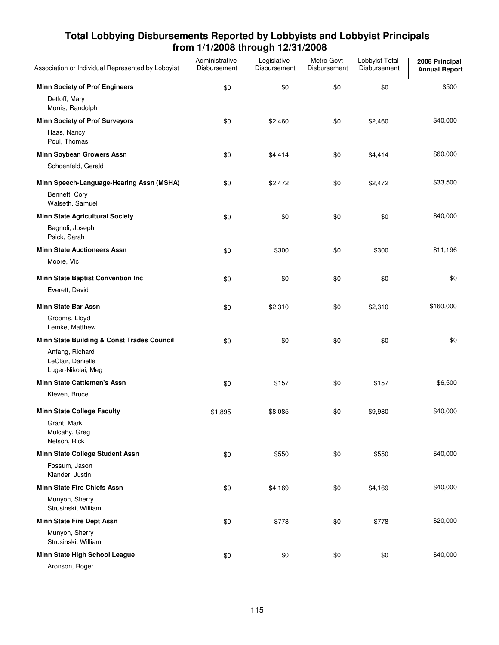| Association or Individual Represented by Lobbyist          | Administrative<br>Disbursement | Legislative<br>Disbursement | Metro Govt<br>Disbursement | Lobbyist Total<br>Disbursement | 2008 Principal<br><b>Annual Report</b> |
|------------------------------------------------------------|--------------------------------|-----------------------------|----------------------------|--------------------------------|----------------------------------------|
| <b>Minn Society of Prof Engineers</b>                      | \$0                            | \$0                         | \$0                        | \$0                            | \$500                                  |
| Detloff, Mary<br>Morris, Randolph                          |                                |                             |                            |                                |                                        |
| <b>Minn Society of Prof Surveyors</b>                      | \$0                            | \$2,460                     | \$0                        | \$2,460                        | \$40,000                               |
| Haas, Nancy<br>Poul, Thomas                                |                                |                             |                            |                                |                                        |
| Minn Soybean Growers Assn                                  | \$0                            | \$4,414                     | \$0                        | \$4,414                        | \$60,000                               |
| Schoenfeld, Gerald                                         |                                |                             |                            |                                |                                        |
| Minn Speech-Language-Hearing Assn (MSHA)                   | \$0                            | \$2,472                     | \$0                        | \$2,472                        | \$33,500                               |
| Bennett, Cory<br>Walseth, Samuel                           |                                |                             |                            |                                |                                        |
| <b>Minn State Agricultural Society</b>                     | \$0                            | \$0                         | \$0                        | \$0                            | \$40,000                               |
| Bagnoli, Joseph<br>Psick, Sarah                            |                                |                             |                            |                                |                                        |
| <b>Minn State Auctioneers Assn</b>                         | \$0                            | \$300                       | \$0                        | \$300                          | \$11,196                               |
| Moore, Vic                                                 |                                |                             |                            |                                |                                        |
| Minn State Baptist Convention Inc                          | \$0                            | \$0                         | \$0                        | \$0                            | \$0                                    |
| Everett, David                                             |                                |                             |                            |                                |                                        |
| <b>Minn State Bar Assn</b>                                 | \$0                            | \$2,310                     | \$0                        | \$2,310                        | \$160,000                              |
| Grooms, Lloyd<br>Lemke, Matthew                            |                                |                             |                            |                                |                                        |
| Minn State Building & Const Trades Council                 | \$0                            | \$0                         | \$0                        | \$0                            | \$0                                    |
| Anfang, Richard<br>LeClair, Danielle<br>Luger-Nikolai, Meg |                                |                             |                            |                                |                                        |
| <b>Minn State Cattlemen's Assn</b>                         | \$0                            | \$157                       | \$0                        | \$157                          | \$6,500                                |
| Kleven, Bruce                                              |                                |                             |                            |                                |                                        |
| <b>Minn State College Faculty</b>                          | \$1,895                        | \$8,085                     | \$0                        | \$9,980                        | \$40,000                               |
| Grant, Mark<br>Mulcahy, Greg<br>Nelson, Rick               |                                |                             |                            |                                |                                        |
| Minn State College Student Assn                            | \$0                            | \$550                       | \$0                        | \$550                          | \$40,000                               |
| Fossum, Jason<br>Klander, Justin                           |                                |                             |                            |                                |                                        |
| Minn State Fire Chiefs Assn                                | \$0                            | \$4,169                     | \$0                        | \$4,169                        | \$40,000                               |
| Munyon, Sherry<br>Strusinski, William                      |                                |                             |                            |                                |                                        |
| Minn State Fire Dept Assn                                  | \$0                            | \$778                       | \$0                        | \$778                          | \$20,000                               |
| Munyon, Sherry<br>Strusinski, William                      |                                |                             |                            |                                |                                        |
| Minn State High School League                              | \$0                            | \$0                         | \$0                        | \$0                            | \$40,000                               |
| Aronson, Roger                                             |                                |                             |                            |                                |                                        |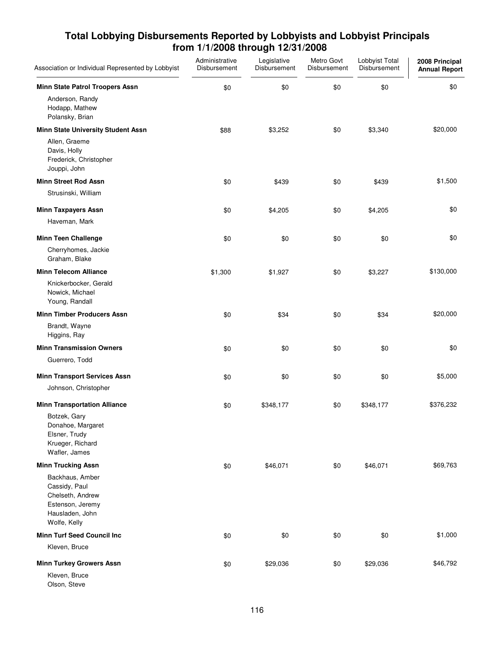| Association or Individual Represented by Lobbyist                                                           | Administrative<br>Disbursement | Legislative<br>Disbursement | Metro Govt<br>Disbursement | Lobbyist Total<br>Disbursement | 2008 Principal<br><b>Annual Report</b> |
|-------------------------------------------------------------------------------------------------------------|--------------------------------|-----------------------------|----------------------------|--------------------------------|----------------------------------------|
| Minn State Patrol Troopers Assn                                                                             | \$0                            | \$0                         | \$0                        | \$0                            | \$0                                    |
| Anderson, Randy<br>Hodapp, Mathew<br>Polansky, Brian                                                        |                                |                             |                            |                                |                                        |
| Minn State University Student Assn                                                                          | \$88                           | \$3,252                     | \$0                        | \$3,340                        | \$20,000                               |
| Allen, Graeme<br>Davis, Holly<br>Frederick, Christopher<br>Jouppi, John                                     |                                |                             |                            |                                |                                        |
| <b>Minn Street Rod Assn</b>                                                                                 | \$0                            | \$439                       | \$0                        | \$439                          | \$1,500                                |
| Strusinski, William                                                                                         |                                |                             |                            |                                |                                        |
| <b>Minn Taxpayers Assn</b>                                                                                  | \$0                            | \$4,205                     | \$0                        | \$4,205                        | \$0                                    |
| Haveman, Mark                                                                                               |                                |                             |                            |                                |                                        |
| <b>Minn Teen Challenge</b>                                                                                  | \$0                            | \$0                         | \$0                        | \$0                            | \$0                                    |
| Cherryhomes, Jackie<br>Graham, Blake                                                                        |                                |                             |                            |                                |                                        |
| <b>Minn Telecom Alliance</b>                                                                                | \$1,300                        | \$1,927                     | \$0                        | \$3,227                        | \$130,000                              |
| Knickerbocker, Gerald<br>Nowick, Michael<br>Young, Randall                                                  |                                |                             |                            |                                |                                        |
| <b>Minn Timber Producers Assn</b>                                                                           | \$0                            | \$34                        | \$0                        | \$34                           | \$20,000                               |
| Brandt, Wayne<br>Higgins, Ray                                                                               |                                |                             |                            |                                |                                        |
| <b>Minn Transmission Owners</b>                                                                             | \$0                            | \$0                         | \$0                        | \$0                            | \$0                                    |
| Guerrero, Todd                                                                                              |                                |                             |                            |                                |                                        |
| <b>Minn Transport Services Assn</b>                                                                         | \$0                            | \$0                         | \$0                        | \$0                            | \$5,000                                |
| Johnson, Christopher                                                                                        |                                |                             |                            |                                |                                        |
| <b>Minn Transportation Alliance</b>                                                                         | \$0                            | \$348,177                   | \$0                        | \$348,177                      | \$376,232                              |
| Botzek, Gary<br>Donahoe, Margaret<br>Elsner, Trudy<br>Krueger, Richard<br>Wafler, James                     |                                |                             |                            |                                |                                        |
| <b>Minn Trucking Assn</b>                                                                                   | \$0                            | \$46,071                    | \$0                        | \$46,071                       | \$69,763                               |
| Backhaus, Amber<br>Cassidy, Paul<br>Chelseth, Andrew<br>Estenson, Jeremy<br>Hausladen, John<br>Wolfe, Kelly |                                |                             |                            |                                |                                        |
| <b>Minn Turf Seed Council Inc</b>                                                                           | \$0                            | \$0                         | \$0                        | \$0                            | \$1,000                                |
| Kleven, Bruce                                                                                               |                                |                             |                            |                                |                                        |
| <b>Minn Turkey Growers Assn</b>                                                                             | \$0                            | \$29,036                    | \$0                        | \$29,036                       | \$46,792                               |
| Kleven, Bruce<br>Olson, Steve                                                                               |                                |                             |                            |                                |                                        |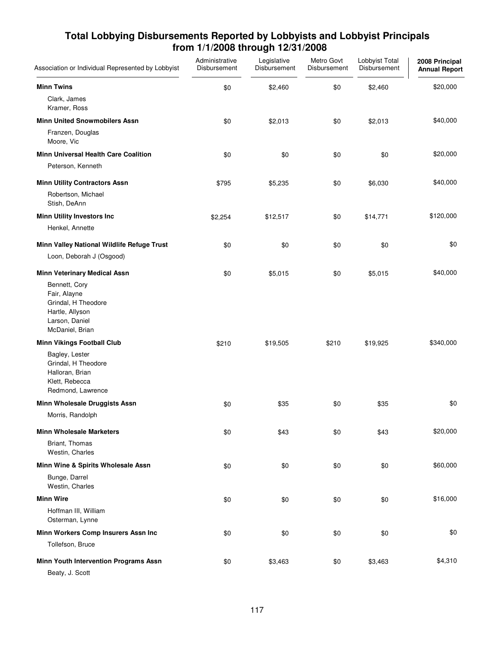| Association or Individual Represented by Lobbyist                                                            | Administrative<br>Disbursement | Legislative<br>Disbursement | Metro Govt<br>Disbursement | Lobbyist Total<br>Disbursement | 2008 Principal<br><b>Annual Report</b> |
|--------------------------------------------------------------------------------------------------------------|--------------------------------|-----------------------------|----------------------------|--------------------------------|----------------------------------------|
| <b>Minn Twins</b>                                                                                            | \$0                            | \$2,460                     | \$0                        | \$2,460                        | \$20,000                               |
| Clark, James<br>Kramer, Ross                                                                                 |                                |                             |                            |                                |                                        |
| <b>Minn United Snowmobilers Assn</b>                                                                         | \$0                            | \$2,013                     | \$0                        | \$2,013                        | \$40,000                               |
| Franzen, Douglas<br>Moore, Vic                                                                               |                                |                             |                            |                                |                                        |
| <b>Minn Universal Health Care Coalition</b>                                                                  | \$0                            | \$0                         | \$0                        | \$0                            | \$20,000                               |
| Peterson, Kenneth                                                                                            |                                |                             |                            |                                |                                        |
| <b>Minn Utility Contractors Assn</b>                                                                         | \$795                          | \$5,235                     | \$0                        | \$6,030                        | \$40,000                               |
| Robertson, Michael<br>Stish, DeAnn                                                                           |                                |                             |                            |                                |                                        |
| <b>Minn Utility Investors Inc</b>                                                                            | \$2,254                        | \$12,517                    | \$0                        | \$14,771                       | \$120,000                              |
| Henkel, Annette                                                                                              |                                |                             |                            |                                |                                        |
| Minn Valley National Wildlife Refuge Trust                                                                   | \$0                            | \$0                         | \$0                        | \$0                            | \$0                                    |
| Loon, Deborah J (Osgood)                                                                                     |                                |                             |                            |                                |                                        |
| <b>Minn Veterinary Medical Assn</b>                                                                          | \$0                            | \$5,015                     | \$0                        | \$5,015                        | \$40,000                               |
| Bennett, Cory<br>Fair, Alayne<br>Grindal, H Theodore<br>Hartle, Allyson<br>Larson, Daniel<br>McDaniel, Brian |                                |                             |                            |                                |                                        |
| <b>Minn Vikings Football Club</b>                                                                            | \$210                          | \$19,505                    | \$210                      | \$19,925                       | \$340,000                              |
| Bagley, Lester<br>Grindal, H Theodore<br>Halloran, Brian<br>Klett, Rebecca<br>Redmond, Lawrence              |                                |                             |                            |                                |                                        |
| Minn Wholesale Druggists Assn                                                                                | \$0                            | \$35                        | \$0                        | \$35                           | \$0                                    |
| Morris, Randolph                                                                                             |                                |                             |                            |                                |                                        |
| <b>Minn Wholesale Marketers</b>                                                                              | \$0                            | \$43                        | \$0                        | \$43                           | \$20,000                               |
| Briant, Thomas<br>Westin, Charles                                                                            |                                |                             |                            |                                |                                        |
| Minn Wine & Spirits Wholesale Assn                                                                           | \$0                            | \$0                         | \$0                        | \$0                            | \$60,000                               |
| Bunge, Darrel<br>Westin, Charles                                                                             |                                |                             |                            |                                |                                        |
| <b>Minn Wire</b>                                                                                             | \$0                            | \$0                         | \$0                        | \$0                            | \$16,000                               |
| Hoffman III, William<br>Osterman, Lynne                                                                      |                                |                             |                            |                                |                                        |
| Minn Workers Comp Insurers Assn Inc                                                                          | \$0                            | \$0                         | \$0                        | \$0                            | \$0                                    |
| Tollefson, Bruce                                                                                             |                                |                             |                            |                                |                                        |
| Minn Youth Intervention Programs Assn<br>Beaty, J. Scott                                                     | \$0                            | \$3,463                     | \$0                        | \$3,463                        | \$4,310                                |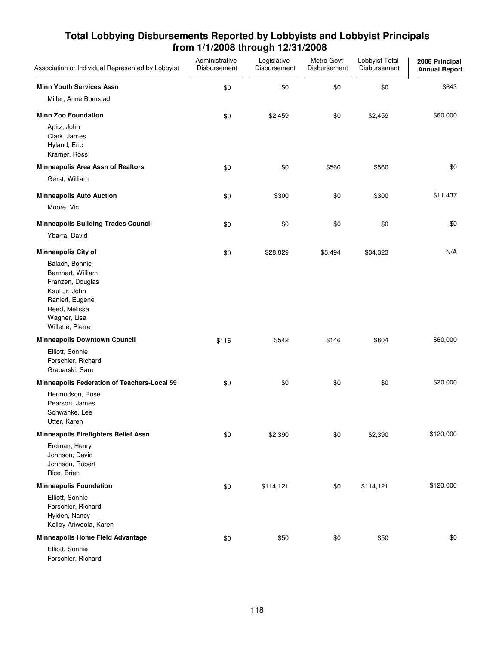| Association or Individual Represented by Lobbyist                                                                                                | Administrative<br>Disbursement | Legislative<br>Disbursement | Metro Govt<br>Disbursement | Lobbyist Total<br>Disbursement | 2008 Principal<br><b>Annual Report</b> |
|--------------------------------------------------------------------------------------------------------------------------------------------------|--------------------------------|-----------------------------|----------------------------|--------------------------------|----------------------------------------|
| <b>Minn Youth Services Assn</b>                                                                                                                  | \$0                            | \$0                         | \$0                        | \$0                            | \$643                                  |
| Miller, Anne Bomstad                                                                                                                             |                                |                             |                            |                                |                                        |
| <b>Minn Zoo Foundation</b>                                                                                                                       | \$0                            | \$2,459                     | \$0                        | \$2,459                        | \$60,000                               |
| Apitz, John<br>Clark, James<br>Hyland, Eric<br>Kramer, Ross                                                                                      |                                |                             |                            |                                |                                        |
| Minneapolis Area Assn of Realtors                                                                                                                | \$0                            | \$0                         | \$560                      | \$560                          | \$0                                    |
| Gerst, William                                                                                                                                   |                                |                             |                            |                                |                                        |
| <b>Minneapolis Auto Auction</b>                                                                                                                  | \$0                            | \$300                       | \$0                        | \$300                          | \$11,437                               |
| Moore, Vic                                                                                                                                       |                                |                             |                            |                                |                                        |
| <b>Minneapolis Building Trades Council</b>                                                                                                       | \$0                            | \$0                         | \$0                        | \$0                            | \$0                                    |
| Ybarra, David                                                                                                                                    |                                |                             |                            |                                |                                        |
| <b>Minneapolis City of</b>                                                                                                                       | \$0                            | \$28,829                    | \$5,494                    | \$34,323                       | N/A                                    |
| Balach, Bonnie<br>Barnhart, William<br>Franzen, Douglas<br>Kaul Jr, John<br>Ranieri, Eugene<br>Reed, Melissa<br>Wagner, Lisa<br>Willette, Pierre |                                |                             |                            |                                |                                        |
| <b>Minneapolis Downtown Council</b>                                                                                                              | \$116                          | \$542                       | \$146                      | \$804                          | \$60,000                               |
| Elliott, Sonnie<br>Forschler, Richard<br>Grabarski, Sam                                                                                          |                                |                             |                            |                                |                                        |
| Minneapolis Federation of Teachers-Local 59                                                                                                      | \$0                            | \$0                         | \$0                        | \$0                            | \$20,000                               |
| Hermodson, Rose<br>Pearson, James<br>Schwanke, Lee<br>Utter, Karen                                                                               |                                |                             |                            |                                |                                        |
| <b>Minneapolis Firefighters Relief Assn</b>                                                                                                      | \$0                            | \$2,390                     | \$0                        | \$2,390                        | \$120,000                              |
| Erdman, Henry<br>Johnson, David<br>Johnson, Robert<br>Rice, Brian                                                                                |                                |                             |                            |                                |                                        |
| <b>Minneapolis Foundation</b>                                                                                                                    | \$0                            | \$114,121                   | \$0                        | \$114,121                      | \$120,000                              |
| Elliott, Sonnie<br>Forschler, Richard<br>Hylden, Nancy<br>Kelley-Ariwoola, Karen                                                                 |                                |                             |                            |                                |                                        |
| Minneapolis Home Field Advantage                                                                                                                 | \$0                            | \$50                        | \$0                        | \$50                           | \$0                                    |
| Elliott, Sonnie<br>Forschler, Richard                                                                                                            |                                |                             |                            |                                |                                        |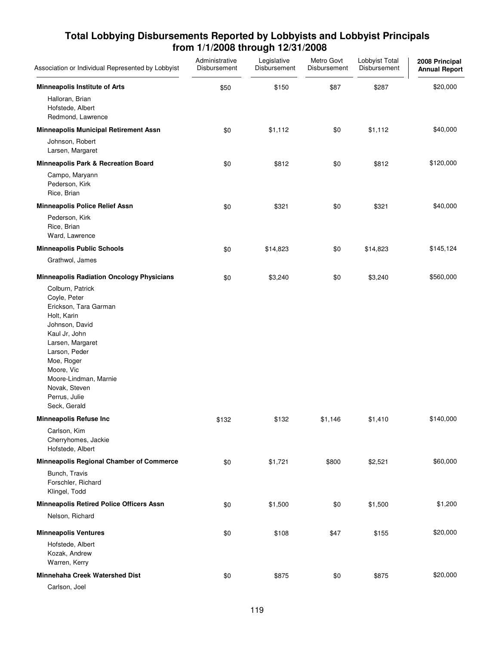| Association or Individual Represented by Lobbyist                                                                                                                                                                                                       | Administrative<br>Disbursement | Legislative<br>Disbursement | Metro Govt<br>Disbursement | Lobbyist Total<br>Disbursement | 2008 Principal<br><b>Annual Report</b> |
|---------------------------------------------------------------------------------------------------------------------------------------------------------------------------------------------------------------------------------------------------------|--------------------------------|-----------------------------|----------------------------|--------------------------------|----------------------------------------|
| <b>Minneapolis Institute of Arts</b><br>Halloran, Brian                                                                                                                                                                                                 | \$50                           | \$150                       | \$87                       | \$287                          | \$20,000                               |
| Hofstede, Albert<br>Redmond, Lawrence                                                                                                                                                                                                                   |                                |                             |                            |                                |                                        |
| <b>Minneapolis Municipal Retirement Assn</b>                                                                                                                                                                                                            | \$0                            | \$1,112                     | \$0                        | \$1,112                        | \$40,000                               |
| Johnson, Robert<br>Larsen, Margaret                                                                                                                                                                                                                     |                                |                             |                            |                                |                                        |
| Minneapolis Park & Recreation Board                                                                                                                                                                                                                     | \$0                            | \$812                       | \$0                        | \$812                          | \$120,000                              |
| Campo, Maryann<br>Pederson, Kirk<br>Rice, Brian                                                                                                                                                                                                         |                                |                             |                            |                                |                                        |
| <b>Minneapolis Police Relief Assn</b>                                                                                                                                                                                                                   | \$0                            | \$321                       | \$0                        | \$321                          | \$40,000                               |
| Pederson, Kirk<br>Rice, Brian<br>Ward, Lawrence                                                                                                                                                                                                         |                                |                             |                            |                                |                                        |
| <b>Minneapolis Public Schools</b>                                                                                                                                                                                                                       | \$0                            | \$14,823                    | \$0                        | \$14,823                       | \$145,124                              |
| Grathwol, James                                                                                                                                                                                                                                         |                                |                             |                            |                                |                                        |
| <b>Minneapolis Radiation Oncology Physicians</b>                                                                                                                                                                                                        | \$0                            | \$3,240                     | \$0                        | \$3,240                        | \$560,000                              |
| Colburn, Patrick<br>Coyle, Peter<br>Erickson, Tara Garman<br>Holt, Karin<br>Johnson, David<br>Kaul Jr, John<br>Larsen, Margaret<br>Larson, Peder<br>Moe, Roger<br>Moore, Vic<br>Moore-Lindman, Marnie<br>Novak, Steven<br>Perrus, Julie<br>Seck, Gerald |                                |                             |                            |                                |                                        |
| <b>Minneapolis Refuse Inc</b>                                                                                                                                                                                                                           | \$132                          | \$132                       | \$1,146                    | \$1,410                        | \$140,000                              |
| Carlson, Kim<br>Cherryhomes, Jackie<br>Hofstede, Albert                                                                                                                                                                                                 |                                |                             |                            |                                |                                        |
| <b>Minneapolis Regional Chamber of Commerce</b>                                                                                                                                                                                                         | \$0                            | \$1,721                     | \$800                      | \$2,521                        | \$60,000                               |
| Bunch, Travis<br>Forschler, Richard<br>Klingel, Todd                                                                                                                                                                                                    |                                |                             |                            |                                |                                        |
| <b>Minneapolis Retired Police Officers Assn</b>                                                                                                                                                                                                         | \$0                            | \$1,500                     | \$0                        | \$1,500                        | \$1,200                                |
| Nelson, Richard                                                                                                                                                                                                                                         |                                |                             |                            |                                |                                        |
| <b>Minneapolis Ventures</b>                                                                                                                                                                                                                             | \$0                            | \$108                       | \$47                       | \$155                          | \$20,000                               |
| Hofstede, Albert<br>Kozak, Andrew<br>Warren, Kerry                                                                                                                                                                                                      |                                |                             |                            |                                |                                        |
| Minnehaha Creek Watershed Dist                                                                                                                                                                                                                          | \$0                            | \$875                       | \$0                        | \$875                          | \$20,000                               |
| Carlson, Joel                                                                                                                                                                                                                                           |                                |                             |                            |                                |                                        |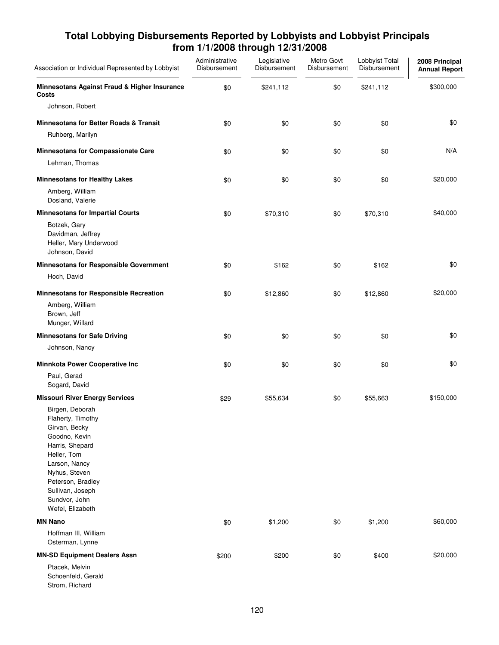| Total Lobbying Disbursements Reported by Lobbyists and Lobbyist Principals |
|----------------------------------------------------------------------------|
| from 1/1/2008 through 12/31/2008                                           |

| Association or Individual Represented by Lobbyist                                                                                                                                                                        | Administrative<br>Disbursement | Legislative<br>Disbursement | Metro Govt<br>Disbursement | Lobbyist Total<br>Disbursement | 2008 Principal<br><b>Annual Report</b> |
|--------------------------------------------------------------------------------------------------------------------------------------------------------------------------------------------------------------------------|--------------------------------|-----------------------------|----------------------------|--------------------------------|----------------------------------------|
| Minnesotans Against Fraud & Higher Insurance<br>Costs                                                                                                                                                                    | \$0                            | \$241,112                   | \$0                        | \$241,112                      | \$300,000                              |
| Johnson, Robert                                                                                                                                                                                                          |                                |                             |                            |                                |                                        |
| <b>Minnesotans for Better Roads &amp; Transit</b>                                                                                                                                                                        | \$0                            | \$0                         | \$0                        | \$0                            | \$0                                    |
| Ruhberg, Marilyn                                                                                                                                                                                                         |                                |                             |                            |                                |                                        |
| <b>Minnesotans for Compassionate Care</b>                                                                                                                                                                                | \$0                            | \$0                         | \$0                        | \$0                            | N/A                                    |
| Lehman, Thomas                                                                                                                                                                                                           |                                |                             |                            |                                |                                        |
| <b>Minnesotans for Healthy Lakes</b>                                                                                                                                                                                     | \$0                            | \$0                         | \$0                        | \$0                            | \$20,000                               |
| Amberg, William<br>Dosland, Valerie                                                                                                                                                                                      |                                |                             |                            |                                |                                        |
| <b>Minnesotans for Impartial Courts</b>                                                                                                                                                                                  | \$0                            | \$70,310                    | \$0                        | \$70,310                       | \$40,000                               |
| Botzek, Gary<br>Davidman, Jeffrey<br>Heller, Mary Underwood<br>Johnson, David                                                                                                                                            |                                |                             |                            |                                |                                        |
| Minnesotans for Responsible Government                                                                                                                                                                                   | \$0                            | \$162                       | \$0                        | \$162                          | \$0                                    |
| Hoch, David                                                                                                                                                                                                              |                                |                             |                            |                                |                                        |
| <b>Minnesotans for Responsible Recreation</b>                                                                                                                                                                            | \$0                            | \$12,860                    | \$0                        | \$12,860                       | \$20,000                               |
| Amberg, William<br>Brown, Jeff<br>Munger, Willard                                                                                                                                                                        |                                |                             |                            |                                |                                        |
| <b>Minnesotans for Safe Driving</b>                                                                                                                                                                                      | \$0                            | \$0                         | \$0                        | \$0                            | \$0                                    |
| Johnson, Nancy                                                                                                                                                                                                           |                                |                             |                            |                                |                                        |
| <b>Minnkota Power Cooperative Inc</b>                                                                                                                                                                                    | \$0                            | \$0                         | \$0                        | \$0                            | \$0                                    |
| Paul, Gerad<br>Sogard, David                                                                                                                                                                                             |                                |                             |                            |                                |                                        |
| <b>Missouri River Energy Services</b>                                                                                                                                                                                    | \$29                           | \$55,634                    | \$0                        | \$55,663                       | \$150,000                              |
| Birgen, Deborah<br>Flaherty, Timothy<br>Girvan, Becky<br>Goodno, Kevin<br>Harris, Shepard<br>Heller, Tom<br>Larson, Nancy<br>Nyhus, Steven<br>Peterson, Bradley<br>Sullivan, Joseph<br>Sundvor, John<br>Wefel, Elizabeth |                                |                             |                            |                                |                                        |
| <b>MN Nano</b>                                                                                                                                                                                                           | \$0                            | \$1,200                     | \$0                        | \$1,200                        | \$60,000                               |
| Hoffman III, William<br>Osterman, Lynne                                                                                                                                                                                  |                                |                             |                            |                                |                                        |
| <b>MN-SD Equipment Dealers Assn</b>                                                                                                                                                                                      | \$200                          | \$200                       | \$0                        | \$400                          | \$20,000                               |
| Ptacek, Melvin<br>Schoenfeld, Gerald<br>Strom, Richard                                                                                                                                                                   |                                |                             |                            |                                |                                        |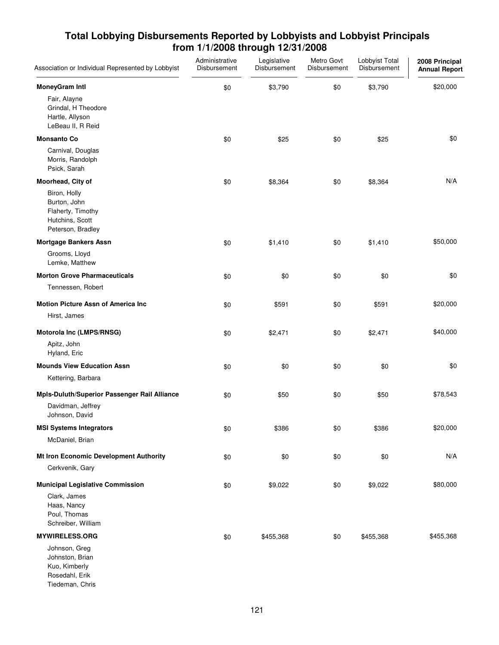| Association or Individual Represented by Lobbyist                                         | Administrative<br>Disbursement | Legislative<br>Disbursement | Metro Govt<br>Disbursement | Lobbyist Total<br>Disbursement | 2008 Principal<br><b>Annual Report</b> |
|-------------------------------------------------------------------------------------------|--------------------------------|-----------------------------|----------------------------|--------------------------------|----------------------------------------|
| <b>MoneyGram Intl</b>                                                                     | \$0                            | \$3,790                     | \$0                        | \$3,790                        | \$20,000                               |
| Fair, Alayne<br>Grindal, H Theodore<br>Hartle, Allyson<br>LeBeau II, R Reid               |                                |                             |                            |                                |                                        |
| <b>Monsanto Co</b>                                                                        | \$0                            | \$25                        | \$0                        | \$25                           | \$0                                    |
| Carnival, Douglas<br>Morris, Randolph<br>Psick, Sarah                                     |                                |                             |                            |                                |                                        |
| Moorhead, City of                                                                         | \$0                            | \$8,364                     | \$0                        | \$8,364                        | N/A                                    |
| Biron, Holly<br>Burton, John<br>Flaherty, Timothy<br>Hutchins, Scott<br>Peterson, Bradley |                                |                             |                            |                                |                                        |
| <b>Mortgage Bankers Assn</b>                                                              | \$0                            | \$1,410                     | \$0                        | \$1,410                        | \$50,000                               |
| Grooms, Lloyd<br>Lemke, Matthew                                                           |                                |                             |                            |                                |                                        |
| <b>Morton Grove Pharmaceuticals</b>                                                       | \$0                            | \$0                         | \$0                        | \$0                            | \$0                                    |
| Tennessen, Robert                                                                         |                                |                             |                            |                                |                                        |
| <b>Motion Picture Assn of America Inc.</b>                                                | \$0                            | \$591                       | \$0                        | \$591                          | \$20,000                               |
| Hirst, James                                                                              |                                |                             |                            |                                |                                        |
| Motorola Inc (LMPS/RNSG)                                                                  | \$0                            | \$2,471                     | \$0                        | \$2,471                        | \$40,000                               |
| Apitz, John<br>Hyland, Eric                                                               |                                |                             |                            |                                |                                        |
| <b>Mounds View Education Assn</b>                                                         | \$0                            | \$0                         | \$0                        | \$0                            | \$0                                    |
| Kettering, Barbara                                                                        |                                |                             |                            |                                |                                        |
| Mpls-Duluth/Superior Passenger Rail Alliance                                              | \$0                            | \$50                        | \$0                        | \$50                           | \$78,543                               |
| Davidman, Jeffrey<br>Johnson, David                                                       |                                |                             |                            |                                |                                        |
| <b>MSI Systems Integrators</b>                                                            | \$0                            | \$386                       | \$0                        | \$386                          | \$20,000                               |
| McDaniel, Brian                                                                           |                                |                             |                            |                                |                                        |
| Mt Iron Economic Development Authority                                                    | \$0                            | \$0                         | \$0                        | \$0                            | N/A                                    |
| Cerkvenik, Gary                                                                           |                                |                             |                            |                                |                                        |
| <b>Municipal Legislative Commission</b>                                                   | \$0                            | \$9,022                     | \$0                        | \$9,022                        | \$80,000                               |
| Clark, James<br>Haas, Nancy<br>Poul, Thomas<br>Schreiber, William                         |                                |                             |                            |                                |                                        |
| <b>MYWIRELESS.ORG</b>                                                                     | \$0                            | \$455,368                   | \$0                        | \$455,368                      | \$455,368                              |
| Johnson, Greg<br>Johnston, Brian<br>Kuo, Kimberly<br>Rosedahl, Erik<br>Tiedeman, Chris    |                                |                             |                            |                                |                                        |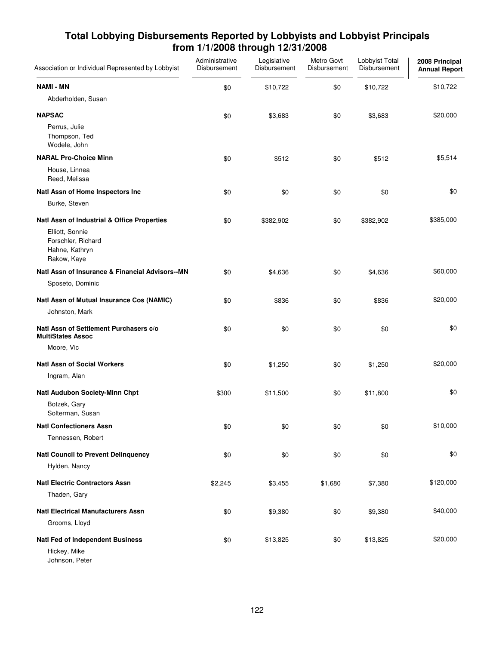| Association or Individual Represented by Lobbyist                      | Administrative<br>Disbursement | Legislative<br>Disbursement | Metro Govt<br>Disbursement | Lobbyist Total<br>Disbursement | 2008 Principal<br><b>Annual Report</b> |
|------------------------------------------------------------------------|--------------------------------|-----------------------------|----------------------------|--------------------------------|----------------------------------------|
| <b>NAMI - MN</b>                                                       | \$0                            | \$10,722                    | \$0                        | \$10,722                       | \$10,722                               |
| Abderholden, Susan                                                     |                                |                             |                            |                                |                                        |
| <b>NAPSAC</b>                                                          | \$0                            | \$3,683                     | \$0                        | \$3,683                        | \$20,000                               |
| Perrus, Julie<br>Thompson, Ted<br>Wodele, John                         |                                |                             |                            |                                |                                        |
| <b>NARAL Pro-Choice Minn</b>                                           | \$0                            | \$512                       | \$0                        | \$512                          | \$5,514                                |
| House, Linnea<br>Reed, Melissa                                         |                                |                             |                            |                                |                                        |
| Natl Assn of Home Inspectors Inc                                       | \$0                            | \$0                         | \$0                        | \$0                            | \$0                                    |
| Burke, Steven                                                          |                                |                             |                            |                                |                                        |
| Natl Assn of Industrial & Office Properties                            | \$0                            | \$382,902                   | \$0                        | \$382,902                      | \$385,000                              |
| Elliott, Sonnie<br>Forschler, Richard<br>Hahne, Kathryn<br>Rakow, Kaye |                                |                             |                            |                                |                                        |
| Natl Assn of Insurance & Financial Advisors--MN                        | \$0                            | \$4,636                     | \$0                        | \$4,636                        | \$60,000                               |
| Sposeto, Dominic                                                       |                                |                             |                            |                                |                                        |
| Natl Assn of Mutual Insurance Cos (NAMIC)                              | \$0                            | \$836                       | \$0                        | \$836                          | \$20,000                               |
| Johnston, Mark                                                         |                                |                             |                            |                                |                                        |
| Natl Assn of Settlement Purchasers c/o<br><b>MultiStates Assoc</b>     | \$0                            | \$0                         | \$0                        | \$0                            | \$0                                    |
| Moore, Vic                                                             |                                |                             |                            |                                |                                        |
| <b>Natl Assn of Social Workers</b>                                     | \$0                            | \$1,250                     | \$0                        | \$1,250                        | \$20,000                               |
| Ingram, Alan                                                           |                                |                             |                            |                                |                                        |
| Natl Audubon Society-Minn Chpt                                         | \$300                          | \$11,500                    | \$0                        | \$11,800                       | \$0                                    |
| Botzek, Gary<br>Solterman, Susan                                       |                                |                             |                            |                                |                                        |
| <b>Natl Confectioners Assn</b>                                         | \$0                            | \$0                         | \$0                        | \$0                            | \$10,000                               |
| Tennessen, Robert                                                      |                                |                             |                            |                                |                                        |
| <b>Natl Council to Prevent Delinquency</b>                             | \$0                            | \$0                         | \$0                        | \$0                            | \$0                                    |
| Hylden, Nancy                                                          |                                |                             |                            |                                |                                        |
| <b>Natl Electric Contractors Assn</b>                                  | \$2,245                        | \$3,455                     | \$1,680                    | \$7,380                        | \$120,000                              |
| Thaden, Gary                                                           |                                |                             |                            |                                |                                        |
| <b>Natl Electrical Manufacturers Assn</b>                              | \$0                            | \$9,380                     | \$0                        | \$9,380                        | \$40,000                               |
| Grooms, Lloyd                                                          |                                |                             |                            |                                |                                        |
| <b>Natl Fed of Independent Business</b>                                | \$0                            | \$13,825                    | \$0                        | \$13,825                       | \$20,000                               |
| Hickey, Mike<br>Johnson, Peter                                         |                                |                             |                            |                                |                                        |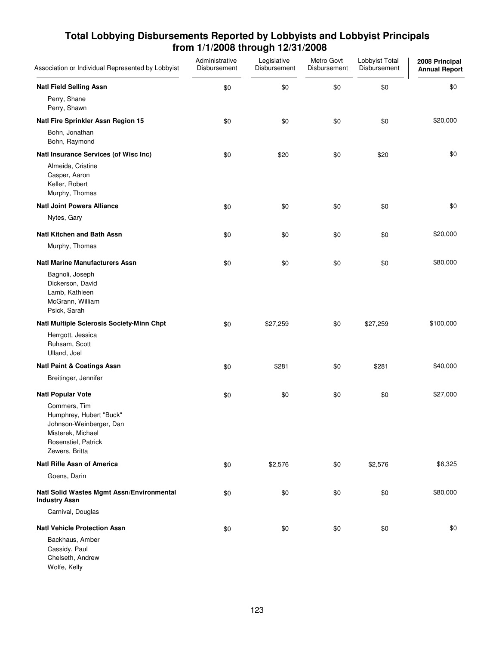| Association or Individual Represented by Lobbyist                                                                                | Administrative<br>Disbursement | Legislative<br>Disbursement | Metro Govt<br>Disbursement | Lobbyist Total<br>Disbursement | 2008 Principal<br><b>Annual Report</b> |
|----------------------------------------------------------------------------------------------------------------------------------|--------------------------------|-----------------------------|----------------------------|--------------------------------|----------------------------------------|
| <b>Natl Field Selling Assn</b>                                                                                                   | \$0                            | \$0                         | \$0                        | \$0                            | \$0                                    |
| Perry, Shane<br>Perry, Shawn                                                                                                     |                                |                             |                            |                                |                                        |
| Natl Fire Sprinkler Assn Region 15                                                                                               | \$0                            | \$0                         | \$0                        | \$0                            | \$20,000                               |
| Bohn, Jonathan<br>Bohn, Raymond                                                                                                  |                                |                             |                            |                                |                                        |
| Natl Insurance Services (of Wisc Inc)                                                                                            | \$0                            | \$20                        | \$0                        | \$20                           | \$0                                    |
| Almeida, Cristine<br>Casper, Aaron<br>Keller, Robert<br>Murphy, Thomas                                                           |                                |                             |                            |                                |                                        |
| <b>Natl Joint Powers Alliance</b>                                                                                                | \$0                            | \$0                         | \$0                        | \$0                            | \$0                                    |
| Nytes, Gary                                                                                                                      |                                |                             |                            |                                |                                        |
| <b>Natl Kitchen and Bath Assn</b>                                                                                                | \$0                            | \$0                         | \$0                        | \$0                            | \$20,000                               |
| Murphy, Thomas                                                                                                                   |                                |                             |                            |                                |                                        |
| <b>Natl Marine Manufacturers Assn</b>                                                                                            | \$0                            | \$0                         | \$0                        | \$0                            | \$80,000                               |
| Bagnoli, Joseph<br>Dickerson, David<br>Lamb, Kathleen<br>McGrann, William<br>Psick, Sarah                                        |                                |                             |                            |                                |                                        |
| Natl Multiple Sclerosis Society-Minn Chpt                                                                                        | \$0                            | \$27,259                    | \$0                        | \$27,259                       | \$100,000                              |
| Herrgott, Jessica<br>Ruhsam, Scott<br>Ulland, Joel                                                                               |                                |                             |                            |                                |                                        |
| <b>Natl Paint &amp; Coatings Assn</b>                                                                                            | \$0                            | \$281                       | \$0                        | \$281                          | \$40,000                               |
| Breitinger, Jennifer                                                                                                             |                                |                             |                            |                                |                                        |
| <b>Natl Popular Vote</b>                                                                                                         | \$0                            | \$0                         | \$0                        | \$0                            | \$27,000                               |
| Commers, Tim<br>Humphrey, Hubert "Buck"<br>Johnson-Weinberger, Dan<br>Misterek, Michael<br>Rosenstiel, Patrick<br>Zewers, Britta |                                |                             |                            |                                |                                        |
| <b>Natl Rifle Assn of America</b>                                                                                                | \$0                            | \$2,576                     | \$0                        | \$2,576                        | \$6,325                                |
| Goens, Darin                                                                                                                     |                                |                             |                            |                                |                                        |
| Natl Solid Wastes Mgmt Assn/Environmental<br><b>Industry Assn</b>                                                                | \$0                            | \$0                         | \$0                        | \$0                            | \$80,000                               |
| Carnival, Douglas                                                                                                                |                                |                             |                            |                                |                                        |
| <b>Natl Vehicle Protection Assn</b>                                                                                              | \$0                            | \$0                         | \$0                        | \$0                            | \$0                                    |
| Backhaus, Amber<br>Cassidy, Paul<br>Chelseth, Andrew<br>Wolfe, Kelly                                                             |                                |                             |                            |                                |                                        |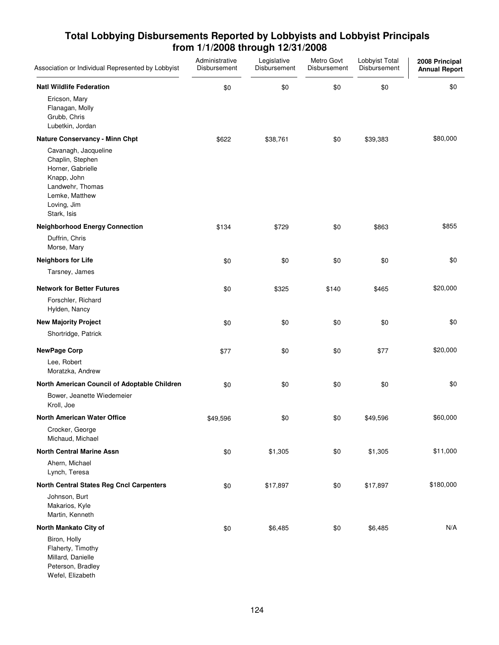| Association or Individual Represented by Lobbyist                                                                                                | Administrative<br>Disbursement | Legislative<br>Disbursement | Metro Govt<br>Disbursement | Lobbyist Total<br>Disbursement | 2008 Principal<br><b>Annual Report</b> |
|--------------------------------------------------------------------------------------------------------------------------------------------------|--------------------------------|-----------------------------|----------------------------|--------------------------------|----------------------------------------|
| <b>Natl Wildlife Federation</b>                                                                                                                  | \$0                            | \$0                         | \$0                        | \$0                            | \$0                                    |
| Ericson, Mary<br>Flanagan, Molly<br>Grubb, Chris<br>Lubetkin, Jordan                                                                             |                                |                             |                            |                                |                                        |
| <b>Nature Conservancy - Minn Chpt</b>                                                                                                            | \$622                          | \$38,761                    | \$0                        | \$39,383                       | \$80,000                               |
| Cavanagh, Jacqueline<br>Chaplin, Stephen<br>Horner, Gabrielle<br>Knapp, John<br>Landwehr, Thomas<br>Lemke, Matthew<br>Loving, Jim<br>Stark, Isis |                                |                             |                            |                                |                                        |
| <b>Neighborhood Energy Connection</b>                                                                                                            | \$134                          | \$729                       | \$0                        | \$863                          | \$855                                  |
| Duffrin, Chris<br>Morse, Mary                                                                                                                    |                                |                             |                            |                                |                                        |
| <b>Neighbors for Life</b>                                                                                                                        | \$0                            | \$0                         | \$0                        | \$0                            | \$0                                    |
| Tarsney, James                                                                                                                                   |                                |                             |                            |                                |                                        |
| <b>Network for Better Futures</b>                                                                                                                | \$0                            | \$325                       | \$140                      | \$465                          | \$20,000                               |
| Forschler, Richard<br>Hylden, Nancy                                                                                                              |                                |                             |                            |                                |                                        |
| <b>New Majority Project</b>                                                                                                                      | \$0                            | \$0                         | \$0                        | \$0                            | \$0                                    |
| Shortridge, Patrick                                                                                                                              |                                |                             |                            |                                |                                        |
| <b>NewPage Corp</b>                                                                                                                              | \$77                           | \$0                         | \$0                        | \$77                           | \$20,000                               |
| Lee, Robert<br>Moratzka, Andrew                                                                                                                  |                                |                             |                            |                                |                                        |
| North American Council of Adoptable Children                                                                                                     | \$0                            | \$0                         | \$0                        | \$0                            | \$0                                    |
| Bower, Jeanette Wiedemeier<br>Kroll, Joe                                                                                                         |                                |                             |                            |                                |                                        |
| <b>North American Water Office</b>                                                                                                               | \$49,596                       | \$0                         | \$0                        | \$49,596                       | \$60,000                               |
| Crocker, George<br>Michaud, Michael                                                                                                              |                                |                             |                            |                                |                                        |
| <b>North Central Marine Assn</b>                                                                                                                 | \$0                            | \$1,305                     | \$0                        | \$1,305                        | \$11,000                               |
| Ahern, Michael<br>Lynch, Teresa                                                                                                                  |                                |                             |                            |                                |                                        |
| <b>North Central States Reg Cncl Carpenters</b>                                                                                                  | \$0                            | \$17,897                    | \$0                        | \$17,897                       | \$180,000                              |
| Johnson, Burt<br>Makarios, Kyle<br>Martin, Kenneth                                                                                               |                                |                             |                            |                                |                                        |
| North Mankato City of                                                                                                                            | \$0                            | \$6,485                     | \$0                        | \$6,485                        | N/A                                    |
| Biron, Holly<br>Flaherty, Timothy<br>Millard, Danielle<br>Peterson, Bradley<br>Wefel, Elizabeth                                                  |                                |                             |                            |                                |                                        |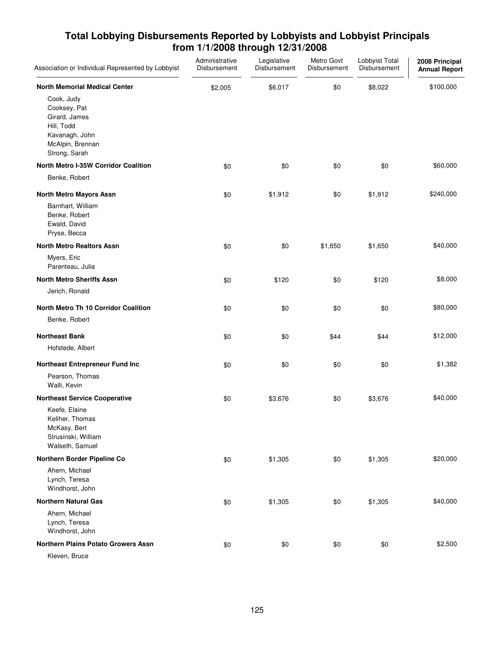| Association or Individual Represented by Lobbyist                                                                | Administrative<br>Disbursement | Legislative<br>Disbursement | Metro Govt<br>Disbursement | Lobbyist Total<br>Disbursement | 2008 Principal<br><b>Annual Report</b> |
|------------------------------------------------------------------------------------------------------------------|--------------------------------|-----------------------------|----------------------------|--------------------------------|----------------------------------------|
| <b>North Memorial Medical Center</b>                                                                             | \$2,005                        | \$6,017                     | \$0                        | \$8,022                        | \$100,000                              |
| Cook, Judy<br>Cooksey, Pat<br>Girard, James<br>Hill, Todd<br>Kavanagh, John<br>McAlpin, Brennan<br>Strong, Sarah |                                |                             |                            |                                |                                        |
| <b>North Metro I-35W Corridor Coalition</b>                                                                      | \$0                            | \$0                         | \$0                        | \$0                            | \$60,000                               |
| Benke, Robert                                                                                                    |                                |                             |                            |                                |                                        |
| <b>North Metro Mayors Assn</b><br>Barnhart, William<br>Benke, Robert<br>Ewald, David<br>Pryse, Becca             | \$0                            | \$1,912                     | \$0                        | \$1,912                        | \$240,000                              |
| <b>North Metro Realtors Assn</b>                                                                                 | \$0                            | \$0                         | \$1,650                    | \$1,650                        | \$40,000                               |
| Myers, Eric<br>Parenteau, Julia                                                                                  |                                |                             |                            |                                |                                        |
| <b>North Metro Sheriffs Assn</b>                                                                                 | \$0                            | \$120                       | \$0                        | \$120                          | \$8,000                                |
| Jerich, Ronald                                                                                                   |                                |                             |                            |                                |                                        |
| <b>North Metro Th 10 Corridor Coalition</b>                                                                      | \$0                            | \$0                         | \$0                        | \$0                            | \$80,000                               |
| Benke, Robert                                                                                                    |                                |                             |                            |                                |                                        |
| <b>Northeast Bank</b>                                                                                            | \$0                            | \$0                         | \$44                       | \$44                           | \$12,000                               |
| Hofstede, Albert                                                                                                 |                                |                             |                            |                                |                                        |
| Northeast Entrepreneur Fund Inc                                                                                  | \$0                            | \$0                         | \$0                        | \$0                            | \$1,382                                |
| Pearson, Thomas<br>Walli, Kevin                                                                                  |                                |                             |                            |                                |                                        |
| <b>Northeast Service Cooperative</b>                                                                             | \$0                            | \$3,676                     | \$0                        | \$3,676                        | \$40,000                               |
| Keefe, Elaine<br>Keliher, Thomas<br>McKasy, Bert<br>Strusinski, William<br>Walseth, Samuel                       |                                |                             |                            |                                |                                        |
| Northern Border Pipeline Co                                                                                      | \$0                            | \$1,305                     | \$0                        | \$1,305                        | \$20,000                               |
| Ahern, Michael<br>Lynch, Teresa<br>Windhorst, John                                                               |                                |                             |                            |                                |                                        |
| <b>Northern Natural Gas</b>                                                                                      | \$0                            | \$1,305                     | \$0                        | \$1,305                        | \$40,000                               |
| Ahern, Michael<br>Lynch, Teresa<br>Windhorst, John                                                               |                                |                             |                            |                                |                                        |
| <b>Northern Plains Potato Growers Assn</b>                                                                       | \$0                            | \$0                         | \$0                        | \$0                            | \$2,500                                |
| Kleven, Bruce                                                                                                    |                                |                             |                            |                                |                                        |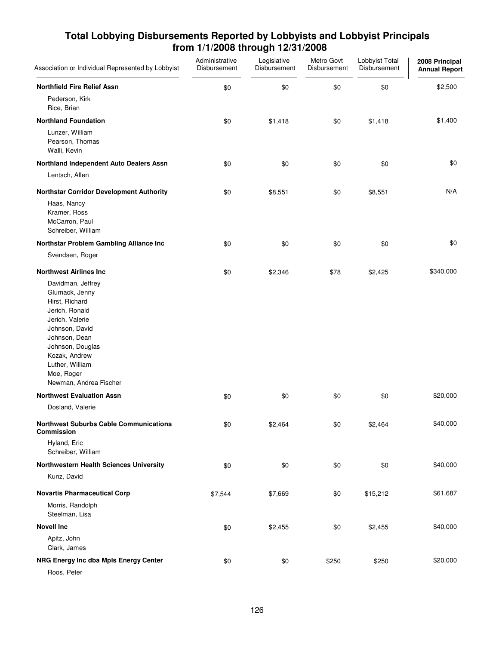| Association or Individual Represented by Lobbyist                                                                                                                                                                             | Administrative<br>Disbursement | Legislative<br>Disbursement | Metro Govt<br>Disbursement | Lobbyist Total<br>Disbursement | 2008 Principal<br><b>Annual Report</b> |
|-------------------------------------------------------------------------------------------------------------------------------------------------------------------------------------------------------------------------------|--------------------------------|-----------------------------|----------------------------|--------------------------------|----------------------------------------|
| <b>Northfield Fire Relief Assn</b>                                                                                                                                                                                            | \$0                            | \$0                         | \$0                        | \$0                            | \$2,500                                |
| Pederson, Kirk<br>Rice, Brian                                                                                                                                                                                                 |                                |                             |                            |                                |                                        |
| <b>Northland Foundation</b>                                                                                                                                                                                                   | \$0                            | \$1,418                     | \$0                        | \$1,418                        | \$1,400                                |
| Lunzer, William<br>Pearson, Thomas<br>Walli, Kevin                                                                                                                                                                            |                                |                             |                            |                                |                                        |
| Northland Independent Auto Dealers Assn                                                                                                                                                                                       | \$0                            | \$0                         | \$0                        | \$0                            | \$0                                    |
| Lentsch, Allen                                                                                                                                                                                                                |                                |                             |                            |                                |                                        |
| <b>Northstar Corridor Development Authority</b>                                                                                                                                                                               | \$0                            | \$8,551                     | \$0                        | \$8,551                        | N/A                                    |
| Haas, Nancy<br>Kramer, Ross<br>McCarron, Paul<br>Schreiber, William                                                                                                                                                           |                                |                             |                            |                                |                                        |
| Northstar Problem Gambling Alliance Inc                                                                                                                                                                                       | \$0                            | \$0                         | \$0                        | \$0                            | \$0                                    |
| Svendsen, Roger                                                                                                                                                                                                               |                                |                             |                            |                                |                                        |
| <b>Northwest Airlines Inc.</b>                                                                                                                                                                                                | \$0                            | \$2,346                     | \$78                       | \$2,425                        | \$340,000                              |
| Davidman, Jeffrey<br>Glumack, Jenny<br>Hirst, Richard<br>Jerich, Ronald<br>Jerich, Valerie<br>Johnson, David<br>Johnson, Dean<br>Johnson, Douglas<br>Kozak, Andrew<br>Luther, William<br>Moe, Roger<br>Newman, Andrea Fischer |                                |                             |                            |                                |                                        |
| <b>Northwest Evaluation Assn</b>                                                                                                                                                                                              | \$0                            | \$0                         | \$0                        | \$0                            | \$20,000                               |
| Dosland, Valerie                                                                                                                                                                                                              |                                |                             |                            |                                |                                        |
| <b>Northwest Suburbs Cable Communications</b><br><b>Commission</b>                                                                                                                                                            | \$0                            | \$2,464                     | \$0                        | \$2,464                        | \$40,000                               |
| Hyland, Eric<br>Schreiber, William                                                                                                                                                                                            |                                |                             |                            |                                |                                        |
| Northwestern Health Sciences University                                                                                                                                                                                       | \$0                            | \$0                         | \$0                        | \$0                            | \$40,000                               |
| Kunz, David                                                                                                                                                                                                                   |                                |                             |                            |                                |                                        |
| <b>Novartis Pharmaceutical Corp</b><br>Morris, Randolph<br>Steelman, Lisa                                                                                                                                                     | \$7,544                        | \$7,669                     | \$0                        | \$15,212                       | \$61,687                               |
| <b>Novell Inc</b>                                                                                                                                                                                                             | \$0                            | \$2,455                     | \$0                        | \$2,455                        | \$40,000                               |
| Apitz, John<br>Clark, James                                                                                                                                                                                                   |                                |                             |                            |                                |                                        |
| NRG Energy Inc dba Mpls Energy Center                                                                                                                                                                                         | \$0                            | \$0                         | \$250                      | \$250                          | \$20,000                               |
|                                                                                                                                                                                                                               |                                |                             |                            |                                |                                        |

Roos, Peter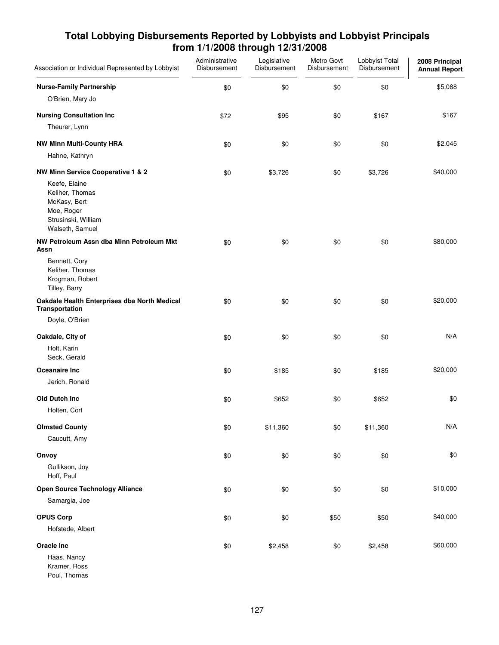| Association or Individual Represented by Lobbyist                                                        | Administrative<br>Disbursement | Legislative<br>Disbursement | Metro Govt<br>Disbursement | Lobbyist Total<br>Disbursement | 2008 Principal<br><b>Annual Report</b> |
|----------------------------------------------------------------------------------------------------------|--------------------------------|-----------------------------|----------------------------|--------------------------------|----------------------------------------|
| <b>Nurse-Family Partnership</b>                                                                          | \$0                            | \$0                         | \$0                        | \$0                            | \$5,088                                |
| O'Brien, Mary Jo                                                                                         |                                |                             |                            |                                |                                        |
| <b>Nursing Consultation Inc</b>                                                                          | \$72                           | \$95                        | \$0                        | \$167                          | \$167                                  |
| Theurer, Lynn                                                                                            |                                |                             |                            |                                |                                        |
| <b>NW Minn Multi-County HRA</b>                                                                          | \$0                            | \$0                         | \$0                        | \$0                            | \$2,045                                |
| Hahne, Kathryn                                                                                           |                                |                             |                            |                                |                                        |
| NW Minn Service Cooperative 1 & 2                                                                        | \$0                            | \$3,726                     | \$0                        | \$3,726                        | \$40,000                               |
| Keefe, Elaine<br>Keliher, Thomas<br>McKasy, Bert<br>Moe, Roger<br>Strusinski, William<br>Walseth, Samuel |                                |                             |                            |                                |                                        |
| NW Petroleum Assn dba Minn Petroleum Mkt<br>Assn                                                         | \$0                            | \$0                         | \$0                        | \$0                            | \$80,000                               |
| Bennett, Cory<br>Keliher, Thomas<br>Krogman, Robert<br>Tilley, Barry                                     |                                |                             |                            |                                |                                        |
| Oakdale Health Enterprises dba North Medical<br>Transportation                                           | \$0                            | \$0                         | \$0                        | \$0                            | \$20,000                               |
| Doyle, O'Brien                                                                                           |                                |                             |                            |                                |                                        |
| Oakdale, City of                                                                                         | \$0                            | \$0                         | \$0                        | \$0                            | N/A                                    |
| Holt, Karin<br>Seck, Gerald                                                                              |                                |                             |                            |                                |                                        |
| Oceanaire Inc                                                                                            | \$0                            | \$185                       | \$0                        | \$185                          | \$20,000                               |
| Jerich, Ronald                                                                                           |                                |                             |                            |                                |                                        |
| Old Dutch Inc                                                                                            | \$0                            | \$652                       | \$0                        | \$652                          | \$0                                    |
| Holten, Cort                                                                                             |                                |                             |                            |                                |                                        |
| <b>Olmsted County</b>                                                                                    | \$0                            | \$11,360                    | \$0                        | \$11,360                       | N/A                                    |
| Caucutt, Amy                                                                                             |                                |                             |                            |                                |                                        |
| Onvoy                                                                                                    | \$0                            | \$0                         | \$0                        | \$0                            | \$0                                    |
| Gullikson, Joy<br>Hoff, Paul                                                                             |                                |                             |                            |                                |                                        |
| <b>Open Source Technology Alliance</b>                                                                   | \$0                            | \$0                         | \$0                        | \$0                            | \$10,000                               |
| Samargia, Joe                                                                                            |                                |                             |                            |                                |                                        |
| <b>OPUS Corp</b>                                                                                         | \$0                            | \$0                         | \$50                       | \$50                           | \$40,000                               |
| Hofstede, Albert                                                                                         |                                |                             |                            |                                |                                        |
| <b>Oracle Inc</b>                                                                                        | \$0                            | \$2,458                     | \$0                        | \$2,458                        | \$60,000                               |
| Haas, Nancy<br>Kramer, Ross                                                                              |                                |                             |                            |                                |                                        |

Poul, Thomas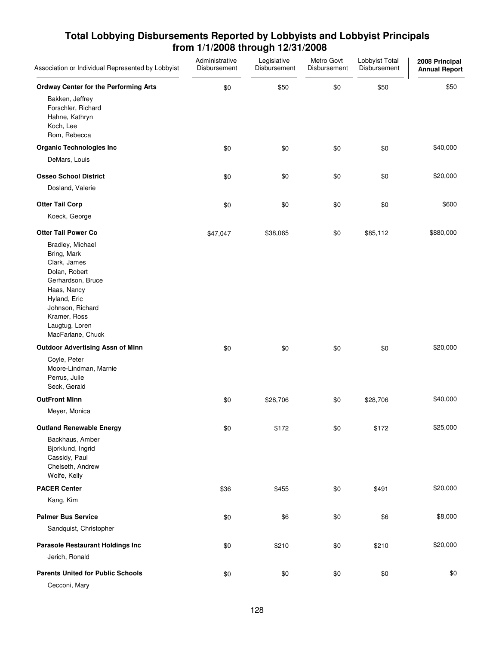| Association or Individual Represented by Lobbyist                                                                                                                                               | Administrative<br>Disbursement | Legislative<br>Disbursement | Metro Govt<br>Disbursement | Lobbyist Total<br>Disbursement | 2008 Principal<br><b>Annual Report</b> |
|-------------------------------------------------------------------------------------------------------------------------------------------------------------------------------------------------|--------------------------------|-----------------------------|----------------------------|--------------------------------|----------------------------------------|
| <b>Ordway Center for the Performing Arts</b>                                                                                                                                                    | \$0                            | \$50                        | \$0                        | \$50                           | \$50                                   |
| Bakken, Jeffrey<br>Forschler, Richard<br>Hahne, Kathryn<br>Koch, Lee<br>Rom, Rebecca                                                                                                            |                                |                             |                            |                                |                                        |
| <b>Organic Technologies Inc</b>                                                                                                                                                                 | \$0                            | \$0                         | \$0                        | \$0                            | \$40,000                               |
| DeMars, Louis                                                                                                                                                                                   |                                |                             |                            |                                |                                        |
| <b>Osseo School District</b>                                                                                                                                                                    | \$0                            | \$0                         | \$0                        | \$0                            | \$20,000                               |
| Dosland, Valerie                                                                                                                                                                                |                                |                             |                            |                                |                                        |
| <b>Otter Tail Corp</b>                                                                                                                                                                          | \$0                            | \$0                         | \$0                        | \$0                            | \$600                                  |
| Koeck, George                                                                                                                                                                                   |                                |                             |                            |                                |                                        |
| <b>Otter Tail Power Co</b>                                                                                                                                                                      | \$47,047                       | \$38,065                    | \$0                        | \$85,112                       | \$880,000                              |
| Bradley, Michael<br>Bring, Mark<br>Clark, James<br>Dolan, Robert<br>Gerhardson, Bruce<br>Haas, Nancy<br>Hyland, Eric<br>Johnson, Richard<br>Kramer, Ross<br>Laugtug, Loren<br>MacFarlane, Chuck |                                |                             |                            |                                |                                        |
| <b>Outdoor Advertising Assn of Minn</b>                                                                                                                                                         | \$0                            | \$0                         | \$0                        | \$0                            | \$20,000                               |
| Coyle, Peter<br>Moore-Lindman, Marnie<br>Perrus, Julie<br>Seck, Gerald                                                                                                                          |                                |                             |                            |                                |                                        |
| <b>OutFront Minn</b>                                                                                                                                                                            | \$0                            | \$28,706                    | \$0                        | \$28,706                       | \$40,000                               |
| Meyer, Monica                                                                                                                                                                                   |                                |                             |                            |                                |                                        |
| <b>Outland Renewable Energy</b>                                                                                                                                                                 | \$0                            | \$172                       | \$0                        | \$172                          | \$25,000                               |
| Backhaus, Amber<br>Bjorklund, Ingrid<br>Cassidy, Paul<br>Chelseth, Andrew<br>Wolfe, Kelly                                                                                                       |                                |                             |                            |                                |                                        |
| <b>PACER Center</b>                                                                                                                                                                             | \$36                           | \$455                       | \$0                        | \$491                          | \$20,000                               |
| Kang, Kim                                                                                                                                                                                       |                                |                             |                            |                                |                                        |
| <b>Palmer Bus Service</b>                                                                                                                                                                       | \$0                            | \$6                         | \$0                        | \$6                            | \$8,000                                |
| Sandquist, Christopher                                                                                                                                                                          |                                |                             |                            |                                |                                        |
| <b>Parasole Restaurant Holdings Inc</b>                                                                                                                                                         | \$0                            | \$210                       | \$0                        | \$210                          | \$20,000                               |
| Jerich, Ronald                                                                                                                                                                                  |                                |                             |                            |                                |                                        |
| <b>Parents United for Public Schools</b>                                                                                                                                                        | \$0                            | \$0                         | \$0                        | \$0                            | \$0                                    |
| Cecconi, Mary                                                                                                                                                                                   |                                |                             |                            |                                |                                        |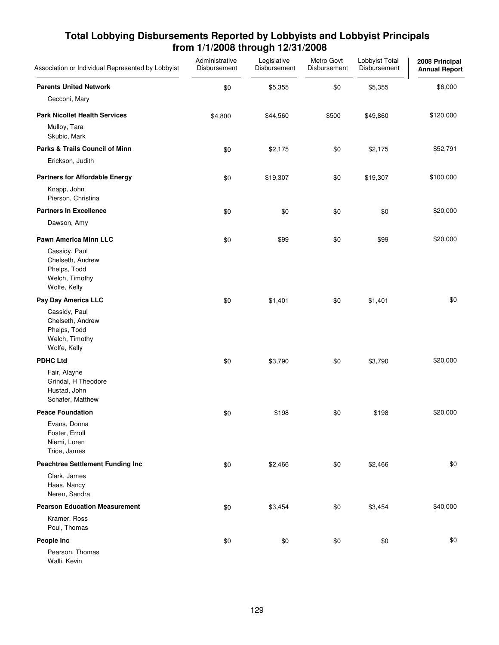| Association or Individual Represented by Lobbyist                                   | Administrative<br>Disbursement | Legislative<br>Disbursement | Metro Govt<br>Disbursement | Lobbyist Total<br>Disbursement | 2008 Principal<br><b>Annual Report</b> |
|-------------------------------------------------------------------------------------|--------------------------------|-----------------------------|----------------------------|--------------------------------|----------------------------------------|
| <b>Parents United Network</b>                                                       | \$0                            | \$5,355                     | \$0                        | \$5,355                        | \$6,000                                |
| Cecconi, Mary                                                                       |                                |                             |                            |                                |                                        |
| <b>Park Nicollet Health Services</b>                                                | \$4,800                        | \$44,560                    | \$500                      | \$49,860                       | \$120,000                              |
| Mulloy, Tara<br>Skubic, Mark                                                        |                                |                             |                            |                                |                                        |
| Parks & Trails Council of Minn                                                      | \$0                            | \$2,175                     | \$0                        | \$2,175                        | \$52,791                               |
| Erickson, Judith                                                                    |                                |                             |                            |                                |                                        |
| <b>Partners for Affordable Energy</b>                                               | \$0                            | \$19,307                    | \$0                        | \$19,307                       | \$100,000                              |
| Knapp, John<br>Pierson, Christina                                                   |                                |                             |                            |                                |                                        |
| <b>Partners In Excellence</b>                                                       | \$0                            | \$0                         | \$0                        | \$0                            | \$20,000                               |
| Dawson, Amy                                                                         |                                |                             |                            |                                |                                        |
| <b>Pawn America Minn LLC</b>                                                        | \$0                            | \$99                        | \$0                        | \$99                           | \$20,000                               |
| Cassidy, Paul<br>Chelseth, Andrew<br>Phelps, Todd<br>Welch, Timothy<br>Wolfe, Kelly |                                |                             |                            |                                |                                        |
| Pay Day America LLC                                                                 | \$0                            | \$1,401                     | \$0                        | \$1,401                        | \$0                                    |
| Cassidy, Paul<br>Chelseth, Andrew<br>Phelps, Todd<br>Welch, Timothy<br>Wolfe, Kelly |                                |                             |                            |                                |                                        |
| <b>PDHC Ltd</b>                                                                     | \$0                            | \$3,790                     | \$0                        | \$3,790                        | \$20,000                               |
| Fair, Alayne<br>Grindal, H Theodore<br>Hustad, John<br>Schafer, Matthew             |                                |                             |                            |                                |                                        |
| <b>Peace Foundation</b>                                                             | \$0                            | \$198                       | \$0                        | \$198                          | \$20,000                               |
| Evans, Donna<br>Foster, Erroll<br>Niemi, Loren<br>Trice, James                      |                                |                             |                            |                                |                                        |
| <b>Peachtree Settlement Funding Inc</b>                                             | \$0                            | \$2,466                     | \$0                        | \$2,466                        | \$0                                    |
| Clark, James<br>Haas, Nancy<br>Neren, Sandra                                        |                                |                             |                            |                                |                                        |
| <b>Pearson Education Measurement</b>                                                | \$0                            | \$3,454                     | \$0                        | \$3,454                        | \$40,000                               |
| Kramer, Ross<br>Poul, Thomas                                                        |                                |                             |                            |                                |                                        |
| People Inc                                                                          | \$0                            | \$0                         | \$0                        | \$0                            | \$0                                    |
| Pearson, Thomas<br>Walli, Kevin                                                     |                                |                             |                            |                                |                                        |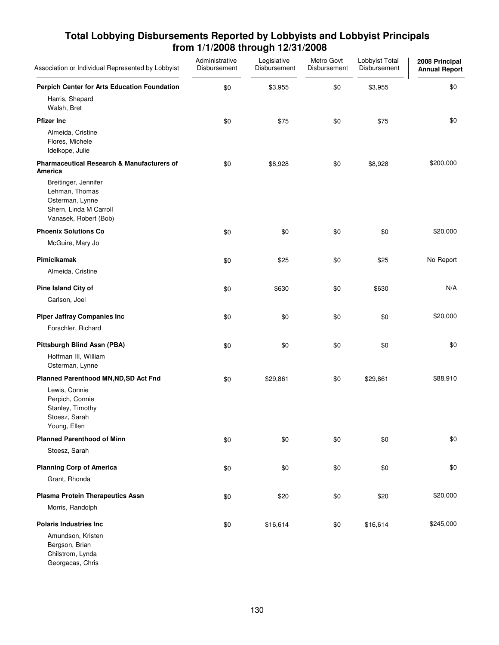| Association or Individual Represented by Lobbyist                                                            | Administrative<br>Disbursement | Legislative<br>Disbursement | Metro Govt<br>Disbursement | Lobbyist Total<br>Disbursement | 2008 Principal<br><b>Annual Report</b> |
|--------------------------------------------------------------------------------------------------------------|--------------------------------|-----------------------------|----------------------------|--------------------------------|----------------------------------------|
| Perpich Center for Arts Education Foundation                                                                 | \$0                            | \$3,955                     | \$0                        | \$3,955                        | \$0                                    |
| Harris, Shepard<br>Walsh, Bret                                                                               |                                |                             |                            |                                |                                        |
| <b>Pfizer Inc</b>                                                                                            | \$0                            | \$75                        | \$0                        | \$75                           | \$0                                    |
| Almeida, Cristine<br>Flores, Michele<br>Idelkope, Julie                                                      |                                |                             |                            |                                |                                        |
| Pharmaceutical Research & Manufacturers of<br>America                                                        | \$0                            | \$8,928                     | \$0                        | \$8,928                        | \$200,000                              |
| Breitinger, Jennifer<br>Lehman, Thomas<br>Osterman, Lynne<br>Shern, Linda M Carroll<br>Vanasek, Robert (Bob) |                                |                             |                            |                                |                                        |
| <b>Phoenix Solutions Co</b>                                                                                  | \$0                            | \$0                         | \$0                        | \$0                            | \$20,000                               |
| McGuire, Mary Jo                                                                                             |                                |                             |                            |                                |                                        |
| Pimicikamak                                                                                                  | \$0                            | \$25                        | \$0                        | \$25                           | No Report                              |
| Almeida, Cristine                                                                                            |                                |                             |                            |                                |                                        |
| Pine Island City of                                                                                          | \$0                            | \$630                       | \$0                        | \$630                          | N/A                                    |
| Carlson, Joel                                                                                                |                                |                             |                            |                                |                                        |
| <b>Piper Jaffray Companies Inc</b>                                                                           | \$0                            | \$0                         | \$0                        | \$0                            | \$20,000                               |
| Forschler, Richard                                                                                           |                                |                             |                            |                                |                                        |
| Pittsburgh Blind Assn (PBA)                                                                                  | \$0                            | \$0                         | \$0                        | \$0                            | \$0                                    |
| Hoffman III, William<br>Osterman, Lynne                                                                      |                                |                             |                            |                                |                                        |
| Planned Parenthood MN, ND, SD Act Fnd                                                                        | \$0                            | \$29,861                    | \$0                        | \$29,861                       | \$88,910                               |
| Lewis, Connie<br>Perpich, Connie<br>Stanley, Timothy<br>Stoesz, Sarah<br>Young, Ellen                        |                                |                             |                            |                                |                                        |
| <b>Planned Parenthood of Minn</b>                                                                            | \$0                            | \$0                         | \$0                        | \$0                            | \$0                                    |
| Stoesz, Sarah                                                                                                |                                |                             |                            |                                |                                        |
| <b>Planning Corp of America</b>                                                                              | \$0                            | \$0                         | \$0                        | \$0                            | \$0                                    |
| Grant, Rhonda                                                                                                |                                |                             |                            |                                |                                        |
| <b>Plasma Protein Therapeutics Assn</b>                                                                      | \$0                            | \$20                        | \$0                        | \$20                           | \$20,000                               |
| Morris, Randolph                                                                                             |                                |                             |                            |                                |                                        |
| <b>Polaris Industries Inc.</b>                                                                               | \$0                            | \$16,614                    | \$0                        | \$16,614                       | \$245,000                              |
| Amundson, Kristen<br>Bergson, Brian<br>Chilstrom, Lynda<br>Georgacas, Chris                                  |                                |                             |                            |                                |                                        |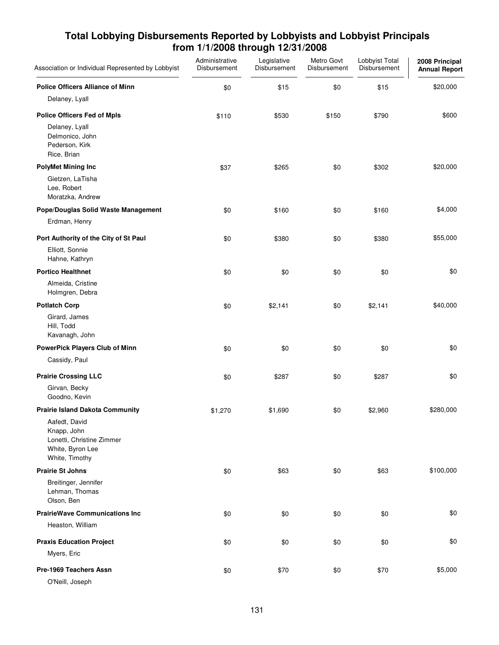| Association or Individual Represented by Lobbyist                                               | Administrative<br>Disbursement | Legislative<br>Disbursement | Metro Govt<br>Disbursement | Lobbyist Total<br>Disbursement | 2008 Principal<br><b>Annual Report</b> |
|-------------------------------------------------------------------------------------------------|--------------------------------|-----------------------------|----------------------------|--------------------------------|----------------------------------------|
| <b>Police Officers Alliance of Minn</b>                                                         | \$0                            | \$15                        | \$0                        | \$15                           | \$20,000                               |
| Delaney, Lyall                                                                                  |                                |                             |                            |                                |                                        |
| <b>Police Officers Fed of Mpls</b>                                                              | \$110                          | \$530                       | \$150                      | \$790                          | \$600                                  |
| Delaney, Lyall<br>Delmonico, John<br>Pederson, Kirk<br>Rice, Brian                              |                                |                             |                            |                                |                                        |
| <b>PolyMet Mining Inc</b>                                                                       | \$37                           | \$265                       | \$0                        | \$302                          | \$20,000                               |
| Gietzen, LaTisha<br>Lee, Robert<br>Moratzka, Andrew                                             |                                |                             |                            |                                |                                        |
| Pope/Douglas Solid Waste Management                                                             | \$0                            | \$160                       | \$0                        | \$160                          | \$4,000                                |
| Erdman, Henry                                                                                   |                                |                             |                            |                                |                                        |
| Port Authority of the City of St Paul                                                           | \$0                            | \$380                       | \$0                        | \$380                          | \$55,000                               |
| Elliott, Sonnie<br>Hahne, Kathryn                                                               |                                |                             |                            |                                |                                        |
| <b>Portico Healthnet</b>                                                                        | \$0                            | \$0                         | \$0                        | \$0                            | \$0                                    |
| Almeida, Cristine<br>Holmgren, Debra                                                            |                                |                             |                            |                                |                                        |
| <b>Potlatch Corp</b>                                                                            | \$0                            | \$2,141                     | \$0                        | \$2,141                        | \$40,000                               |
| Girard, James<br>Hill, Todd<br>Kavanagh, John                                                   |                                |                             |                            |                                |                                        |
| PowerPick Players Club of Minn                                                                  | \$0                            | \$0                         | \$0                        | \$0                            | \$0                                    |
| Cassidy, Paul                                                                                   |                                |                             |                            |                                |                                        |
| <b>Prairie Crossing LLC</b>                                                                     | \$0                            | \$287                       | \$0                        | \$287                          | \$0                                    |
| Girvan, Becky<br>Goodno, Kevin                                                                  |                                |                             |                            |                                |                                        |
| <b>Prairie Island Dakota Community</b>                                                          | \$1,270                        | \$1,690                     | \$0                        | \$2,960                        | \$280,000                              |
| Aafedt, David<br>Knapp, John<br>Lonetti, Christine Zimmer<br>White, Byron Lee<br>White, Timothy |                                |                             |                            |                                |                                        |
| <b>Prairie St Johns</b>                                                                         | \$0                            | \$63                        | \$0                        | \$63                           | \$100,000                              |
| Breitinger, Jennifer<br>Lehman, Thomas<br>Olson, Ben                                            |                                |                             |                            |                                |                                        |
| <b>PrairieWave Communications Inc</b>                                                           | \$0                            | \$0                         | \$0                        | \$0                            | \$0                                    |
| Heaston, William                                                                                |                                |                             |                            |                                |                                        |
| <b>Praxis Education Project</b>                                                                 | \$0                            | \$0                         | \$0                        | \$0                            | \$0                                    |
| Myers, Eric                                                                                     |                                |                             |                            |                                |                                        |
| Pre-1969 Teachers Assn                                                                          | \$0                            | \$70                        | \$0                        | \$70                           | \$5,000                                |
| O'Neill, Joseph                                                                                 |                                |                             |                            |                                |                                        |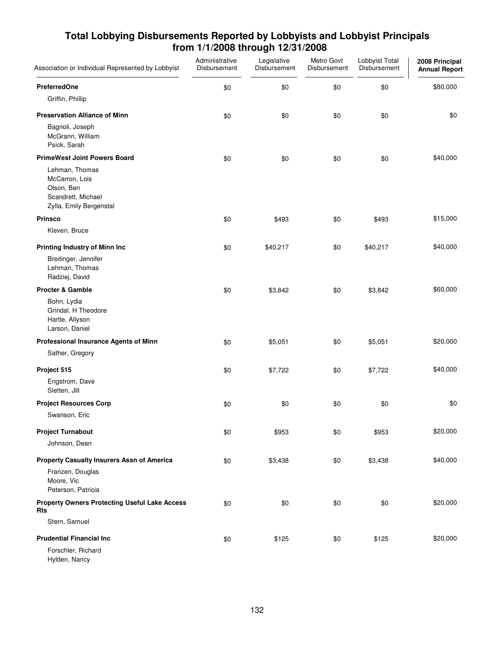| Association or Individual Represented by Lobbyist                                               | Administrative<br>Disbursement | Legislative<br>Disbursement | Metro Govt<br>Disbursement | Lobbyist Total<br>Disbursement | 2008 Principal<br><b>Annual Report</b> |
|-------------------------------------------------------------------------------------------------|--------------------------------|-----------------------------|----------------------------|--------------------------------|----------------------------------------|
| <b>PreferredOne</b>                                                                             | \$0                            | \$0                         | \$0                        | \$0                            | \$80,000                               |
| Griffin, Phillip                                                                                |                                |                             |                            |                                |                                        |
| <b>Preservation Alliance of Minn</b>                                                            | \$0                            | \$0                         | \$0                        | \$0                            | \$0                                    |
| Bagnoli, Joseph<br>McGrann, William<br>Psick, Sarah                                             |                                |                             |                            |                                |                                        |
| <b>PrimeWest Joint Powers Board</b>                                                             | \$0                            | \$0                         | \$0                        | \$0                            | \$40,000                               |
| Lehman, Thomas<br>McCarron, Lois<br>Olson, Ben<br>Scandrett, Michael<br>Zylla, Emily Bergenstal |                                |                             |                            |                                |                                        |
| <b>Prinsco</b>                                                                                  | \$0                            | \$493                       | \$0                        | \$493                          | \$15,000                               |
| Kleven, Bruce                                                                                   |                                |                             |                            |                                |                                        |
| <b>Printing Industry of Minn Inc</b>                                                            | \$0                            | \$40,217                    | \$0                        | \$40,217                       | \$40,000                               |
| Breitinger, Jennifer<br>Lehman, Thomas<br>Radziej, David                                        |                                |                             |                            |                                |                                        |
| <b>Procter &amp; Gamble</b>                                                                     | \$0                            | \$3,842                     | \$0                        | \$3,842                        | \$60,000                               |
| Bohn, Lydia<br>Grindal, H Theodore<br>Hartle, Allyson<br>Larson, Daniel                         |                                |                             |                            |                                |                                        |
| Professional Insurance Agents of Minn                                                           | \$0                            | \$5,051                     | \$0                        | \$5,051                        | \$20,000                               |
| Sather, Gregory                                                                                 |                                |                             |                            |                                |                                        |
| Project 515                                                                                     | \$0                            | \$7,722                     | \$0                        | \$7,722                        | \$40,000                               |
| Engstrom, Dave<br>Sletten, Jill                                                                 |                                |                             |                            |                                |                                        |
| <b>Project Resources Corp</b>                                                                   | \$0                            | \$0                         | \$0                        | \$0                            | \$0                                    |
| Swanson, Eric                                                                                   |                                |                             |                            |                                |                                        |
| <b>Project Turnabout</b>                                                                        | \$0                            | \$953                       | \$0                        | \$953                          | \$20,000                               |
| Johnson, Dean                                                                                   |                                |                             |                            |                                |                                        |
| Property Casualty Insurers Assn of America                                                      | \$0                            | \$3,438                     | \$0                        | \$3,438                        | \$40,000                               |
| Franzen, Douglas<br>Moore, Vic<br>Peterson, Patricia                                            |                                |                             |                            |                                |                                        |
| <b>Property Owners Protecting Useful Lake Access</b><br>Rts                                     | \$0                            | \$0                         | \$0                        | \$0                            | \$20,000                               |
| Stern, Samuel                                                                                   |                                |                             |                            |                                |                                        |
| <b>Prudential Financial Inc.</b>                                                                | \$0                            | \$125                       | \$0                        | \$125                          | \$20,000                               |
| Forschler, Richard<br>Hylden, Nancy                                                             |                                |                             |                            |                                |                                        |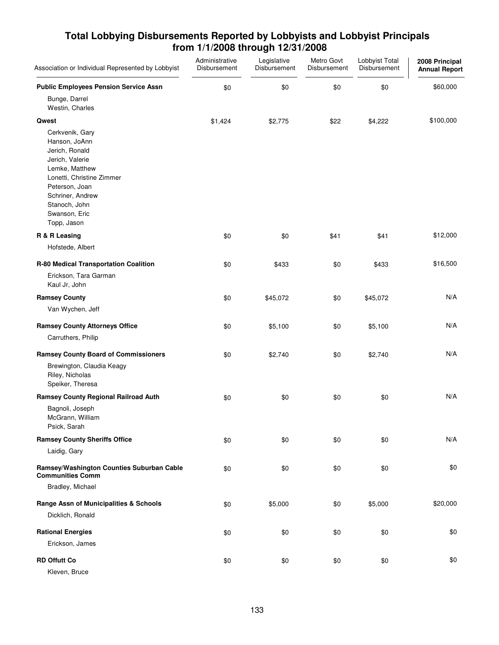| Association or Individual Represented by Lobbyist                                                                                                                                                           | Administrative<br>Disbursement | Legislative<br>Disbursement | Metro Govt<br>Disbursement | Lobbyist Total<br>Disbursement | 2008 Principal<br><b>Annual Report</b> |
|-------------------------------------------------------------------------------------------------------------------------------------------------------------------------------------------------------------|--------------------------------|-----------------------------|----------------------------|--------------------------------|----------------------------------------|
| <b>Public Employees Pension Service Assn</b>                                                                                                                                                                | \$0                            | \$0                         | \$0                        | \$0                            | \$60,000                               |
| Bunge, Darrel<br>Westin, Charles                                                                                                                                                                            |                                |                             |                            |                                |                                        |
| Qwest                                                                                                                                                                                                       | \$1,424                        | \$2,775                     | \$22                       | \$4,222                        | \$100,000                              |
| Cerkvenik, Gary<br>Hanson, JoAnn<br>Jerich, Ronald<br>Jerich, Valerie<br>Lemke, Matthew<br>Lonetti, Christine Zimmer<br>Peterson, Joan<br>Schriner, Andrew<br>Stanoch, John<br>Swanson, Eric<br>Topp, Jason |                                |                             |                            |                                |                                        |
| R & R Leasing                                                                                                                                                                                               | \$0                            | \$0                         | \$41                       | \$41                           | \$12,000                               |
| Hofstede, Albert                                                                                                                                                                                            |                                |                             |                            |                                |                                        |
| R-80 Medical Transportation Coalition<br>Erickson, Tara Garman<br>Kaul Jr, John                                                                                                                             | \$0                            | \$433                       | \$0                        | \$433                          | \$16,500                               |
| <b>Ramsey County</b>                                                                                                                                                                                        | \$0                            | \$45,072                    | \$0                        | \$45,072                       | N/A                                    |
| Van Wychen, Jeff                                                                                                                                                                                            |                                |                             |                            |                                |                                        |
| <b>Ramsey County Attorneys Office</b>                                                                                                                                                                       | \$0                            | \$5,100                     | \$0                        | \$5,100                        | N/A                                    |
| Carruthers, Philip                                                                                                                                                                                          |                                |                             |                            |                                |                                        |
| <b>Ramsey County Board of Commissioners</b>                                                                                                                                                                 | \$0                            | \$2,740                     | \$0                        | \$2,740                        | N/A                                    |
| Brewington, Claudia Keagy<br>Riley, Nicholas<br>Speiker, Theresa                                                                                                                                            |                                |                             |                            |                                |                                        |
| <b>Ramsey County Regional Railroad Auth</b>                                                                                                                                                                 | \$0                            | \$0                         | \$0                        | \$0                            | N/A                                    |
| Bagnoli, Joseph<br>McGrann, William<br>Psick, Sarah                                                                                                                                                         |                                |                             |                            |                                |                                        |
| <b>Ramsey County Sheriffs Office</b>                                                                                                                                                                        | \$0                            | \$0                         | \$0                        | \$0                            | N/A                                    |
| Laidig, Gary                                                                                                                                                                                                |                                |                             |                            |                                |                                        |
| Ramsey/Washington Counties Suburban Cable<br><b>Communities Comm</b>                                                                                                                                        | \$0                            | \$0                         | \$0                        | \$0                            | \$0                                    |
| Bradley, Michael                                                                                                                                                                                            |                                |                             |                            |                                |                                        |
| Range Assn of Municipalities & Schools                                                                                                                                                                      | \$0                            | \$5,000                     | \$0                        | \$5,000                        | \$20,000                               |
| Dicklich, Ronald                                                                                                                                                                                            |                                |                             |                            |                                |                                        |
| <b>Rational Energies</b>                                                                                                                                                                                    | \$0                            | \$0                         | \$0                        | \$0                            | \$0                                    |
| Erickson, James                                                                                                                                                                                             |                                |                             |                            |                                |                                        |
| <b>RD Offutt Co</b>                                                                                                                                                                                         | \$0                            | \$0                         | \$0                        | \$0                            | \$0                                    |
| Kleven, Bruce                                                                                                                                                                                               |                                |                             |                            |                                |                                        |

133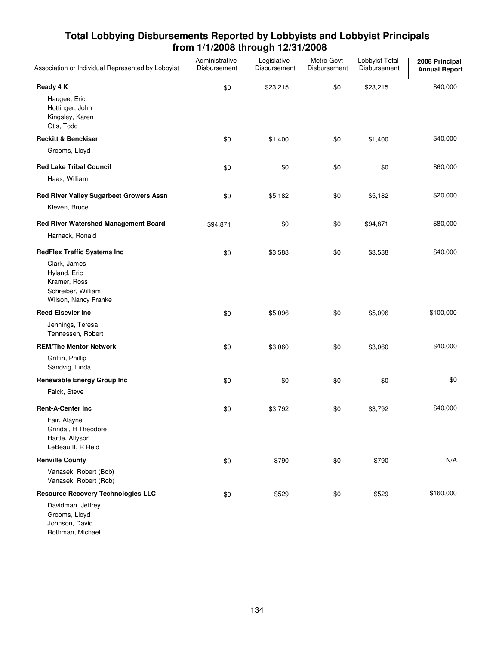| Association or Individual Represented by Lobbyist                                          | Administrative<br>Disbursement | Legislative<br>Disbursement | Metro Govt<br>Disbursement | Lobbyist Total<br>Disbursement | 2008 Principal<br><b>Annual Report</b> |
|--------------------------------------------------------------------------------------------|--------------------------------|-----------------------------|----------------------------|--------------------------------|----------------------------------------|
| Ready 4 K                                                                                  | \$0                            | \$23,215                    | \$0                        | \$23,215                       | \$40,000                               |
| Haugee, Eric<br>Hottinger, John<br>Kingsley, Karen<br>Otis, Todd                           |                                |                             |                            |                                |                                        |
| <b>Reckitt &amp; Benckiser</b>                                                             | \$0                            | \$1,400                     | \$0                        | \$1,400                        | \$40,000                               |
| Grooms, Lloyd                                                                              |                                |                             |                            |                                |                                        |
| <b>Red Lake Tribal Council</b>                                                             | \$0                            | \$0                         | \$0                        | \$0                            | \$60,000                               |
| Haas, William                                                                              |                                |                             |                            |                                |                                        |
| Red River Valley Sugarbeet Growers Assn<br>Kleven, Bruce                                   | \$0                            | \$5,182                     | \$0                        | \$5,182                        | \$20,000                               |
| Red River Watershed Management Board<br>Harnack, Ronald                                    | \$94,871                       | \$0                         | \$0                        | \$94,871                       | \$80,000                               |
| <b>RedFlex Traffic Systems Inc</b>                                                         | \$0                            | \$3,588                     | \$0                        | \$3,588                        | \$40,000                               |
| Clark, James<br>Hyland, Eric<br>Kramer, Ross<br>Schreiber, William<br>Wilson, Nancy Franke |                                |                             |                            |                                |                                        |
| <b>Reed Elsevier Inc</b>                                                                   | \$0                            | \$5,096                     | \$0                        | \$5,096                        | \$100,000                              |
| Jennings, Teresa<br>Tennessen, Robert                                                      |                                |                             |                            |                                |                                        |
| <b>REM/The Mentor Network</b>                                                              | \$0                            | \$3,060                     | \$0                        | \$3,060                        | \$40,000                               |
| Griffin, Phillip<br>Sandvig, Linda                                                         |                                |                             |                            |                                |                                        |
| <b>Renewable Energy Group Inc</b>                                                          | \$0                            | \$0                         | \$0                        | \$0                            | \$0                                    |
| Falck, Steve                                                                               |                                |                             |                            |                                |                                        |
| <b>Rent-A-Center Inc</b>                                                                   | \$0                            | \$3,792                     | \$0                        | \$3,792                        | \$40,000                               |
| Fair, Alayne<br>Grindal, H Theodore<br>Hartle, Allyson<br>LeBeau II, R Reid                |                                |                             |                            |                                |                                        |
| <b>Renville County</b>                                                                     | \$0                            | \$790                       | \$0                        | \$790                          | N/A                                    |
| Vanasek, Robert (Bob)<br>Vanasek, Robert (Rob)                                             |                                |                             |                            |                                |                                        |
| <b>Resource Recovery Technologies LLC</b>                                                  | \$0                            | \$529                       | \$0                        | \$529                          | \$160,000                              |
| Davidman, Jeffrey<br>Grooms, Lloyd<br>Johnson, David                                       |                                |                             |                            |                                |                                        |

Rothman, Michael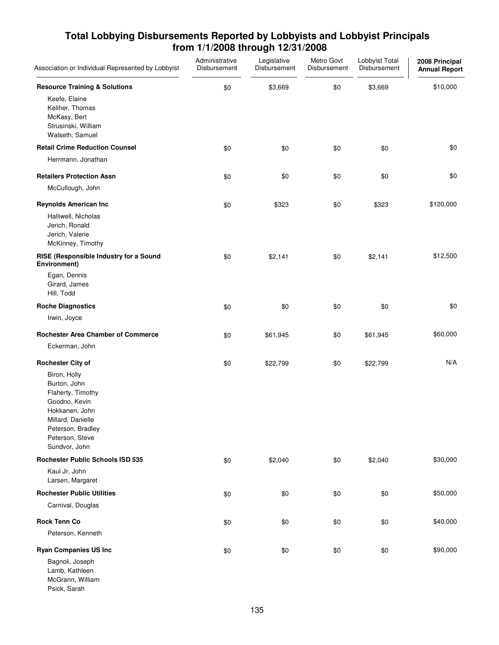| Association or Individual Represented by Lobbyist                                                                                                                  | Administrative<br>Disbursement | Legislative<br>Disbursement | Metro Govt<br>Disbursement | Lobbyist Total<br>Disbursement | 2008 Principal<br><b>Annual Report</b> |
|--------------------------------------------------------------------------------------------------------------------------------------------------------------------|--------------------------------|-----------------------------|----------------------------|--------------------------------|----------------------------------------|
| <b>Resource Training &amp; Solutions</b>                                                                                                                           | \$0                            | \$3,669                     | \$0                        | \$3,669                        | \$10,000                               |
| Keefe, Elaine<br>Keliher, Thomas<br>McKasy, Bert<br>Strusinski, William<br>Walseth, Samuel                                                                         |                                |                             |                            |                                |                                        |
| <b>Retail Crime Reduction Counsel</b>                                                                                                                              | \$0                            | \$0                         | \$0                        | \$0                            | \$0                                    |
| Herrmann, Jonathan                                                                                                                                                 |                                |                             |                            |                                |                                        |
| <b>Retailers Protection Assn</b>                                                                                                                                   | \$0                            | \$0                         | \$0                        | \$0                            | \$0                                    |
| McCullough, John                                                                                                                                                   |                                |                             |                            |                                |                                        |
| <b>Reynolds American Inc</b>                                                                                                                                       | \$0                            | \$323                       | \$0                        | \$323                          | \$120,000                              |
| Halliwell, Nicholas<br>Jerich, Ronald<br>Jerich, Valerie<br>McKinney, Timothy                                                                                      |                                |                             |                            |                                |                                        |
| RISE (Responsible Industry for a Sound<br>Environment)                                                                                                             | \$0                            | \$2,141                     | \$0                        | \$2,141                        | \$12,500                               |
| Egan, Dennis<br>Girard, James<br>Hill, Todd                                                                                                                        |                                |                             |                            |                                |                                        |
| <b>Roche Diagnostics</b>                                                                                                                                           | \$0                            | \$0                         | \$0                        | \$0                            | \$0                                    |
| Irwin, Joyce                                                                                                                                                       |                                |                             |                            |                                |                                        |
| <b>Rochester Area Chamber of Commerce</b>                                                                                                                          | \$0                            | \$61,945                    | \$0                        | \$61,945                       | \$60,000                               |
| Eckerman, John                                                                                                                                                     |                                |                             |                            |                                |                                        |
| <b>Rochester City of</b>                                                                                                                                           | \$0                            | \$22,799                    | \$0                        | \$22,799                       | N/A                                    |
| Biron, Holly<br>Burton, John<br>Flaherty, Timothy<br>Goodno, Kevin<br>Hokkanen, John<br>Millard, Danielle<br>Peterson, Bradley<br>Peterson, Steve<br>Sundvor, John |                                |                             |                            |                                |                                        |
| <b>Rochester Public Schools ISD 535</b>                                                                                                                            | \$0                            | \$2,040                     | \$0                        | \$2,040                        | \$30,000                               |
| Kaul Jr, John<br>Larsen, Margaret                                                                                                                                  |                                |                             |                            |                                |                                        |
| <b>Rochester Public Utilities</b>                                                                                                                                  | \$0                            | \$0                         | \$0                        | \$0                            | \$50,000                               |
| Carnival, Douglas                                                                                                                                                  |                                |                             |                            |                                |                                        |
| <b>Rock Tenn Co</b>                                                                                                                                                | \$0                            | \$0                         | \$0                        | \$0                            | \$40,000                               |
| Peterson, Kenneth                                                                                                                                                  |                                |                             |                            |                                |                                        |
| <b>Ryan Companies US Inc</b><br>Bagnoli, Joseph<br>Lamb, Kathleen<br>McGrann, William<br>Psick, Sarah                                                              | \$0                            | \$0                         | \$0                        | \$0                            | \$90,000                               |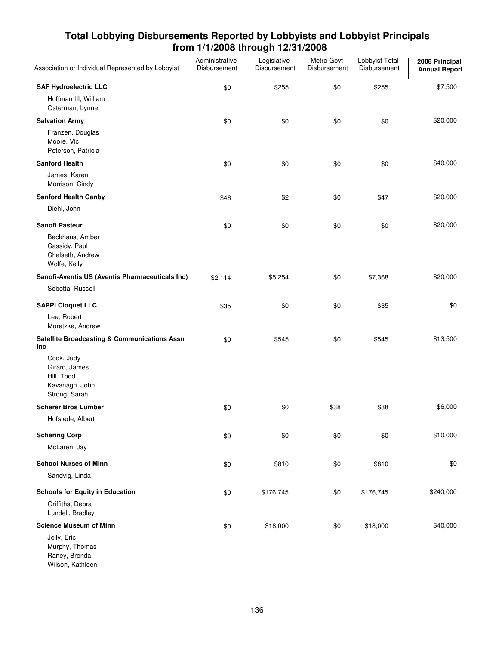| Association or Individual Represented by Lobbyist                            | Administrative<br>Disbursement | Legislative<br>Disbursement | Metro Govt<br>Disbursement | Lobbyist Total<br>Disbursement | 2008 Principal<br><b>Annual Report</b> |
|------------------------------------------------------------------------------|--------------------------------|-----------------------------|----------------------------|--------------------------------|----------------------------------------|
| <b>SAF Hydroelectric LLC</b>                                                 | \$0                            | \$255                       | \$0                        | \$255                          | \$7,500                                |
| Hoffman III, William<br>Osterman, Lynne                                      |                                |                             |                            |                                |                                        |
| <b>Salvation Army</b>                                                        | \$0                            | \$0                         | \$0                        | \$0                            | \$20,000                               |
| Franzen, Douglas<br>Moore, Vic<br>Peterson, Patricia                         |                                |                             |                            |                                |                                        |
| <b>Sanford Health</b>                                                        | \$0                            | \$0                         | \$0                        | \$0                            | \$40,000                               |
| James, Karen<br>Morrison, Cindy                                              |                                |                             |                            |                                |                                        |
| <b>Sanford Health Canby</b>                                                  | \$46                           | \$2                         | \$0                        | \$47                           | \$20,000                               |
| Diehl, John                                                                  |                                |                             |                            |                                |                                        |
| <b>Sanofi Pasteur</b>                                                        | \$0                            | \$0                         | \$0                        | \$0                            | \$20,000                               |
| Backhaus, Amber<br>Cassidy, Paul<br>Chelseth, Andrew<br>Wolfe, Kelly         |                                |                             |                            |                                |                                        |
| Sanofi-Aventis US (Aventis Pharmaceuticals Inc)                              | \$2,114                        | \$5,254                     | \$0                        | \$7,368                        | \$20,000                               |
| Sobotta, Russell                                                             |                                |                             |                            |                                |                                        |
| <b>SAPPI Cloquet LLC</b>                                                     | \$35                           | \$0                         | \$0                        | \$35                           | \$0                                    |
| Lee, Robert<br>Moratzka, Andrew                                              |                                |                             |                            |                                |                                        |
| <b>Satellite Broadcasting &amp; Communications Assn</b><br>Inc               | \$0                            | \$545                       | \$0                        | \$545                          | \$13,500                               |
| Cook, Judy<br>Girard, James<br>Hill, Todd<br>Kavanagh, John<br>Strong, Sarah |                                |                             |                            |                                |                                        |
| <b>Scherer Bros Lumber</b>                                                   | \$0                            | \$0                         | \$38                       | \$38                           | \$6,000                                |
| Hofstede, Albert                                                             |                                |                             |                            |                                |                                        |
| <b>Schering Corp</b>                                                         | \$0                            | \$0                         | \$0                        | \$0                            | \$10,000                               |
| McLaren, Jay                                                                 |                                |                             |                            |                                |                                        |
| <b>School Nurses of Minn</b>                                                 | \$0                            | \$810                       | \$0                        | \$810                          | \$0                                    |
| Sandvig, Linda                                                               |                                |                             |                            |                                |                                        |
| <b>Schools for Equity in Education</b>                                       | \$0                            | \$176,745                   | \$0                        | \$176,745                      | \$240,000                              |
| Griffiths, Debra                                                             |                                |                             |                            |                                |                                        |
| Lundell, Bradley                                                             |                                |                             |                            |                                |                                        |
| <b>Science Museum of Minn</b>                                                | \$0                            | \$18,000                    | \$0                        | \$18,000                       | \$40,000                               |
| Jolly, Eric<br>Murphy, Thomas<br>Raney, Brenda<br>Wilson, Kathleen           |                                |                             |                            |                                |                                        |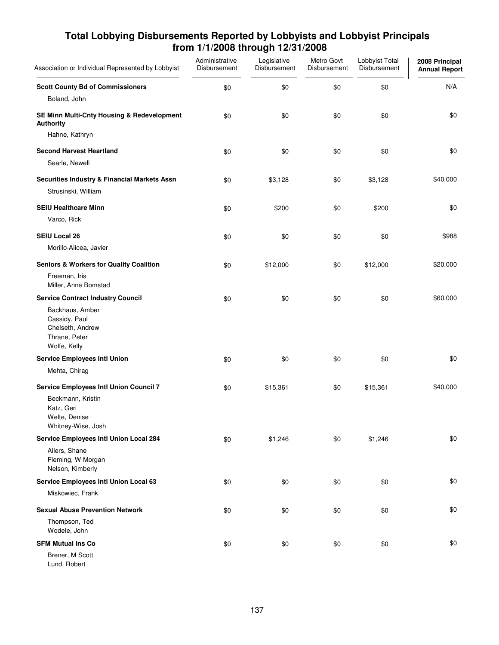| Association or Individual Represented by Lobbyist                                     | Administrative<br>Disbursement | Legislative<br>Disbursement | Metro Govt<br>Disbursement | Lobbyist Total<br>Disbursement | 2008 Principal<br><b>Annual Report</b> |
|---------------------------------------------------------------------------------------|--------------------------------|-----------------------------|----------------------------|--------------------------------|----------------------------------------|
| <b>Scott County Bd of Commissioners</b>                                               | \$0                            | \$0                         | \$0                        | \$0                            | N/A                                    |
| Boland, John                                                                          |                                |                             |                            |                                |                                        |
| SE Minn Multi-Cnty Housing & Redevelopment<br><b>Authority</b>                        | \$0                            | \$0                         | \$0                        | \$0                            | \$0                                    |
| Hahne, Kathryn                                                                        |                                |                             |                            |                                |                                        |
| <b>Second Harvest Heartland</b>                                                       | \$0                            | \$0                         | \$0                        | \$0                            | \$0                                    |
| Searle, Newell                                                                        |                                |                             |                            |                                |                                        |
| Securities Industry & Financial Markets Assn                                          | \$0                            | \$3,128                     | \$0                        | \$3,128                        | \$40,000                               |
| Strusinski, William                                                                   |                                |                             |                            |                                |                                        |
| <b>SEIU Healthcare Minn</b>                                                           | \$0                            | \$200                       | \$0                        | \$200                          | \$0                                    |
| Varco, Rick                                                                           |                                |                             |                            |                                |                                        |
| <b>SEIU Local 26</b>                                                                  | \$0                            | \$0                         | \$0                        | \$0                            | \$988                                  |
| Morillo-Alicea, Javier                                                                |                                |                             |                            |                                |                                        |
| <b>Seniors &amp; Workers for Quality Coalition</b>                                    | \$0                            | \$12,000                    | \$0                        | \$12,000                       | \$20,000                               |
| Freeman, Iris<br>Miller, Anne Bomstad                                                 |                                |                             |                            |                                |                                        |
| <b>Service Contract Industry Council</b>                                              | \$0                            | \$0                         | \$0                        | \$0                            | \$60,000                               |
| Backhaus, Amber<br>Cassidy, Paul<br>Chelseth, Andrew<br>Thrane, Peter<br>Wolfe, Kelly |                                |                             |                            |                                |                                        |
| <b>Service Employees Intl Union</b>                                                   | \$0                            | \$0                         | \$0                        | \$0                            | \$0                                    |
| Mehta, Chirag                                                                         |                                |                             |                            |                                |                                        |
| <b>Service Employees Intl Union Council 7</b>                                         | \$0                            | \$15,361                    | \$0                        | \$15,361                       | \$40,000                               |
| Beckmann, Kristin                                                                     |                                |                             |                            |                                |                                        |
| Katz, Geri<br>Welte, Denise                                                           |                                |                             |                            |                                |                                        |
| Whitney-Wise, Josh                                                                    |                                |                             |                            |                                |                                        |
| Service Employees Intl Union Local 284                                                | \$0                            | \$1,246                     | \$0                        | \$1,246                        | \$0                                    |
| Allers, Shane<br>Fleming, W Morgan<br>Nelson, Kimberly                                |                                |                             |                            |                                |                                        |
| Service Employees Intl Union Local 63                                                 | \$0                            | \$0                         | \$0                        | \$0                            | \$0                                    |
| Miskowiec, Frank                                                                      |                                |                             |                            |                                |                                        |
| <b>Sexual Abuse Prevention Network</b>                                                | \$0                            | \$0                         | \$0                        | \$0                            | \$0                                    |
| Thompson, Ted<br>Wodele, John                                                         |                                |                             |                            |                                |                                        |
| <b>SFM Mutual Ins Co</b>                                                              | \$0                            | \$0                         | \$0                        | \$0                            | \$0                                    |
| Brener, M Scott<br>Lund, Robert                                                       |                                |                             |                            |                                |                                        |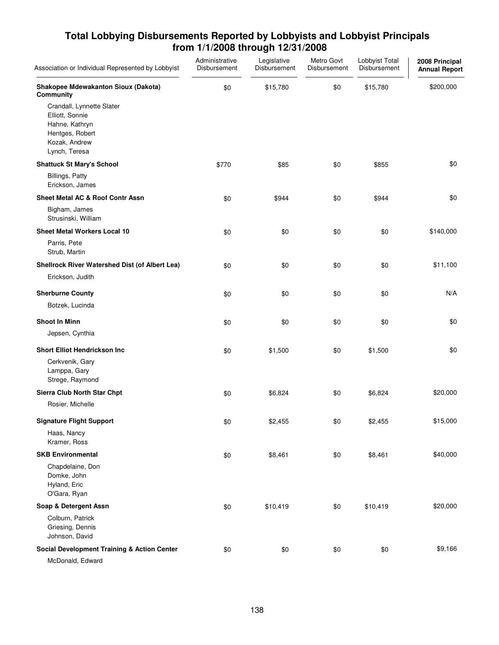| Association or Individual Represented by Lobbyist                                                                   | Administrative<br>Disbursement | Legislative<br>Disbursement | Metro Govt<br>Disbursement | Lobbyist Total<br>Disbursement | 2008 Principal<br><b>Annual Report</b> |
|---------------------------------------------------------------------------------------------------------------------|--------------------------------|-----------------------------|----------------------------|--------------------------------|----------------------------------------|
| Shakopee Mdewakanton Sioux (Dakota)<br>Community                                                                    | \$0                            | \$15,780                    | \$0                        | \$15,780                       | \$200,000                              |
| Crandall, Lynnette Slater<br>Elliott, Sonnie<br>Hahne, Kathryn<br>Hentges, Robert<br>Kozak, Andrew<br>Lynch, Teresa |                                |                             |                            |                                |                                        |
| <b>Shattuck St Mary's School</b>                                                                                    | \$770                          | \$85                        | \$0                        | \$855                          | \$0                                    |
| <b>Billings, Patty</b><br>Erickson, James                                                                           |                                |                             |                            |                                |                                        |
| <b>Sheet Metal AC &amp; Roof Contr Assn</b>                                                                         | \$0                            | \$944                       | \$0                        | \$944                          | \$0                                    |
| Bigham, James<br>Strusinski, William                                                                                |                                |                             |                            |                                |                                        |
| <b>Sheet Metal Workers Local 10</b>                                                                                 | \$0                            | \$0                         | \$0                        | \$0                            | \$140,000                              |
| Parris, Pete<br>Strub, Martin                                                                                       |                                |                             |                            |                                |                                        |
| Shellrock River Watershed Dist (of Albert Lea)                                                                      | \$0                            | \$0                         | \$0                        | \$0                            | \$11,100                               |
| Erickson, Judith                                                                                                    |                                |                             |                            |                                |                                        |
| <b>Sherburne County</b>                                                                                             | \$0                            | \$0                         | \$0                        | \$0                            | N/A                                    |
| Botzek, Lucinda                                                                                                     |                                |                             |                            |                                |                                        |
| <b>Shoot In Minn</b>                                                                                                | \$0                            | \$0                         | \$0                        | \$0                            | \$0                                    |
| Jepsen, Cynthia                                                                                                     |                                |                             |                            |                                |                                        |
| <b>Short Elliot Hendrickson Inc</b>                                                                                 | \$0                            | \$1,500                     | \$0                        | \$1,500                        | \$0                                    |
| Cerkvenik, Gary<br>Lamppa, Gary<br>Strege, Raymond                                                                  |                                |                             |                            |                                |                                        |
| Sierra Club North Star Chpt                                                                                         | \$0                            | \$6,824                     | \$0                        | \$6,824                        | \$20,000                               |
| Rosier, Michelle                                                                                                    |                                |                             |                            |                                |                                        |
| <b>Signature Flight Support</b>                                                                                     | \$0                            | \$2,455                     | \$0                        | \$2,455                        | \$15,000                               |
| Haas, Nancy<br>Kramer, Ross                                                                                         |                                |                             |                            |                                |                                        |
| <b>SKB Environmental</b>                                                                                            | \$0                            | \$8,461                     | \$0                        | \$8,461                        | \$40,000                               |
| Chapdelaine, Don<br>Domke, John<br>Hyland, Eric<br>O'Gara, Ryan                                                     |                                |                             |                            |                                |                                        |
| Soap & Detergent Assn                                                                                               | \$0                            | \$10,419                    | \$0                        | \$10,419                       | \$20,000                               |
| Colburn, Patrick<br>Griesing, Dennis<br>Johnson, David                                                              |                                |                             |                            |                                |                                        |
| <b>Social Development Training &amp; Action Center</b>                                                              | \$0                            | \$0                         | \$0                        | \$0                            | \$9,166                                |
| McDonald, Edward                                                                                                    |                                |                             |                            |                                |                                        |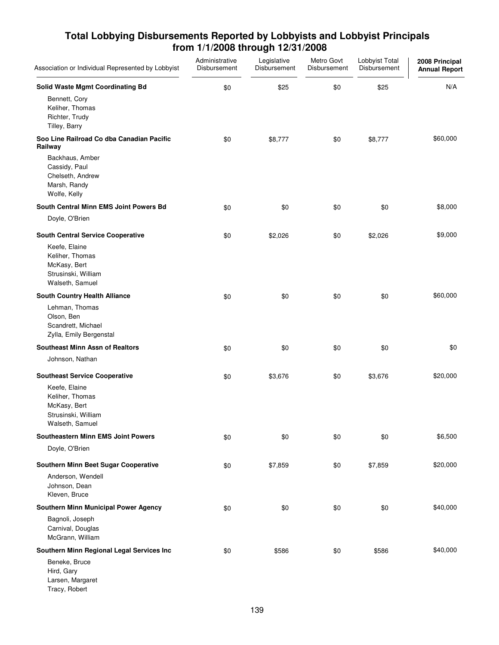| Association or Individual Represented by Lobbyist                                          | Administrative<br>Disbursement | Legislative<br>Disbursement | Metro Govt<br>Disbursement | Lobbyist Total<br>Disbursement | 2008 Principal<br><b>Annual Report</b> |
|--------------------------------------------------------------------------------------------|--------------------------------|-----------------------------|----------------------------|--------------------------------|----------------------------------------|
| <b>Solid Waste Mgmt Coordinating Bd</b>                                                    | \$0                            | \$25                        | \$0                        | \$25                           | N/A                                    |
| Bennett, Cory<br>Keliher, Thomas<br>Richter, Trudy<br>Tilley, Barry                        |                                |                             |                            |                                |                                        |
| Soo Line Railroad Co dba Canadian Pacific<br>Railway                                       | \$0                            | \$8,777                     | \$0                        | \$8,777                        | \$60,000                               |
| Backhaus, Amber<br>Cassidy, Paul<br>Chelseth, Andrew<br>Marsh, Randy<br>Wolfe, Kelly       |                                |                             |                            |                                |                                        |
| South Central Minn EMS Joint Powers Bd                                                     | \$0                            | \$0                         | \$0                        | \$0                            | \$8,000                                |
| Doyle, O'Brien                                                                             |                                |                             |                            |                                |                                        |
| <b>South Central Service Cooperative</b>                                                   | \$0                            | \$2,026                     | \$0                        | \$2,026                        | \$9,000                                |
| Keefe, Elaine<br>Keliher, Thomas<br>McKasy, Bert<br>Strusinski, William<br>Walseth, Samuel |                                |                             |                            |                                |                                        |
| South Country Health Alliance                                                              | \$0                            | \$0                         | \$0                        | \$0                            | \$60,000                               |
| Lehman, Thomas<br>Olson, Ben<br>Scandrett, Michael<br>Zylla, Emily Bergenstal              |                                |                             |                            |                                |                                        |
| <b>Southeast Minn Assn of Realtors</b>                                                     | \$0                            | \$0                         | \$0                        | \$0                            | \$0                                    |
| Johnson, Nathan                                                                            |                                |                             |                            |                                |                                        |
| <b>Southeast Service Cooperative</b>                                                       | \$0                            | \$3,676                     | \$0                        | \$3,676                        | \$20,000                               |
| Keefe, Elaine<br>Keliher, Thomas<br>McKasy, Bert<br>Strusinski, William<br>Walseth, Samuel |                                |                             |                            |                                |                                        |
| <b>Southeastern Minn EMS Joint Powers</b>                                                  | \$0                            | \$0                         | \$0                        | \$0                            | \$6,500                                |
| Doyle, O'Brien                                                                             |                                |                             |                            |                                |                                        |
| Southern Minn Beet Sugar Cooperative                                                       | \$0                            | \$7,859                     | \$0                        | \$7,859                        | \$20,000                               |
| Anderson, Wendell<br>Johnson, Dean<br>Kleven, Bruce                                        |                                |                             |                            |                                |                                        |
| Southern Minn Municipal Power Agency                                                       | \$0                            | \$0                         | \$0                        | \$0                            | \$40,000                               |
| Bagnoli, Joseph<br>Carnival, Douglas<br>McGrann, William                                   |                                |                             |                            |                                |                                        |
| Southern Minn Regional Legal Services Inc                                                  | \$0                            | \$586                       | \$0                        | \$586                          | \$40,000                               |
| Beneke, Bruce<br>Hird, Gary<br>Larsen, Margaret<br>Tracy, Robert                           |                                |                             |                            |                                |                                        |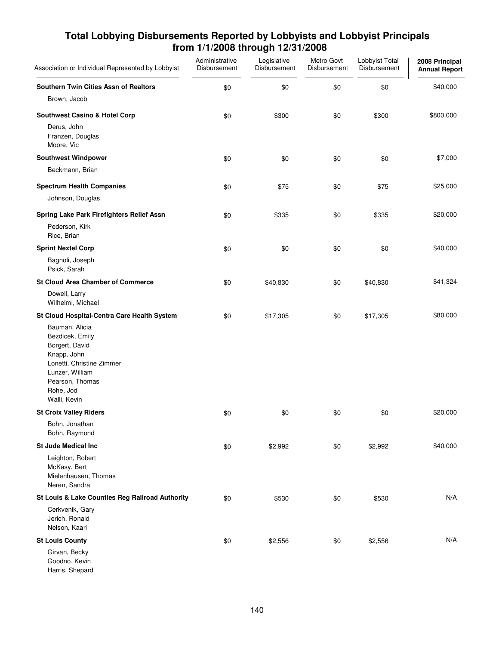| Association or Individual Represented by Lobbyist                                                                                                                   | Administrative<br>Disbursement | Legislative<br>Disbursement | Metro Govt<br>Disbursement | Lobbyist Total<br>Disbursement | 2008 Principal<br><b>Annual Report</b> |
|---------------------------------------------------------------------------------------------------------------------------------------------------------------------|--------------------------------|-----------------------------|----------------------------|--------------------------------|----------------------------------------|
| Southern Twin Cities Assn of Realtors                                                                                                                               | \$0                            | \$0                         | \$0                        | \$0                            | \$40,000                               |
| Brown, Jacob                                                                                                                                                        |                                |                             |                            |                                |                                        |
| <b>Southwest Casino &amp; Hotel Corp</b>                                                                                                                            | \$0                            | \$300                       | \$0                        | \$300                          | \$800,000                              |
| Derus, John<br>Franzen, Douglas<br>Moore, Vic                                                                                                                       |                                |                             |                            |                                |                                        |
| <b>Southwest Windpower</b>                                                                                                                                          | \$0                            | \$0                         | \$0                        | \$0                            | \$7,000                                |
| Beckmann, Brian                                                                                                                                                     |                                |                             |                            |                                |                                        |
| <b>Spectrum Health Companies</b>                                                                                                                                    | \$0                            | \$75                        | \$0                        | \$75                           | \$25,000                               |
| Johnson, Douglas                                                                                                                                                    |                                |                             |                            |                                |                                        |
| Spring Lake Park Firefighters Relief Assn<br>Pederson, Kirk<br>Rice, Brian                                                                                          | \$0                            | \$335                       | \$0                        | \$335                          | \$20,000                               |
| <b>Sprint Nextel Corp</b>                                                                                                                                           | \$0                            | \$0                         | \$0                        | \$0                            | \$40,000                               |
| Bagnoli, Joseph<br>Psick, Sarah                                                                                                                                     |                                |                             |                            |                                |                                        |
| <b>St Cloud Area Chamber of Commerce</b>                                                                                                                            | \$0                            | \$40,830                    | \$0                        | \$40,830                       | \$41,324                               |
| Dowell, Larry<br>Wilhelmi, Michael                                                                                                                                  |                                |                             |                            |                                |                                        |
| St Cloud Hospital-Centra Care Health System                                                                                                                         | \$0                            | \$17,305                    | \$0                        | \$17,305                       | \$80,000                               |
| Bauman, Alicia<br>Bezdicek, Emily<br>Borgert, David<br>Knapp, John<br>Lonetti, Christine Zimmer<br>Lunzer, William<br>Pearson, Thomas<br>Rohe, Jodi<br>Walli, Kevin |                                |                             |                            |                                |                                        |
| <b>St Croix Valley Riders</b>                                                                                                                                       | \$0                            | \$0                         | \$0                        | \$0                            | \$20,000                               |
| Bohn, Jonathan<br>Bohn, Raymond                                                                                                                                     |                                |                             |                            |                                |                                        |
| <b>St Jude Medical Inc</b>                                                                                                                                          | \$0                            | \$2,992                     | \$0                        | \$2,992                        | \$40,000                               |
| Leighton, Robert<br>McKasy, Bert<br>Mielenhausen, Thomas<br>Neren, Sandra                                                                                           |                                |                             |                            |                                |                                        |
| St Louis & Lake Counties Reg Railroad Authority                                                                                                                     | \$0                            | \$530                       | \$0                        | \$530                          | N/A                                    |
| Cerkvenik, Gary<br>Jerich, Ronald<br>Nelson, Kaari                                                                                                                  |                                |                             |                            |                                |                                        |
| <b>St Louis County</b>                                                                                                                                              | \$0                            | \$2,556                     | \$0                        | \$2,556                        | N/A                                    |
| Girvan, Becky<br>Goodno, Kevin<br>Harris, Shepard                                                                                                                   |                                |                             |                            |                                |                                        |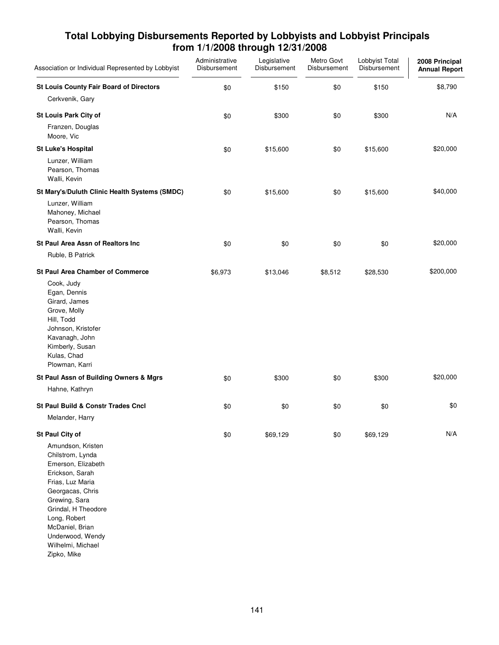| Association or Individual Represented by Lobbyist                                                                                                                                                                                                                            | Administrative<br>Disbursement | Legislative<br>Disbursement | Metro Govt<br>Disbursement | Lobbyist Total<br>Disbursement | 2008 Principal<br><b>Annual Report</b> |
|------------------------------------------------------------------------------------------------------------------------------------------------------------------------------------------------------------------------------------------------------------------------------|--------------------------------|-----------------------------|----------------------------|--------------------------------|----------------------------------------|
| <b>St Louis County Fair Board of Directors</b><br>Cerkvenik, Gary                                                                                                                                                                                                            | \$0                            | \$150                       | \$0                        | \$150                          | \$8,790                                |
| <b>St Louis Park City of</b><br>Franzen, Douglas<br>Moore, Vic                                                                                                                                                                                                               | \$0                            | \$300                       | \$0                        | \$300                          | N/A                                    |
| <b>St Luke's Hospital</b><br>Lunzer, William<br>Pearson, Thomas<br>Walli, Kevin                                                                                                                                                                                              | \$0                            | \$15,600                    | \$0                        | \$15,600                       | \$20,000                               |
| St Mary's/Duluth Clinic Health Systems (SMDC)<br>Lunzer, William<br>Mahoney, Michael<br>Pearson, Thomas<br>Walli, Kevin                                                                                                                                                      | \$0                            | \$15,600                    | \$0                        | \$15,600                       | \$40,000                               |
| St Paul Area Assn of Realtors Inc                                                                                                                                                                                                                                            | \$0                            | \$0                         | \$0                        | \$0                            | \$20,000                               |
| Ruble, B Patrick<br><b>St Paul Area Chamber of Commerce</b>                                                                                                                                                                                                                  |                                |                             |                            |                                |                                        |
| Cook, Judy<br>Egan, Dennis<br>Girard, James<br>Grove, Molly<br>Hill, Todd<br>Johnson, Kristofer<br>Kavanagh, John<br>Kimberly, Susan<br>Kulas, Chad<br>Plowman, Karri                                                                                                        | \$6,973                        | \$13,046                    | \$8,512                    | \$28,530                       | \$200,000                              |
| St Paul Assn of Building Owners & Mgrs<br>Hahne, Kathryn                                                                                                                                                                                                                     | \$0                            | \$300                       | \$0                        | \$300                          | \$20,000                               |
| <b>St Paul Build &amp; Constr Trades Cncl</b><br>Melander, Harry                                                                                                                                                                                                             | \$0                            | \$0                         | \$0                        | \$0                            | \$0                                    |
| St Paul City of<br>Amundson, Kristen<br>Chilstrom, Lynda<br>Emerson, Elizabeth<br>Erickson, Sarah<br>Frias, Luz Maria<br>Georgacas, Chris<br>Grewing, Sara<br>Grindal, H Theodore<br>Long, Robert<br>McDaniel, Brian<br>Underwood, Wendy<br>Wilhelmi, Michael<br>Zipko, Mike | \$0                            | \$69,129                    | \$0                        | \$69,129                       | N/A                                    |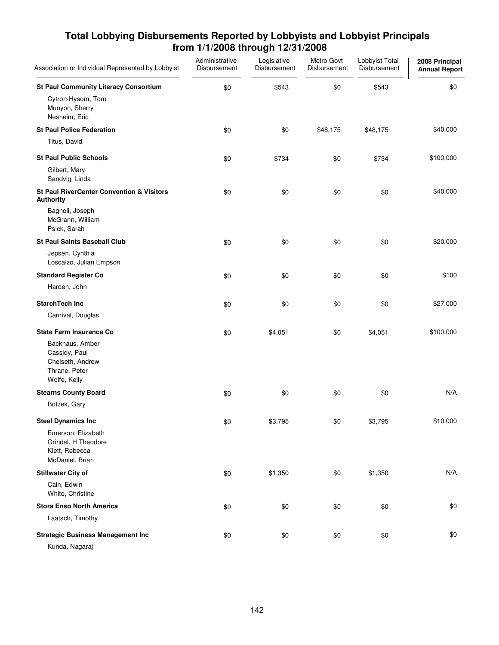| Association or Individual Represented by Lobbyist                                     | Administrative<br>Disbursement | Legislative<br>Disbursement | Metro Govt<br>Disbursement | Lobbyist Total<br>Disbursement | 2008 Principal<br><b>Annual Report</b> |
|---------------------------------------------------------------------------------------|--------------------------------|-----------------------------|----------------------------|--------------------------------|----------------------------------------|
| <b>St Paul Community Literacy Consortium</b>                                          | \$0                            | \$543                       | \$0                        | \$543                          | \$0                                    |
| Cytron-Hysom, Tom<br>Munyon, Sherry<br>Nesheim, Eric                                  |                                |                             |                            |                                |                                        |
| <b>St Paul Police Federation</b>                                                      | \$0                            | \$0                         | \$48,175                   | \$48,175                       | \$40,000                               |
| Titus, David                                                                          |                                |                             |                            |                                |                                        |
| <b>St Paul Public Schools</b>                                                         | \$0                            | \$734                       | \$0                        | \$734                          | \$100,000                              |
| Gilbert, Mary<br>Sandvig, Linda                                                       |                                |                             |                            |                                |                                        |
| <b>St Paul RiverCenter Convention &amp; Visitors</b><br><b>Authority</b>              | \$0                            | \$0                         | \$0                        | \$0                            | \$40,000                               |
| Bagnoli, Joseph<br>McGrann, William<br>Psick, Sarah                                   |                                |                             |                            |                                |                                        |
| <b>St Paul Saints Baseball Club</b>                                                   | \$0                            | \$0                         | \$0                        | \$0                            | \$20,000                               |
| Jepsen, Cynthia<br>Loscalzo, Julian Empson                                            |                                |                             |                            |                                |                                        |
| <b>Standard Register Co</b>                                                           | \$0                            | \$0                         | \$0                        | \$0                            | \$100                                  |
| Harden, John                                                                          |                                |                             |                            |                                |                                        |
| <b>StarchTech Inc</b>                                                                 | \$0                            | \$0                         | \$0                        | \$0                            | \$27,000                               |
| Carnival, Douglas                                                                     |                                |                             |                            |                                |                                        |
| <b>State Farm Insurance Co</b>                                                        | \$0                            | \$4,051                     | \$0                        | \$4,051                        | \$100,000                              |
| Backhaus, Amber<br>Cassidy, Paul<br>Chelseth, Andrew<br>Thrane, Peter<br>Wolfe, Kelly |                                |                             |                            |                                |                                        |
| <b>Stearns County Board</b>                                                           | \$0                            | \$0                         | \$0                        | \$0                            | N/A                                    |
| Botzek, Gary                                                                          |                                |                             |                            |                                |                                        |
| <b>Steel Dynamics Inc</b>                                                             | \$0                            | \$3,795                     | \$0                        | \$3,795                        | \$10,000                               |
| Emerson, Elizabeth<br>Grindal, H Theodore<br>Klett, Rebecca<br>McDaniel, Brian        |                                |                             |                            |                                |                                        |
| <b>Stillwater City of</b>                                                             | \$0                            | \$1,350                     | \$0                        | \$1,350                        | N/A                                    |
| Cain, Edwin<br>White, Christine                                                       |                                |                             |                            |                                |                                        |
| <b>Stora Enso North America</b>                                                       | \$0                            | \$0                         | \$0                        | \$0                            | \$0                                    |
| Laatsch, Timothy                                                                      |                                |                             |                            |                                |                                        |
| <b>Strategic Business Management Inc</b>                                              | \$0                            | \$0                         | \$0                        | \$0                            | \$0                                    |
| Kunda, Nagaraj                                                                        |                                |                             |                            |                                |                                        |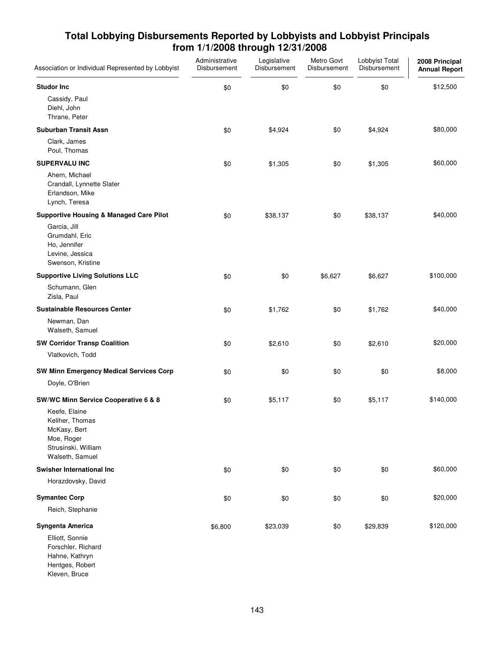| Association or Individual Represented by Lobbyist                                                        | Administrative<br>Disbursement | Legislative<br>Disbursement | Metro Govt<br>Disbursement | Lobbyist Total<br>Disbursement | 2008 Principal<br><b>Annual Report</b> |
|----------------------------------------------------------------------------------------------------------|--------------------------------|-----------------------------|----------------------------|--------------------------------|----------------------------------------|
| <b>Studor Inc</b>                                                                                        | \$0                            | \$0                         | \$0                        | \$0                            | \$12,500                               |
| Cassidy, Paul<br>Diehl, John<br>Thrane, Peter                                                            |                                |                             |                            |                                |                                        |
| <b>Suburban Transit Assn</b>                                                                             | \$0                            | \$4,924                     | \$0                        | \$4,924                        | \$80,000                               |
| Clark, James<br>Poul, Thomas                                                                             |                                |                             |                            |                                |                                        |
| <b>SUPERVALU INC</b>                                                                                     | \$0                            | \$1,305                     | \$0                        | \$1,305                        | \$60,000                               |
| Ahern, Michael<br>Crandall, Lynnette Slater<br>Erlandson, Mike<br>Lynch, Teresa                          |                                |                             |                            |                                |                                        |
| <b>Supportive Housing &amp; Managed Care Pilot</b>                                                       | \$0                            | \$38,137                    | \$0                        | \$38,137                       | \$40,000                               |
| Garcia, Jill<br>Grumdahl, Eric<br>Ho, Jennifer<br>Levine, Jessica<br>Swenson, Kristine                   |                                |                             |                            |                                |                                        |
| <b>Supportive Living Solutions LLC</b>                                                                   | \$0                            | \$0                         | \$6,627                    | \$6,627                        | \$100,000                              |
| Schumann, Glen<br>Zisla, Paul                                                                            |                                |                             |                            |                                |                                        |
| <b>Sustainable Resources Center</b>                                                                      | \$0                            | \$1,762                     | \$0                        | \$1,762                        | \$40,000                               |
| Newman, Dan<br>Walseth, Samuel                                                                           |                                |                             |                            |                                |                                        |
| <b>SW Corridor Transp Coalition</b>                                                                      | \$0                            | \$2,610                     | \$0                        | \$2,610                        | \$20,000                               |
| Vlatkovich, Todd                                                                                         |                                |                             |                            |                                |                                        |
| <b>SW Minn Emergency Medical Services Corp</b>                                                           | \$0                            | \$0                         | \$0                        | \$0                            | \$8,000                                |
| Doyle, O'Brien                                                                                           |                                |                             |                            |                                |                                        |
| SW/WC Minn Service Cooperative 6 & 8                                                                     | \$0                            | \$5,117                     | \$0                        | \$5,117                        | \$140,000                              |
| Keefe, Elaine<br>Keliher, Thomas<br>McKasy, Bert<br>Moe, Roger<br>Strusinski, William<br>Walseth, Samuel |                                |                             |                            |                                |                                        |
| <b>Swisher International Inc.</b>                                                                        | \$0                            | \$0                         | \$0                        | \$0                            | \$60,000                               |
| Horazdovsky, David                                                                                       |                                |                             |                            |                                |                                        |
| <b>Symantec Corp</b>                                                                                     | \$0                            | \$0                         | \$0                        | \$0                            | \$20,000                               |
| Reich, Stephanie                                                                                         |                                |                             |                            |                                |                                        |
| Syngenta America                                                                                         | \$6,800                        | \$23,039                    | \$0                        | \$29,839                       | \$120,000                              |
| Elliott, Sonnie<br>Forschler, Richard<br>Hahne, Kathryn<br>Hentges, Robert<br>Kleven, Bruce              |                                |                             |                            |                                |                                        |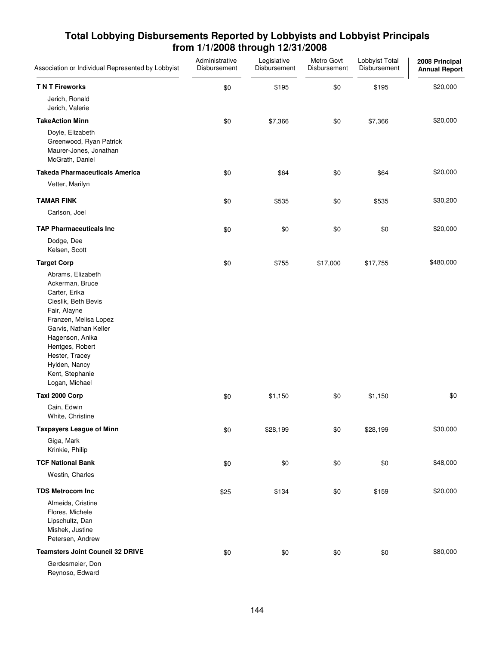| Association or Individual Represented by Lobbyist                                                                                                                                                                                                            | Administrative<br>Disbursement | Legislative<br>Disbursement | Metro Govt<br>Disbursement | Lobbyist Total<br>Disbursement | 2008 Principal<br><b>Annual Report</b> |
|--------------------------------------------------------------------------------------------------------------------------------------------------------------------------------------------------------------------------------------------------------------|--------------------------------|-----------------------------|----------------------------|--------------------------------|----------------------------------------|
| <b>TNT Fireworks</b>                                                                                                                                                                                                                                         | \$0                            | \$195                       | \$0                        | \$195                          | \$20,000                               |
| Jerich, Ronald<br>Jerich, Valerie                                                                                                                                                                                                                            |                                |                             |                            |                                |                                        |
| <b>TakeAction Minn</b>                                                                                                                                                                                                                                       | \$0                            | \$7,366                     | \$0                        | \$7,366                        | \$20,000                               |
| Doyle, Elizabeth<br>Greenwood, Ryan Patrick<br>Maurer-Jones, Jonathan<br>McGrath, Daniel                                                                                                                                                                     |                                |                             |                            |                                |                                        |
| <b>Takeda Pharmaceuticals America</b>                                                                                                                                                                                                                        | \$0                            | \$64                        | \$0                        | \$64                           | \$20,000                               |
| Vetter, Marilyn                                                                                                                                                                                                                                              |                                |                             |                            |                                |                                        |
| <b>TAMAR FINK</b>                                                                                                                                                                                                                                            | \$0                            | \$535                       | \$0                        | \$535                          | \$30,200                               |
| Carlson, Joel                                                                                                                                                                                                                                                |                                |                             |                            |                                |                                        |
| <b>TAP Pharmaceuticals Inc.</b>                                                                                                                                                                                                                              | \$0                            | \$0                         | \$0                        | \$0                            | \$20,000                               |
| Dodge, Dee<br>Kelsen, Scott                                                                                                                                                                                                                                  |                                |                             |                            |                                |                                        |
| <b>Target Corp</b>                                                                                                                                                                                                                                           | \$0                            | \$755                       | \$17,000                   | \$17,755                       | \$480,000                              |
| Abrams, Elizabeth<br>Ackerman, Bruce<br>Carter, Erika<br>Cieslik, Beth Bevis<br>Fair, Alayne<br>Franzen, Melisa Lopez<br>Garvis, Nathan Keller<br>Hagenson, Anika<br>Hentges, Robert<br>Hester, Tracey<br>Hylden, Nancy<br>Kent, Stephanie<br>Logan, Michael |                                |                             |                            |                                |                                        |
| Taxi 2000 Corp                                                                                                                                                                                                                                               | \$0                            | \$1,150                     | \$0                        | \$1,150                        | \$0                                    |
| Cain, Edwin<br>White, Christine                                                                                                                                                                                                                              |                                |                             |                            |                                |                                        |
| <b>Taxpayers League of Minn</b>                                                                                                                                                                                                                              | \$0                            | \$28,199                    | \$0                        | \$28,199                       | \$30,000                               |
| Giga, Mark<br>Krinkie, Philip                                                                                                                                                                                                                                |                                |                             |                            |                                |                                        |
| <b>TCF National Bank</b>                                                                                                                                                                                                                                     | \$0                            | \$0                         | \$0                        | \$0                            | \$48,000                               |
| Westin, Charles                                                                                                                                                                                                                                              |                                |                             |                            |                                |                                        |
| <b>TDS Metrocom Inc</b>                                                                                                                                                                                                                                      | \$25                           | \$134                       | \$0                        | \$159                          | \$20,000                               |
| Almeida, Cristine<br>Flores, Michele<br>Lipschultz, Dan<br>Mishek, Justine<br>Petersen, Andrew                                                                                                                                                               |                                |                             |                            |                                |                                        |
| <b>Teamsters Joint Council 32 DRIVE</b>                                                                                                                                                                                                                      | \$0                            | \$0                         | \$0                        | \$0                            | \$80,000                               |
| Gerdesmeier, Don<br>Dougone Edward                                                                                                                                                                                                                           |                                |                             |                            |                                |                                        |

Reynoso, Edward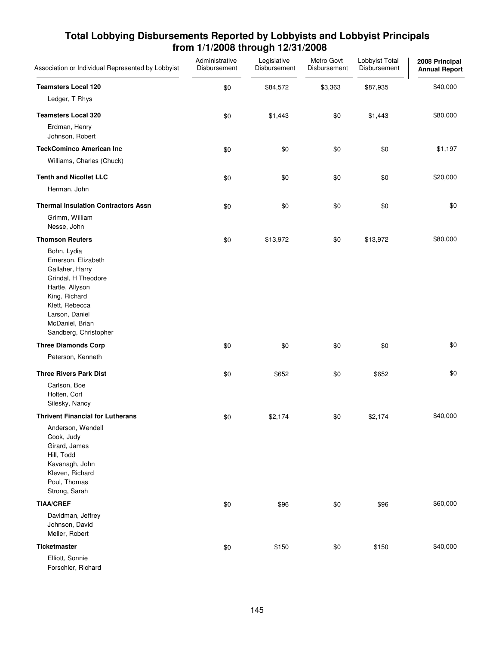| Association or Individual Represented by Lobbyist                                                                                                                                               | Administrative<br>Disbursement | Legislative<br>Disbursement | Metro Govt<br>Disbursement | Lobbyist Total<br>Disbursement | 2008 Principal<br><b>Annual Report</b> |
|-------------------------------------------------------------------------------------------------------------------------------------------------------------------------------------------------|--------------------------------|-----------------------------|----------------------------|--------------------------------|----------------------------------------|
| <b>Teamsters Local 120</b>                                                                                                                                                                      | \$0                            | \$84,572                    | \$3,363                    | \$87,935                       | \$40,000                               |
| Ledger, T Rhys                                                                                                                                                                                  |                                |                             |                            |                                |                                        |
| <b>Teamsters Local 320</b>                                                                                                                                                                      | \$0                            | \$1,443                     | \$0                        | \$1,443                        | \$80,000                               |
| Erdman, Henry<br>Johnson, Robert                                                                                                                                                                |                                |                             |                            |                                |                                        |
| <b>TeckCominco American Inc</b>                                                                                                                                                                 | \$0                            | \$0                         | \$0                        | \$0                            | \$1,197                                |
| Williams, Charles (Chuck)                                                                                                                                                                       |                                |                             |                            |                                |                                        |
| <b>Tenth and Nicollet LLC</b>                                                                                                                                                                   | \$0                            | \$0                         | \$0                        | \$0                            | \$20,000                               |
| Herman, John                                                                                                                                                                                    |                                |                             |                            |                                |                                        |
| <b>Thermal Insulation Contractors Assn</b>                                                                                                                                                      | \$0                            | \$0                         | \$0                        | \$0                            | \$0                                    |
| Grimm, William<br>Nesse, John                                                                                                                                                                   |                                |                             |                            |                                |                                        |
| <b>Thomson Reuters</b>                                                                                                                                                                          | \$0                            | \$13,972                    | \$0                        | \$13,972                       | \$80,000                               |
| Bohn, Lydia<br>Emerson, Elizabeth<br>Gallaher, Harry<br>Grindal, H Theodore<br>Hartle, Allyson<br>King, Richard<br>Klett, Rebecca<br>Larson, Daniel<br>McDaniel, Brian<br>Sandberg, Christopher |                                |                             |                            |                                |                                        |
| <b>Three Diamonds Corp</b>                                                                                                                                                                      | \$0                            | \$0                         | \$0                        | \$0                            | \$0                                    |
| Peterson, Kenneth                                                                                                                                                                               |                                |                             |                            |                                |                                        |
| <b>Three Rivers Park Dist</b>                                                                                                                                                                   | \$0                            | \$652                       | \$0                        | \$652                          | \$0                                    |
| Carlson, Boe<br>Holten, Cort<br>Silesky, Nancy                                                                                                                                                  |                                |                             |                            |                                |                                        |
| <b>Thrivent Financial for Lutherans</b>                                                                                                                                                         | \$0                            | \$2,174                     | \$0                        | \$2,174                        | \$40,000                               |
| Anderson, Wendell<br>Cook, Judy<br>Girard, James<br>Hill, Todd<br>Kavanagh, John<br>Kleven, Richard<br>Poul, Thomas<br>Strong, Sarah                                                            |                                |                             |                            |                                |                                        |
| <b>TIAA/CREF</b>                                                                                                                                                                                | \$0                            | \$96                        | \$0                        | \$96                           | \$60,000                               |
| Davidman, Jeffrey<br>Johnson, David<br>Meller, Robert                                                                                                                                           |                                |                             |                            |                                |                                        |
| <b>Ticketmaster</b>                                                                                                                                                                             | \$0                            | \$150                       | \$0                        | \$150                          | \$40,000                               |
| Elliott, Sonnie<br>Forschler, Richard                                                                                                                                                           |                                |                             |                            |                                |                                        |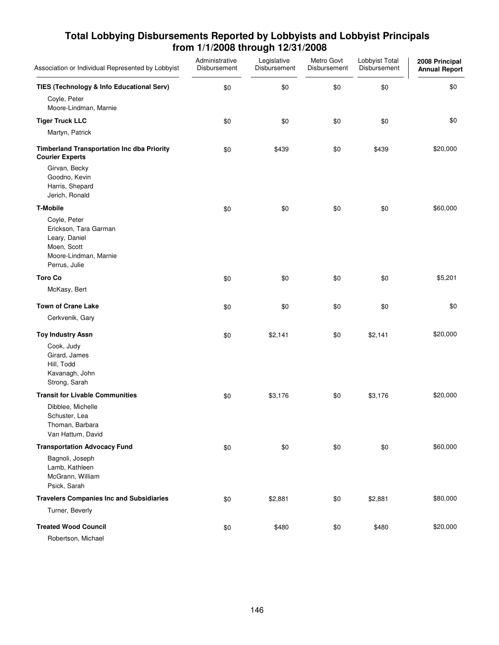| Association or Individual Represented by Lobbyist                                                               | Administrative<br>Disbursement | Legislative<br>Disbursement | Metro Govt<br>Disbursement | Lobbyist Total<br>Disbursement | 2008 Principal<br><b>Annual Report</b> |
|-----------------------------------------------------------------------------------------------------------------|--------------------------------|-----------------------------|----------------------------|--------------------------------|----------------------------------------|
| TIES (Technology & Info Educational Serv)<br>Coyle, Peter<br>Moore-Lindman, Marnie                              | \$0                            | \$0                         | \$0                        | \$0                            | \$0                                    |
| <b>Tiger Truck LLC</b><br>Martyn, Patrick                                                                       | \$0                            | \$0                         | \$0                        | \$0                            | \$0                                    |
| <b>Timberland Transportation Inc dba Priority</b><br><b>Courier Experts</b>                                     | \$0                            | \$439                       | \$0                        | \$439                          | \$20,000                               |
| Girvan, Becky<br>Goodno, Kevin<br>Harris, Shepard<br>Jerich, Ronald                                             |                                |                             |                            |                                |                                        |
| <b>T-Mobile</b>                                                                                                 | \$0                            | \$0                         | \$0                        | \$0                            | \$60,000                               |
| Coyle, Peter<br>Erickson, Tara Garman<br>Leary, Daniel<br>Moen, Scott<br>Moore-Lindman, Marnie<br>Perrus, Julie |                                |                             |                            |                                |                                        |
| <b>Toro Co</b>                                                                                                  | \$0                            | \$0                         | \$0                        | \$0                            | \$5,201                                |
| McKasy, Bert                                                                                                    |                                |                             |                            |                                |                                        |
| <b>Town of Crane Lake</b>                                                                                       | \$0                            | \$0                         | \$0                        | \$0                            | \$0                                    |
| Cerkvenik, Gary                                                                                                 |                                |                             |                            |                                |                                        |
| <b>Toy Industry Assn</b>                                                                                        | \$0                            | \$2,141                     | \$0                        | \$2,141                        | \$20,000                               |
| Cook, Judy<br>Girard, James<br>Hill, Todd<br>Kavanagh, John<br>Strong, Sarah                                    |                                |                             |                            |                                |                                        |
| <b>Transit for Livable Communities</b>                                                                          | \$0                            | \$3,176                     | \$0                        | \$3,176                        | \$20,000                               |
| Dibblee, Michelle<br>Schuster, Lea<br>Thoman, Barbara<br>Van Hattum, David                                      |                                |                             |                            |                                |                                        |
| <b>Transportation Advocacy Fund</b>                                                                             | \$0                            | \$0                         | \$0                        | \$0                            | \$60,000                               |
| Bagnoli, Joseph<br>Lamb, Kathleen<br>McGrann, William<br>Psick, Sarah                                           |                                |                             |                            |                                |                                        |
| <b>Travelers Companies Inc and Subsidiaries</b>                                                                 | \$0                            | \$2,881                     | \$0                        | \$2,881                        | \$80,000                               |
| Turner, Beverly                                                                                                 |                                |                             |                            |                                |                                        |
| <b>Treated Wood Council</b><br>Robertson, Michael                                                               | \$0                            | \$480                       | \$0                        | \$480                          | \$20,000                               |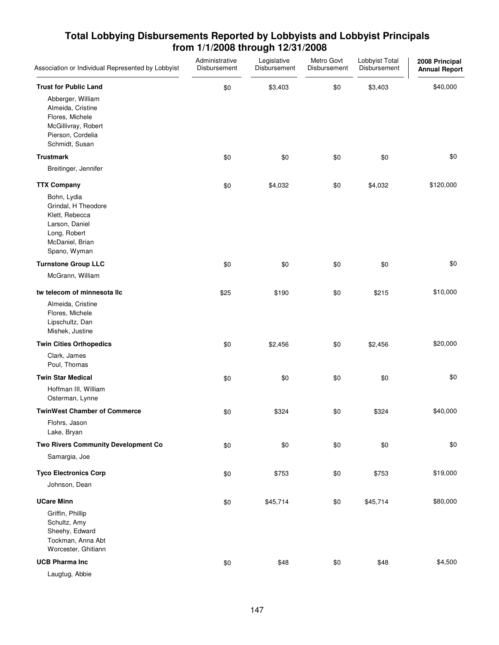| Association or Individual Represented by Lobbyist                                                                         | Administrative<br>Disbursement | Legislative<br>Disbursement | Metro Govt<br>Disbursement | Lobbyist Total<br>Disbursement | 2008 Principal<br><b>Annual Report</b> |
|---------------------------------------------------------------------------------------------------------------------------|--------------------------------|-----------------------------|----------------------------|--------------------------------|----------------------------------------|
| <b>Trust for Public Land</b><br>Abberger, William<br>Almeida, Cristine<br>Flores, Michele                                 | \$0                            | \$3,403                     | \$0                        | \$3,403                        | \$40,000                               |
| McGillivray, Robert<br>Pierson, Cordelia<br>Schmidt, Susan                                                                |                                |                             |                            |                                |                                        |
| <b>Trustmark</b>                                                                                                          | \$0                            | \$0                         | \$0                        | \$0                            | \$0                                    |
| Breitinger, Jennifer                                                                                                      |                                |                             |                            |                                |                                        |
| <b>TTX Company</b>                                                                                                        | \$0                            | \$4,032                     | \$0                        | \$4,032                        | \$120,000                              |
| Bohn, Lydia<br>Grindal, H Theodore<br>Klett, Rebecca<br>Larson, Daniel<br>Long, Robert<br>McDaniel, Brian<br>Spano, Wyman |                                |                             |                            |                                |                                        |
| <b>Turnstone Group LLC</b>                                                                                                | \$0                            | \$0                         | \$0                        | \$0                            | \$0                                    |
| McGrann, William                                                                                                          |                                |                             |                            |                                |                                        |
| tw telecom of minnesota IIc                                                                                               | \$25                           | \$190                       | \$0                        | \$215                          | \$10,000                               |
| Almeida, Cristine<br>Flores, Michele<br>Lipschultz, Dan<br>Mishek, Justine                                                |                                |                             |                            |                                |                                        |
| <b>Twin Cities Orthopedics</b>                                                                                            | \$0                            | \$2,456                     | \$0                        | \$2,456                        | \$20,000                               |
| Clark, James<br>Poul, Thomas                                                                                              |                                |                             |                            |                                |                                        |
| <b>Twin Star Medical</b>                                                                                                  | \$0                            | \$0                         | \$0                        | \$0                            | \$0                                    |
| Hoffman III, William<br>Osterman, Lynne                                                                                   |                                |                             |                            |                                |                                        |
| <b>TwinWest Chamber of Commerce</b>                                                                                       | \$0                            | \$324                       | \$0                        | \$324                          | \$40,000                               |
| Flohrs, Jason<br>Lake, Bryan                                                                                              |                                |                             |                            |                                |                                        |
| Two Rivers Community Development Co                                                                                       | \$0                            | \$0                         | \$0                        | \$0                            | \$0                                    |
| Samargia, Joe                                                                                                             |                                |                             |                            |                                |                                        |
| <b>Tyco Electronics Corp</b>                                                                                              | \$0                            | \$753                       | \$0                        | \$753                          | \$19,000                               |
| Johnson, Dean                                                                                                             |                                |                             |                            |                                |                                        |
| <b>UCare Minn</b>                                                                                                         | \$0                            | \$45,714                    | \$0                        | \$45,714                       | \$80,000                               |
| Griffin, Phillip<br>Schultz, Amy<br>Sheehy, Edward<br>Tockman, Anna Abt<br>Worcester, Ghitiann                            |                                |                             |                            |                                |                                        |
| <b>UCB Pharma Inc</b>                                                                                                     | \$0                            | \$48                        | \$0                        | \$48                           | \$4,500                                |
| $A$ $h$ $h$<br>                                                                                                           |                                |                             |                            |                                |                                        |

Laugtug, Abbie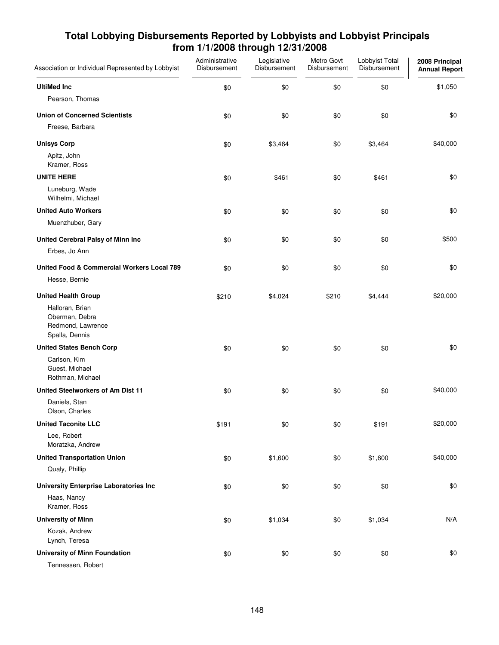| Association or Individual Represented by Lobbyist                        | Administrative<br>Disbursement | Legislative<br>Disbursement | Metro Govt<br>Disbursement | Lobbyist Total<br>Disbursement | 2008 Principal<br><b>Annual Report</b> |
|--------------------------------------------------------------------------|--------------------------------|-----------------------------|----------------------------|--------------------------------|----------------------------------------|
| <b>UltiMed Inc</b>                                                       | \$0                            | \$0                         | \$0                        | \$0                            | \$1,050                                |
| Pearson, Thomas                                                          |                                |                             |                            |                                |                                        |
| <b>Union of Concerned Scientists</b>                                     | \$0                            | \$0                         | \$0                        | \$0                            | \$0                                    |
| Freese, Barbara                                                          |                                |                             |                            |                                |                                        |
| <b>Unisys Corp</b>                                                       | \$0                            | \$3,464                     | \$0                        | \$3,464                        | \$40,000                               |
| Apitz, John<br>Kramer, Ross                                              |                                |                             |                            |                                |                                        |
| <b>UNITE HERE</b>                                                        | \$0                            | \$461                       | \$0                        | \$461                          | \$0                                    |
| Luneburg, Wade<br>Wilhelmi, Michael                                      |                                |                             |                            |                                |                                        |
| <b>United Auto Workers</b>                                               | \$0                            | \$0                         | \$0                        | \$0                            | \$0                                    |
| Muenzhuber, Gary                                                         |                                |                             |                            |                                |                                        |
| United Cerebral Palsy of Minn Inc                                        | \$0                            | \$0                         | \$0                        | \$0                            | \$500                                  |
| Erbes, Jo Ann                                                            |                                |                             |                            |                                |                                        |
| <b>United Food &amp; Commercial Workers Local 789</b>                    | \$0                            | \$0                         | \$0                        | \$0                            | \$0                                    |
| Hesse, Bernie                                                            |                                |                             |                            |                                |                                        |
| <b>United Health Group</b>                                               | \$210                          | \$4,024                     | \$210                      | \$4,444                        | \$20,000                               |
| Halloran, Brian<br>Oberman, Debra<br>Redmond, Lawrence<br>Spalla, Dennis |                                |                             |                            |                                |                                        |
| <b>United States Bench Corp</b>                                          | \$0                            | \$0                         | \$0                        | \$0                            | \$0                                    |
| Carlson, Kim<br>Guest, Michael<br>Rothman, Michael                       |                                |                             |                            |                                |                                        |
| United Steelworkers of Am Dist 11                                        | \$0                            | \$0                         | \$0                        | \$0                            | \$40,000                               |
| Daniels, Stan<br>Olson, Charles                                          |                                |                             |                            |                                |                                        |
| <b>United Taconite LLC</b>                                               | \$191                          | \$0                         | \$0                        | \$191                          | \$20,000                               |
| Lee, Robert<br>Moratzka, Andrew                                          |                                |                             |                            |                                |                                        |
| <b>United Transportation Union</b>                                       | \$0                            | \$1,600                     | \$0                        | \$1,600                        | \$40,000                               |
| Qualy, Phillip                                                           |                                |                             |                            |                                |                                        |
| <b>University Enterprise Laboratories Inc</b>                            | \$0                            | \$0                         | \$0                        | \$0                            | \$0                                    |
| Haas, Nancy<br>Kramer, Ross                                              |                                |                             |                            |                                |                                        |
| <b>University of Minn</b>                                                | \$0                            | \$1,034                     | \$0                        | \$1,034                        | N/A                                    |
| Kozak, Andrew<br>Lynch, Teresa                                           |                                |                             |                            |                                |                                        |
| <b>University of Minn Foundation</b>                                     | \$0                            | \$0                         | \$0                        | \$0                            | \$0                                    |
| Tennessen, Robert                                                        |                                |                             |                            |                                |                                        |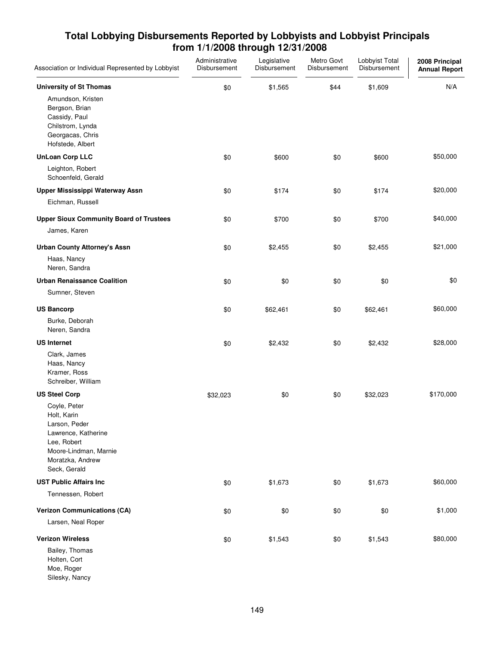| Association or Individual Represented by Lobbyist                                                                                                                       | Administrative<br>Disbursement | Legislative<br>Disbursement | Metro Govt<br>Disbursement | Lobbyist Total<br>Disbursement | 2008 Principal<br><b>Annual Report</b> |
|-------------------------------------------------------------------------------------------------------------------------------------------------------------------------|--------------------------------|-----------------------------|----------------------------|--------------------------------|----------------------------------------|
| <b>University of St Thomas</b><br>Amundson, Kristen<br>Bergson, Brian<br>Cassidy, Paul<br>Chilstrom, Lynda<br>Georgacas, Chris<br>Hofstede, Albert                      | \$0                            | \$1,565                     | \$44                       | \$1,609                        | N/A                                    |
| <b>UnLoan Corp LLC</b><br>Leighton, Robert<br>Schoenfeld, Gerald                                                                                                        | \$0                            | \$600                       | \$0                        | \$600                          | \$50,000                               |
| Upper Mississippi Waterway Assn<br>Eichman, Russell                                                                                                                     | \$0                            | \$174                       | \$0                        | \$174                          | \$20,000                               |
| <b>Upper Sioux Community Board of Trustees</b><br>James, Karen                                                                                                          | \$0                            | \$700                       | \$0                        | \$700                          | \$40,000                               |
| <b>Urban County Attorney's Assn</b><br>Haas, Nancy<br>Neren, Sandra                                                                                                     | \$0                            | \$2,455                     | \$0                        | \$2,455                        | \$21,000                               |
| <b>Urban Renaissance Coalition</b><br>Sumner, Steven                                                                                                                    | \$0                            | \$0                         | \$0                        | \$0                            | \$0                                    |
| <b>US Bancorp</b><br>Burke, Deborah<br>Neren, Sandra                                                                                                                    | \$0                            | \$62,461                    | \$0                        | \$62,461                       | \$60,000                               |
| <b>US Internet</b><br>Clark, James<br>Haas, Nancy<br>Kramer, Ross<br>Schreiber, William                                                                                 | \$0                            | \$2,432                     | \$0                        | \$2,432                        | \$28,000                               |
| <b>US Steel Corp</b><br>Coyle, Peter<br>Holt, Karin<br>Larson, Peder<br>Lawrence, Katherine<br>Lee, Robert<br>Moore-Lindman, Marnie<br>Moratzka, Andrew<br>Seck, Gerald | \$32,023                       | \$0                         | \$0                        | \$32,023                       | \$170,000                              |
| <b>UST Public Affairs Inc.</b><br>Tennessen, Robert                                                                                                                     | \$0                            | \$1,673                     | \$0                        | \$1,673                        | \$60,000                               |
| <b>Verizon Communications (CA)</b><br>Larsen, Neal Roper                                                                                                                | \$0                            | \$0                         | \$0                        | \$0                            | \$1,000                                |
| <b>Verizon Wireless</b><br>Bailey, Thomas<br>Holten, Cort<br>Moe, Roger<br>Silesky, Nancy                                                                               | \$0                            | \$1,543                     | \$0                        | \$1,543                        | \$80,000                               |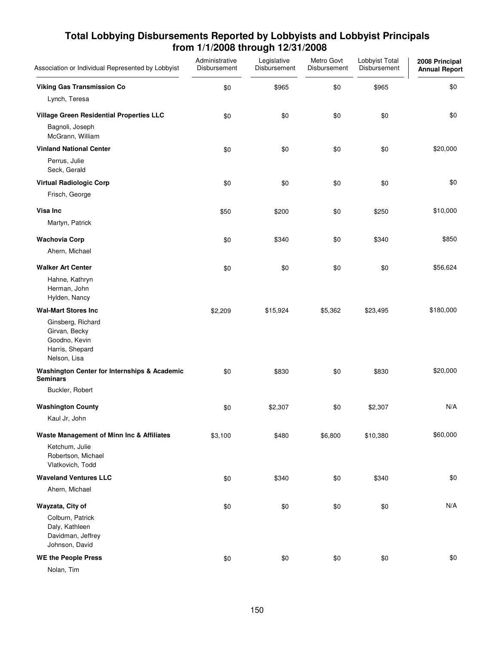| Association or Individual Represented by Lobbyist                                      | Administrative<br>Disbursement | Legislative<br>Disbursement | Metro Govt<br>Disbursement | Lobbyist Total<br>Disbursement | 2008 Principal<br><b>Annual Report</b> |
|----------------------------------------------------------------------------------------|--------------------------------|-----------------------------|----------------------------|--------------------------------|----------------------------------------|
| <b>Viking Gas Transmission Co</b>                                                      | \$0                            | \$965                       | \$0                        | \$965                          | \$0                                    |
| Lynch, Teresa                                                                          |                                |                             |                            |                                |                                        |
| Village Green Residential Properties LLC                                               | \$0                            | \$0                         | \$0                        | \$0                            | \$0                                    |
| Bagnoli, Joseph<br>McGrann, William                                                    |                                |                             |                            |                                |                                        |
| <b>Vinland National Center</b>                                                         | \$0                            | \$0                         | \$0                        | \$0                            | \$20,000                               |
| Perrus, Julie<br>Seck, Gerald                                                          |                                |                             |                            |                                |                                        |
| <b>Virtual Radiologic Corp</b>                                                         | \$0                            | \$0                         | \$0                        | \$0                            | \$0                                    |
| Frisch, George                                                                         |                                |                             |                            |                                |                                        |
| Visa Inc                                                                               | \$50                           | \$200                       | \$0                        | \$250                          | \$10,000                               |
| Martyn, Patrick                                                                        |                                |                             |                            |                                |                                        |
| <b>Wachovia Corp</b>                                                                   | \$0                            | \$340                       | \$0                        | \$340                          | \$850                                  |
| Ahern, Michael                                                                         |                                |                             |                            |                                |                                        |
| <b>Walker Art Center</b>                                                               | \$0                            | \$0                         | \$0                        | \$0                            | \$56,624                               |
| Hahne, Kathryn<br>Herman, John<br>Hylden, Nancy                                        |                                |                             |                            |                                |                                        |
| <b>Wal-Mart Stores Inc</b>                                                             | \$2,209                        | \$15,924                    | \$5,362                    | \$23,495                       | \$180,000                              |
| Ginsberg, Richard<br>Girvan, Becky<br>Goodno, Kevin<br>Harris, Shepard<br>Nelson, Lisa |                                |                             |                            |                                |                                        |
| <b>Washington Center for Internships &amp; Academic</b><br><b>Seminars</b>             | \$0                            | \$830                       | \$0                        | \$830                          | \$20,000                               |
| Buckler, Robert                                                                        |                                |                             |                            |                                |                                        |
| <b>Washington County</b>                                                               | \$0                            | \$2,307                     | \$0                        | \$2,307                        | N/A                                    |
| Kaul Jr, John                                                                          |                                |                             |                            |                                |                                        |
| Waste Management of Minn Inc & Affiliates                                              | \$3,100                        | \$480                       | \$6,800                    | \$10,380                       | \$60,000                               |
| Ketchum, Julie<br>Robertson, Michael<br>Vlatkovich, Todd                               |                                |                             |                            |                                |                                        |
| <b>Waveland Ventures LLC</b>                                                           | \$0                            | \$340                       | \$0                        | \$340                          | \$0                                    |
| Ahern, Michael                                                                         |                                |                             |                            |                                |                                        |
| Wayzata, City of                                                                       | \$0                            | \$0                         | \$0                        | \$0                            | N/A                                    |
| Colburn, Patrick<br>Daly, Kathleen<br>Davidman, Jeffrey<br>Johnson, David              |                                |                             |                            |                                |                                        |
| <b>WE the People Press</b>                                                             | \$0                            | \$0                         | \$0                        | \$0                            | \$0                                    |
| Nolan, Tim                                                                             |                                |                             |                            |                                |                                        |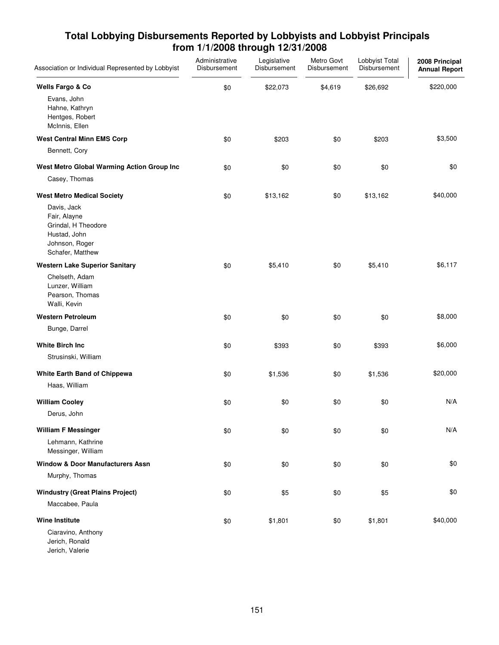| Association or Individual Represented by Lobbyist                                                        | Administrative<br>Disbursement | Legislative<br>Disbursement | Metro Govt<br>Disbursement | Lobbyist Total<br>Disbursement | 2008 Principal<br><b>Annual Report</b> |
|----------------------------------------------------------------------------------------------------------|--------------------------------|-----------------------------|----------------------------|--------------------------------|----------------------------------------|
| Wells Fargo & Co                                                                                         | \$0                            | \$22,073                    | \$4,619                    | \$26,692                       | \$220,000                              |
| Evans, John<br>Hahne, Kathryn<br>Hentges, Robert<br>McInnis, Ellen                                       |                                |                             |                            |                                |                                        |
| <b>West Central Minn EMS Corp</b>                                                                        | \$0                            | \$203                       | \$0                        | \$203                          | \$3,500                                |
| Bennett, Cory                                                                                            |                                |                             |                            |                                |                                        |
| West Metro Global Warming Action Group Inc                                                               | \$0                            | \$0                         | \$0                        | \$0                            | \$0                                    |
| Casey, Thomas                                                                                            |                                |                             |                            |                                |                                        |
| <b>West Metro Medical Society</b>                                                                        | \$0                            | \$13,162                    | \$0                        | \$13,162                       | \$40,000                               |
| Davis, Jack<br>Fair, Alayne<br>Grindal, H Theodore<br>Hustad, John<br>Johnson, Roger<br>Schafer, Matthew |                                |                             |                            |                                |                                        |
| <b>Western Lake Superior Sanitary</b>                                                                    | \$0                            | \$5,410                     | \$0                        | \$5,410                        | \$6,117                                |
| Chelseth, Adam<br>Lunzer, William<br>Pearson, Thomas<br>Walli, Kevin                                     |                                |                             |                            |                                |                                        |
| <b>Western Petroleum</b>                                                                                 | \$0                            | \$0                         | \$0                        | \$0                            | \$8,000                                |
| Bunge, Darrel                                                                                            |                                |                             |                            |                                |                                        |
| <b>White Birch Inc.</b>                                                                                  | \$0                            | \$393                       | \$0                        | \$393                          | \$6,000                                |
| Strusinski, William                                                                                      |                                |                             |                            |                                |                                        |
| White Earth Band of Chippewa                                                                             | \$0                            | \$1,536                     | \$0                        | \$1,536                        | \$20,000                               |
| Haas, William                                                                                            |                                |                             |                            |                                |                                        |
| <b>William Cooley</b>                                                                                    | \$0                            | \$0                         | \$0                        | \$0                            | N/A                                    |
| Derus, John                                                                                              |                                |                             |                            |                                |                                        |
| <b>William F Messinger</b>                                                                               | \$0                            | \$0                         | \$0                        | \$0                            | N/A                                    |
| Lehmann, Kathrine<br>Messinger, William                                                                  |                                |                             |                            |                                |                                        |
| <b>Window &amp; Door Manufacturers Assn</b>                                                              | \$0                            | \$0                         | \$0                        | \$0                            | \$0                                    |
| Murphy, Thomas                                                                                           |                                |                             |                            |                                |                                        |
| <b>Windustry (Great Plains Project)</b>                                                                  | \$0                            | \$5                         | \$0                        | \$5                            | \$0                                    |
| Maccabee, Paula                                                                                          |                                |                             |                            |                                |                                        |
| <b>Wine Institute</b>                                                                                    | \$0                            | \$1,801                     | \$0                        | \$1,801                        | \$40,000                               |
| Ciaravino, Anthony<br>Jerich, Ronald                                                                     |                                |                             |                            |                                |                                        |

Jerich, Valerie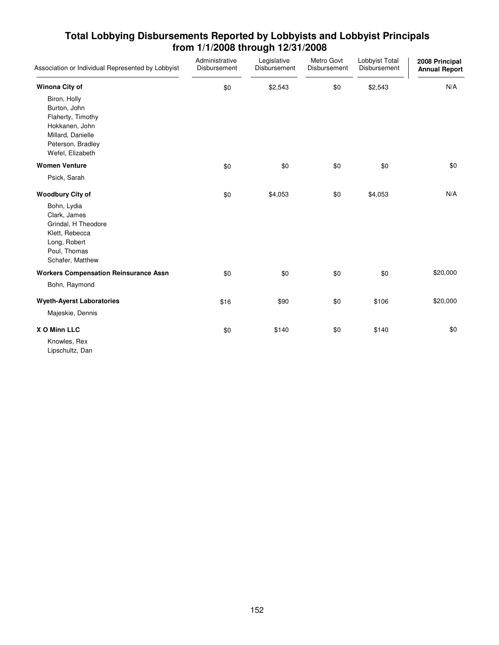| Association or Individual Represented by Lobbyist                                                                                 | Administrative<br>Disbursement | Legislative<br>Disbursement | Metro Govt<br>Disbursement | Lobbyist Total<br>Disbursement | 2008 Principal<br><b>Annual Report</b> |
|-----------------------------------------------------------------------------------------------------------------------------------|--------------------------------|-----------------------------|----------------------------|--------------------------------|----------------------------------------|
| Winona City of                                                                                                                    | \$0                            | \$2,543                     | \$0                        | \$2,543                        | N/A                                    |
| Biron, Holly<br>Burton, John<br>Flaherty, Timothy<br>Hokkanen, John<br>Millard, Danielle<br>Peterson, Bradley<br>Wefel, Elizabeth |                                |                             |                            |                                |                                        |
| <b>Women Venture</b>                                                                                                              | \$0                            | \$0                         | \$0                        | \$0                            | \$0                                    |
| Psick, Sarah                                                                                                                      |                                |                             |                            |                                |                                        |
| <b>Woodbury City of</b>                                                                                                           | \$0                            | \$4,053                     | \$0                        | \$4,053                        | N/A                                    |
| Bohn, Lydia<br>Clark, James<br>Grindal, H Theodore<br>Klett, Rebecca<br>Long, Robert<br>Poul, Thomas<br>Schafer, Matthew          |                                |                             |                            |                                |                                        |
| <b>Workers Compensation Reinsurance Assn</b>                                                                                      | \$0                            | \$0                         | \$0                        | \$0                            | \$20,000                               |
| Bohn, Raymond                                                                                                                     |                                |                             |                            |                                |                                        |
| <b>Wyeth-Ayerst Laboratories</b>                                                                                                  | \$16                           | \$90                        | \$0                        | \$106                          | \$20,000                               |
| Majeskie, Dennis                                                                                                                  |                                |                             |                            |                                |                                        |
| X O Minn LLC<br>Knowles, Rex<br>Lipschultz, Dan                                                                                   | \$0                            | \$140                       | \$0                        | \$140                          | \$0                                    |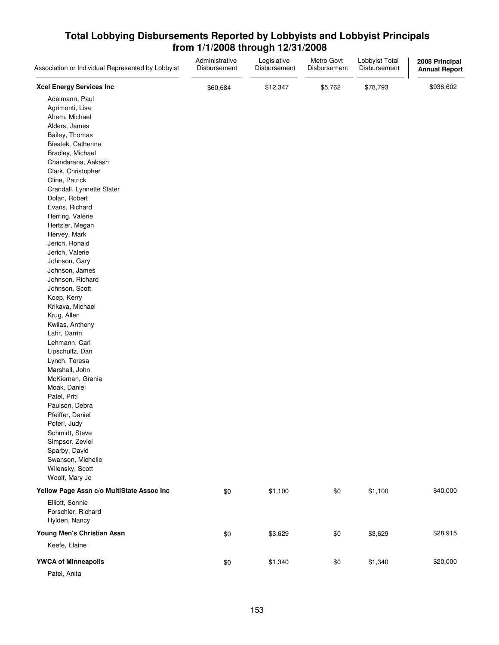| Association or Individual Represented by Lobbyist | Administrative<br>Disbursement | Legislative<br>Disbursement | Metro Govt<br>Disbursement | Lobbyist Total<br>Disbursement | 2008 Principal<br><b>Annual Report</b> |
|---------------------------------------------------|--------------------------------|-----------------------------|----------------------------|--------------------------------|----------------------------------------|
| <b>Xcel Energy Services Inc</b>                   | \$60,684                       | \$12,347                    | \$5,762                    | \$78,793                       | \$936,602                              |
| Adelmann, Paul                                    |                                |                             |                            |                                |                                        |
| Agrimonti, Lisa                                   |                                |                             |                            |                                |                                        |
| Ahern, Michael                                    |                                |                             |                            |                                |                                        |
| Alders, James                                     |                                |                             |                            |                                |                                        |
| Bailey, Thomas                                    |                                |                             |                            |                                |                                        |
| Biestek, Catherine                                |                                |                             |                            |                                |                                        |
| Bradley, Michael                                  |                                |                             |                            |                                |                                        |
| Chandarana, Aakash                                |                                |                             |                            |                                |                                        |
| Clark, Christopher                                |                                |                             |                            |                                |                                        |
| Cline, Patrick                                    |                                |                             |                            |                                |                                        |
| Crandall, Lynnette Slater                         |                                |                             |                            |                                |                                        |
| Dolan, Robert                                     |                                |                             |                            |                                |                                        |
| Evans, Richard                                    |                                |                             |                            |                                |                                        |
| Herring, Valerie                                  |                                |                             |                            |                                |                                        |
| Hertzler, Megan                                   |                                |                             |                            |                                |                                        |
| Hervey, Mark                                      |                                |                             |                            |                                |                                        |
| Jerich, Ronald                                    |                                |                             |                            |                                |                                        |
| Jerich, Valerie                                   |                                |                             |                            |                                |                                        |
| Johnson, Gary                                     |                                |                             |                            |                                |                                        |
| Johnson, James                                    |                                |                             |                            |                                |                                        |
| Johnson, Richard                                  |                                |                             |                            |                                |                                        |
| Johnson, Scott                                    |                                |                             |                            |                                |                                        |
| Koep, Kerry                                       |                                |                             |                            |                                |                                        |
| Krikava, Michael                                  |                                |                             |                            |                                |                                        |
| Krug, Allen                                       |                                |                             |                            |                                |                                        |
| Kwilas, Anthony                                   |                                |                             |                            |                                |                                        |
| Lahr, Darrin                                      |                                |                             |                            |                                |                                        |
| Lehmann, Carl                                     |                                |                             |                            |                                |                                        |
| Lipschultz, Dan                                   |                                |                             |                            |                                |                                        |
| Lynch, Teresa                                     |                                |                             |                            |                                |                                        |
| Marshall, John                                    |                                |                             |                            |                                |                                        |
| McKiernan, Grania                                 |                                |                             |                            |                                |                                        |
| Moak, Daniel                                      |                                |                             |                            |                                |                                        |
| Patel, Priti                                      |                                |                             |                            |                                |                                        |
| Paulson, Debra                                    |                                |                             |                            |                                |                                        |
| Pfeiffer, Daniel                                  |                                |                             |                            |                                |                                        |
| Poferl, Judy                                      |                                |                             |                            |                                |                                        |
| Schmidt, Steve                                    |                                |                             |                            |                                |                                        |
| Simpser, Zeviel                                   |                                |                             |                            |                                |                                        |
| Sparby, David                                     |                                |                             |                            |                                |                                        |
| Swanson, Michelle                                 |                                |                             |                            |                                |                                        |
| Wilensky, Scott                                   |                                |                             |                            |                                |                                        |
| Woolf, Mary Jo                                    |                                |                             |                            |                                |                                        |
| Yellow Page Assn c/o MultiState Assoc Inc         | \$0                            | \$1,100                     | \$0                        | \$1,100                        | \$40,000                               |
| Elliott, Sonnie                                   |                                |                             |                            |                                |                                        |
| Forschler, Richard                                |                                |                             |                            |                                |                                        |
| Hylden, Nancy                                     |                                |                             |                            |                                |                                        |
| Young Men's Christian Assn                        | \$0                            | \$3,629                     | \$0                        | \$3,629                        | \$28,915                               |
| Keefe, Elaine                                     |                                |                             |                            |                                |                                        |
| <b>YWCA of Minneapolis</b>                        | \$0                            | \$1,340                     | \$0                        | \$1,340                        | \$20,000                               |
| Patel, Anita                                      |                                |                             |                            |                                |                                        |
|                                                   |                                |                             |                            |                                |                                        |